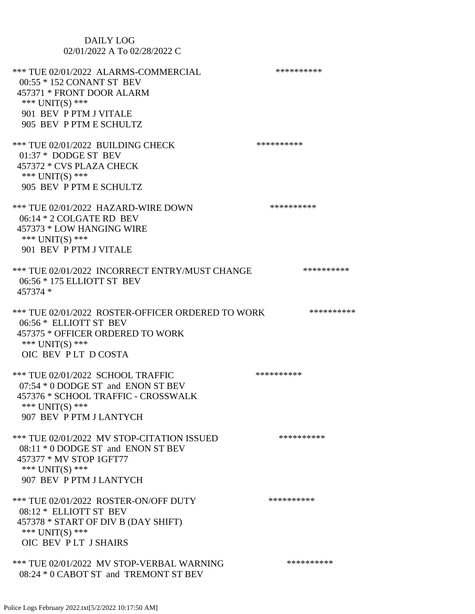| <b>DAILY LOG</b><br>02/01/2022 A To 02/28/2022 C                                                                                                                       |            |
|------------------------------------------------------------------------------------------------------------------------------------------------------------------------|------------|
| *** TUE 02/01/2022 ALARMS-COMMERCIAL<br>00:55 * 152 CONANT ST BEV<br>457371 * FRONT DOOR ALARM<br>*** UNIT(S) ***<br>901 BEV P PTM J VITALE<br>905 BEV P PTM E SCHULTZ | ********** |
| *** TUE 02/01/2022 BUILDING CHECK<br>01:37 * DODGE ST BEV<br>457372 * CVS PLAZA CHECK<br>*** UNIT(S) ***<br>905 BEV P PTM E SCHULTZ                                    | ********** |
| *** TUE 02/01/2022 HAZARD-WIRE DOWN<br>$06:14*2$ COLGATE RD BEV<br>457373 * LOW HANGING WIRE<br>*** UNIT(S) ***<br>901 BEV P PTM J VITALE                              | ********** |
| *** TUE 02/01/2022 INCORRECT ENTRY/MUST CHANGE<br>06:56 * 175 ELLIOTT ST BEV<br>457374 *                                                                               | ********** |
| *** TUE 02/01/2022 ROSTER-OFFICER ORDERED TO WORK<br>06:56 * ELLIOTT ST BEV<br>457375 * OFFICER ORDERED TO WORK<br>*** UNIT(S) ***<br>OIC BEV PLT DCOSTA               | ********** |
| *** TUE 02/01/2022 SCHOOL TRAFFIC<br>07:54 * 0 DODGE ST and ENON ST BEV<br>457376 * SCHOOL TRAFFIC - CROSSWALK<br>*** $UNIT(S)$ ***<br>907 BEV P PTM J LANTYCH         | ********** |
| *** TUE 02/01/2022 MV STOP-CITATION ISSUED<br>08:11 * 0 DODGE ST and ENON ST BEV<br>457377 * MV STOP 1GFT77<br>*** $UNIT(S)$ ***<br>907 BEV P PTM J LANTYCH            | ********** |
| *** TUE 02/01/2022 ROSTER-ON/OFF DUTY<br>08:12 * ELLIOTT ST BEV<br>457378 * START OF DIV B (DAY SHIFT)<br>*** UNIT(S) ***<br>OIC BEV PLT J SHAIRS                      | ********** |
| *** TUE 02/01/2022 MV STOP-VERBAL WARNING<br>08:24 * 0 CABOT ST and TREMONT ST BEV                                                                                     | ********** |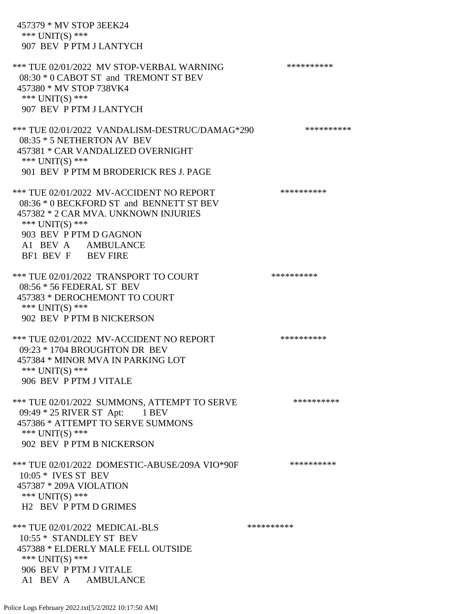457379 \* MV STOP 3EEK24 \*\*\* UNIT(S) \*\*\* 907 BEV P PTM J LANTYCH \*\*\* TUE 02/01/2022 MV STOP-VERBAL WARNING \*\*\*\*\*\*\*\*\*\*\*\*\* 08:30 \* 0 CABOT ST and TREMONT ST BEV 457380 \* MV STOP 738VK4 \*\*\* UNIT(S) \*\*\* 907 BEV P PTM J LANTYCH \*\*\* TUE 02/01/2022 VANDALISM-DESTRUC/DAMAG\*290 \*\*\*\*\*\*\*\*\*\* 08:35 \* 5 NETHERTON AV BEV 457381 \* CAR VANDALIZED OVERNIGHT \*\*\* UNIT(S) \*\*\* 901 BEV P PTM M BRODERICK RES J. PAGE \*\*\* TUE 02/01/2022 MV-ACCIDENT NO REPORT \*\*\*\*\*\*\*\*\*\*\*\* 08:36 \* 0 BECKFORD ST and BENNETT ST BEV 457382 \* 2 CAR MVA. UNKNOWN INJURIES \*\*\* UNIT(S) \*\*\* 903 BEV P PTM D GAGNON A1 BEV A AMBULANCE BF1 BEV F BEV FIRE \*\*\* TUE 02/01/2022 TRANSPORT TO COURT \*\*\*\*\*\*\*\*\*\*\*\*\* 08:56 \* 56 FEDERAL ST BEV 457383 \* DEROCHEMONT TO COURT \*\*\* UNIT(S) \*\*\* 902 BEV P PTM B NICKERSON \*\*\* TUE 02/01/2022 MV-ACCIDENT NO REPORT \*\*\*\*\*\*\*\*\*\*\*\* 09:23 \* 1704 BROUGHTON DR BEV 457384 \* MINOR MVA IN PARKING LOT \*\*\* UNIT(S) \*\*\* 906 BEV P PTM J VITALE \*\*\* TUE 02/01/2022 SUMMONS, ATTEMPT TO SERVE \*\*\*\*\*\*\*\*\*\* 09:49 \* 25 RIVER ST Apt: 1 BEV 457386 \* ATTEMPT TO SERVE SUMMONS \*\*\* UNIT(S) \*\*\* 902 BEV P PTM B NICKERSON \*\*\* TUE 02/01/2022 DOMESTIC-ABUSE/209A VIO\*90F \*\*\*\*\*\*\*\*\*\* 10:05 \* IVES ST BEV 457387 \* 209A VIOLATION \*\*\* UNIT(S) \*\*\* H2 BEV P PTM D GRIMES \*\*\* TUE 02/01/2022 MEDICAL-BLS \*\*\*\*\*\*\*\*\*\* 10:55 \* STANDLEY ST BEV 457388 \* ELDERLY MALE FELL OUTSIDE \*\*\* UNIT(S) \*\*\* 906 BEV P PTM J VITALE A1 BEV A AMBULANCE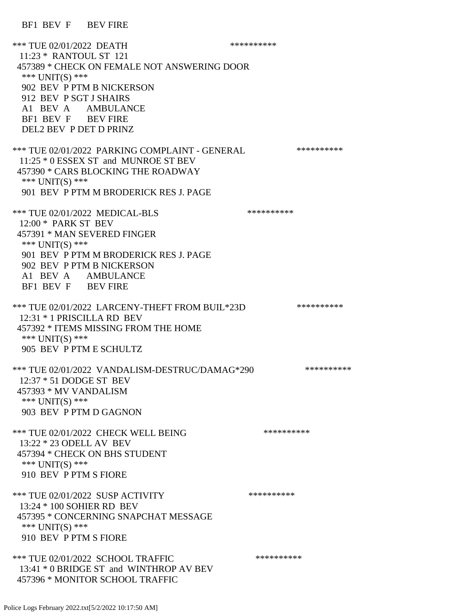\*\*\* TUE 02/01/2022 DEATH 11:23 \* RANTOUL ST 121 457389 \* CHECK ON FEMALE NOT ANSWERING DOOR \*\*\* UNIT(S) \*\*\* 902 BEV P PTM B NICKERSON 912 BEV P SGT J SHAIRS A1 BEV A AMBULANCE BF1 BEV F BEV FIRE DEL2 BEV P DET D PRINZ \*\*\* TUE 02/01/2022 PARKING COMPLAINT - GENERAL \*\*\*\*\*\*\*\*\*\*\*\* 11:25 \* 0 ESSEX ST and MUNROE ST BEV 457390 \* CARS BLOCKING THE ROADWAY \*\*\* UNIT(S) \*\*\* 901 BEV P PTM M BRODERICK RES J. PAGE \*\*\* TUE 02/01/2022 MEDICAL-BLS \*\*\*\*\*\*\*\*\*\*\*\*\* 12:00 \* PARK ST BEV 457391 \* MAN SEVERED FINGER \*\*\* UNIT(S) \*\*\* 901 BEV P PTM M BRODERICK RES J. PAGE 902 BEV P PTM B NICKERSON A1 BEV A AMBULANCE BF1 BEV F BEV FIRE \*\*\* TUE 02/01/2022 LARCENY-THEFT FROM BUIL\*23D \*\*\*\*\*\*\*\*\*\* 12:31 \* 1 PRISCILLA RD BEV 457392 \* ITEMS MISSING FROM THE HOME \*\*\* UNIT(S) \*\*\* 905 BEV P PTM E SCHULTZ \*\*\* TUE 02/01/2022 VANDALISM-DESTRUC/DAMAG\*290 \*\*\*\*\*\*\*\*\*\* 12:37 \* 51 DODGE ST BEV 457393 \* MV VANDALISM \*\*\* UNIT(S) \*\*\* 903 BEV P PTM D GAGNON \*\*\* TUE 02/01/2022 CHECK WELL BEING \*\*\*\*\*\*\*\*\*\* 13:22 \* 23 ODELL AV BEV 457394 \* CHECK ON BHS STUDENT \*\*\* UNIT(S) \*\*\* 910 BEV P PTM S FIORE \*\*\* TUE 02/01/2022 SUSP ACTIVITY \*\*\*\*\*\*\*\*\*\*\*\* 13:24 \* 100 SOHIER RD BEV 457395 \* CONCERNING SNAPCHAT MESSAGE \*\*\* UNIT(S) \*\*\* 910 BEV P PTM S FIORE \*\*\* TUE 02/01/2022 SCHOOL TRAFFIC \*\*\*\*\*\*\*\*\*\* 13:41 \* 0 BRIDGE ST and WINTHROP AV BEV 457396 \* MONITOR SCHOOL TRAFFIC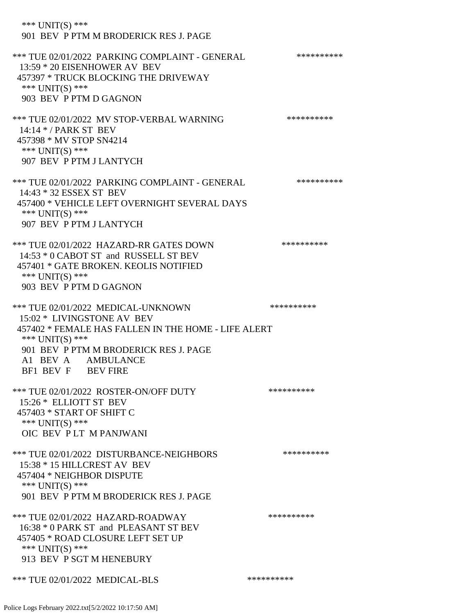\*\*\* UNIT(S) \*\*\* 901 BEV P PTM M BRODERICK RES J. PAGE \*\*\* TUE 02/01/2022 PARKING COMPLAINT - GENERAL \*\*\*\*\*\*\*\*\*\* 13:59 \* 20 EISENHOWER AV BEV 457397 \* TRUCK BLOCKING THE DRIVEWAY \*\*\* UNIT(S) \*\*\* 903 BEV P PTM D GAGNON \*\*\* TUE 02/01/2022 MV STOP-VERBAL WARNING \*\*\*\*\*\*\*\*\*\*\*\* 14:14 \* / PARK ST BEV 457398 \* MV STOP SN4214 \*\*\* UNIT(S) \*\*\* 907 BEV P PTM J LANTYCH \*\*\* TUE 02/01/2022 PARKING COMPLAINT - GENERAL \*\*\*\*\*\*\*\*\*\*\*\* 14:43 \* 32 ESSEX ST BEV 457400 \* VEHICLE LEFT OVERNIGHT SEVERAL DAYS \*\*\* UNIT(S) \*\*\* 907 BEV P PTM J LANTYCH \*\*\* TUE 02/01/2022 HAZARD-RR GATES DOWN \*\*\*\*\*\*\*\*\*\* 14:53 \* 0 CABOT ST and RUSSELL ST BEV 457401 \* GATE BROKEN. KEOLIS NOTIFIED \*\*\* UNIT(S) \*\*\* 903 BEV P PTM D GAGNON \*\*\* TUE 02/01/2022 MEDICAL-UNKNOWN \*\*\*\*\*\*\*\*\*\* 15:02 \* LIVINGSTONE AV BEV 457402 \* FEMALE HAS FALLEN IN THE HOME - LIFE ALERT \*\*\* UNIT(S) \*\*\* 901 BEV P PTM M BRODERICK RES J. PAGE A1 BEV A AMBULANCE BF1 BEV F BEV FIRE \*\*\* TUE 02/01/2022 ROSTER-ON/OFF DUTY \*\*\*\*\*\*\*\*\*\* 15:26 \* ELLIOTT ST BEV 457403 \* START OF SHIFT C \*\*\* UNIT(S) \*\*\* OIC BEV P LT M PANJWANI \*\*\* TUE 02/01/2022 DISTURBANCE-NEIGHBORS \*\*\*\*\*\*\*\*\*\*\*\*\* 15:38 \* 15 HILLCREST AV BEV 457404 \* NEIGHBOR DISPUTE \*\*\* UNIT(S) \*\*\* 901 BEV P PTM M BRODERICK RES J. PAGE \*\*\* TUE 02/01/2022 HAZARD-ROADWAY \*\*\*\*\*\*\*\*\*\* 16:38 \* 0 PARK ST and PLEASANT ST BEV 457405 \* ROAD CLOSURE LEFT SET UP \*\*\* UNIT(S) \*\*\* 913 BEV P SGT M HENEBURY \*\*\* TUE 02/01/2022 MEDICAL-BLS \*\*\*\*\*\*\*\*\*\*\*\*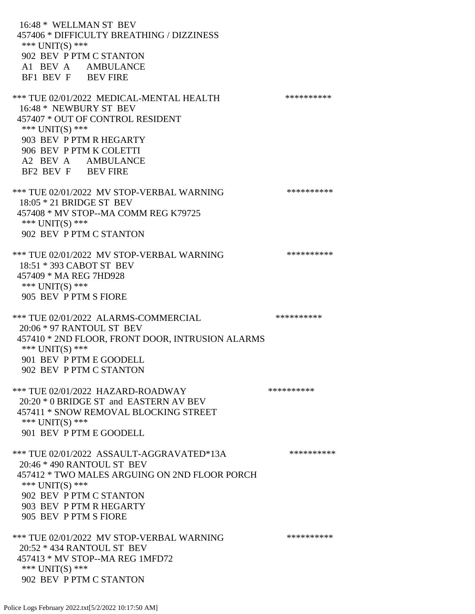16:48 \* WELLMAN ST BEV 457406 \* DIFFICULTY BREATHING / DIZZINESS \*\*\* UNIT(S) \*\*\* 902 BEV P PTM C STANTON A1 BEV A AMBULANCE BF1 BEV F BEV FIRE \*\*\* TUE 02/01/2022 MEDICAL-MENTAL HEALTH \*\*\*\*\*\*\*\*\*\*\*\* 16:48 \* NEWBURY ST BEV 457407 \* OUT OF CONTROL RESIDENT \*\*\* UNIT(S) \*\*\* 903 BEV P PTM R HEGARTY 906 BEV P PTM K COLETTI A2 BEV A AMBULANCE BF2 BEV F BEV FIRE \*\*\* TUE 02/01/2022 MV STOP-VERBAL WARNING \*\*\*\*\*\*\*\*\*\*\*\*\* 18:05 \* 21 BRIDGE ST BEV 457408 \* MV STOP--MA COMM REG K79725 \*\*\* UNIT(S) \*\*\* 902 BEV P PTM C STANTON \*\*\* TUE 02/01/2022 MV STOP-VERBAL WARNING \*\*\*\*\*\*\*\*\*\*\*\* 18:51 \* 393 CABOT ST BEV 457409 \* MA REG 7HD928 \*\*\* UNIT(S) \*\*\* 905 BEV P PTM S FIORE \*\*\* TUE 02/01/2022 ALARMS-COMMERCIAL \*\*\*\*\*\*\*\*\*\* 20:06 \* 97 RANTOUL ST BEV 457410 \* 2ND FLOOR, FRONT DOOR, INTRUSION ALARMS \*\*\* UNIT(S) \*\*\* 901 BEV P PTM E GOODELL 902 BEV P PTM C STANTON \*\*\* TUE 02/01/2022 HAZARD-ROADWAY \*\*\*\*\*\*\*\*\*\* 20:20 \* 0 BRIDGE ST and EASTERN AV BEV 457411 \* SNOW REMOVAL BLOCKING STREET \*\*\* UNIT(S) \*\*\* 901 BEV P PTM E GOODELL \*\*\* TUE 02/01/2022 ASSAULT-AGGRAVATED\*13A \*\*\*\*\*\*\*\*\*\* 20:46 \* 490 RANTOUL ST BEV 457412 \* TWO MALES ARGUING ON 2ND FLOOR PORCH \*\*\* UNIT(S) \*\*\* 902 BEV P PTM C STANTON 903 BEV P PTM R HEGARTY 905 BEV P PTM S FIORE \*\*\* TUE 02/01/2022 MV STOP-VERBAL WARNING \*\*\*\*\*\*\*\*\*\*\*\* 20:52 \* 434 RANTOUL ST BEV 457413 \* MV STOP--MA REG 1MFD72 \*\*\* UNIT(S) \*\*\*

902 BEV P PTM C STANTON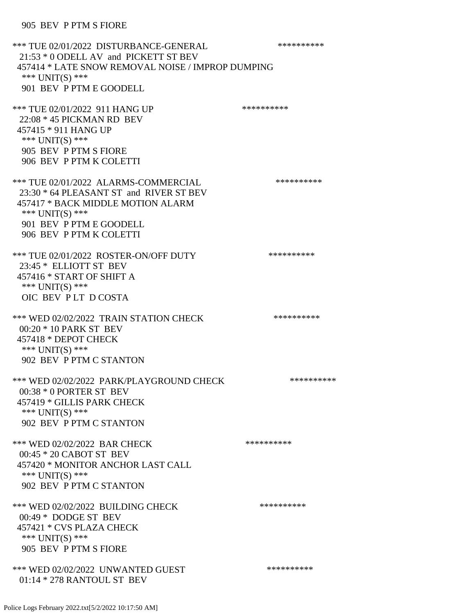\*\*\* TUE 02/01/2022 DISTURBANCE-GENERAL \*\*\*\*\*\*\*\*\*\* 21:53 \* 0 ODELL AV and PICKETT ST BEV 457414 \* LATE SNOW REMOVAL NOISE / IMPROP DUMPING \*\*\* UNIT(S) \*\*\* 901 BEV P PTM E GOODELL \*\*\* TUE 02/01/2022 911 HANG UP \*\*\*\*\*\*\*\*\*\* 22:08 \* 45 PICKMAN RD BEV 457415 \* 911 HANG UP \*\*\* UNIT(S) \*\*\* 905 BEV P PTM S FIORE 906 BEV P PTM K COLETTI \*\*\* TUE 02/01/2022 ALARMS-COMMERCIAL \*\*\*\*\*\*\*\*\*\*\*\*\*\* 23:30 \* 64 PLEASANT ST and RIVER ST BEV 457417 \* BACK MIDDLE MOTION ALARM \*\*\* UNIT(S) \*\*\* 901 BEV P PTM E GOODELL 906 BEV P PTM K COLETTI \*\*\* TUE 02/01/2022 ROSTER-ON/OFF DUTY \*\*\*\*\*\*\*\*\*\* 23:45 \* ELLIOTT ST BEV 457416 \* START OF SHIFT A \*\*\* UNIT(S) \*\*\* OIC BEV P LT D COSTA \*\*\* WED 02/02/2022 TRAIN STATION CHECK \*\*\*\*\*\*\*\*\*\*\*\* 00:20 \* 10 PARK ST BEV 457418 \* DEPOT CHECK \*\*\* UNIT(S) \*\*\* 902 BEV P PTM C STANTON \*\*\* WED 02/02/2022 PARK/PLAYGROUND CHECK \*\*\*\*\*\*\*\*\*\* 00:38 \* 0 PORTER ST BEV 457419 \* GILLIS PARK CHECK \*\*\* UNIT(S) \*\*\* 902 BEV P PTM C STANTON \*\*\* WED 02/02/2022 BAR CHECK \*\*\*\*\*\*\*\*\*\*\* 00:45 \* 20 CABOT ST BEV 457420 \* MONITOR ANCHOR LAST CALL \*\*\* UNIT(S) \*\*\* 902 BEV P PTM C STANTON \*\*\* WED 02/02/2022 BUILDING CHECK \*\*\*\*\*\*\*\*\*\*\* 00:49 \* DODGE ST BEV 457421 \* CVS PLAZA CHECK \*\*\* UNIT(S) \*\*\* 905 BEV P PTM S FIORE \*\*\* WED 02/02/2022 UNWANTED GUEST \*\*\*\*\*\*\*\*\*\*\*\*\* 01:14 \* 278 RANTOUL ST BEV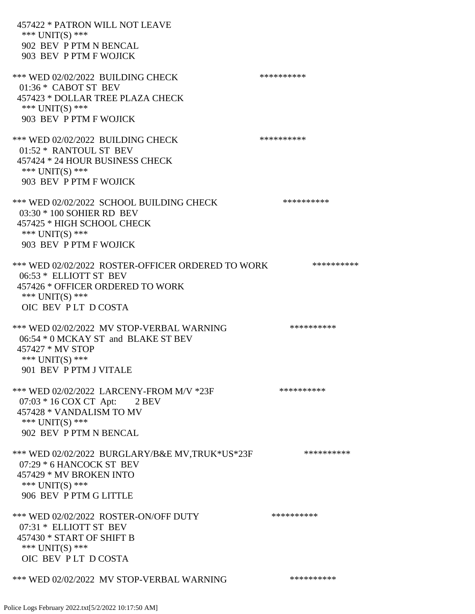457422 \* PATRON WILL NOT LEAVE \*\*\* UNIT(S) \*\*\* 902 BEV P PTM N BENCAL 903 BEV P PTM F WOJICK \*\*\* WED 02/02/2022 BUILDING CHECK \*\*\*\*\*\*\*\*\*\*\*\* 01:36 \* CABOT ST BEV 457423 \* DOLLAR TREE PLAZA CHECK \*\*\* UNIT(S) \*\*\* 903 BEV P PTM F WOJICK \*\*\* WED 02/02/2022 BUILDING CHECK \*\*\*\*\*\*\*\*\*\*\* 01:52 \* RANTOUL ST BEV 457424 \* 24 HOUR BUSINESS CHECK \*\*\* UNIT(S) \*\*\* 903 BEV P PTM F WOJICK \*\*\* WED 02/02/2022 SCHOOL BUILDING CHECK \*\*\*\*\*\*\*\*\*\*\*\* 03:30 \* 100 SOHIER RD BEV 457425 \* HIGH SCHOOL CHECK \*\*\* UNIT(S) \*\*\* 903 BEV P PTM F WOJICK \*\*\* WED 02/02/2022 ROSTER-OFFICER ORDERED TO WORK \*\*\*\*\*\*\*\*\*\*\* 06:53 \* ELLIOTT ST BEV 457426 \* OFFICER ORDERED TO WORK \*\*\* UNIT(S) \*\*\* OIC BEV P LT D COSTA \*\*\* WED 02/02/2022 MV STOP-VERBAL WARNING \*\*\*\*\*\*\*\*\*\*\*\* 06:54 \* 0 MCKAY ST and BLAKE ST BEV 457427 \* MV STOP \*\*\* UNIT(S) \*\*\* 901 BEV P PTM J VITALE \*\*\* WED 02/02/2022 LARCENY-FROM M/V \*23F \*\*\*\*\*\*\*\*\*\*\* 07:03 \* 16 COX CT Apt: 2 BEV 457428 \* VANDALISM TO MV \*\*\* UNIT(S) \*\*\* 902 BEV P PTM N BENCAL \*\*\* WED 02/02/2022 BURGLARY/B&E MV.TRUK\*US\*23F \*\*\*\*\*\*\*\*\*\*\*\* 07:29 \* 6 HANCOCK ST BEV 457429 \* MV BROKEN INTO \*\*\* UNIT(S) \*\*\* 906 BEV P PTM G LITTLE \*\*\* WED 02/02/2022 ROSTER-ON/OFF DUTY \*\*\*\*\*\*\*\*\*\*\*\* 07:31 \* ELLIOTT ST BEV 457430 \* START OF SHIFT B \*\*\* UNIT(S) \*\*\* OIC BEV P LT D COSTA \*\*\* WED 02/02/2022 MV STOP-VERBAL WARNING \*\*\*\*\*\*\*\*\*\*\*\*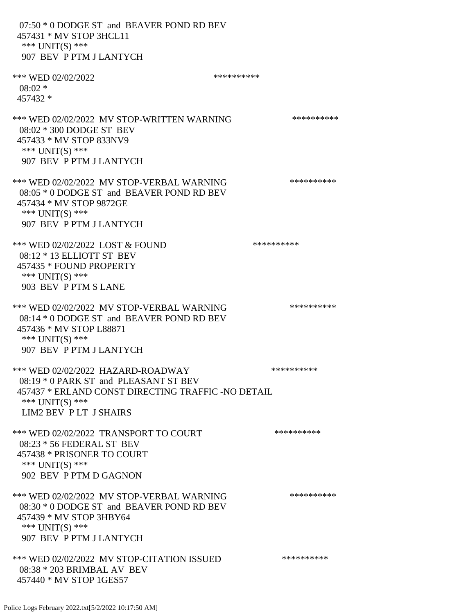07:50 \* 0 DODGE ST and BEAVER POND RD BEV 457431 \* MV STOP 3HCL11 \*\*\* UNIT(S) \*\*\* 907 BEV P PTM J LANTYCH \*\*\* WED 02/02/2022 \*\*\*\*\*\*\*\*\*\*  $08:02$  \* 457432 \* \*\*\* WED 02/02/2022 MV STOP-WRITTEN WARNING \*\*\*\*\*\*\*\*\*\*\*\* 08:02 \* 300 DODGE ST BEV 457433 \* MV STOP 833NV9 \*\*\* UNIT(S) \*\*\* 907 BEV P PTM J LANTYCH \*\*\* WED 02/02/2022 MV STOP-VERBAL WARNING \*\*\*\*\*\*\*\*\*\*\*\* 08:05 \* 0 DODGE ST and BEAVER POND RD BEV 457434 \* MV STOP 9872GE \*\*\* UNIT(S) \*\*\* 907 BEV P PTM J LANTYCH \*\*\* WED 02/02/2022 LOST & FOUND \*\*\*\*\*\*\*\*\*\* 08:12 \* 13 ELLIOTT ST BEV 457435 \* FOUND PROPERTY \*\*\* UNIT(S) \*\*\* 903 BEV P PTM S LANE \*\*\* WED 02/02/2022 MV STOP-VERBAL WARNING \*\*\*\*\*\*\*\*\*\*\*\* 08:14 \* 0 DODGE ST and BEAVER POND RD BEV 457436 \* MV STOP L88871 \*\*\* UNIT(S) \*\*\* 907 BEV P PTM J LANTYCH \*\*\* WED 02/02/2022 HAZARD-ROADWAY \*\*\*\*\*\*\*\*\*\* 08:19 \* 0 PARK ST and PLEASANT ST BEV 457437 \* ERLAND CONST DIRECTING TRAFFIC -NO DETAIL \*\*\* UNIT(S) \*\*\* LIM2 BEV P LT J SHAIRS \*\*\* WED 02/02/2022 TRANSPORT TO COURT \*\*\*\*\*\*\*\*\*\*\*\*\* 08:23 \* 56 FEDERAL ST BEV 457438 \* PRISONER TO COURT \*\*\* UNIT(S) \*\*\* 902 BEV P PTM D GAGNON \*\*\* WED 02/02/2022 MV STOP-VERBAL WARNING \*\*\*\*\*\*\*\*\*\*\*\* 08:30 \* 0 DODGE ST and BEAVER POND RD BEV 457439 \* MV STOP 3HBY64 \*\*\* UNIT(S) \*\*\* 907 BEV P PTM J LANTYCH \*\*\* WED 02/02/2022 MV STOP-CITATION ISSUED \*\*\*\*\*\*\*\*\*\* 08:38 \* 203 BRIMBAL AV BEV 457440 \* MV STOP 1GES57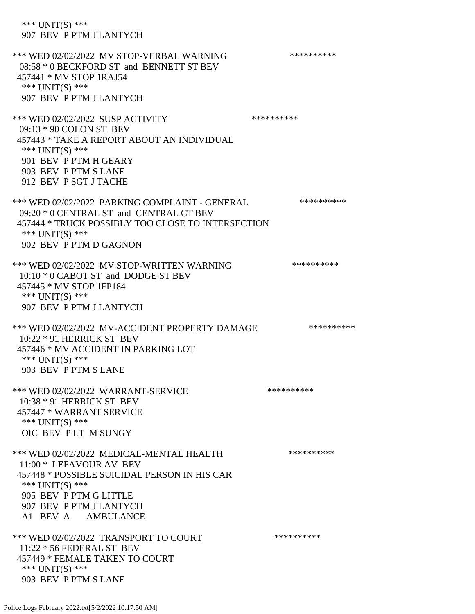\*\*\* UNIT(S) \*\*\* 907 BEV P PTM J LANTYCH \*\*\* WED 02/02/2022 MV STOP-VERBAL WARNING \*\*\*\*\*\*\*\*\*\*\*\* 08:58 \* 0 BECKFORD ST and BENNETT ST BEV 457441 \* MV STOP 1RAJ54 \*\*\* UNIT(S) \*\*\* 907 BEV P PTM J LANTYCH \*\*\* WED 02/02/2022 SUSP ACTIVITY \*\*\*\*\*\*\*\*\*\*\*\*\*\* 09:13 \* 90 COLON ST BEV 457443 \* TAKE A REPORT ABOUT AN INDIVIDUAL \*\*\* UNIT(S) \*\*\* 901 BEV P PTM H GEARY 903 BEV P PTM S LANE 912 BEV P SGT J TACHE \*\*\* WED 02/02/2022 PARKING COMPLAINT - GENERAL \*\*\*\*\*\*\*\*\*\* 09:20 \* 0 CENTRAL ST and CENTRAL CT BEV 457444 \* TRUCK POSSIBLY TOO CLOSE TO INTERSECTION \*\*\* UNIT(S) \*\*\* 902 BEV P PTM D GAGNON \*\*\* WED 02/02/2022 MV STOP-WRITTEN WARNING \*\*\*\*\*\*\*\*\*\*\*\* 10:10 \* 0 CABOT ST and DODGE ST BEV 457445 \* MV STOP 1FP184 \*\*\* UNIT(S) \*\*\* 907 BEV P PTM J LANTYCH \*\*\* WED 02/02/2022 MV-ACCIDENT PROPERTY DAMAGE \*\*\*\*\*\*\*\*\*\*\*\* 10:22 \* 91 HERRICK ST BEV 457446 \* MV ACCIDENT IN PARKING LOT \*\*\* UNIT(S) \*\*\* 903 BEV P PTM S LANE \*\*\* WED 02/02/2022 WARRANT-SERVICE \*\*\*\*\*\*\*\*\*\*\*\*\*\*\* 10:38 \* 91 HERRICK ST BEV 457447 \* WARRANT SERVICE \*\*\* UNIT(S) \*\*\* OIC BEV P LT M SUNGY \*\*\* WED 02/02/2022 MEDICAL-MENTAL HEALTH \*\*\*\*\*\*\*\*\*\*\* 11:00 \* LEFAVOUR AV BEV 457448 \* POSSIBLE SUICIDAL PERSON IN HIS CAR \*\*\* UNIT(S) \*\*\* 905 BEV P PTM G LITTLE 907 BEV P PTM J LANTYCH A1 BEV A AMBULANCE \*\*\* WED 02/02/2022 TRANSPORT TO COURT \*\*\*\*\*\*\*\*\*\*\*\* 11:22 \* 56 FEDERAL ST BEV 457449 \* FEMALE TAKEN TO COURT \*\*\* UNIT(S) \*\*\* 903 BEV P PTM S LANE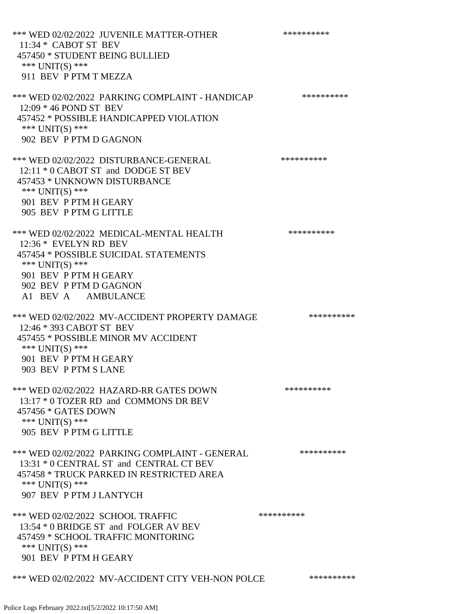\*\*\* WED 02/02/2022 JUVENILE MATTER-OTHER \*\*\*\*\*\*\*\*\*\*\*\* 11:34 \* CABOT ST BEV 457450 \* STUDENT BEING BULLIED \*\*\* UNIT(S) \*\*\* 911 BEV P PTM T MEZZA \*\*\* WED 02/02/2022 PARKING COMPLAINT - HANDICAP \*\*\*\*\*\*\*\*\*\* 12:09 \* 46 POND ST BEV 457452 \* POSSIBLE HANDICAPPED VIOLATION \*\*\* UNIT(S) \*\*\* 902 BEV P PTM D GAGNON \*\*\* WED 02/02/2022 DISTURBANCE-GENERAL \*\*\*\*\*\*\*\*\*\* 12:11 \* 0 CABOT ST and DODGE ST BEV 457453 \* UNKNOWN DISTURBANCE \*\*\* UNIT(S) \*\*\* 901 BEV P PTM H GEARY 905 BEV P PTM G LITTLE \*\*\* WED 02/02/2022 MEDICAL-MENTAL HEALTH \*\*\*\*\*\*\*\*\*\* 12:36 \* EVELYN RD BEV 457454 \* POSSIBLE SUICIDAL STATEMENTS \*\*\* UNIT(S) \*\*\* 901 BEV P PTM H GEARY 902 BEV P PTM D GAGNON A1 BEV A AMBULANCE \*\*\* WED 02/02/2022 MV-ACCIDENT PROPERTY DAMAGE \*\*\*\*\*\*\*\*\*\*\*\* 12:46 \* 393 CABOT ST BEV 457455 \* POSSIBLE MINOR MV ACCIDENT \*\*\* UNIT(S) \*\*\* 901 BEV P PTM H GEARY 903 BEV P PTM S LANE \*\*\* WED 02/02/2022 HAZARD-RR GATES DOWN \*\*\*\*\*\*\*\*\*\* 13:17 \* 0 TOZER RD and COMMONS DR BEV 457456 \* GATES DOWN \*\*\* UNIT(S) \*\*\* 905 BEV P PTM G LITTLE \*\*\* WED 02/02/2022 PARKING COMPLAINT - GENERAL \*\*\*\*\*\*\*\*\*\*\*\* 13:31 \* 0 CENTRAL ST and CENTRAL CT BEV 457458 \* TRUCK PARKED IN RESTRICTED AREA \*\*\* UNIT(S) \*\*\* 907 BEV P PTM J LANTYCH \*\*\* WED 02/02/2022 SCHOOL TRAFFIC \*\*\*\*\*\*\*\*\*\*\*\* 13:54 \* 0 BRIDGE ST and FOLGER AV BEV 457459 \* SCHOOL TRAFFIC MONITORING \*\*\* UNIT(S) \*\*\* 901 BEV P PTM H GEARY \*\*\* WED 02/02/2022 MV-ACCIDENT CITY VEH-NON POLCE \*\*\*\*\*\*\*\*\*\*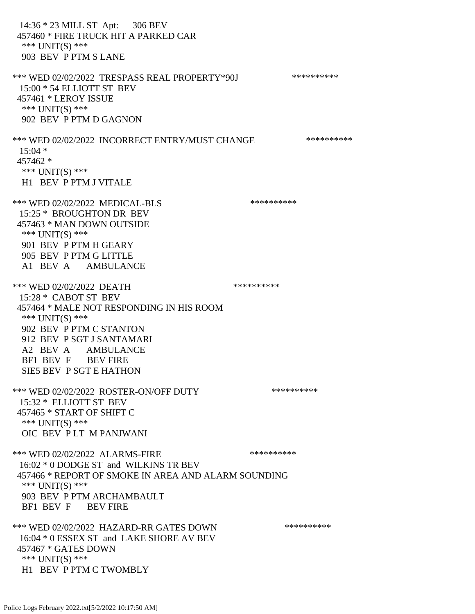14:36 \* 23 MILL ST Apt: 306 BEV 457460 \* FIRE TRUCK HIT A PARKED CAR \*\*\* UNIT(S) \*\*\* 903 BEV P PTM S LANE \*\*\* WED 02/02/2022 TRESPASS REAL PROPERTY\*90J \*\*\*\*\*\*\*\*\*\*\* 15:00 \* 54 ELLIOTT ST BEV 457461 \* LEROY ISSUE \*\*\* UNIT(S) \*\*\* 902 BEV P PTM D GAGNON \*\*\* WED 02/02/2022 INCORRECT ENTRY/MUST CHANGE \*\*\*\*\*\*\*\*\*\*\*\*  $15:04$  \* 457462 \* \*\*\* UNIT(S) \*\*\* H1 BEV P PTM J VITALE \*\*\* WED 02/02/2022 MEDICAL-BLS \*\*\*\*\*\*\*\*\*\* 15:25 \* BROUGHTON DR BEV 457463 \* MAN DOWN OUTSIDE \*\*\* UNIT(S) \*\*\* 901 BEV P PTM H GEARY 905 BEV P PTM G LITTLE A1 BEV A AMBULANCE \*\*\* WED 02/02/2022 DEATH \*\*\*\*\*\*\*\*\*\*\* 15:28 \* CABOT ST BEV 457464 \* MALE NOT RESPONDING IN HIS ROOM \*\*\* UNIT(S) \*\*\* 902 BEV P PTM C STANTON 912 BEV P SGT J SANTAMARI A2 BEV A AMBULANCE BF1 BEV F BEV FIRE SIE5 BEV P SGT E HATHON \*\*\* WED 02/02/2022 ROSTER-ON/OFF DUTY \*\*\*\*\*\*\*\*\*\* 15:32 \* ELLIOTT ST BEV 457465 \* START OF SHIFT C \*\*\* UNIT(S) \*\*\* OIC BEV P LT M PANJWANI \*\*\* WED 02/02/2022 ALARMS-FIRE \*\*\*\*\*\*\*\*\*\* 16:02 \* 0 DODGE ST and WILKINS TR BEV 457466 \* REPORT OF SMOKE IN AREA AND ALARM SOUNDING \*\*\* UNIT(S) \*\*\* 903 BEV P PTM ARCHAMBAULT BF1 BEV F BEV FIRE \*\*\* WED 02/02/2022 HAZARD-RR GATES DOWN \*\*\*\*\*\*\*\*\*\* 16:04 \* 0 ESSEX ST and LAKE SHORE AV BEV 457467 \* GATES DOWN \*\*\* UNIT(S) \*\*\* H1 BEV P PTM C TWOMBLY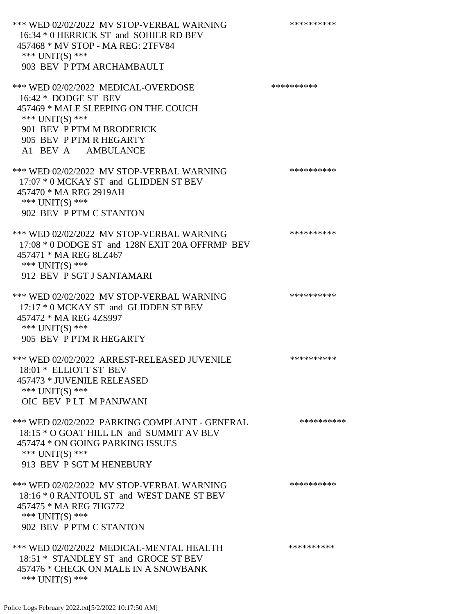\*\*\* WED 02/02/2022 MV STOP-VERBAL WARNING \*\*\*\*\*\*\*\*\*\*\*\* 16:34 \* 0 HERRICK ST and SOHIER RD BEV 457468 \* MV STOP - MA REG: 2TFV84 \*\*\* UNIT(S) \*\*\* 903 BEV P PTM ARCHAMBAULT \*\*\* WED 02/02/2022 MEDICAL-OVERDOSE \*\*\*\*\*\*\*\*\*\* 16:42 \* DODGE ST BEV 457469 \* MALE SLEEPING ON THE COUCH \*\*\* UNIT(S) \*\*\* 901 BEV P PTM M BRODERICK 905 BEV P PTM R HEGARTY A1 BEV A AMBULANCE \*\*\* WED 02/02/2022 MV STOP-VERBAL WARNING \*\*\*\*\*\*\*\*\*\*\*\* 17:07 \* 0 MCKAY ST and GLIDDEN ST BEV 457470 \* MA REG 2919AH \*\*\* UNIT(S) \*\*\* 902 BEV P PTM C STANTON \*\*\* WED 02/02/2022 MV STOP-VERBAL WARNING \*\*\*\*\*\*\*\*\*\*\*\* 17:08 \* 0 DODGE ST and 128N EXIT 20A OFFRMP BEV 457471 \* MA REG 8LZ467 \*\*\* UNIT(S) \*\*\* 912 BEV P SGT J SANTAMARI \*\*\* WED 02/02/2022 MV STOP-VERBAL WARNING \*\*\*\*\*\*\*\*\*\*\*\* 17:17 \* 0 MCKAY ST and GLIDDEN ST BEV 457472 \* MA REG 4ZS997 \*\*\* UNIT(S) \*\*\* 905 BEV P PTM R HEGARTY \*\*\* WED 02/02/2022 ARREST-RELEASED JUVENILE \*\*\*\*\*\*\*\*\*\*\*\* 18:01 \* ELLIOTT ST BEV 457473 \* JUVENILE RELEASED \*\*\* UNIT(S) \*\*\* OIC BEV P LT M PANJWANI \*\*\* WED 02/02/2022 PARKING COMPLAINT - GENERAL \*\*\*\*\*\*\*\*\*\*\* 18:15 \* O GOAT HILL LN and SUMMIT AV BEV 457474 \* ON GOING PARKING ISSUES \*\*\* UNIT(S) \*\*\* 913 BEV P SGT M HENEBURY \*\*\* WED 02/02/2022 MV STOP-VERBAL WARNING \*\*\*\*\*\*\*\*\*\*\*\* 18:16 \* 0 RANTOUL ST and WEST DANE ST BEV 457475 \* MA REG 7HG772 \*\*\* UNIT(S) \*\*\* 902 BEV P PTM C STANTON \*\*\* WED 02/02/2022 MEDICAL-MENTAL HEALTH \*\*\*\*\*\*\*\*\*\* 18:51 \* STANDLEY ST and GROCE ST BEV 457476 \* CHECK ON MALE IN A SNOWBANK \*\*\* UNIT(S) \*\*\*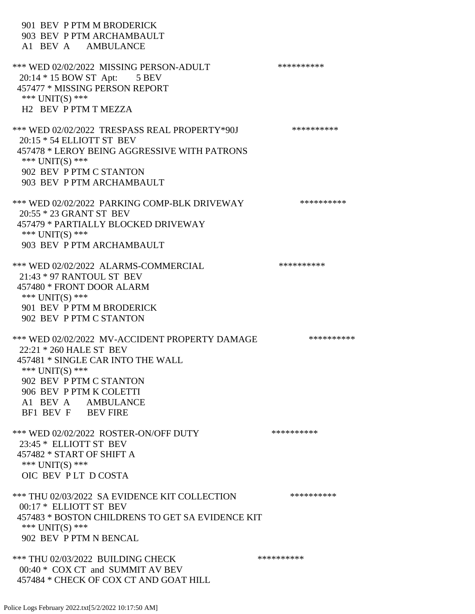| 901 BEV P PTM M BRODERICK<br>903 BEV P PTM ARCHAMBAULT<br>A1 BEV A AMBULANCE                                                                                                                                                        |            |
|-------------------------------------------------------------------------------------------------------------------------------------------------------------------------------------------------------------------------------------|------------|
| *** WED 02/02/2022 MISSING PERSON-ADULT<br>20:14 * 15 BOW ST Apt: 5 BEV<br>457477 * MISSING PERSON REPORT<br>*** $UNIT(S)$ ***<br>H <sub>2</sub> BEV P PTM T MEZZA                                                                  | ********** |
| *** WED 02/02/2022 TRESPASS REAL PROPERTY*90J<br>20:15 * 54 ELLIOTT ST BEV<br>457478 * LEROY BEING AGGRESSIVE WITH PATRONS<br>*** $UNIT(S)$ ***<br>902 BEV P PTM C STANTON<br>903 BEV P PTM ARCHAMBAULT                             | ********** |
| *** WED 02/02/2022 PARKING COMP-BLK DRIVEWAY<br>20:55 * 23 GRANT ST BEV<br>457479 * PARTIALLY BLOCKED DRIVEWAY<br>*** $UNIT(S)$ ***<br>903 BEV P PTM ARCHAMBAULT                                                                    | ********** |
| *** WED 02/02/2022 ALARMS-COMMERCIAL<br>21:43 * 97 RANTOUL ST BEV<br>457480 * FRONT DOOR ALARM<br>*** UNIT(S) ***<br>901 BEV P PTM M BRODERICK<br>902 BEV P PTM C STANTON                                                           | ********** |
| *** WED 02/02/2022 MV-ACCIDENT PROPERTY DAMAGE<br>22:21 * 260 HALE ST BEV<br>457481 * SINGLE CAR INTO THE WALL<br>*** UNIT(S) ***<br>902 BEV P PTM C STANTON<br>906 BEV P PTM K COLETTI<br>A1 BEV A AMBULANCE<br>BF1 BEV F BEV FIRE | ********** |
| *** WED 02/02/2022 ROSTER-ON/OFF DUTY<br>23:45 * ELLIOTT ST BEV<br>457482 * START OF SHIFT A<br>*** UNIT(S) ***<br>OIC BEV PLT DCOSTA                                                                                               | ********** |
| *** THU 02/03/2022 SA EVIDENCE KIT COLLECTION<br>00:17 * ELLIOTT ST BEV<br>457483 * BOSTON CHILDRENS TO GET SA EVIDENCE KIT<br>*** $UNIT(S)$ ***<br>902 BEV P PTM N BENCAL                                                          | ********** |
| *** THU 02/03/2022 BUILDING CHECK<br>00:40 * COX CT and SUMMIT AV BEV<br>457484 * CHECK OF COX CT AND GOAT HILL                                                                                                                     | ********** |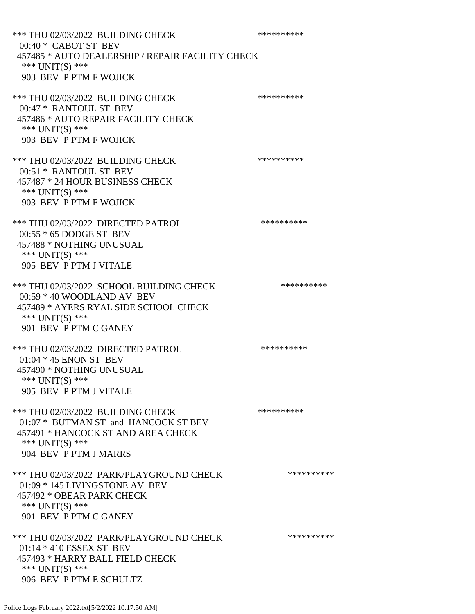\*\*\* THU 02/03/2022 BUILDING CHECK \*\*\*\*\*\*\*\*\*\* 00:40 \* CABOT ST BEV 457485 \* AUTO DEALERSHIP / REPAIR FACILITY CHECK \*\*\* UNIT(S) \*\*\* 903 BEV P PTM F WOJICK \*\*\* THU 02/03/2022 BUILDING CHECK \*\*\*\*\*\*\*\*\*\*\*\* 00:47 \* RANTOUL ST BEV 457486 \* AUTO REPAIR FACILITY CHECK \*\*\* UNIT(S) \*\*\* 903 BEV P PTM F WOJICK \*\*\* THU 02/03/2022 BUILDING CHECK \*\*\*\*\*\*\*\*\*\* 00:51 \* RANTOUL ST BEV 457487 \* 24 HOUR BUSINESS CHECK \*\*\* UNIT(S) \*\*\* 903 BEV P PTM F WOJICK \*\*\* THU 02/03/2022 DIRECTED PATROL \*\*\*\*\*\*\*\*\*\* 00:55 \* 65 DODGE ST BEV 457488 \* NOTHING UNUSUAL \*\*\* UNIT(S) \*\*\* 905 BEV P PTM J VITALE \*\*\* THU 02/03/2022 SCHOOL BUILDING CHECK \*\*\*\*\*\*\*\*\*\*\* 00:59 \* 40 WOODLAND AV BEV 457489 \* AYERS RYAL SIDE SCHOOL CHECK \*\*\* UNIT(S) \*\*\* 901 BEV P PTM C GANEY \*\*\* THU 02/03/2022 DIRECTED PATROL \*\*\*\*\*\*\*\*\*\* 01:04 \* 45 ENON ST BEV 457490 \* NOTHING UNUSUAL \*\*\* UNIT(S) \*\*\* 905 BEV P PTM J VITALE \*\*\* THU 02/03/2022 BUILDING CHECK \*\*\*\*\*\*\*\*\*\*\*\*\*\* 01:07 \* BUTMAN ST and HANCOCK ST BEV 457491 \* HANCOCK ST AND AREA CHECK \*\*\* UNIT(S) \*\*\* 904 BEV P PTM J MARRS \*\*\* THU 02/03/2022 PARK/PLAYGROUND CHECK \*\*\*\*\*\*\*\*\*\* 01:09 \* 145 LIVINGSTONE AV BEV 457492 \* OBEAR PARK CHECK \*\*\* UNIT(S) \*\*\* 901 BEV P PTM C GANEY \*\*\* THU 02/03/2022 PARK/PLAYGROUND CHECK \*\*\*\*\*\*\*\*\*\*\*\* 01:14 \* 410 ESSEX ST BEV 457493 \* HARRY BALL FIELD CHECK \*\*\* UNIT(S) \*\*\* 906 BEV P PTM E SCHULTZ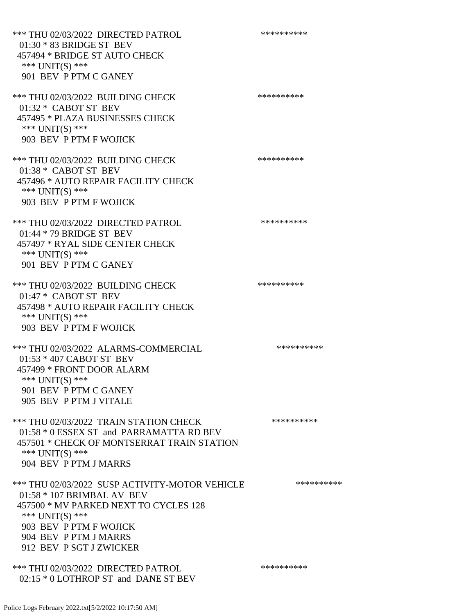\*\*\* THU 02/03/2022 DIRECTED PATROL \*\*\*\*\*\*\*\*\*\* 01:30 \* 83 BRIDGE ST BEV 457494 \* BRIDGE ST AUTO CHECK \*\*\* UNIT(S) \*\*\* 901 BEV P PTM C GANEY \*\*\* THU 02/03/2022 BUILDING CHECK \*\*\*\*\*\*\*\*\*\* 01:32 \* CABOT ST BEV 457495 \* PLAZA BUSINESSES CHECK \*\*\* UNIT(S) \*\*\* 903 BEV P PTM F WOJICK \*\*\* THU 02/03/2022 BUILDING CHECK \*\*\*\*\*\*\*\*\*\* 01:38 \* CABOT ST BEV 457496 \* AUTO REPAIR FACILITY CHECK \*\*\* UNIT(S) \*\*\* 903 BEV P PTM F WOJICK \*\*\* THU 02/03/2022 DIRECTED PATROL \*\*\*\*\*\*\*\*\*\* 01:44 \* 79 BRIDGE ST BEV 457497 \* RYAL SIDE CENTER CHECK \*\*\* UNIT(S) \*\*\* 901 BEV P PTM C GANEY \*\*\* THU 02/03/2022 BUILDING CHECK \*\*\*\*\*\*\*\*\*\*\*\* 01:47 \* CABOT ST BEV 457498 \* AUTO REPAIR FACILITY CHECK \*\*\* UNIT(S) \*\*\* 903 BEV P PTM F WOJICK \*\*\* THU 02/03/2022 ALARMS-COMMERCIAL \*\*\*\*\*\*\*\*\*\* 01:53 \* 407 CABOT ST BEV 457499 \* FRONT DOOR ALARM \*\*\* UNIT(S) \*\*\* 901 BEV P PTM C GANEY 905 BEV P PTM J VITALE \*\*\* THU 02/03/2022 TRAIN STATION CHECK \*\*\*\*\*\*\*\*\*\*\*\* 01:58 \* 0 ESSEX ST and PARRAMATTA RD BEV 457501 \* CHECK OF MONTSERRAT TRAIN STATION \*\*\* UNIT(S) \*\*\* 904 BEV P PTM J MARRS \*\*\* THU 02/03/2022 SUSP ACTIVITY-MOTOR VEHICLE \*\*\*\*\*\*\*\*\*\*\*\* 01:58 \* 107 BRIMBAL AV BEV 457500 \* MV PARKED NEXT TO CYCLES 128 \*\*\* UNIT(S) \*\*\* 903 BEV P PTM F WOJICK 904 BEV P PTM J MARRS 912 BEV P SGT J ZWICKER \*\*\* THU 02/03/2022 DIRECTED PATROL \*\*\*\*\*\*\*\*\*\* 02:15 \* 0 LOTHROP ST and DANE ST BEV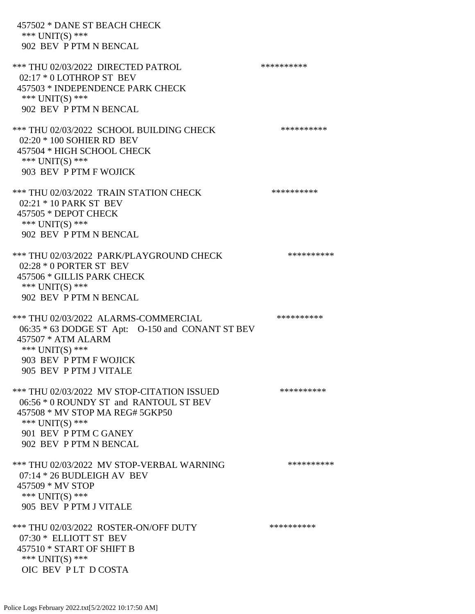| 457502 * DANE ST BEACH CHECK<br>*** $UNIT(S)$ ***<br>902 BEV P PTM N BENCAL                                                                                                                   |            |
|-----------------------------------------------------------------------------------------------------------------------------------------------------------------------------------------------|------------|
| *** THU 02/03/2022 DIRECTED PATROL<br>$02:17 * 0$ LOTHROP ST BEV<br>457503 * INDEPENDENCE PARK CHECK<br>*** UNIT(S) ***<br>902 BEV P PTM N BENCAL                                             | ********** |
| *** THU 02/03/2022 SCHOOL BUILDING CHECK<br>02:20 * 100 SOHIER RD BEV<br>457504 * HIGH SCHOOL CHECK<br>*** $UNIT(S)$ ***<br>903 BEV P PTM F WOJICK                                            | ********** |
| *** THU 02/03/2022 TRAIN STATION CHECK<br>02:21 * 10 PARK ST BEV<br>457505 * DEPOT CHECK<br>*** UNIT(S) ***<br>902 BEV P PTM N BENCAL                                                         | ********** |
| *** THU 02/03/2022 PARK/PLAYGROUND CHECK<br>$02:28 * 0$ PORTER ST BEV<br>457506 * GILLIS PARK CHECK<br>*** UNIT(S) ***<br>902 BEV P PTM N BENCAL                                              | ********** |
| *** THU 02/03/2022 ALARMS-COMMERCIAL<br>06:35 * 63 DODGE ST Apt: O-150 and CONANT ST BEV<br>457507 * ATM ALARM<br>*** $UNIT(S)$ ***<br>903 BEV P PTM F WOJICK<br>905 BEV P PTM J VITALE       | ********** |
| *** THU 02/03/2022 MV STOP-CITATION ISSUED<br>06:56 * 0 ROUNDY ST and RANTOUL ST BEV<br>457508 * MV STOP MA REG# 5GKP50<br>*** UNIT(S) ***<br>901 BEV P PTM C GANEY<br>902 BEV P PTM N BENCAL | ********** |
| *** THU 02/03/2022 MV STOP-VERBAL WARNING<br>$07:14 * 26$ BUDLEIGH AV BEV<br>457509 * MV STOP<br>*** UNIT(S) ***<br>905 BEV P PTM J VITALE                                                    | ********** |
| *** THU 02/03/2022 ROSTER-ON/OFF DUTY<br>07:30 * ELLIOTT ST BEV<br>457510 * START OF SHIFT B<br>*** UNIT(S) ***<br>OIC BEV PLT DCOSTA                                                         | ********** |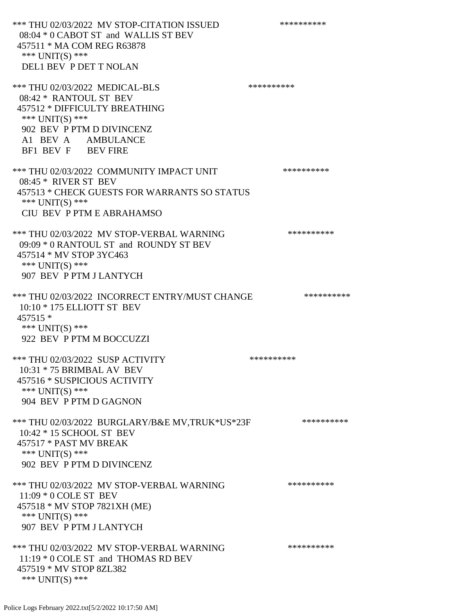\*\*\* THU 02/03/2022 MV STOP-CITATION ISSUED \*\*\*\*\*\*\*\*\*\* 08:04 \* 0 CABOT ST and WALLIS ST BEV 457511 \* MA COM REG R63878 \*\*\* UNIT(S) \*\*\* DEL1 BEV P DET T NOLAN \*\*\* THU 02/03/2022 MEDICAL-BLS \*\*\*\*\*\*\*\*\*\*\*\*\* 08:42 \* RANTOUL ST BEV 457512 \* DIFFICULTY BREATHING \*\*\* UNIT(S) \*\*\* 902 BEV P PTM D DIVINCENZ A1 BEV A AMBULANCE BF1 BEV F BEV FIRE \*\*\* THU 02/03/2022 COMMUNITY IMPACT UNIT \*\*\*\*\*\*\*\*\*\*\*\* 08:45 \* RIVER ST BEV 457513 \* CHECK GUESTS FOR WARRANTS SO STATUS \*\*\* UNIT(S) \*\*\* CIU BEV P PTM E ABRAHAMSO \*\*\* THU 02/03/2022 MV STOP-VERBAL WARNING \*\*\*\*\*\*\*\*\*\*\*\* 09:09 \* 0 RANTOUL ST and ROUNDY ST BEV 457514 \* MV STOP 3YC463 \*\*\* UNIT(S) \*\*\* 907 BEV P PTM J LANTYCH \*\*\* THU 02/03/2022 INCORRECT ENTRY/MUST CHANGE \*\*\*\*\*\*\*\*\*\* 10:10 \* 175 ELLIOTT ST BEV 457515 \* \*\*\* UNIT(S) \*\*\* 922 BEV P PTM M BOCCUZZI \*\*\* THU 02/03/2022 SUSP ACTIVITY \*\*\*\*\*\*\*\*\*\*\*\*\*\*\*\*\* 10:31 \* 75 BRIMBAL AV BEV 457516 \* SUSPICIOUS ACTIVITY \*\*\* UNIT(S) \*\*\* 904 BEV P PTM D GAGNON \*\*\* THU 02/03/2022 BURGLARY/B&E MV,TRUK\*US\*23F \*\*\*\*\*\*\*\*\*\*\* 10:42 \* 15 SCHOOL ST BEV 457517 \* PAST MV BREAK \*\*\* UNIT(S) \*\*\* 902 BEV P PTM D DIVINCENZ \*\*\* THU 02/03/2022 MV STOP-VERBAL WARNING \*\*\*\*\*\*\*\*\*\*\*\*\* 11:09 \* 0 COLE ST BEV 457518 \* MV STOP 7821XH (ME) \*\*\* UNIT(S) \*\*\* 907 BEV P PTM J LANTYCH \*\*\* THU 02/03/2022 MV STOP-VERBAL WARNING \*\*\*\*\*\*\*\*\*\*\*\*\* 11:19 \* 0 COLE ST and THOMAS RD BEV 457519 \* MV STOP 8ZL382 \*\*\* UNIT(S) \*\*\*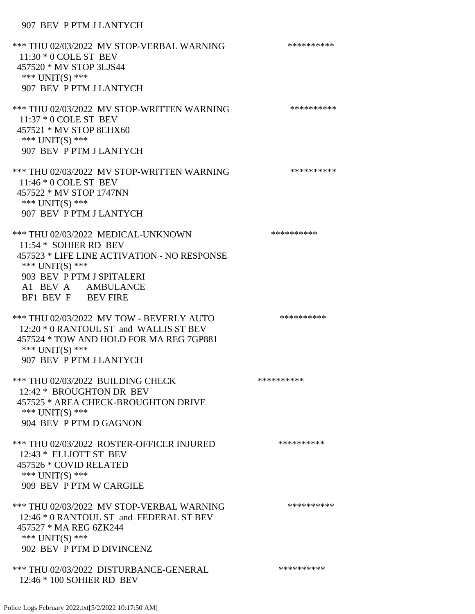## 907 BEV P PTM J LANTYCH

\*\*\* THU 02/03/2022 MV STOP-VERBAL WARNING \*\*\*\*\*\*\*\*\*\*\*\* 11:30 \* 0 COLE ST BEV 457520 \* MV STOP 3LJS44 \*\*\* UNIT(S) \*\*\* 907 BEV P PTM J LANTYCH \*\*\* THU 02/03/2022 MV STOP-WRITTEN WARNING \*\*\*\*\*\*\*\*\*\*\*\*\* 11:37 \* 0 COLE ST BEV 457521 \* MV STOP 8EHX60 \*\*\* UNIT(S) \*\*\* 907 BEV P PTM J LANTYCH \*\*\* THU 02/03/2022 MV STOP-WRITTEN WARNING \*\*\*\*\*\*\*\*\*\*\*\*\*\* 11:46 \* 0 COLE ST BEV 457522 \* MV STOP 1747NN \*\*\* UNIT(S) \*\*\* 907 BEV P PTM J LANTYCH \*\*\* THU 02/03/2022 MEDICAL-UNKNOWN \*\*\*\*\*\*\*\*\*\* 11:54 \* SOHIER RD BEV 457523 \* LIFE LINE ACTIVATION - NO RESPONSE \*\*\* UNIT(S) \*\*\* 903 BEV P PTM J SPITALERI A1 BEV A AMBULANCE BF1 BEV F BEV FIRE \*\*\* THU 02/03/2022 MV TOW - BEVERLY AUTO \*\*\*\*\*\*\*\*\*\* 12:20 \* 0 RANTOUL ST and WALLIS ST BEV 457524 \* TOW AND HOLD FOR MA REG 7GP881 \*\*\* UNIT(S) \*\*\* 907 BEV P PTM J LANTYCH \*\*\* THU 02/03/2022 BUILDING CHECK \*\*\*\*\*\*\*\*\*\*\*\*\*\* 12:42 \* BROUGHTON DR BEV 457525 \* AREA CHECK-BROUGHTON DRIVE \*\*\* UNIT(S) \*\*\* 904 BEV P PTM D GAGNON \*\*\* THU 02/03/2022 ROSTER-OFFICER INJURED \*\*\*\*\*\*\*\*\*\* 12:43 \* ELLIOTT ST BEV 457526 \* COVID RELATED \*\*\* UNIT(S) \*\*\* 909 BEV P PTM W CARGILE \*\*\* THU 02/03/2022 MV STOP-VERBAL WARNING \*\*\*\*\*\*\*\*\*\*\*\* 12:46 \* 0 RANTOUL ST and FEDERAL ST BEV 457527 \* MA REG 6ZK244 \*\*\* UNIT(S) \*\*\* 902 BEV P PTM D DIVINCENZ \*\*\* THU 02/03/2022 DISTURBANCE-GENERAL \*\*\*\*\*\*\*\*\*\* 12:46 \* 100 SOHIER RD BEV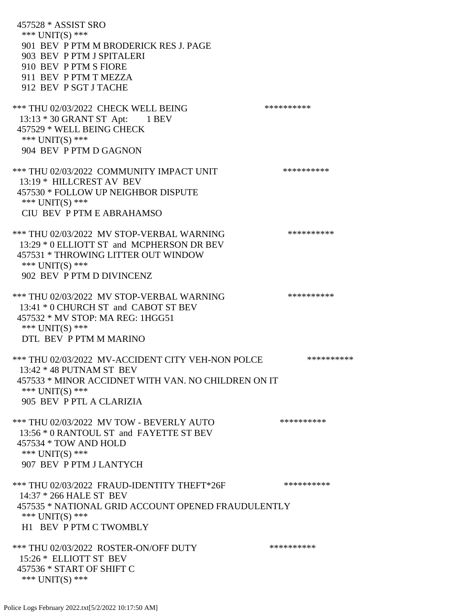457528 \* ASSIST SRO \*\*\* UNIT(S) \*\*\* 901 BEV P PTM M BRODERICK RES J. PAGE 903 BEV P PTM J SPITALERI 910 BEV P PTM S FIORE 911 BEV P PTM T MEZZA 912 BEV P SGT J TACHE \*\*\* THU 02/03/2022 CHECK WELL BEING \*\*\*\*\*\*\*\*\*\* 13:13 \* 30 GRANT ST Apt: 1 BEV 457529 \* WELL BEING CHECK \*\*\* UNIT(S) \*\*\* 904 BEV P PTM D GAGNON \*\*\* THU 02/03/2022 COMMUNITY IMPACT UNIT \*\*\*\*\*\*\*\*\*\*\*\* 13:19 \* HILLCREST AV BEV 457530 \* FOLLOW UP NEIGHBOR DISPUTE \*\*\* UNIT(S) \*\*\* CIU BEV P PTM E ABRAHAMSO \*\*\* THU 02/03/2022 MV STOP-VERBAL WARNING \*\*\*\*\*\*\*\*\*\*\*\* 13:29 \* 0 ELLIOTT ST and MCPHERSON DR BEV 457531 \* THROWING LITTER OUT WINDOW \*\*\* UNIT(S) \*\*\* 902 BEV P PTM D DIVINCENZ \*\*\* THU 02/03/2022 MV STOP-VERBAL WARNING \*\*\*\*\*\*\*\*\*\*\*\*\* 13:41 \* 0 CHURCH ST and CABOT ST BEV 457532 \* MV STOP: MA REG: 1HGG51 \*\*\* UNIT(S) \*\*\* DTL BEV P PTM M MARINO \*\*\* THU 02/03/2022 MV-ACCIDENT CITY VEH-NON POLCE \*\*\*\*\*\*\*\*\*\* 13:42 \* 48 PUTNAM ST BEV 457533 \* MINOR ACCIDNET WITH VAN. NO CHILDREN ON IT \*\*\* UNIT(S) \*\*\* 905 BEV P PTL A CLARIZIA \*\*\* THU 02/03/2022 MV TOW - BEVERLY AUTO \*\*\*\*\*\*\*\*\*\* 13:56 \* 0 RANTOUL ST and FAYETTE ST BEV 457534 \* TOW AND HOLD \*\*\* UNIT(S) \*\*\* 907 BEV P PTM J LANTYCH \*\*\* THU 02/03/2022 FRAUD-IDENTITY THEFT\*26F \*\*\*\*\*\*\*\*\*\* 14:37 \* 266 HALE ST BEV 457535 \* NATIONAL GRID ACCOUNT OPENED FRAUDULENTLY \*\*\* UNIT(S) \*\*\* H1 BEV P PTM C TWOMBLY \*\*\* THU 02/03/2022 ROSTER-ON/OFF DUTY \*\*\*\*\*\*\*\*\*\* 15:26 \* ELLIOTT ST BEV 457536 \* START OF SHIFT C \*\*\* UNIT(S) \*\*\*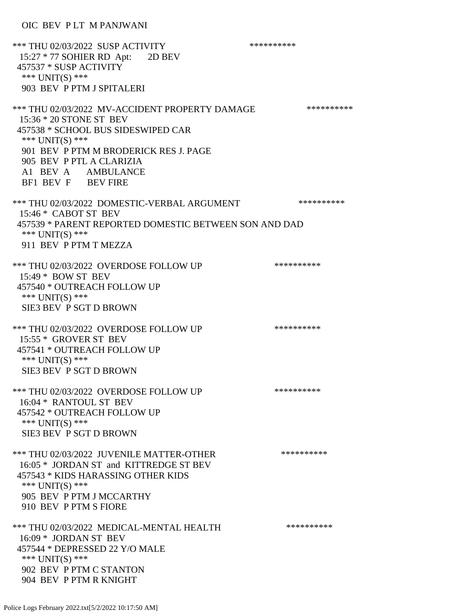OIC BEV P LT M PANJWANI

| *** THU 02/03/2022 SUSP ACTIVITY<br>15:27 * 77 SOHIER RD Apt: 2D BEV<br>457537 * SUSP ACTIVITY<br>*** UNIT(S) ***<br>903 BEV P PTM J SPITALERI                                                                                                      | ********** |
|-----------------------------------------------------------------------------------------------------------------------------------------------------------------------------------------------------------------------------------------------------|------------|
| *** THU 02/03/2022 MV-ACCIDENT PROPERTY DAMAGE<br>15:36 * 20 STONE ST BEV<br>457538 * SCHOOL BUS SIDESWIPED CAR<br>*** UNIT(S) ***<br>901 BEV P PTM M BRODERICK RES J. PAGE<br>905 BEV P PTL A CLARIZIA<br>A1 BEV A AMBULANCE<br>BF1 BEV F BEV FIRE | ********** |
| *** THU 02/03/2022 DOMESTIC-VERBAL ARGUMENT<br>15:46 * CABOT ST BEV<br>457539 * PARENT REPORTED DOMESTIC BETWEEN SON AND DAD<br>*** $UNIT(S)$ ***<br>911 BEV P PTM T MEZZA                                                                          | ********** |
| *** THU 02/03/2022 OVERDOSE FOLLOW UP<br>15:49 * BOW ST BEV<br>457540 * OUTREACH FOLLOW UP<br>*** UNIT(S) ***<br>SIE3 BEV P SGT D BROWN                                                                                                             | ********** |
| *** THU 02/03/2022 OVERDOSE FOLLOW UP<br>15:55 * GROVER ST BEV<br>457541 * OUTREACH FOLLOW UP<br>*** UNIT(S) ***<br>SIE3 BEV P SGT D BROWN                                                                                                          | ********** |
| *** THU 02/03/2022 OVERDOSE FOLLOW UP<br>16:04 * RANTOUL ST BEV<br>457542 * OUTREACH FOLLOW UP<br>*** UNIT(S) ***<br><b>SIE3 BEV P SGT D BROWN</b>                                                                                                  | ********** |
| *** THU 02/03/2022 JUVENILE MATTER-OTHER<br>16:05 * JORDAN ST and KITTREDGE ST BEV<br>457543 * KIDS HARASSING OTHER KIDS<br>*** $UNIT(S)$ ***<br>905 BEV P PTM J MCCARTHY<br>910 BEV P PTM S FIORE                                                  | ********** |
| *** THU 02/03/2022 MEDICAL-MENTAL HEALTH<br>16:09 * JORDAN ST BEV<br>457544 * DEPRESSED 22 Y/O MALE<br>*** $UNIT(S)$ ***<br>902 BEV P PTM C STANTON<br>904 BEV P PTM R KNIGHT                                                                       | ********** |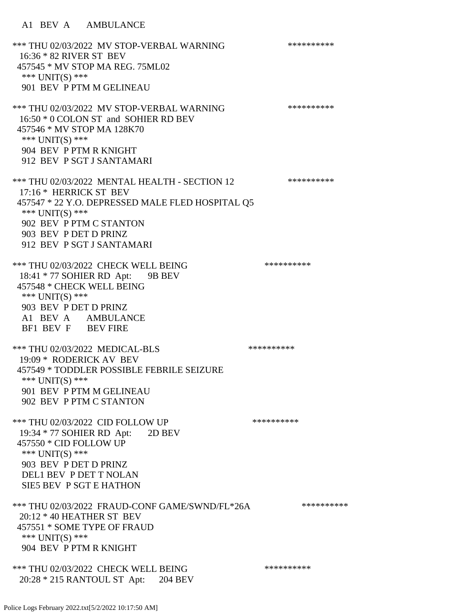\*\*\* THU 02/03/2022 MV STOP-VERBAL WARNING \*\*\*\*\*\*\*\*\*\*\*\*\* 16:36 \* 82 RIVER ST BEV 457545 \* MV STOP MA REG. 75ML02 \*\*\* UNIT(S) \*\*\* 901 BEV P PTM M GELINEAU \*\*\* THU 02/03/2022 MV STOP-VERBAL WARNING \*\*\*\*\*\*\*\*\*\*\*\*\*\*\* 16:50 \* 0 COLON ST and SOHIER RD BEV 457546 \* MV STOP MA 128K70 \*\*\* UNIT(S) \*\*\* 904 BEV P PTM R KNIGHT 912 BEV P SGT J SANTAMARI \*\*\* THU 02/03/2022 MENTAL HEALTH - SECTION 12 \*\*\*\*\*\*\*\*\*\* 17:16 \* HERRICK ST BEV 457547 \* 22 Y.O. DEPRESSED MALE FLED HOSPITAL Q5 \*\*\* UNIT(S) \*\*\* 902 BEV P PTM C STANTON 903 BEV P DET D PRINZ 912 BEV P SGT J SANTAMARI \*\*\* THU 02/03/2022 CHECK WELL BEING \*\*\*\*\*\*\*\*\*\*\*\*\* 18:41 \* 77 SOHIER RD Apt: 9B BEV 457548 \* CHECK WELL BEING \*\*\* UNIT(S) \*\*\* 903 BEV P DET D PRINZ A1 BEV A AMBULANCE BF1 BEV F BEV FIRE \*\*\* THU 02/03/2022 MEDICAL-BLS \*\*\*\*\*\*\*\*\*\* 19:09 \* RODERICK AV BEV 457549 \* TODDLER POSSIBLE FEBRILE SEIZURE \*\*\* UNIT(S) \*\*\* 901 BEV P PTM M GELINEAU 902 BEV P PTM C STANTON \*\*\* THU 02/03/2022 CID FOLLOW UP \*\*\*\*\*\*\*\*\*\*\* 19:34 \* 77 SOHIER RD Apt: 2D BEV 457550 \* CID FOLLOW UP \*\*\* UNIT(S) \*\*\* 903 BEV P DET D PRINZ DEL1 BEV P DET T NOLAN SIE5 BEV P SGT E HATHON \*\*\* THU 02/03/2022 FRAUD-CONF GAME/SWND/FL\*26A \*\*\*\*\*\*\*\*\*\* 20:12 \* 40 HEATHER ST BEV 457551 \* SOME TYPE OF FRAUD \*\*\* UNIT(S) \*\*\* 904 BEV P PTM R KNIGHT \*\*\* THU 02/03/2022 CHECK WELL BEING \*\*\*\*\*\*\*\*\*\* 20:28 \* 215 RANTOUL ST Apt: 204 BEV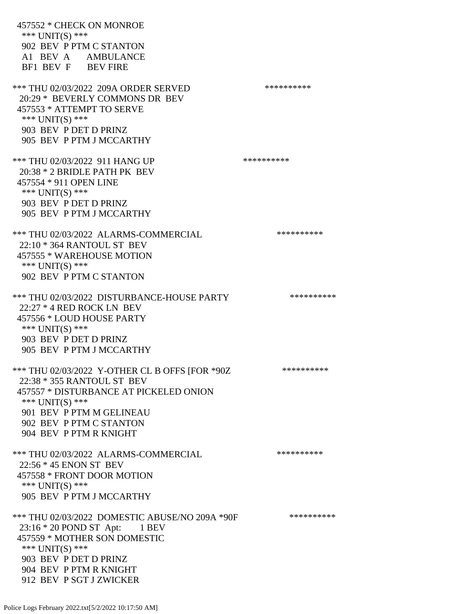457552 \* CHECK ON MONROE \*\*\* UNIT(S) \*\*\* 902 BEV P PTM C STANTON A1 BEV A AMBULANCE BF1 BEV F BEV FIRE \*\*\* THU 02/03/2022 209A ORDER SERVED \*\*\*\*\*\*\*\*\*\*\*\* 20:29 \* BEVERLY COMMONS DR BEV 457553 \* ATTEMPT TO SERVE \*\*\* UNIT(S) \*\*\* 903 BEV P DET D PRINZ 905 BEV P PTM J MCCARTHY \*\*\* THU 02/03/2022 911 HANG UP \*\*\*\*\*\*\*\*\*\*\*\*\* 20:38 \* 2 BRIDLE PATH PK BEV 457554 \* 911 OPEN LINE \*\*\* UNIT(S) \*\*\* 903 BEV P DET D PRINZ 905 BEV P PTM J MCCARTHY \*\*\* THU 02/03/2022 ALARMS-COMMERCIAL \*\*\*\*\*\*\*\*\*\*\*\* 22:10 \* 364 RANTOUL ST BEV 457555 \* WAREHOUSE MOTION \*\*\* UNIT(S) \*\*\* 902 BEV P PTM C STANTON \*\*\* THU 02/03/2022 DISTURBANCE-HOUSE PARTY \*\*\*\*\*\*\*\*\*\*\*\* 22:27 \* 4 RED ROCK LN BEV 457556 \* LOUD HOUSE PARTY \*\*\* UNIT(S) \*\*\* 903 BEV P DET D PRINZ 905 BEV P PTM J MCCARTHY \*\*\* THU 02/03/2022 Y-OTHER CL B OFFS [FOR \*90Z \*\*\*\*\*\*\*\*\*\* 22:38 \* 355 RANTOUL ST BEV 457557 \* DISTURBANCE AT PICKELED ONION \*\*\* UNIT(S) \*\*\* 901 BEV P PTM M GELINEAU 902 BEV P PTM C STANTON 904 BEV P PTM R KNIGHT \*\*\* THU 02/03/2022 ALARMS-COMMERCIAL \*\*\*\*\*\*\*\*\*\* 22:56 \* 45 ENON ST BEV 457558 \* FRONT DOOR MOTION \*\*\* UNIT(S) \*\*\* 905 BEV P PTM J MCCARTHY \*\*\* THU 02/03/2022 DOMESTIC ABUSE/NO 209A \*90F \*\*\*\*\*\*\*\*\*\*\*\* 23:16 \* 20 POND ST Apt: 1 BEV 457559 \* MOTHER SON DOMESTIC \*\*\*  $UNIT(S)$  \*\*\* 903 BEV P DET D PRINZ 904 BEV P PTM R KNIGHT 912 BEV P SGT J ZWICKER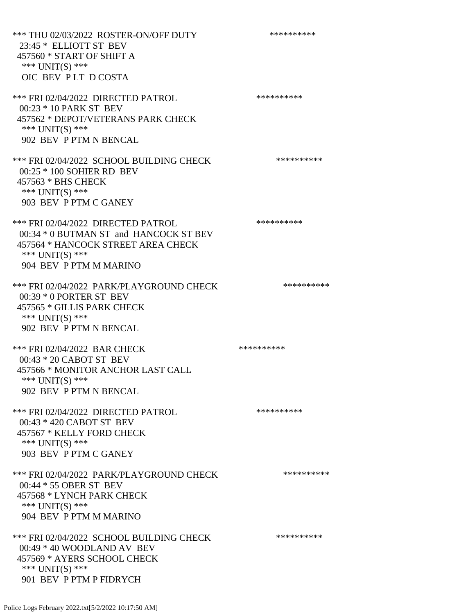\*\*\* THU 02/03/2022 ROSTER-ON/OFF DUTY \*\*\*\*\*\*\*\*\*\* 23:45 \* ELLIOTT ST BEV 457560 \* START OF SHIFT A \*\*\* UNIT(S) \*\*\* OIC BEV P LT D COSTA \*\*\* FRI 02/04/2022 DIRECTED PATROL \*\*\*\*\*\*\*\*\*\* 00:23 \* 10 PARK ST BEV 457562 \* DEPOT/VETERANS PARK CHECK \*\*\* UNIT(S) \*\*\* 902 BEV P PTM N BENCAL \*\*\* FRI 02/04/2022 SCHOOL BUILDING CHECK \*\*\*\*\*\*\*\*\*\* 00:25 \* 100 SOHIER RD BEV 457563 \* BHS CHECK \*\*\* UNIT(S) \*\*\* 903 BEV P PTM C GANEY \*\*\* FRI 02/04/2022 DIRECTED PATROL \*\*\*\*\*\*\*\*\*\* 00:34 \* 0 BUTMAN ST and HANCOCK ST BEV 457564 \* HANCOCK STREET AREA CHECK \*\*\* UNIT(S) \*\*\* 904 BEV P PTM M MARINO \*\*\* FRI 02/04/2022 PARK/PLAYGROUND CHECK \*\*\*\*\*\*\*\*\*\* 00:39 \* 0 PORTER ST BEV 457565 \* GILLIS PARK CHECK \*\*\* UNIT(S) \*\*\* 902 BEV P PTM N BENCAL \*\*\* FRI 02/04/2022 BAR CHECK \*\*\*\*\*\*\*\*\*\*\*\*\*\* 00:43 \* 20 CABOT ST BEV 457566 \* MONITOR ANCHOR LAST CALL \*\*\* UNIT(S) \*\*\* 902 BEV P PTM N BENCAL \*\*\* FRI 02/04/2022 DIRECTED PATROL \*\*\*\*\*\*\*\*\*\* 00:43 \* 420 CABOT ST BEV 457567 \* KELLY FORD CHECK \*\*\* UNIT(S) \*\*\* 903 BEV P PTM C GANEY \*\*\* FRI 02/04/2022 PARK/PLAYGROUND CHECK \*\*\*\*\*\*\*\*\*\* 00:44 \* 55 OBER ST BEV 457568 \* LYNCH PARK CHECK \*\*\* UNIT(S) \*\*\* 904 BEV P PTM M MARINO \*\*\* FRI 02/04/2022 SCHOOL BUILDING CHECK \*\*\*\*\*\*\*\*\*\*\* 00:49 \* 40 WOODLAND AV BEV 457569 \* AYERS SCHOOL CHECK \*\*\* UNIT(S) \*\*\* 901 BEV P PTM P FIDRYCH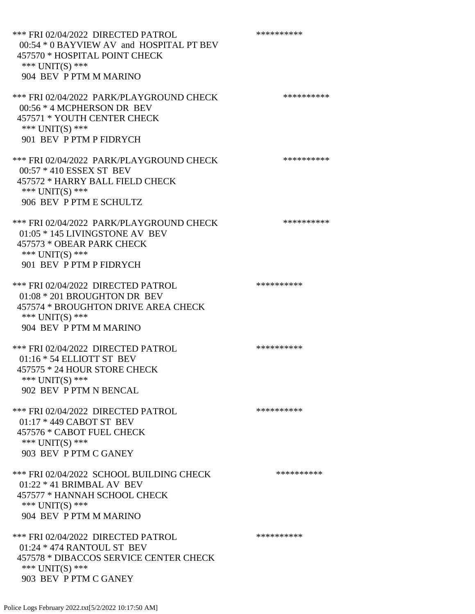\*\*\* FRI 02/04/2022 DIRECTED PATROL \*\*\*\*\*\*\*\*\*\* 00:54 \* 0 BAYVIEW AV and HOSPITAL PT BEV 457570 \* HOSPITAL POINT CHECK \*\*\* UNIT(S) \*\*\* 904 BEV P PTM M MARINO \*\*\* FRI 02/04/2022 PARK/PLAYGROUND CHECK \*\*\*\*\*\*\*\*\*\*\*\* 00:56 \* 4 MCPHERSON DR BEV 457571 \* YOUTH CENTER CHECK \*\*\* UNIT(S) \*\*\* 901 BEV P PTM P FIDRYCH \*\*\* FRI 02/04/2022 PARK/PLAYGROUND CHECK \*\*\*\*\*\*\*\*\*\*\*\* 00:57 \* 410 ESSEX ST BEV 457572 \* HARRY BALL FIELD CHECK \*\*\* UNIT(S) \*\*\* 906 BEV P PTM E SCHULTZ \*\*\* FRI 02/04/2022 PARK/PLAYGROUND CHECK \*\*\*\*\*\*\*\*\*\* 01:05 \* 145 LIVINGSTONE AV BEV 457573 \* OBEAR PARK CHECK \*\*\* UNIT(S) \*\*\* 901 BEV P PTM P FIDRYCH \*\*\* FRI 02/04/2022 DIRECTED PATROL \*\*\*\*\*\*\*\*\*\*\*\* 01:08 \* 201 BROUGHTON DR BEV 457574 \* BROUGHTON DRIVE AREA CHECK \*\*\* UNIT(S) \*\*\* 904 BEV P PTM M MARINO \*\*\* FRI 02/04/2022 DIRECTED PATROL \*\*\*\*\*\*\*\*\*\* 01:16 \* 54 ELLIOTT ST BEV 457575 \* 24 HOUR STORE CHECK \*\*\* UNIT(S) \*\*\* 902 BEV P PTM N BENCAL \*\*\* FRI 02/04/2022 DIRECTED PATROL \*\*\*\*\*\*\*\*\*\* 01:17 \* 449 CABOT ST BEV 457576 \* CABOT FUEL CHECK \*\*\* UNIT(S) \*\*\* 903 BEV P PTM C GANEY \*\*\* FRI 02/04/2022 SCHOOL BUILDING CHECK \*\*\*\*\*\*\*\*\*\*\* 01:22 \* 41 BRIMBAL AV BEV 457577 \* HANNAH SCHOOL CHECK \*\*\* UNIT(S) \*\*\* 904 BEV P PTM M MARINO \*\*\* FRI 02/04/2022 DIRECTED PATROL \*\*\*\*\*\*\*\*\*\* 01:24 \* 474 RANTOUL ST BEV 457578 \* DIBACCOS SERVICE CENTER CHECK \*\*\* UNIT(S) \*\*\* 903 BEV P PTM C GANEY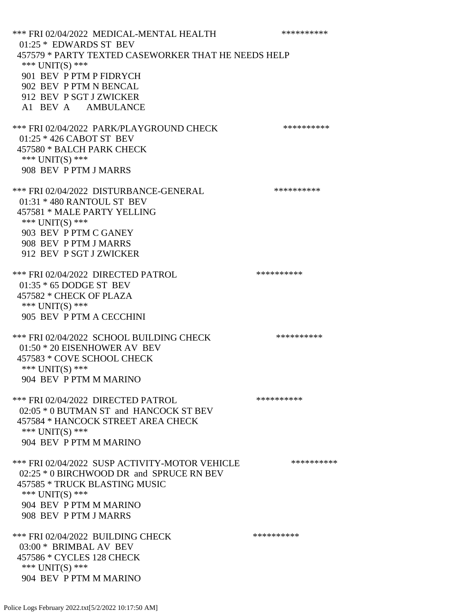\*\*\* FRI 02/04/2022 MEDICAL-MENTAL HEALTH \*\*\*\*\*\*\*\*\*\* 01:25 \* EDWARDS ST BEV 457579 \* PARTY TEXTED CASEWORKER THAT HE NEEDS HELP \*\*\* UNIT(S) \*\*\* 901 BEV P PTM P FIDRYCH 902 BEV P PTM N BENCAL 912 BEV P SGT J ZWICKER A1 BEV A AMBULANCE \*\*\* FRI 02/04/2022 PARK/PLAYGROUND CHECK \*\*\*\*\*\*\*\*\*\*\*\* 01:25 \* 426 CABOT ST BEV 457580 \* BALCH PARK CHECK \*\*\* UNIT(S) \*\*\* 908 BEV P PTM J MARRS \*\*\* FRI 02/04/2022 DISTURBANCE-GENERAL \*\*\*\*\*\*\*\*\*\*\*\* 01:31 \* 480 RANTOUL ST BEV 457581 \* MALE PARTY YELLING \*\*\* UNIT(S) \*\*\* 903 BEV P PTM C GANEY 908 BEV P PTM J MARRS 912 BEV P SGT J ZWICKER \*\*\* FRI 02/04/2022 DIRECTED PATROL \*\*\*\*\*\*\*\*\*\* 01:35 \* 65 DODGE ST BEV 457582 \* CHECK OF PLAZA \*\*\* UNIT(S) \*\*\* 905 BEV P PTM A CECCHINI \*\*\* FRI 02/04/2022 SCHOOL BUILDING CHECK \*\*\*\*\*\*\*\*\*\*\* 01:50 \* 20 EISENHOWER AV BEV 457583 \* COVE SCHOOL CHECK \*\*\* UNIT(S) \*\*\* 904 BEV P PTM M MARINO \*\*\* FRI 02/04/2022 DIRECTED PATROL \*\*\*\*\*\*\*\*\*\* 02:05 \* 0 BUTMAN ST and HANCOCK ST BEV 457584 \* HANCOCK STREET AREA CHECK \*\*\* UNIT(S) \*\*\* 904 BEV P PTM M MARINO \*\*\* FRI 02/04/2022 SUSP ACTIVITY-MOTOR VEHICLE \*\*\*\*\*\*\*\*\*\* 02:25  $*$  0 BIRCHWOOD DR and SPRUCE RN BEV 457585 \* TRUCK BLASTING MUSIC \*\*\* UNIT(S) \*\*\* 904 BEV P PTM M MARINO 908 BEV P PTM J MARRS \*\*\* FRI 02/04/2022 BUILDING CHECK \*\*\*\*\*\*\*\*\*\* 03:00 \* BRIMBAL AV BEV 457586 \* CYCLES 128 CHECK \*\*\* UNIT(S) \*\*\* 904 BEV P PTM M MARINO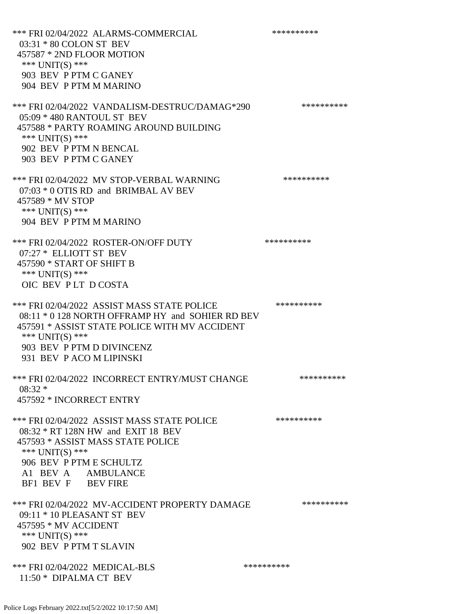\*\*\* FRI 02/04/2022 ALARMS-COMMERCIAL \*\*\*\*\*\*\*\*\*\* 03:31 \* 80 COLON ST BEV 457587 \* 2ND FLOOR MOTION \*\*\* UNIT(S) \*\*\* 903 BEV P PTM C GANEY 904 BEV P PTM M MARINO \*\*\* FRI 02/04/2022 VANDALISM-DESTRUC/DAMAG\*290 \*\*\*\*\*\*\*\*\*\* 05:09 \* 480 RANTOUL ST BEV 457588 \* PARTY ROAMING AROUND BUILDING \*\*\* UNIT(S) \*\*\* 902 BEV P PTM N BENCAL 903 BEV P PTM C GANEY \*\*\* FRI 02/04/2022 MV STOP-VERBAL WARNING \*\*\*\*\*\*\*\*\*\*\*\* 07:03 \* 0 OTIS RD and BRIMBAL AV BEV 457589 \* MV STOP \*\*\* UNIT(S) \*\*\* 904 BEV P PTM M MARINO \*\*\* FRI 02/04/2022 ROSTER-ON/OFF DUTY \*\*\*\*\*\*\*\*\*\* 07:27 \* ELLIOTT ST BEV 457590 \* START OF SHIFT B \*\*\* UNIT(S) \*\*\* OIC BEV P LT D COSTA \*\*\* FRI 02/04/2022 ASSIST MASS STATE POLICE \*\*\*\*\*\*\*\*\*\* 08:11 \* 0 128 NORTH OFFRAMP HY and SOHIER RD BEV 457591 \* ASSIST STATE POLICE WITH MV ACCIDENT \*\*\* UNIT(S) \*\*\* 903 BEV P PTM D DIVINCENZ 931 BEV P ACO M LIPINSKI \*\*\* FRI 02/04/2022 INCORRECT ENTRY/MUST CHANGE \*\*\*\*\*\*\*\*\*\* 08:32 \* 457592 \* INCORRECT ENTRY \*\*\* FRI 02/04/2022 ASSIST MASS STATE POLICE \*\*\*\*\*\*\*\*\*\* 08:32 \* RT 128N HW and EXIT 18 BEV 457593 \* ASSIST MASS STATE POLICE \*\*\* UNIT(S) \*\*\* 906 BEV P PTM E SCHULTZ A1 BEV A AMBULANCE BF1 BEV F BEV FIRE \*\*\* FRI 02/04/2022 MV-ACCIDENT PROPERTY DAMAGE \*\*\*\*\*\*\*\*\*\* 09:11 \* 10 PLEASANT ST BEV 457595 \* MV ACCIDENT \*\*\* UNIT(S) \*\*\* 902 BEV P PTM T SLAVIN \*\*\* FRI 02/04/2022 MEDICAL-BLS \*\*\*\*\*\*\*\*\*\* 11:50 \* DIPALMA CT BEV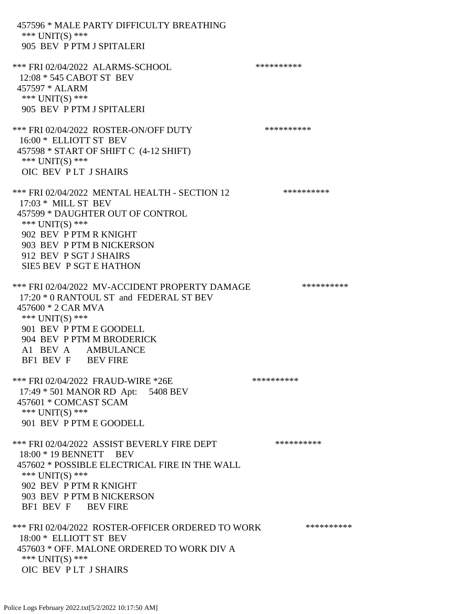457596 \* MALE PARTY DIFFICULTY BREATHING \*\*\* UNIT(S) \*\*\* 905 BEV P PTM J SPITALERI \*\*\* FRI 02/04/2022 ALARMS-SCHOOL \*\*\*\*\*\*\*\*\*\* 12:08 \* 545 CABOT ST BEV 457597 \* ALARM \*\*\* UNIT(S) \*\*\* 905 BEV P PTM J SPITALERI \*\*\* FRI 02/04/2022 ROSTER-ON/OFF DUTY \*\*\*\*\*\*\*\*\*\* 16:00 \* ELLIOTT ST BEV 457598 \* START OF SHIFT C (4-12 SHIFT) \*\*\* UNIT(S) \*\*\* OIC BEV P LT J SHAIRS \*\*\* FRI 02/04/2022 MENTAL HEALTH - SECTION 12 \*\*\*\*\*\*\*\*\*\* 17:03 \* MILL ST BEV 457599 \* DAUGHTER OUT OF CONTROL \*\*\* UNIT(S) \*\*\* 902 BEV P PTM R KNIGHT 903 BEV P PTM B NICKERSON 912 BEV P SGT J SHAIRS SIE5 BEV P SGT E HATHON \*\*\* FRI 02/04/2022 MV-ACCIDENT PROPERTY DAMAGE \*\*\*\*\*\*\*\*\*\* 17:20 \* 0 RANTOUL ST and FEDERAL ST BEV 457600 \* 2 CAR MVA \*\*\* UNIT(S) \*\*\* 901 BEV P PTM E GOODELL 904 BEV P PTM M BRODERICK A1 BEV A AMBULANCE BF1 BEV F BEV FIRE \*\*\* FRI 02/04/2022 FRAUD-WIRE \*26E \*\*\*\*\*\*\*\*\*\* 17:49 \* 501 MANOR RD Apt: 5408 BEV 457601 \* COMCAST SCAM \*\*\* UNIT(S) \*\*\* 901 BEV P PTM E GOODELL \*\*\* FRI 02/04/2022 ASSIST BEVERLY FIRE DEPT \*\*\*\*\*\*\*\*\*\* 18:00 \* 19 BENNETT BEV 457602 \* POSSIBLE ELECTRICAL FIRE IN THE WALL \*\*\*  $UNIT(S)$  \*\*\* 902 BEV P PTM R KNIGHT 903 BEV P PTM B NICKERSON BF1 BEV F BEV FIRE \*\*\* FRI 02/04/2022 ROSTER-OFFICER ORDERED TO WORK \*\*\*\*\*\*\*\*\*\*\* 18:00 \* ELLIOTT ST BEV 457603 \* OFF. MALONE ORDERED TO WORK DIV A \*\*\* UNIT(S) \*\*\* OIC BEV P LT J SHAIRS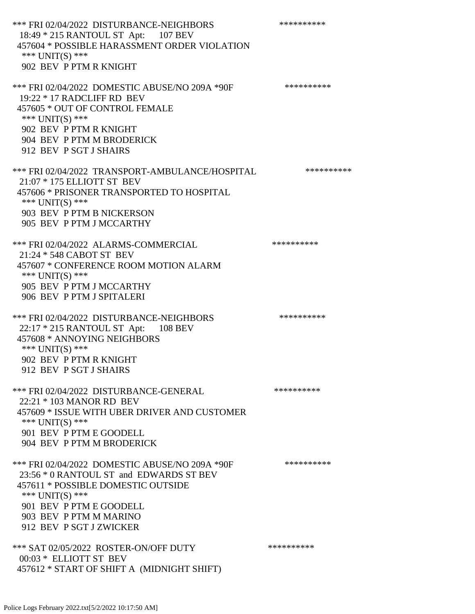\*\*\* FRI 02/04/2022 DISTURBANCE-NEIGHBORS \*\*\*\*\*\*\*\*\*\* 18:49 \* 215 RANTOUL ST Apt: 107 BEV 457604 \* POSSIBLE HARASSMENT ORDER VIOLATION \*\*\* UNIT(S) \*\*\* 902 BEV P PTM R KNIGHT \*\*\* FRI 02/04/2022 DOMESTIC ABUSE/NO 209A \*90F \*\*\*\*\*\*\*\*\*\* 19:22 \* 17 RADCLIFF RD BEV 457605 \* OUT OF CONTROL FEMALE \*\*\* UNIT(S) \*\*\* 902 BEV P PTM R KNIGHT 904 BEV P PTM M BRODERICK 912 BEV P SGT J SHAIRS \*\*\* FRI 02/04/2022 TRANSPORT-AMBULANCE/HOSPITAL \*\*\*\*\*\*\*\*\*\* 21:07 \* 175 ELLIOTT ST BEV 457606 \* PRISONER TRANSPORTED TO HOSPITAL \*\*\* UNIT(S) \*\*\* 903 BEV P PTM B NICKERSON 905 BEV P PTM J MCCARTHY \*\*\* FRI 02/04/2022 ALARMS-COMMERCIAL \*\*\*\*\*\*\*\*\*\* 21:24 \* 548 CABOT ST BEV 457607 \* CONFERENCE ROOM MOTION ALARM \*\*\* UNIT(S) \*\*\* 905 BEV P PTM J MCCARTHY 906 BEV P PTM J SPITALERI \*\*\* FRI 02/04/2022 DISTURBANCE-NEIGHBORS \*\*\*\*\*\*\*\*\*\* 22:17 \* 215 RANTOUL ST Apt: 108 BEV 457608 \* ANNOYING NEIGHBORS \*\*\* UNIT(S) \*\*\* 902 BEV P PTM R KNIGHT 912 BEV P SGT J SHAIRS \*\*\* FRI 02/04/2022 DISTURBANCE-GENERAL \*\*\*\*\*\*\*\*\*\* 22:21 \* 103 MANOR RD BEV 457609 \* ISSUE WITH UBER DRIVER AND CUSTOMER \*\*\* UNIT(S) \*\*\* 901 BEV P PTM E GOODELL 904 BEV P PTM M BRODERICK \*\*\* FRI 02/04/2022 DOMESTIC ABUSE/NO 209A \*90F \*\*\*\*\*\*\*\*\*\* 23:56 \* 0 RANTOUL ST and EDWARDS ST BEV 457611 \* POSSIBLE DOMESTIC OUTSIDE \*\*\* UNIT(S) \*\*\* 901 BEV P PTM E GOODELL 903 BEV P PTM M MARINO 912 BEV P SGT J ZWICKER \*\*\* SAT 02/05/2022 ROSTER-ON/OFF DUTY \*\*\*\*\*\*\*\*\*\* 00:03 \* ELLIOTT ST BEV 457612 \* START OF SHIFT A (MIDNIGHT SHIFT)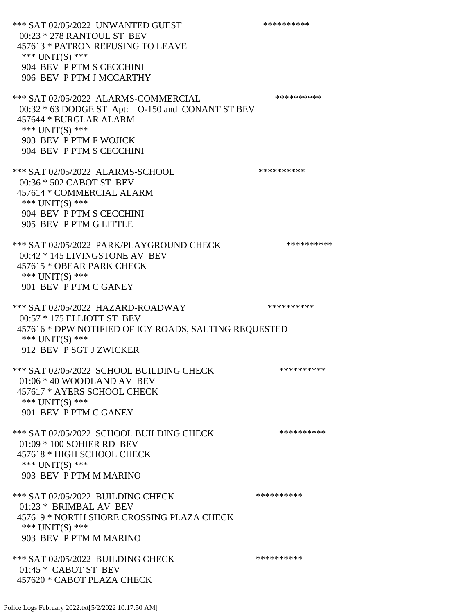\*\*\* SAT 02/05/2022 UNWANTED GUEST \*\*\*\*\*\*\*\*\*\*\*\*\*\* 00:23 \* 278 RANTOUL ST BEV 457613 \* PATRON REFUSING TO LEAVE \*\*\* UNIT(S) \*\*\* 904 BEV P PTM S CECCHINI 906 BEV P PTM J MCCARTHY \*\*\* SAT 02/05/2022 ALARMS-COMMERCIAL \*\*\*\*\*\*\*\*\*\* 00:32 \* 63 DODGE ST Apt: O-150 and CONANT ST BEV 457644 \* BURGLAR ALARM \*\*\* UNIT(S) \*\*\* 903 BEV P PTM F WOJICK 904 BEV P PTM S CECCHINI \*\*\* SAT 02/05/2022 ALARMS-SCHOOL \*\*\*\*\*\*\*\*\*\* 00:36 \* 502 CABOT ST BEV 457614 \* COMMERCIAL ALARM \*\*\* UNIT(S) \*\*\* 904 BEV P PTM S CECCHINI 905 BEV P PTM G LITTLE \*\*\* SAT 02/05/2022 PARK/PLAYGROUND CHECK \*\*\*\*\*\*\*\*\*\*\*\* 00:42 \* 145 LIVINGSTONE AV BEV 457615 \* OBEAR PARK CHECK \*\*\* UNIT(S) \*\*\* 901 BEV P PTM C GANEY \*\*\* SAT 02/05/2022 HAZARD-ROADWAY \*\*\*\*\*\*\*\*\*\* 00:57 \* 175 ELLIOTT ST BEV 457616 \* DPW NOTIFIED OF ICY ROADS, SALTING REQUESTED \*\*\* UNIT(S) \*\*\* 912 BEV P SGT J ZWICKER \*\*\* SAT 02/05/2022 SCHOOL BUILDING CHECK \*\*\*\*\*\*\*\*\*\*\*\* 01:06 \* 40 WOODLAND AV BEV 457617 \* AYERS SCHOOL CHECK \*\*\* UNIT(S) \*\*\* 901 BEV P PTM C GANEY \*\*\* SAT 02/05/2022 SCHOOL BUILDING CHECK \*\*\*\*\*\*\*\*\*\*\* 01:09 \* 100 SOHIER RD BEV 457618 \* HIGH SCHOOL CHECK \*\*\* UNIT(S) \*\*\* 903 BEV P PTM M MARINO \*\*\* SAT 02/05/2022 BUILDING CHECK \*\*\*\*\*\*\*\*\*\*\*\* 01:23 \* BRIMBAL AV BEV 457619 \* NORTH SHORE CROSSING PLAZA CHECK \*\*\* UNIT(S) \*\*\* 903 BEV P PTM M MARINO \*\*\* SAT 02/05/2022 BUILDING CHECK \*\*\*\*\*\*\*\*\*\*\*\*\* 01:45 \* CABOT ST BEV 457620 \* CABOT PLAZA CHECK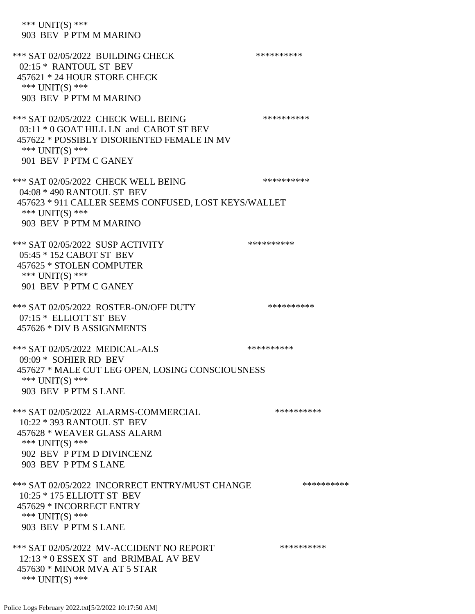\*\*\* UNIT(S) \*\*\* 903 BEV P PTM M MARINO \*\*\* SAT 02/05/2022 BUILDING CHECK \*\*\*\*\*\*\*\*\*\*\*\* 02:15 \* RANTOUL ST BEV 457621 \* 24 HOUR STORE CHECK \*\*\* UNIT(S) \*\*\* 903 BEV P PTM M MARINO \*\*\* SAT 02/05/2022 CHECK WELL BEING \*\*\*\*\*\*\*\*\*\* 03:11 \* 0 GOAT HILL LN and CABOT ST BEV 457622 \* POSSIBLY DISORIENTED FEMALE IN MV \*\*\* UNIT(S) \*\*\* 901 BEV P PTM C GANEY \*\*\* SAT 02/05/2022 CHECK WELL BEING \*\*\*\*\*\*\*\*\*\* 04:08 \* 490 RANTOUL ST BEV 457623 \* 911 CALLER SEEMS CONFUSED, LOST KEYS/WALLET \*\*\* UNIT(S) \*\*\* 903 BEV P PTM M MARINO \*\*\* SAT 02/05/2022 SUSP ACTIVITY \*\*\*\*\*\*\*\*\*\*\*\*\*\*\*\* 05:45 \* 152 CABOT ST BEV 457625 \* STOLEN COMPUTER \*\*\* UNIT(S) \*\*\* 901 BEV P PTM C GANEY \*\*\* SAT 02/05/2022 ROSTER-ON/OFF DUTY \*\*\*\*\*\*\*\*\*\* 07:15 \* ELLIOTT ST BEV 457626 \* DIV B ASSIGNMENTS \*\*\* SAT 02/05/2022 MEDICAL-ALS \*\*\*\*\*\*\*\*\*\* 09:09 \* SOHIER RD BEV 457627 \* MALE CUT LEG OPEN, LOSING CONSCIOUSNESS \*\*\* UNIT(S) \*\*\* 903 BEV P PTM S LANE \*\*\* SAT 02/05/2022 ALARMS-COMMERCIAL \*\*\*\*\*\*\*\*\*\* 10:22 \* 393 RANTOUL ST BEV 457628 \* WEAVER GLASS ALARM \*\*\* UNIT(S) \*\*\* 902 BEV P PTM D DIVINCENZ 903 BEV P PTM S LANE \*\*\* SAT 02/05/2022 INCORRECT ENTRY/MUST CHANGE \*\*\*\*\*\*\*\*\*\* 10:25 \* 175 ELLIOTT ST BEV 457629 \* INCORRECT ENTRY \*\*\* UNIT(S) \*\*\* 903 BEV P PTM S LANE \*\*\* SAT 02/05/2022 MV-ACCIDENT NO REPORT \*\*\*\*\*\*\*\*\*\*\*\* 12:13 \* 0 ESSEX ST and BRIMBAL AV BEV 457630 \* MINOR MVA AT 5 STAR \*\*\* UNIT(S) \*\*\*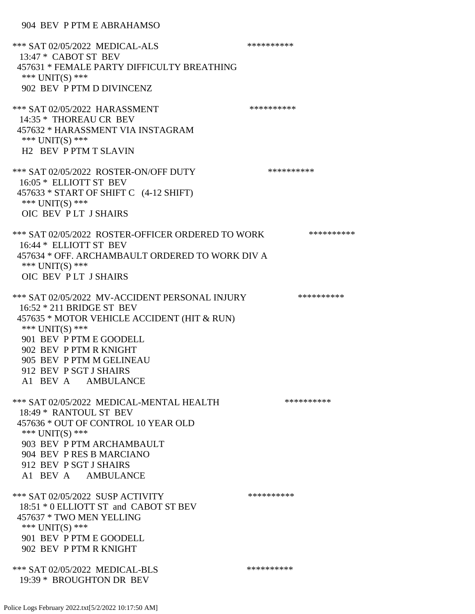\*\*\* SAT 02/05/2022 MEDICAL-ALS \*\*\*\*\*\*\*\*\*\* 13:47 \* CABOT ST BEV 457631 \* FEMALE PARTY DIFFICULTY BREATHING \*\*\* UNIT(S) \*\*\* 902 BEV P PTM D DIVINCENZ \*\*\* SAT 02/05/2022 HARASSMENT \*\*\*\*\*\*\*\*\*\* 14:35 \* THOREAU CR BEV 457632 \* HARASSMENT VIA INSTAGRAM \*\*\* UNIT(S) \*\*\* H2 BEV P PTM T SLAVIN \*\*\* SAT 02/05/2022 ROSTER-ON/OFF DUTY \*\*\*\*\*\*\*\*\*\* 16:05 \* ELLIOTT ST BEV 457633 \* START OF SHIFT C (4-12 SHIFT) \*\*\* UNIT(S) \*\*\* OIC BEV P LT J SHAIRS \*\*\* SAT 02/05/2022 ROSTER-OFFICER ORDERED TO WORK \*\*\*\*\*\*\*\*\*\*\* 16:44 \* ELLIOTT ST BEV 457634 \* OFF. ARCHAMBAULT ORDERED TO WORK DIV A \*\*\* UNIT(S) \*\*\* OIC BEV P LT J SHAIRS \*\*\* SAT 02/05/2022 MV-ACCIDENT PERSONAL INJURY \*\*\*\*\*\*\*\*\*\* 16:52 \* 211 BRIDGE ST BEV 457635 \* MOTOR VEHICLE ACCIDENT (HIT & RUN) \*\*\* UNIT(S) \*\*\* 901 BEV P PTM E GOODELL 902 BEV P PTM R KNIGHT 905 BEV P PTM M GELINEAU 912 BEV P SGT J SHAIRS A1 BEV A AMBULANCE \*\*\* SAT 02/05/2022 MEDICAL-MENTAL HEALTH \*\*\*\*\*\*\*\*\*\* 18:49 \* RANTOUL ST BEV 457636 \* OUT OF CONTROL 10 YEAR OLD \*\*\* UNIT(S) \*\*\* 903 BEV P PTM ARCHAMBAULT 904 BEV P RES B MARCIANO 912 BEV P SGT J SHAIRS A1 BEV A AMBULANCE \*\*\* SAT 02/05/2022 SUSP ACTIVITY \*\*\*\*\*\*\*\*\*\*\*\* 18:51 \* 0 ELLIOTT ST and CABOT ST BEV 457637 \* TWO MEN YELLING \*\*\* UNIT(S) \*\*\* 901 BEV P PTM E GOODELL 902 BEV P PTM R KNIGHT \*\*\* SAT 02/05/2022 MEDICAL-BLS \*\*\*\*\*\*\*\*\*\* 19:39 \* BROUGHTON DR BEV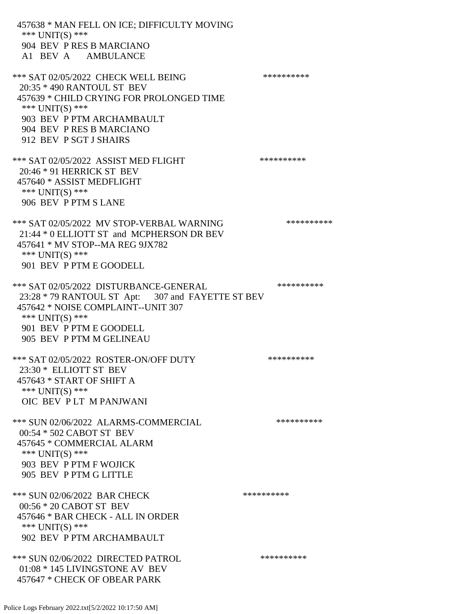457638 \* MAN FELL ON ICE; DIFFICULTY MOVING \*\*\* UNIT(S) \*\*\* 904 BEV P RES B MARCIANO A1 BEV A AMBULANCE \*\*\* SAT 02/05/2022 CHECK WELL BEING \*\*\*\*\*\*\*\*\*\*\*\*\* 20:35 \* 490 RANTOUL ST BEV 457639 \* CHILD CRYING FOR PROLONGED TIME \*\*\* UNIT(S) \*\*\* 903 BEV P PTM ARCHAMBAULT 904 BEV P RES B MARCIANO 912 BEV P SGT J SHAIRS \*\*\* SAT 02/05/2022 ASSIST MED FLIGHT \*\*\*\*\*\*\*\*\*\*\*\*\*\* 20:46 \* 91 HERRICK ST BEV 457640 \* ASSIST MEDFLIGHT \*\*\* UNIT(S) \*\*\* 906 BEV P PTM S LANE \*\*\* SAT 02/05/2022 MV STOP-VERBAL WARNING \*\*\*\*\*\*\*\*\*\*\*\*\*\* 21:44 \* 0 ELLIOTT ST and MCPHERSON DR BEV 457641 \* MV STOP--MA REG 9JX782 \*\*\* UNIT(S) \*\*\* 901 BEV P PTM E GOODELL \*\*\* SAT 02/05/2022 DISTURBANCE-GENERAL \*\*\*\*\*\*\*\*\*\* 23:28 \* 79 RANTOUL ST Apt: 307 and FAYETTE ST BEV 457642 \* NOISE COMPLAINT--UNIT 307 \*\*\* UNIT(S) \*\*\* 901 BEV P PTM E GOODELL 905 BEV P PTM M GELINEAU \*\*\* SAT 02/05/2022 ROSTER-ON/OFF DUTY \*\*\*\*\*\*\*\*\*\* 23:30 \* ELLIOTT ST BEV 457643 \* START OF SHIFT A \*\*\* UNIT(S) \*\*\* OIC BEV P LT M PANJWANI \*\*\* SUN 02/06/2022 ALARMS-COMMERCIAL \*\*\*\*\*\*\*\*\*\* 00:54 \* 502 CABOT ST BEV 457645 \* COMMERCIAL ALARM \*\*\* UNIT(S) \*\*\* 903 BEV P PTM F WOJICK 905 BEV P PTM G LITTLE \*\*\* SUN 02/06/2022 BAR CHECK \*\*\*\*\*\*\*\*\*\*\*\* 00:56 \* 20 CABOT ST BEV 457646 \* BAR CHECK - ALL IN ORDER \*\*\* UNIT(S) \*\*\* 902 BEV P PTM ARCHAMBAULT \*\*\* SUN 02/06/2022 DIRECTED PATROL \*\*\*\*\*\*\*\*\*\* 01:08 \* 145 LIVINGSTONE AV BEV 457647 \* CHECK OF OBEAR PARK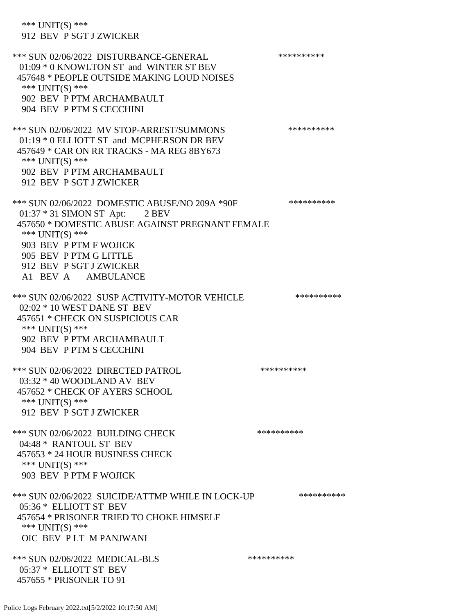\*\*\* UNIT(S) \*\*\* 912 BEV P SGT J ZWICKER \*\*\* SUN 02/06/2022 DISTURBANCE-GENERAL \*\*\*\*\*\*\*\*\*\* 01:09 \* 0 KNOWLTON ST and WINTER ST BEV 457648 \* PEOPLE OUTSIDE MAKING LOUD NOISES \*\*\* UNIT(S) \*\*\* 902 BEV P PTM ARCHAMBAULT 904 BEV P PTM S CECCHINI \*\*\* SUN 02/06/2022 MV STOP-ARREST/SUMMONS \*\*\*\*\*\*\*\*\*\*\*\*\*\* 01:19 \* 0 ELLIOTT ST and MCPHERSON DR BEV 457649 \* CAR ON RR TRACKS - MA REG 8BY673 \*\*\* UNIT(S) \*\*\* 902 BEV P PTM ARCHAMBAULT 912 BEV P SGT J ZWICKER \*\*\* SUN 02/06/2022 DOMESTIC ABUSE/NO 209A \*90F \*\*\*\*\*\*\*\*\*\*\*\* 01:37 \* 31 SIMON ST Apt: 2 BEV 457650 \* DOMESTIC ABUSE AGAINST PREGNANT FEMALE \*\*\* UNIT(S) \*\*\* 903 BEV P PTM F WOJICK 905 BEV P PTM G LITTLE 912 BEV P SGT J ZWICKER A1 BEV A AMBULANCE \*\*\* SUN 02/06/2022 SUSP ACTIVITY-MOTOR VEHICLE \*\*\*\*\*\*\*\*\*\* 02:02 \* 10 WEST DANE ST BEV 457651 \* CHECK ON SUSPICIOUS CAR \*\*\* UNIT(S) \*\*\* 902 BEV P PTM ARCHAMBAULT 904 BEV P PTM S CECCHINI \*\*\* SUN 02/06/2022 DIRECTED PATROL \*\*\*\*\*\*\*\*\*\* 03:32 \* 40 WOODLAND AV BEV 457652 \* CHECK OF AYERS SCHOOL \*\*\* UNIT(S) \*\*\* 912 BEV P SGT J ZWICKER \*\*\* SUN 02/06/2022 BUILDING CHECK \*\*\*\*\*\*\*\*\*\*\*\* 04:48 \* RANTOUL ST BEV 457653 \* 24 HOUR BUSINESS CHECK \*\*\* UNIT(S) \*\*\* 903 BEV P PTM F WOJICK \*\*\* SUN 02/06/2022 SUICIDE/ATTMP WHILE IN LOCK-UP \*\*\*\*\*\*\*\*\*\*\* 05:36 \* ELLIOTT ST BEV 457654 \* PRISONER TRIED TO CHOKE HIMSELF \*\*\* UNIT(S) \*\*\* OIC BEV P LT M PANJWANI \*\*\* SUN 02/06/2022 MEDICAL-BLS \*\*\*\*\*\*\*\*\*\* 05:37 \* ELLIOTT ST BEV 457655 \* PRISONER TO 91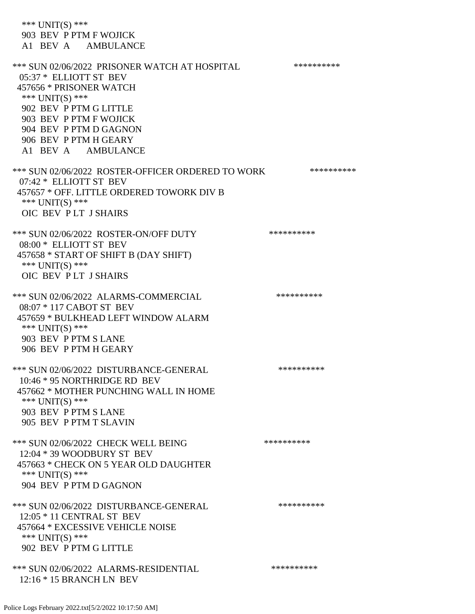\*\*\* UNIT(S) \*\*\* 903 BEV P PTM F WOJICK A1 BEV A AMBULANCE \*\*\* SUN 02/06/2022 PRISONER WATCH AT HOSPITAL \*\*\*\*\*\*\*\*\*\* 05:37 \* ELLIOTT ST BEV 457656 \* PRISONER WATCH \*\*\* UNIT(S) \*\*\* 902 BEV P PTM G LITTLE 903 BEV P PTM F WOJICK 904 BEV P PTM D GAGNON 906 BEV P PTM H GEARY A1 BEV A AMBULANCE \*\*\* SUN 02/06/2022 ROSTER-OFFICER ORDERED TO WORK \*\*\*\*\*\*\*\*\*\*\* 07:42 \* ELLIOTT ST BEV 457657 \* OFF. LITTLE ORDERED TOWORK DIV B \*\*\* UNIT(S) \*\*\* OIC BEV P LT J SHAIRS \*\*\* SUN 02/06/2022 ROSTER-ON/OFF DUTY \*\*\*\*\*\*\*\*\*\* 08:00 \* ELLIOTT ST BEV 457658 \* START OF SHIFT B (DAY SHIFT) \*\*\* UNIT(S) \*\*\* OIC BEV P LT J SHAIRS \*\*\* SUN 02/06/2022 ALARMS-COMMERCIAL \*\*\*\*\*\*\*\*\*\* 08:07 \* 117 CABOT ST BEV 457659 \* BULKHEAD LEFT WINDOW ALARM \*\*\* UNIT(S) \*\*\* 903 BEV P PTM S LANE 906 BEV P PTM H GEARY \*\*\* SUN 02/06/2022 DISTURBANCE-GENERAL \*\*\*\*\*\*\*\*\*\* 10:46 \* 95 NORTHRIDGE RD BEV 457662 \* MOTHER PUNCHING WALL IN HOME \*\*\* UNIT(S) \*\*\* 903 BEV P PTM S LANE 905 BEV P PTM T SLAVIN \*\*\* SUN 02/06/2022 CHECK WELL BEING \*\*\*\*\*\*\*\*\*\*\*\*\* 12:04 \* 39 WOODBURY ST BEV 457663 \* CHECK ON 5 YEAR OLD DAUGHTER \*\*\* UNIT(S) \*\*\* 904 BEV P PTM D GAGNON \*\*\* SUN 02/06/2022 DISTURBANCE-GENERAL \*\*\*\*\*\*\*\*\*\* 12:05 \* 11 CENTRAL ST BEV 457664 \* EXCESSIVE VEHICLE NOISE \*\*\* UNIT(S) \*\*\* 902 BEV P PTM G LITTLE \*\*\* SUN 02/06/2022 ALARMS-RESIDENTIAL \*\*\*\*\*\*\*\*\*\* 12:16 \* 15 BRANCH LN BEV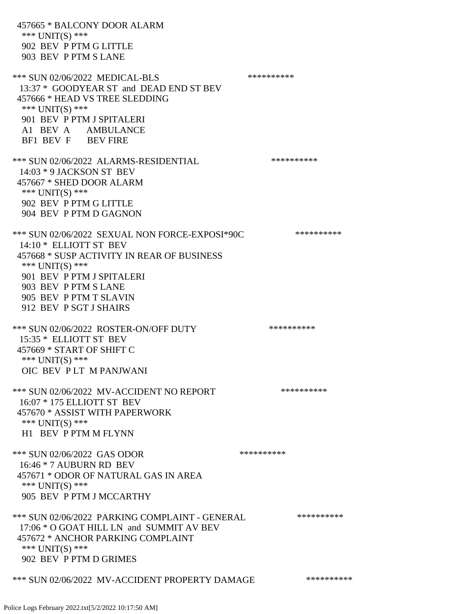457665 \* BALCONY DOOR ALARM \*\*\* UNIT(S) \*\*\* 902 BEV P PTM G LITTLE 903 BEV P PTM S LANE \*\*\* SUN 02/06/2022 MEDICAL-BLS \*\*\*\*\*\*\*\*\*\*\*\* 13:37 \* GOODYEAR ST and DEAD END ST BEV 457666 \* HEAD VS TREE SLEDDING \*\*\* UNIT(S) \*\*\* 901 BEV P PTM J SPITALERI A1 BEV A AMBULANCE BF1 BEV F BEV FIRE \*\*\* SUN 02/06/2022 ALARMS-RESIDENTIAL \*\*\*\*\*\*\*\*\*\* 14:03 \* 9 JACKSON ST BEV 457667 \* SHED DOOR ALARM \*\*\* UNIT(S) \*\*\* 902 BEV P PTM G LITTLE 904 BEV P PTM D GAGNON \*\*\* SUN 02/06/2022 SEXUAL NON FORCE-EXPOSI\*90C \*\*\*\*\*\*\*\*\*\* 14:10 \* ELLIOTT ST BEV 457668 \* SUSP ACTIVITY IN REAR OF BUSINESS \*\*\* UNIT(S) \*\*\* 901 BEV P PTM J SPITALERI 903 BEV P PTM S LANE 905 BEV P PTM T SLAVIN 912 BEV P SGT J SHAIRS \*\*\* SUN 02/06/2022 ROSTER-ON/OFF DUTY \*\*\*\*\*\*\*\*\*\* 15:35 \* ELLIOTT ST BEV 457669 \* START OF SHIFT C \*\*\* UNIT(S) \*\*\* OIC BEV P LT M PANJWANI \*\*\* SUN 02/06/2022 MV-ACCIDENT NO REPORT \*\*\*\*\*\*\*\*\*\*\*\* 16:07 \* 175 ELLIOTT ST BEV 457670 \* ASSIST WITH PAPERWORK \*\*\* UNIT(S) \*\*\* H1 BEV P PTM M FLYNN \*\*\* SUN 02/06/2022 GAS ODOR \*\*\*\*\*\*\*\*\*\* 16:46 \* 7 AUBURN RD BEV 457671 \* ODOR OF NATURAL GAS IN AREA \*\*\* UNIT(S) \*\*\* 905 BEV P PTM J MCCARTHY \*\*\* SUN 02/06/2022 PARKING COMPLAINT - GENERAL \*\*\*\*\*\*\*\*\*\* 17:06 \* O GOAT HILL LN and SUMMIT AV BEV 457672 \* ANCHOR PARKING COMPLAINT \*\*\* UNIT(S) \*\*\* 902 BEV P PTM D GRIMES \*\*\* SUN 02/06/2022 MV-ACCIDENT PROPERTY DAMAGE \*\*\*\*\*\*\*\*\*\*\*\*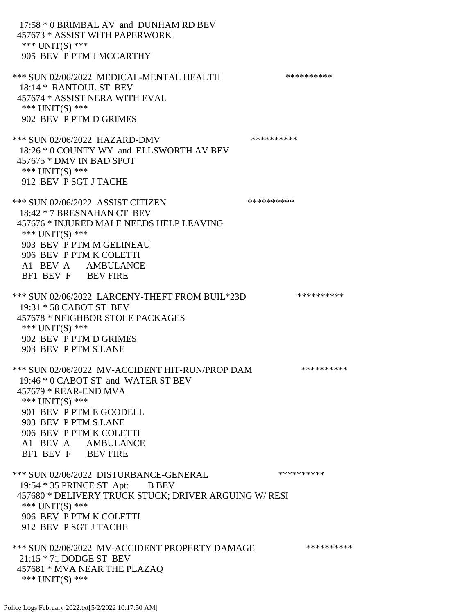17:58 \* 0 BRIMBAL AV and DUNHAM RD BEV 457673 \* ASSIST WITH PAPERWORK \*\*\* UNIT(S) \*\*\* 905 BEV P PTM J MCCARTHY \*\*\* SUN 02/06/2022 MEDICAL-MENTAL HEALTH \*\*\*\*\*\*\*\*\*\*\* 18:14 \* RANTOUL ST BEV 457674 \* ASSIST NERA WITH EVAL \*\*\* UNIT(S) \*\*\* 902 BEV P PTM D GRIMES \*\*\* SUN 02/06/2022 HAZARD-DMV \*\*\*\*\*\*\*\*\*\* 18:26 \* 0 COUNTY WY and ELLSWORTH AV BEV 457675 \* DMV IN BAD SPOT \*\*\* UNIT(S) \*\*\* 912 BEV P SGT J TACHE \*\*\* SUN 02/06/2022 ASSIST CITIZEN \*\*\*\*\*\*\*\*\*\* 18:42 \* 7 BRESNAHAN CT BEV 457676 \* INJURED MALE NEEDS HELP LEAVING \*\*\* UNIT(S) \*\*\* 903 BEV P PTM M GELINEAU 906 BEV P PTM K COLETTI A1 BEV A AMBULANCE BF1 BEV F BEV FIRE \*\*\* SUN 02/06/2022 LARCENY-THEFT FROM BUIL\*23D \*\*\*\*\*\*\*\*\*\*\* 19:31 \* 58 CABOT ST BEV 457678 \* NEIGHBOR STOLE PACKAGES \*\*\* UNIT(S) \*\*\* 902 BEV P PTM D GRIMES 903 BEV P PTM S LANE \*\*\* SUN 02/06/2022 MV-ACCIDENT HIT-RUN/PROP DAM \*\*\*\*\*\*\*\*\*\* 19:46 \* 0 CABOT ST and WATER ST BEV 457679 \* REAR-END MVA \*\*\* UNIT(S) \*\*\* 901 BEV P PTM E GOODELL 903 BEV P PTM S LANE 906 BEV P PTM K COLETTI A1 BEV A AMBULANCE BF1 BEV F BEV FIRE \*\*\* SUN 02/06/2022 DISTURBANCE-GENERAL \*\*\*\*\*\*\*\*\*\* 19:54 \* 35 PRINCE ST Apt: B BEV 457680 \* DELIVERY TRUCK STUCK; DRIVER ARGUING W/ RESI \*\*\* UNIT(S) \*\*\* 906 BEV P PTM K COLETTI 912 BEV P SGT J TACHE \*\*\* SUN 02/06/2022 MV-ACCIDENT PROPERTY DAMAGE \*\*\*\*\*\*\*\*\*\*\*\* 21:15 \* 71 DODGE ST BEV 457681 \* MVA NEAR THE PLAZAQ \*\*\* UNIT(S) \*\*\*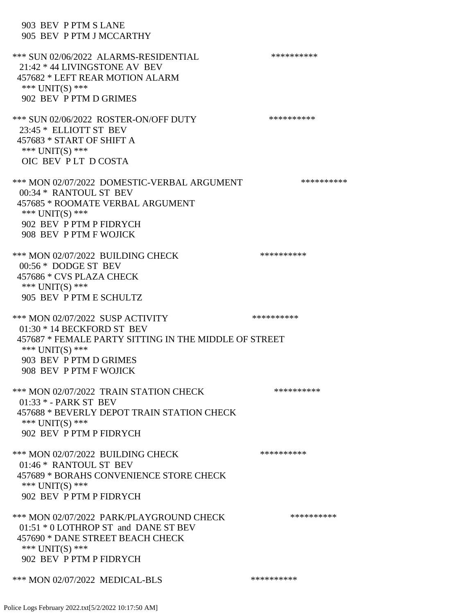903 BEV P PTM S LANE 905 BEV P PTM J MCCARTHY \*\*\* SUN 02/06/2022 ALARMS-RESIDENTIAL \*\*\*\*\*\*\*\*\*\* 21:42 \* 44 LIVINGSTONE AV BEV 457682 \* LEFT REAR MOTION ALARM \*\*\* UNIT(S) \*\*\* 902 BEV P PTM D GRIMES \*\*\* SUN 02/06/2022 ROSTER-ON/OFF DUTY \*\*\*\*\*\*\*\*\*\* 23:45 \* ELLIOTT ST BEV 457683 \* START OF SHIFT A \*\*\* UNIT(S) \*\*\* OIC BEV P LT D COSTA \*\*\* MON 02/07/2022 DOMESTIC-VERBAL ARGUMENT \*\*\*\*\*\*\*\*\*\*\*\* 00:34 \* RANTOUL ST BEV 457685 \* ROOMATE VERBAL ARGUMENT \*\*\* UNIT(S) \*\*\* 902 BEV P PTM P FIDRYCH 908 BEV P PTM F WOJICK \*\*\* MON 02/07/2022 BUILDING CHECK \*\*\*\*\*\*\*\*\*\*\* 00:56 \* DODGE ST BEV 457686 \* CVS PLAZA CHECK \*\*\* UNIT(S) \*\*\* 905 BEV P PTM E SCHULTZ \*\*\* MON 02/07/2022 SUSP ACTIVITY \*\*\*\*\*\*\*\*\*\*\*\* 01:30 \* 14 BECKFORD ST BEV 457687 \* FEMALE PARTY SITTING IN THE MIDDLE OF STREET \*\*\* UNIT(S) \*\*\* 903 BEV P PTM D GRIMES 908 BEV P PTM F WOJICK \*\*\* MON 02/07/2022 TRAIN STATION CHECK \*\*\*\*\*\*\*\*\*\* 01:33 \* - PARK ST BEV 457688 \* BEVERLY DEPOT TRAIN STATION CHECK \*\*\* UNIT(S) \*\*\* 902 BEV P PTM P FIDRYCH \*\*\* MON 02/07/2022 BUILDING CHECK \*\*\*\*\*\*\*\*\*\*\*\* 01:46 \* RANTOUL ST BEV 457689 \* BORAHS CONVENIENCE STORE CHECK \*\*\* UNIT(S) \*\*\* 902 BEV P PTM P FIDRYCH \*\*\* MON 02/07/2022 PARK/PLAYGROUND CHECK \*\*\*\*\*\*\*\*\*\*\*\* 01:51 \* 0 LOTHROP ST and DANE ST BEV 457690 \* DANE STREET BEACH CHECK \*\*\* UNIT(S) \*\*\* 902 BEV P PTM P FIDRYCH \*\*\* MON 02/07/2022 MEDICAL-BLS \*\*\*\*\*\*\*\*\*\*\*\*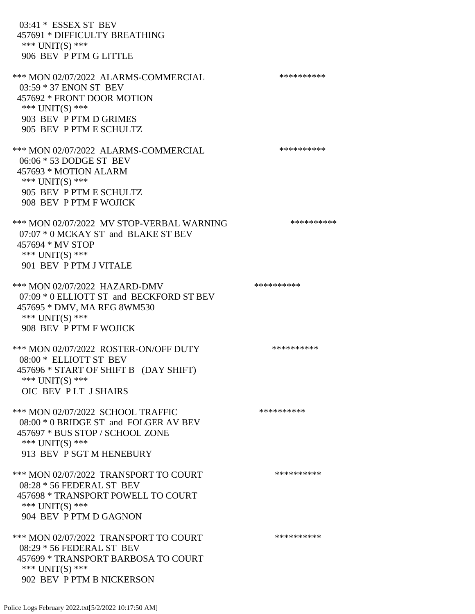03:41 \* ESSEX ST BEV 457691 \* DIFFICULTY BREATHING \*\*\* UNIT(S) \*\*\* 906 BEV P PTM G LITTLE \*\*\* MON 02/07/2022 ALARMS-COMMERCIAL \*\*\*\*\*\*\*\*\*\* 03:59 \* 37 ENON ST BEV 457692 \* FRONT DOOR MOTION \*\*\* UNIT(S) \*\*\* 903 BEV P PTM D GRIMES 905 BEV P PTM E SCHULTZ \*\*\* MON 02/07/2022 ALARMS-COMMERCIAL \*\*\*\*\*\*\*\*\*\* 06:06 \* 53 DODGE ST BEV 457693 \* MOTION ALARM \*\*\* UNIT(S) \*\*\* 905 BEV P PTM E SCHULTZ 908 BEV P PTM F WOJICK \*\*\* MON 02/07/2022 MV STOP-VERBAL WARNING \*\*\*\*\*\*\*\*\*\*\*\*\*\* 07:07 \* 0 MCKAY ST and BLAKE ST BEV 457694 \* MV STOP \*\*\* UNIT(S) \*\*\* 901 BEV P PTM J VITALE \*\*\* MON 02/07/2022 HAZARD-DMV \*\*\*\*\*\*\*\*\*\*\*\* 07:09 \* 0 ELLIOTT ST and BECKFORD ST BEV 457695 \* DMV, MA REG 8WM530 \*\*\* UNIT(S) \*\*\* 908 BEV P PTM F WOJICK \*\*\* MON 02/07/2022 ROSTER-ON/OFF DUTY \*\*\*\*\*\*\*\*\*\* 08:00 \* ELLIOTT ST BEV 457696 \* START OF SHIFT B (DAY SHIFT) \*\*\* UNIT(S) \*\*\* OIC BEV P LT J SHAIRS \*\*\* MON 02/07/2022 SCHOOL TRAFFIC \*\*\*\*\*\*\*\*\*\*\*\*\*\*\* 08:00 \* 0 BRIDGE ST and FOLGER AV BEV 457697 \* BUS STOP / SCHOOL ZONE \*\*\* UNIT(S) \*\*\* 913 BEV P SGT M HENEBURY \*\*\* MON 02/07/2022 TRANSPORT TO COURT \*\*\*\*\*\*\*\*\*\*\*\* 08:28 \* 56 FEDERAL ST BEV 457698 \* TRANSPORT POWELL TO COURT \*\*\* UNIT(S) \*\*\* 904 BEV P PTM D GAGNON \*\*\* MON 02/07/2022 TRANSPORT TO COURT \*\*\*\*\*\*\*\*\*\*\*\* 08:29 \* 56 FEDERAL ST BEV 457699 \* TRANSPORT BARBOSA TO COURT \*\*\* UNIT(S) \*\*\* 902 BEV P PTM B NICKERSON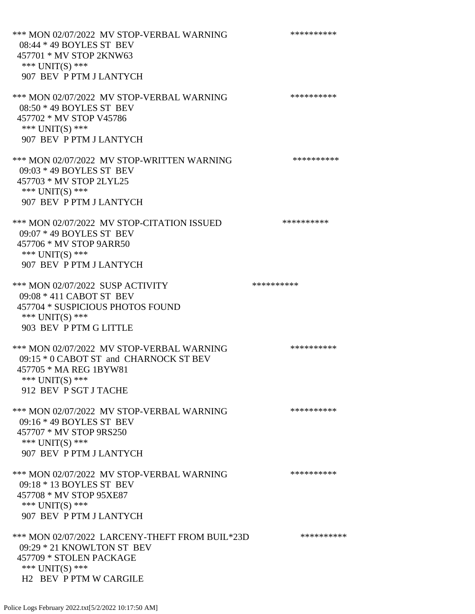\*\*\* MON 02/07/2022 MV STOP-VERBAL WARNING \*\*\*\*\*\*\*\*\*\*\*\* 08:44 \* 49 BOYLES ST BEV 457701 \* MV STOP 2KNW63 \*\*\* UNIT(S) \*\*\* 907 BEV P PTM J LANTYCH \*\*\* MON 02/07/2022 MV STOP-VERBAL WARNING \*\*\*\*\*\*\*\*\*\*\*\* 08:50 \* 49 BOYLES ST BEV 457702 \* MV STOP V45786 \*\*\* UNIT(S) \*\*\* 907 BEV P PTM J LANTYCH \*\*\* MON 02/07/2022 MV STOP-WRITTEN WARNING \*\*\*\*\*\*\*\*\*\*\* 09:03 \* 49 BOYLES ST BEV 457703 \* MV STOP 2LYL25 \*\*\* UNIT(S) \*\*\* 907 BEV P PTM J LANTYCH \*\*\* MON 02/07/2022 MV STOP-CITATION ISSUED \*\*\*\*\*\*\*\*\*\* 09:07 \* 49 BOYLES ST BEV 457706 \* MV STOP 9ARR50 \*\*\* UNIT(S) \*\*\* 907 BEV P PTM J LANTYCH \*\*\* MON 02/07/2022 SUSP ACTIVITY \*\*\*\*\*\*\*\*\*\*\*\* 09:08 \* 411 CABOT ST BEV 457704 \* SUSPICIOUS PHOTOS FOUND \*\*\* UNIT(S) \*\*\* 903 BEV P PTM G LITTLE \*\*\* MON 02/07/2022 MV STOP-VERBAL WARNING \*\*\*\*\*\*\*\*\*\*\*\* 09:15 \* 0 CABOT ST and CHARNOCK ST BEV 457705 \* MA REG 1BYW81 \*\*\* UNIT(S) \*\*\* 912 BEV P SGT J TACHE \*\*\* MON 02/07/2022 MV STOP-VERBAL WARNING \*\*\*\*\*\*\*\*\*\*\*\* 09:16 \* 49 BOYLES ST BEV 457707 \* MV STOP 9RS250 \*\*\* UNIT(S) \*\*\* 907 BEV P PTM J LANTYCH \*\*\* MON 02/07/2022 MV STOP-VERBAL WARNING \*\*\*\*\*\*\*\*\*\*\*\* 09:18 \* 13 BOYLES ST BEV 457708 \* MV STOP 95XE87 \*\*\* UNIT(S) \*\*\* 907 BEV P PTM J LANTYCH \*\*\* MON 02/07/2022 LARCENY-THEFT FROM BUIL\*23D \*\*\*\*\*\*\*\*\*\*\* 09:29 \* 21 KNOWLTON ST BEV 457709 \* STOLEN PACKAGE \*\*\* UNIT(S) \*\*\* H2 BEV P PTM W CARGILE

Police Logs February 2022.txt[5/2/2022 10:17:50 AM]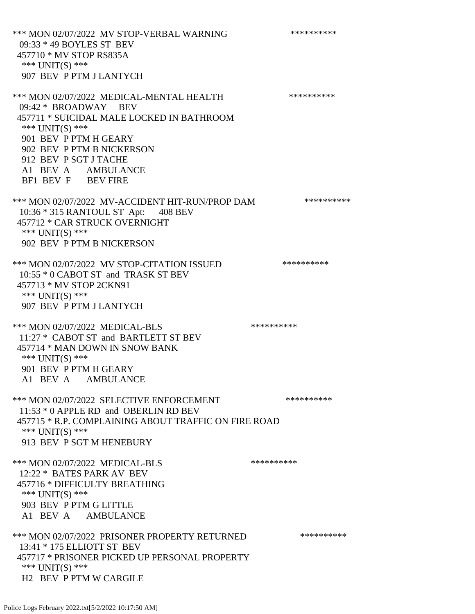\*\*\* MON 02/07/2022 MV STOP-VERBAL WARNING \*\*\*\*\*\*\*\*\*\*\*\* 09:33 \* 49 BOYLES ST BEV 457710 \* MV STOP RS835A \*\*\* UNIT(S) \*\*\* 907 BEV P PTM J LANTYCH \*\*\* MON 02/07/2022 MEDICAL-MENTAL HEALTH \*\*\*\*\*\*\*\*\*\* 09:42 \* BROADWAY BEV 457711 \* SUICIDAL MALE LOCKED IN BATHROOM \*\*\* UNIT(S) \*\*\* 901 BEV P PTM H GEARY 902 BEV P PTM B NICKERSON 912 BEV P SGT J TACHE A1 BEV A AMBULANCE BF1 BEV F BEV FIRE \*\*\* MON 02/07/2022 MV-ACCIDENT HIT-RUN/PROP DAM \*\*\*\*\*\*\*\*\*\* 10:36 \* 315 RANTOUL ST Apt: 408 BEV 457712 \* CAR STRUCK OVERNIGHT \*\*\* UNIT(S) \*\*\* 902 BEV P PTM B NICKERSON \*\*\* MON 02/07/2022 MV STOP-CITATION ISSUED \*\*\*\*\*\*\*\*\*\* 10:55 \* 0 CABOT ST and TRASK ST BEV 457713 \* MV STOP 2CKN91 \*\*\* UNIT(S) \*\*\* 907 BEV P PTM J LANTYCH \*\*\* MON 02/07/2022 MEDICAL-BLS \*\*\*\*\*\*\*\*\*\* 11:27 \* CABOT ST and BARTLETT ST BEV 457714 \* MAN DOWN IN SNOW BANK \*\*\* UNIT(S) \*\*\* 901 BEV P PTM H GEARY A1 BEV A AMBULANCE \*\*\* MON 02/07/2022 SELECTIVE ENFORCEMENT \*\*\*\*\*\*\*\*\*\*\*\* 11:53 \* 0 APPLE RD and OBERLIN RD BEV 457715 \* R.P. COMPLAINING ABOUT TRAFFIC ON FIRE ROAD \*\*\* UNIT(S) \*\*\* 913 BEV P SGT M HENEBURY \*\*\* MON 02/07/2022 MEDICAL-BLS \*\*\*\*\*\*\*\*\*\* 12:22 \* BATES PARK AV BEV 457716 \* DIFFICULTY BREATHING \*\*\* UNIT(S) \*\*\* 903 BEV P PTM G LITTLE A1 BEV A AMBULANCE \*\*\* MON 02/07/2022 PRISONER PROPERTY RETURNED \*\*\*\*\*\*\*\*\*\* 13:41 \* 175 ELLIOTT ST BEV 457717 \* PRISONER PICKED UP PERSONAL PROPERTY \*\*\* UNIT(S) \*\*\* H2 BEV P PTM W CARGILE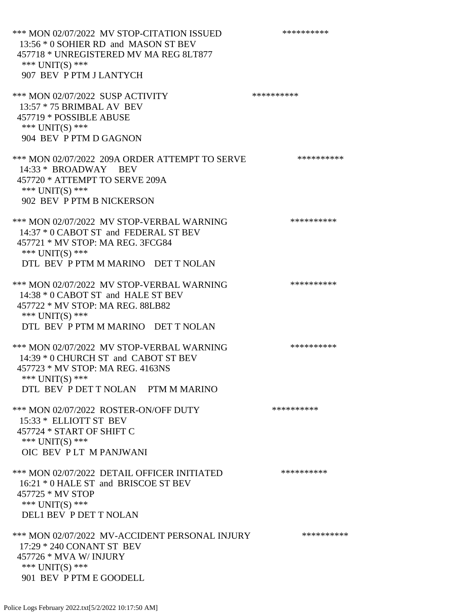| *** MON 02/07/2022 MV STOP-CITATION ISSUED<br>13:56 * 0 SOHIER RD and MASON ST BEV<br>457718 * UNREGISTERED MV MA REG 8LT877<br>*** UNIT(S) ***<br>907 BEV P PTM J LANTYCH      | ********** |
|---------------------------------------------------------------------------------------------------------------------------------------------------------------------------------|------------|
| *** MON 02/07/2022 SUSP ACTIVITY<br>13:57 * 75 BRIMBAL AV BEV<br>457719 * POSSIBLE ABUSE<br>*** UNIT(S) ***<br>904 BEV P PTM D GAGNON                                           | ********** |
| *** MON 02/07/2022 209A ORDER ATTEMPT TO SERVE<br>14:33 * BROADWAY BEV<br>457720 * ATTEMPT TO SERVE 209A<br>*** UNIT(S) ***<br>902 BEV P PTM B NICKERSON                        | ********** |
| *** MON 02/07/2022 MV STOP-VERBAL WARNING<br>14:37 * 0 CABOT ST and FEDERAL ST BEV<br>457721 * MV STOP: MA REG. 3FCG84<br>*** UNIT(S) ***<br>DTL BEV P PTM M MARINO DET T NOLAN | ********** |
| *** MON 02/07/2022 MV STOP-VERBAL WARNING<br>14:38 * 0 CABOT ST and HALE ST BEV<br>457722 * MV STOP: MA REG. 88LB82<br>*** UNIT(S) ***<br>DTL BEV P PTM M MARINO DET T NOLAN    | ********** |
| *** MON 02/07/2022 MV STOP-VERBAL WARNING<br>14:39 * 0 CHURCH ST and CABOT ST BEV<br>457723 * MV STOP: MA REG. 4163NS<br>*** UNIT(S) ***<br>DTL BEV P DET T NOLAN PTM M MARINO  | ********** |
| *** MON 02/07/2022 ROSTER-ON/OFF DUTY<br>15:33 * ELLIOTT ST BEV<br>457724 * START OF SHIFT C<br>*** UNIT(S) ***<br>OIC BEV PLT M PANJWANI                                       | ********** |
| *** MON 02/07/2022 DETAIL OFFICER INITIATED<br>16:21 * 0 HALE ST and BRISCOE ST BEV<br>457725 * MV STOP<br>*** UNIT(S) ***<br><b>DEL1 BEV P DET T NOLAN</b>                     | ********** |
| *** MON 02/07/2022 MV-ACCIDENT PERSONAL INJURY<br>17:29 * 240 CONANT ST BEV<br>457726 * MVA W/ INJURY<br>*** UNIT(S) ***<br>901 BEV P PTM E GOODELL                             | ********** |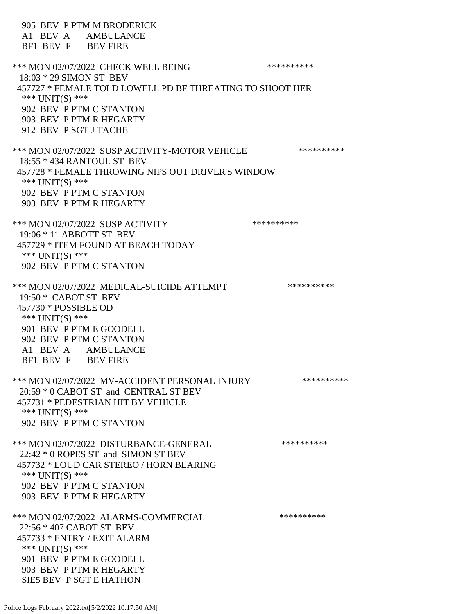905 BEV P PTM M BRODERICK A1 BEV A AMBULANCE BF1 BEV F BEV FIRE \*\*\* MON 02/07/2022 CHECK WELL BEING \*\*\*\*\*\*\*\*\*\* 18:03 \* 29 SIMON ST BEV 457727 \* FEMALE TOLD LOWELL PD BF THREATING TO SHOOT HER \*\*\* UNIT(S) \*\*\* 902 BEV P PTM C STANTON 903 BEV P PTM R HEGARTY 912 BEV P SGT J TACHE \*\*\* MON 02/07/2022 SUSP ACTIVITY-MOTOR VEHICLE \*\*\*\*\*\*\*\*\*\*\*\* 18:55 \* 434 RANTOUL ST BEV 457728 \* FEMALE THROWING NIPS OUT DRIVER'S WINDOW \*\*\*  $UNIT(S)$  \*\*\* 902 BEV P PTM C STANTON 903 BEV P PTM R HEGARTY \*\*\* MON 02/07/2022 SUSP ACTIVITY \*\*\*\*\*\*\*\*\*\*\*\* 19:06 \* 11 ABBOTT ST BEV 457729 \* ITEM FOUND AT BEACH TODAY \*\*\* UNIT(S) \*\*\* 902 BEV P PTM C STANTON \*\*\* MON 02/07/2022 MEDICAL-SUICIDE ATTEMPT \*\*\*\*\*\*\*\*\*\*\*\* 19:50 \* CABOT ST BEV 457730 \* POSSIBLE OD \*\*\* UNIT(S) \*\*\* 901 BEV P PTM E GOODELL 902 BEV P PTM C STANTON A1 BEV A AMBULANCE BF1 BEV F BEV FIRE \*\*\* MON 02/07/2022 MV-ACCIDENT PERSONAL INJURY \*\*\*\*\*\*\*\*\*\* 20:59 \* 0 CABOT ST and CENTRAL ST BEV 457731 \* PEDESTRIAN HIT BY VEHICLE \*\*\* UNIT(S) \*\*\* 902 BEV P PTM C STANTON \*\*\* MON 02/07/2022 DISTURBANCE-GENERAL \*\*\*\*\*\*\*\*\*\* 22:42 \* 0 ROPES ST and SIMON ST BEV 457732 \* LOUD CAR STEREO / HORN BLARING \*\*\*  $UNIT(S)$  \*\*\* 902 BEV P PTM C STANTON 903 BEV P PTM R HEGARTY \*\*\* MON 02/07/2022 ALARMS-COMMERCIAL \*\*\*\*\*\*\*\*\*\* 22:56 \* 407 CABOT ST BEV 457733 \* ENTRY / EXIT ALARM \*\*\*  $UNIT(S)$  \*\*\* 901 BEV P PTM E GOODELL 903 BEV P PTM R HEGARTY SIE5 BEV P SGT E HATHON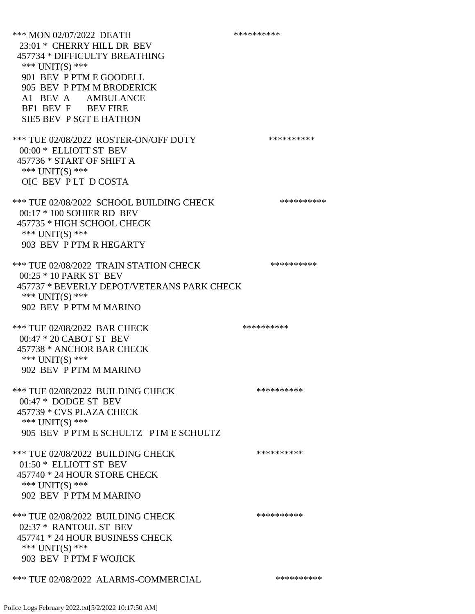\*\*\* MON 02/07/2022 DEATH \*\*\*\*\*\*\*\*\*\* 23:01 \* CHERRY HILL DR BEV 457734 \* DIFFICULTY BREATHING \*\*\* UNIT(S) \*\*\* 901 BEV P PTM E GOODELL 905 BEV P PTM M BRODERICK A1 BEV A AMBULANCE BF1 BEV F BEV FIRE SIE5 BEV P SGT E HATHON \*\*\* TUE 02/08/2022 ROSTER-ON/OFF DUTY \*\*\*\*\*\*\*\*\*\* 00:00 \* ELLIOTT ST BEV 457736 \* START OF SHIFT A \*\*\* UNIT(S) \*\*\* OIC BEV P LT D COSTA \*\*\* TUE 02/08/2022 SCHOOL BUILDING CHECK \*\*\*\*\*\*\*\*\*\*\*\* 00:17 \* 100 SOHIER RD BEV 457735 \* HIGH SCHOOL CHECK \*\*\* UNIT(S) \*\*\* 903 BEV P PTM R HEGARTY \*\*\* TUE 02/08/2022 TRAIN STATION CHECK \*\*\*\*\*\*\*\*\*\*\*\* 00:25 \* 10 PARK ST BEV 457737 \* BEVERLY DEPOT/VETERANS PARK CHECK \*\*\* UNIT(S) \*\*\* 902 BEV P PTM M MARINO \*\*\* TUE 02/08/2022 BAR CHECK \*\*\*\*\*\*\*\*\*\*\*\* 00:47 \* 20 CABOT ST BEV 457738 \* ANCHOR BAR CHECK \*\*\* UNIT(S) \*\*\* 902 BEV P PTM M MARINO \*\*\* TUE 02/08/2022 BUILDING CHECK \*\*\*\*\*\*\*\*\*\*\*\*\* 00:47 \* DODGE ST BEV 457739 \* CVS PLAZA CHECK \*\*\* UNIT(S) \*\*\* 905 BEV P PTM E SCHULTZ PTM E SCHULTZ \*\*\* TUE 02/08/2022 BUILDING CHECK \*\*\*\*\*\*\*\*\*\*\*\* 01:50 \* ELLIOTT ST BEV 457740 \* 24 HOUR STORE CHECK \*\*\* UNIT(S) \*\*\* 902 BEV P PTM M MARINO \*\*\* TUE 02/08/2022 BUILDING CHECK \*\*\*\*\*\*\*\*\*\*\*\* 02:37 \* RANTOUL ST BEV 457741 \* 24 HOUR BUSINESS CHECK \*\*\* UNIT(S) \*\*\* 903 BEV P PTM F WOJICK \*\*\* TUE 02/08/2022 ALARMS-COMMERCIAL \*\*\*\*\*\*\*\*\*\*

## Police Logs February 2022.txt[5/2/2022 10:17:50 AM]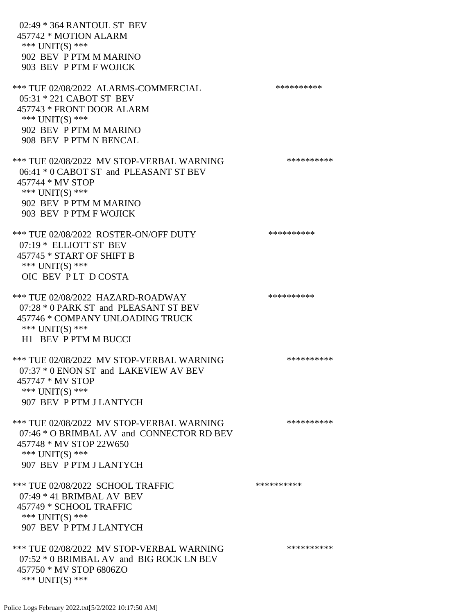02:49 \* 364 RANTOUL ST BEV 457742 \* MOTION ALARM \*\*\* UNIT(S) \*\*\* 902 BEV P PTM M MARINO 903 BEV P PTM F WOJICK \*\*\* TUE 02/08/2022 ALARMS-COMMERCIAL \*\*\*\*\*\*\*\*\*\*\*\*\*\* 05:31 \* 221 CABOT ST BEV 457743 \* FRONT DOOR ALARM \*\*\* UNIT(S) \*\*\* 902 BEV P PTM M MARINO 908 BEV P PTM N BENCAL \*\*\* TUE 02/08/2022 MV STOP-VERBAL WARNING \*\*\*\*\*\*\*\*\*\*\*\*\* 06:41 \* 0 CABOT ST and PLEASANT ST BEV 457744 \* MV STOP \*\*\* UNIT(S) \*\*\* 902 BEV P PTM M MARINO 903 BEV P PTM F WOJICK \*\*\* TUE 02/08/2022 ROSTER-ON/OFF DUTY \*\*\*\*\*\*\*\*\*\* 07:19 \* ELLIOTT ST BEV 457745 \* START OF SHIFT B \*\*\* UNIT(S) \*\*\* OIC BEV P LT D COSTA \*\*\* TUE 02/08/2022 HAZARD-ROADWAY \*\*\*\*\*\*\*\*\*\*\*\*\*\*\*\* 07:28 \* 0 PARK ST and PLEASANT ST BEV 457746 \* COMPANY UNLOADING TRUCK \*\*\* UNIT(S) \*\*\* H1 BEV P PTM M BUCCI \*\*\* TUE 02/08/2022 MV STOP-VERBAL WARNING \*\*\*\*\*\*\*\*\*\*\*\*\*\* 07:37 \* 0 ENON ST and LAKEVIEW AV BEV 457747 \* MV STOP \*\*\* UNIT(S) \*\*\* 907 BEV P PTM J LANTYCH \*\*\* TUE 02/08/2022 MV STOP-VERBAL WARNING \*\*\*\*\*\*\*\*\*\*\*\*\* 07:46 \* O BRIMBAL AV and CONNECTOR RD BEV 457748 \* MV STOP 22W650 \*\*\* UNIT(S) \*\*\* 907 BEV P PTM J LANTYCH \*\*\* TUE 02/08/2022 SCHOOL TRAFFIC \*\*\*\*\*\*\*\*\*\* 07:49 \* 41 BRIMBAL AV BEV 457749 \* SCHOOL TRAFFIC \*\*\* UNIT(S) \*\*\* 907 BEV P PTM J LANTYCH \*\*\* TUE 02/08/2022 MV STOP-VERBAL WARNING \*\*\*\*\*\*\*\*\*\*\*\*\*\* 07:52 \* 0 BRIMBAL AV and BIG ROCK LN BEV 457750 \* MV STOP 6806ZO \*\*\* UNIT(S) \*\*\*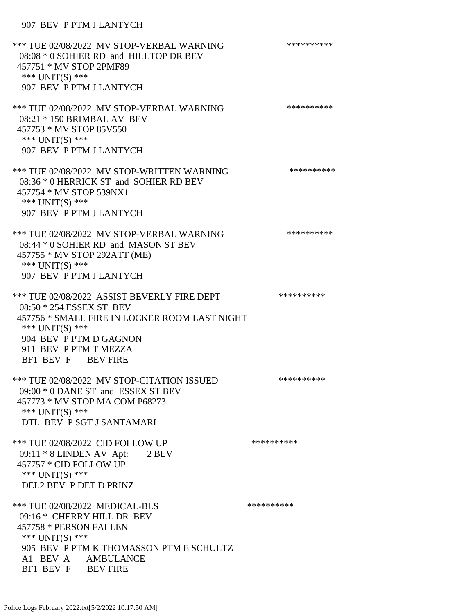## 907 BEV P PTM J LANTYCH

\*\*\* TUE 02/08/2022 MV STOP-VERBAL WARNING \*\*\*\*\*\*\*\*\*\*\*\*\* 08:08 \* 0 SOHIER RD and HILLTOP DR BEV 457751 \* MV STOP 2PMF89 \*\*\* UNIT(S) \*\*\* 907 BEV P PTM J LANTYCH \*\*\* TUE 02/08/2022 MV STOP-VERBAL WARNING \*\*\*\*\*\*\*\*\*\*\*\*\*\* 08:21 \* 150 BRIMBAL AV BEV 457753 \* MV STOP 85V550 \*\*\* UNIT(S) \*\*\* 907 BEV P PTM J LANTYCH \*\*\* TUE 02/08/2022 MV STOP-WRITTEN WARNING \*\*\*\*\*\*\*\*\*\*\*\*\* 08:36 \* 0 HERRICK ST and SOHIER RD BEV 457754 \* MV STOP 539NX1 \*\*\* UNIT(S) \*\*\* 907 BEV P PTM J LANTYCH \*\*\* TUE 02/08/2022 MV STOP-VERBAL WARNING \*\*\*\*\*\*\*\*\*\*\*\*\* 08:44 \* 0 SOHIER RD and MASON ST BEV 457755 \* MV STOP 292ATT (ME) \*\*\* UNIT(S) \*\*\* 907 BEV P PTM J LANTYCH \*\*\* TUE 02/08/2022 ASSIST BEVERLY FIRE DEPT \*\*\*\*\*\*\*\*\*\* 08:50 \* 254 ESSEX ST BEV 457756 \* SMALL FIRE IN LOCKER ROOM LAST NIGHT \*\*\* UNIT(S) \*\*\* 904 BEV P PTM D GAGNON 911 BEV P PTM T MEZZA BF1 BEV F BEV FIRE \*\*\* TUE 02/08/2022 MV STOP-CITATION ISSUED \*\*\*\*\*\*\*\*\*\* 09:00 \* 0 DANE ST and ESSEX ST BEV 457773 \* MV STOP MA COM P68273 \*\*\* UNIT(S) \*\*\* DTL BEV P SGT J SANTAMARI \*\*\* TUE 02/08/2022 CID FOLLOW UP \*\*\*\*\*\*\*\*\*\*\* 09:11 \* 8 LINDEN AV Apt: 2 BEV 457757 \* CID FOLLOW UP \*\*\* UNIT(S) \*\*\* DEL2 BEV P DET D PRINZ \*\*\* TUE 02/08/2022 MEDICAL-BLS \*\*\*\*\*\*\*\*\*\*\*\*\* 09:16 \* CHERRY HILL DR BEV 457758 \* PERSON FALLEN \*\*\* UNIT(S) \*\*\* 905 BEV P PTM K THOMASSON PTM E SCHULTZ A1 BEV A AMBULANCE BF1 BEV F BEV FIRE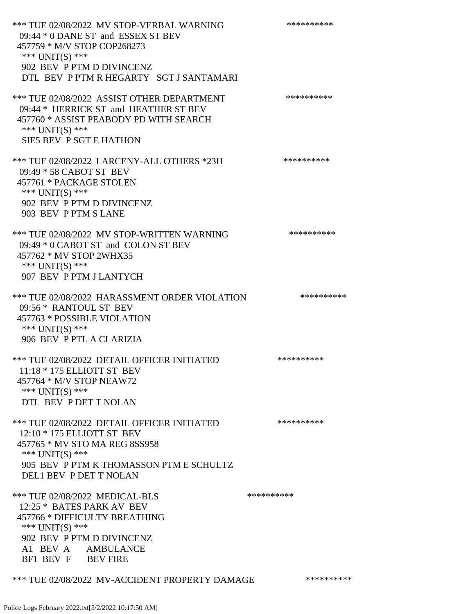\*\*\* TUE 02/08/2022 MV STOP-VERBAL WARNING \*\*\*\*\*\*\*\*\*\*\*\*\* 09:44 \* 0 DANE ST and ESSEX ST BEV 457759 \* M/V STOP COP268273 \*\*\* UNIT(S) \*\*\* 902 BEV P PTM D DIVINCENZ DTL BEV P PTM R HEGARTY SGT J SANTAMARI \*\*\* TUE 02/08/2022 ASSIST OTHER DEPARTMENT \*\*\*\*\*\*\*\*\*\*\*\*\* 09:44 \* HERRICK ST and HEATHER ST BEV 457760 \* ASSIST PEABODY PD WITH SEARCH \*\*\* UNIT(S) \*\*\* SIE5 BEV P SGT E HATHON \*\*\* TUE 02/08/2022 LARCENY-ALL OTHERS \*23H \*\*\*\*\*\*\*\*\*\* 09:49 \* 58 CABOT ST BEV 457761 \* PACKAGE STOLEN \*\*\* UNIT(S) \*\*\* 902 BEV P PTM D DIVINCENZ 903 BEV P PTM S LANE \*\*\* TUE 02/08/2022 MV STOP-WRITTEN WARNING \*\*\*\*\*\*\*\*\*\*\*\*\*\* 09:49 \* 0 CABOT ST and COLON ST BEV 457762 \* MV STOP 2WHX35 \*\*\* UNIT(S) \*\*\* 907 BEV P PTM J LANTYCH \*\*\* TUE 02/08/2022 HARASSMENT ORDER VIOLATION \*\*\*\*\*\*\*\*\*\* 09:56 \* RANTOUL ST BEV 457763 \* POSSIBLE VIOLATION \*\*\* UNIT(S) \*\*\* 906 BEV P PTL A CLARIZIA \*\*\* TUE 02/08/2022 DETAIL OFFICER INITIATED \*\*\*\*\*\*\*\*\*\* 11:18 \* 175 ELLIOTT ST BEV 457764 \* M/V STOP NEAW72 \*\*\* UNIT(S) \*\*\* DTL BEV P DET T NOLAN \*\*\* TUE 02/08/2022 DETAIL OFFICER INITIATED \*\*\*\*\*\*\*\*\*\* 12:10 \* 175 ELLIOTT ST BEV 457765 \* MV STO MA REG 8SS958 \*\*\* UNIT(S) \*\*\* 905 BEV P PTM K THOMASSON PTM E SCHULTZ DEL1 BEV P DET T NOLAN \*\*\* TUE 02/08/2022 MEDICAL-BLS \*\*\*\*\*\*\*\*\*\*\*\*\* 12:25 \* BATES PARK AV BEV 457766 \* DIFFICULTY BREATHING \*\*\* UNIT(S) \*\*\* 902 BEV P PTM D DIVINCENZ A1 BEV A AMBULANCE BF1 BEV F BEV FIRE

## \*\*\* TUE 02/08/2022 MV-ACCIDENT PROPERTY DAMAGE \*\*\*\*\*\*\*\*\*\*\*\*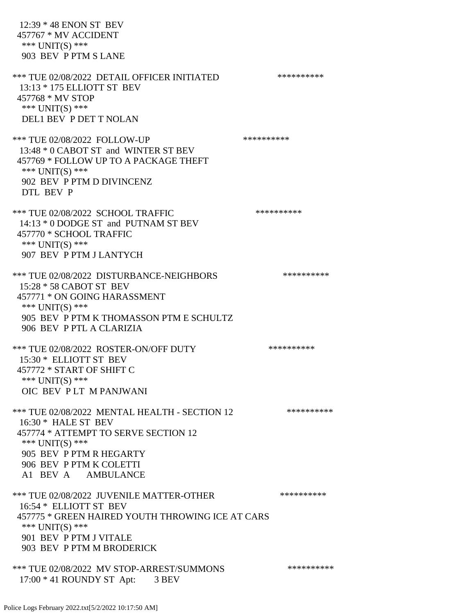12:39 \* 48 ENON ST BEV 457767 \* MV ACCIDENT \*\*\* UNIT(S) \*\*\* 903 BEV P PTM S LANE \*\*\* TUE 02/08/2022 DETAIL OFFICER INITIATED \*\*\*\*\*\*\*\*\*\* 13:13 \* 175 ELLIOTT ST BEV 457768 \* MV STOP \*\*\* UNIT(S) \*\*\* DEL1 BEV P DET T NOLAN \*\*\* TUE 02/08/2022 FOLLOW-UP \*\*\*\*\*\*\*\*\*\*\*\*\* 13:48 \* 0 CABOT ST and WINTER ST BEV 457769 \* FOLLOW UP TO A PACKAGE THEFT \*\*\* UNIT(S) \*\*\* 902 BEV P PTM D DIVINCENZ DTL BEV P \*\*\* TUE 02/08/2022 SCHOOL TRAFFIC \*\*\*\*\*\*\*\*\*\*\*\*\*\*\* 14:13 \* 0 DODGE ST and PUTNAM ST BEV 457770 \* SCHOOL TRAFFIC \*\*\* UNIT(S) \*\*\* 907 BEV P PTM J LANTYCH \*\*\* TUE 02/08/2022 DISTURBANCE-NEIGHBORS \*\*\*\*\*\*\*\*\*\*\*\*\* 15:28 \* 58 CABOT ST BEV 457771 \* ON GOING HARASSMENT \*\*\* UNIT(S) \*\*\* 905 BEV P PTM K THOMASSON PTM E SCHULTZ 906 BEV P PTL A CLARIZIA \*\*\* TUE 02/08/2022 ROSTER-ON/OFF DUTY \*\*\*\*\*\*\*\*\*\* 15:30 \* ELLIOTT ST BEV 457772 \* START OF SHIFT C \*\*\* UNIT(S) \*\*\* OIC BEV P LT M PANJWANI \*\*\* TUE 02/08/2022 MENTAL HEALTH - SECTION 12 \*\*\*\*\*\*\*\*\*\* 16:30 \* HALE ST BEV 457774 \* ATTEMPT TO SERVE SECTION 12 \*\*\* UNIT(S) \*\*\* 905 BEV P PTM R HEGARTY 906 BEV P PTM K COLETTI A1 BEV A AMBULANCE \*\*\* TUE 02/08/2022 JUVENILE MATTER-OTHER \*\*\*\*\*\*\*\*\*\*\*\*\* 16:54 \* ELLIOTT ST BEV 457775 \* GREEN HAIRED YOUTH THROWING ICE AT CARS \*\*\* UNIT(S) \*\*\* 901 BEV P PTM J VITALE 903 BEV P PTM M BRODERICK \*\*\* TUE 02/08/2022 MV STOP-ARREST/SUMMONS \*\*\*\*\*\*\*\*\*\*\*\*\* 17:00 \* 41 ROUNDY ST Apt: 3 BEV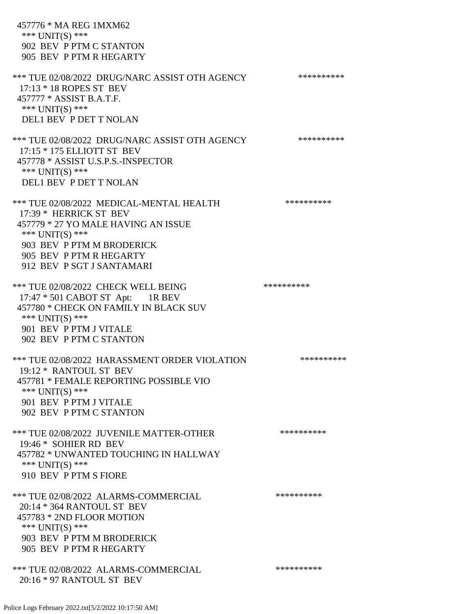457776 \* MA REG 1MXM62 \*\*\* UNIT(S) \*\*\* 902 BEV P PTM C STANTON 905 BEV P PTM R HEGARTY \*\*\* TUE 02/08/2022 DRUG/NARC ASSIST OTH AGENCY \*\*\*\*\*\*\*\*\*\* 17:13 \* 18 ROPES ST BEV 457777 \* ASSIST B.A.T.F. \*\*\* UNIT(S) \*\*\* DEL1 BEV P DET T NOLAN \*\*\* TUE 02/08/2022 DRUG/NARC ASSIST OTH AGENCY \*\*\*\*\*\*\*\*\*\* 17:15 \* 175 ELLIOTT ST BEV 457778 \* ASSIST U.S.P.S.-INSPECTOR \*\*\* UNIT(S) \*\*\* DEL1 BEV P DET T NOLAN \*\*\* TUE 02/08/2022 MEDICAL-MENTAL HEALTH \*\*\*\*\*\*\*\*\*\* 17:39 \* HERRICK ST BEV 457779 \* 27 YO MALE HAVING AN ISSUE \*\*\* UNIT(S) \*\*\* 903 BEV P PTM M BRODERICK 905 BEV P PTM R HEGARTY 912 BEV P SGT J SANTAMARI \*\*\* TUE 02/08/2022 CHECK WELL BEING \*\*\*\*\*\*\*\*\*\* 17:47 \* 501 CABOT ST Apt: 1R BEV 457780 \* CHECK ON FAMILY IN BLACK SUV \*\*\* UNIT(S) \*\*\* 901 BEV P PTM J VITALE 902 BEV P PTM C STANTON \*\*\* TUE 02/08/2022 HARASSMENT ORDER VIOLATION \*\*\*\*\*\*\*\*\*\* 19:12 \* RANTOUL ST BEV 457781 \* FEMALE REPORTING POSSIBLE VIO \*\*\* UNIT(S) \*\*\* 901 BEV P PTM J VITALE 902 BEV P PTM C STANTON \*\*\* TUE 02/08/2022 JUVENILE MATTER-OTHER \*\*\*\*\*\*\*\*\*\*\*\*\* 19:46 \* SOHIER RD BEV 457782 \* UNWANTED TOUCHING IN HALLWAY \*\*\* UNIT(S) \*\*\* 910 BEV P PTM S FIORE \*\*\* TUE 02/08/2022 ALARMS-COMMERCIAL \*\*\*\*\*\*\*\*\*\* 20:14 \* 364 RANTOUL ST BEV 457783 \* 2ND FLOOR MOTION \*\*\* UNIT(S) \*\*\* 903 BEV P PTM M BRODERICK 905 BEV P PTM R HEGARTY \*\*\* TUE 02/08/2022 ALARMS-COMMERCIAL \*\*\*\*\*\*\*\*\*\* 20:16 \* 97 RANTOUL ST BEV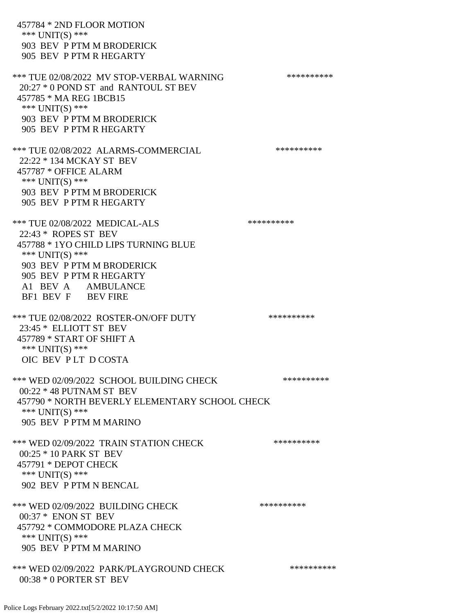457784 \* 2ND FLOOR MOTION \*\*\* UNIT(S) \*\*\* 903 BEV P PTM M BRODERICK 905 BEV P PTM R HEGARTY \*\*\* TUE 02/08/2022 MV STOP-VERBAL WARNING \*\*\*\*\*\*\*\*\*\*\*\*\* 20:27 \* 0 POND ST and RANTOUL ST BEV 457785 \* MA REG 1BCB15 \*\*\* UNIT(S) \*\*\* 903 BEV P PTM M BRODERICK 905 BEV P PTM R HEGARTY \*\*\* TUE 02/08/2022 ALARMS-COMMERCIAL \*\*\*\*\*\*\*\*\*\* 22:22 \* 134 MCKAY ST BEV 457787 \* OFFICE ALARM \*\*\*  $UNIT(S)$  \*\*\* 903 BEV P PTM M BRODERICK 905 BEV P PTM R HEGARTY \*\*\* TUE 02/08/2022 MEDICAL-ALS \*\*\*\*\*\*\*\*\*\*\*\*\*\* 22:43 \* ROPES ST BEV 457788 \* 1YO CHILD LIPS TURNING BLUE \*\*\* UNIT(S) \*\*\* 903 BEV P PTM M BRODERICK 905 BEV P PTM R HEGARTY A1 BEV A AMBULANCE BF1 BEV F BEV FIRE \*\*\* TUE 02/08/2022 ROSTER-ON/OFF DUTY \*\*\*\*\*\*\*\*\*\* 23:45 \* ELLIOTT ST BEV 457789 \* START OF SHIFT A \*\*\* UNIT(S) \*\*\* OIC BEV P LT D COSTA \*\*\* WED 02/09/2022 SCHOOL BUILDING CHECK \*\*\*\*\*\*\*\*\*\*\*\* 00:22 \* 48 PUTNAM ST BEV 457790 \* NORTH BEVERLY ELEMENTARY SCHOOL CHECK \*\*\* UNIT(S) \*\*\* 905 BEV P PTM M MARINO \*\*\* WED 02/09/2022 TRAIN STATION CHECK \*\*\*\*\*\*\*\*\*\*\*\* 00:25 \* 10 PARK ST BEV 457791 \* DEPOT CHECK \*\*\* UNIT(S) \*\*\* 902 BEV P PTM N BENCAL \*\*\* WED 02/09/2022 BUILDING CHECK \*\*\*\*\*\*\*\*\*\*\* 00:37 \* ENON ST BEV 457792 \* COMMODORE PLAZA CHECK \*\*\* UNIT(S) \*\*\* 905 BEV P PTM M MARINO \*\*\* WED 02/09/2022 PARK/PLAYGROUND CHECK \*\*\*\*\*\*\*\*\*\*\*\* 00:38 \* 0 PORTER ST BEV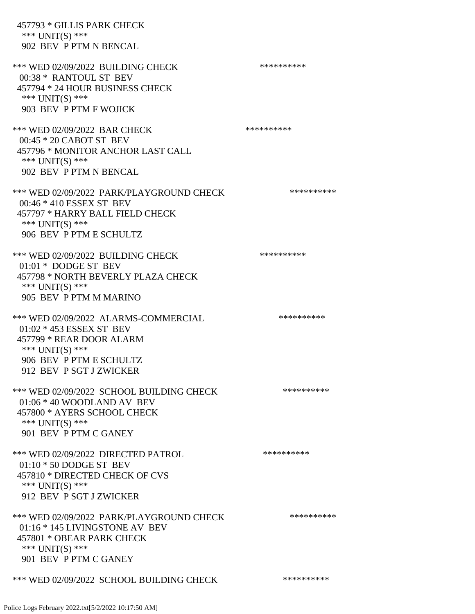| 457793 * GILLIS PARK CHECK<br>*** UNIT(S) ***<br>902 BEV P PTM N BENCAL                                                                                                 |            |
|-------------------------------------------------------------------------------------------------------------------------------------------------------------------------|------------|
| *** WED 02/09/2022 BUILDING CHECK<br>00:38 * RANTOUL ST BEV<br>457794 * 24 HOUR BUSINESS CHECK<br>*** UNIT(S) ***<br>903 BEV P PTM F WOJICK                             | ********** |
| *** WED 02/09/2022 BAR CHECK<br>00:45 * 20 CABOT ST BEV<br>457796 * MONITOR ANCHOR LAST CALL<br>*** UNIT(S) ***<br>902 BEV P PTM N BENCAL                               | ********** |
| *** WED 02/09/2022 PARK/PLAYGROUND CHECK<br>00:46 * 410 ESSEX ST BEV<br>457797 * HARRY BALL FIELD CHECK<br>*** UNIT(S) ***<br>906 BEV P PTM E SCHULTZ                   | ********** |
| *** WED 02/09/2022 BUILDING CHECK<br>$01:01 * DODGE$ ST BEV<br>457798 * NORTH BEVERLY PLAZA CHECK<br>*** UNIT(S) ***<br>905 BEV P PTM M MARINO                          | ********** |
| *** WED 02/09/2022 ALARMS-COMMERCIAL<br>01:02 * 453 ESSEX ST BEV<br>457799 * REAR DOOR ALARM<br>*** $UNIT(S)$ ***<br>906 BEV P PTM E SCHULTZ<br>912 BEV P SGT J ZWICKER | ********** |
| *** WED 02/09/2022 SCHOOL BUILDING CHECK<br>$01:06 * 40$ WOODLAND AV BEV<br>457800 * AYERS SCHOOL CHECK<br>*** UNIT(S) ***<br>901 BEV P PTM C GANEY                     | ********** |
| *** WED 02/09/2022 DIRECTED PATROL<br>$01:10 * 50$ DODGE ST BEV<br>457810 * DIRECTED CHECK OF CVS<br>*** UNIT(S) ***<br>912 BEV P SGT J ZWICKER                         | ********** |
| *** WED 02/09/2022 PARK/PLAYGROUND CHECK<br>01:16 * 145 LIVINGSTONE AV BEV<br>457801 * OBEAR PARK CHECK<br>*** UNIT(S) ***<br>901 BEV P PTM C GANEY                     | ********** |
| *** WED 02/09/2022 SCHOOL BUILDING CHECK                                                                                                                                | ********** |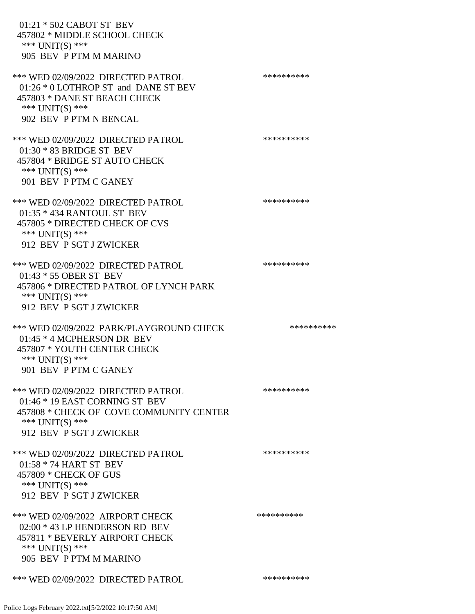| 01:21 * 502 CABOT ST BEV<br>457802 * MIDDLE SCHOOL CHECK<br>*** UNIT(S) ***<br>905 BEV P PTM M MARINO                                                           |            |
|-----------------------------------------------------------------------------------------------------------------------------------------------------------------|------------|
| *** WED 02/09/2022 DIRECTED PATROL<br>01:26 * 0 LOTHROP ST and DANE ST BEV<br>457803 * DANE ST BEACH CHECK<br>*** $UNIT(S)$ ***<br>902 BEV P PTM N BENCAL       | ********** |
| *** WED 02/09/2022 DIRECTED PATROL<br>$01:30 * 83$ BRIDGE ST BEV<br>457804 * BRIDGE ST AUTO CHECK<br>*** UNIT(S) ***<br>901 BEV P PTM C GANEY                   | ********** |
| *** WED 02/09/2022 DIRECTED PATROL<br>01:35 * 434 RANTOUL ST BEV<br>457805 * DIRECTED CHECK OF CVS<br>*** $UNIT(S)$ ***<br>912 BEV P SGT J ZWICKER              | ********** |
| *** WED 02/09/2022 DIRECTED PATROL<br>01:43 * 55 OBER ST BEV<br>457806 * DIRECTED PATROL OF LYNCH PARK<br>*** UNIT(S) ***<br>912 BEV P SGT J ZWICKER            | ********** |
| *** WED 02/09/2022 PARK/PLAYGROUND CHECK<br>$01:45 * 4$ MCPHERSON DR BEV<br>457807 * YOUTH CENTER CHECK<br>*** UNIT(S) ***<br>901 BEV P PTM C GANEY             | ********** |
| *** WED 02/09/2022 DIRECTED PATROL<br>$01:46 * 19$ EAST CORNING ST BEV<br>457808 * CHECK OF COVE COMMUNITY CENTER<br>*** UNIT(S) ***<br>912 BEV P SGT J ZWICKER | ********** |
| *** WED 02/09/2022 DIRECTED PATROL<br>$01:58 * 74$ HART ST BEV<br>457809 * CHECK OF GUS<br>*** UNIT(S) ***<br>912 BEV P SGT J ZWICKER                           | ********** |
| *** WED 02/09/2022 AIRPORT CHECK<br>02:00 * 43 LP HENDERSON RD BEV<br>457811 * BEVERLY AIRPORT CHECK<br>*** UNIT(S) ***<br>905 BEV P PTM M MARINO               | ********** |
| *** WED 02/09/2022 DIRECTED PATROL                                                                                                                              | ********** |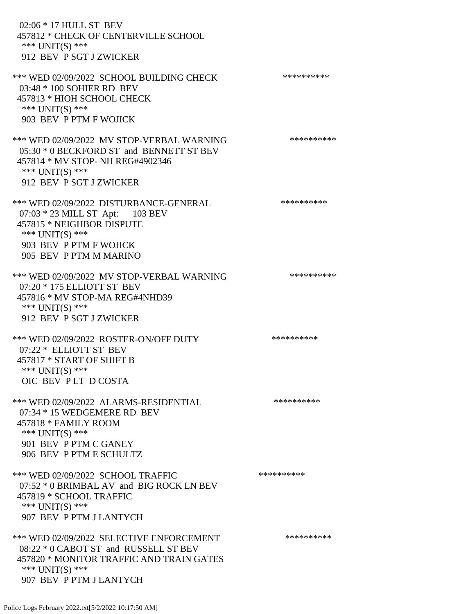02:06 \* 17 HULL ST BEV 457812 \* CHECK OF CENTERVILLE SCHOOL \*\*\* UNIT(S) \*\*\* 912 BEV P SGT J ZWICKER \*\*\* WED 02/09/2022 SCHOOL BUILDING CHECK \*\*\*\*\*\*\*\*\*\*\*\* 03:48 \* 100 SOHIER RD BEV 457813 \* HIOH SCHOOL CHECK \*\*\* UNIT(S) \*\*\* 903 BEV P PTM F WOJICK \*\*\* WED 02/09/2022 MV STOP-VERBAL WARNING \*\*\*\*\*\*\*\*\*\*\*\* 05:30 \* 0 BECKFORD ST and BENNETT ST BEV 457814 \* MV STOP- NH REG#4902346 \*\*\* UNIT(S) \*\*\* 912 BEV P SGT J ZWICKER \*\*\* WED 02/09/2022 DISTURBANCE-GENERAL \*\*\*\*\*\*\*\*\*\* 07:03 \* 23 MILL ST Apt: 103 BEV 457815 \* NEIGHBOR DISPUTE \*\*\* UNIT(S) \*\*\* 903 BEV P PTM F WOJICK 905 BEV P PTM M MARINO \*\*\* WED 02/09/2022 MV STOP-VERBAL WARNING \*\*\*\*\*\*\*\*\*\*\*\* 07:20 \* 175 ELLIOTT ST BEV 457816 \* MV STOP-MA REG#4NHD39 \*\*\* UNIT(S) \*\*\* 912 BEV P SGT J ZWICKER \*\*\* WED 02/09/2022 ROSTER-ON/OFF DUTY \*\*\*\*\*\*\*\*\*\* 07:22 \* ELLIOTT ST BEV 457817 \* START OF SHIFT B \*\*\* UNIT(S) \*\*\* OIC BEV P LT D COSTA \*\*\* WED 02/09/2022 ALARMS-RESIDENTIAL \*\*\*\*\*\*\*\*\*\* 07:34 \* 15 WEDGEMERE RD BEV 457818 \* FAMILY ROOM \*\*\* UNIT(S) \*\*\* 901 BEV P PTM C GANEY 906 BEV P PTM E SCHULTZ \*\*\* WED 02/09/2022 SCHOOL TRAFFIC \*\*\*\*\*\*\*\*\*\*\*\*\* 07:52 \* 0 BRIMBAL AV and BIG ROCK LN BEV 457819 \* SCHOOL TRAFFIC \*\*\* UNIT(S) \*\*\* 907 BEV P PTM J LANTYCH \*\*\* WED 02/09/2022 SELECTIVE ENFORCEMENT \*\*\*\*\*\*\*\*\*\*\*\* 08:22 \* 0 CABOT ST and RUSSELL ST BEV 457820 \* MONITOR TRAFFIC AND TRAIN GATES \*\*\* UNIT(S) \*\*\* 907 BEV P PTM J LANTYCH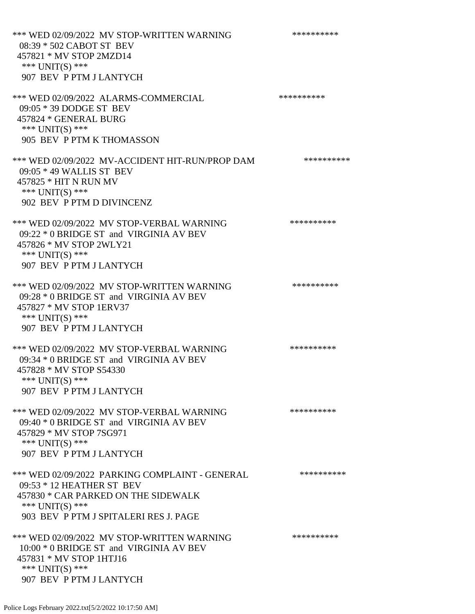\*\*\* WED 02/09/2022 MV STOP-WRITTEN WARNING \*\*\*\*\*\*\*\*\*\*\*\* 08:39 \* 502 CABOT ST BEV 457821 \* MV STOP 2MZD14 \*\*\* UNIT(S) \*\*\* 907 BEV P PTM J LANTYCH \*\*\* WED 02/09/2022 ALARMS-COMMERCIAL \*\*\*\*\*\*\*\*\*\* 09:05 \* 39 DODGE ST BEV 457824 \* GENERAL BURG \*\*\* UNIT(S) \*\*\* 905 BEV P PTM K THOMASSON \*\*\* WED 02/09/2022 MV-ACCIDENT HIT-RUN/PROP DAM \*\*\*\*\*\*\*\*\*\* 09:05 \* 49 WALLIS ST BEV 457825 \* HIT N RUN MV \*\*\* UNIT(S) \*\*\* 902 BEV P PTM D DIVINCENZ \*\*\* WED 02/09/2022 MV STOP-VERBAL WARNING \*\*\*\*\*\*\*\*\*\*\*\*\* 09:22 \* 0 BRIDGE ST and VIRGINIA AV BEV 457826 \* MV STOP 2WLY21 \*\*\* UNIT(S) \*\*\* 907 BEV P PTM J LANTYCH \*\*\* WED 02/09/2022 MV STOP-WRITTEN WARNING \*\*\*\*\*\*\*\*\*\*\*\* 09:28 \* 0 BRIDGE ST and VIRGINIA AV BEV 457827 \* MV STOP 1ERV37 \*\*\* UNIT(S) \*\*\* 907 BEV P PTM J LANTYCH \*\*\* WED 02/09/2022 MV STOP-VERBAL WARNING \*\*\*\*\*\*\*\*\*\*\*\* 09:34 \* 0 BRIDGE ST and VIRGINIA AV BEV 457828 \* MV STOP S54330 \*\*\* UNIT(S) \*\*\* 907 BEV P PTM J LANTYCH \*\*\* WED 02/09/2022 MV STOP-VERBAL WARNING \*\*\*\*\*\*\*\*\*\*\*\* 09:40 \* 0 BRIDGE ST and VIRGINIA AV BEV 457829 \* MV STOP 7SG971 \*\*\* UNIT(S) \*\*\* 907 BEV P PTM J LANTYCH \*\*\* WED 02/09/2022 PARKING COMPLAINT - GENERAL \*\*\*\*\*\*\*\*\*\* 09:53 \* 12 HEATHER ST BEV 457830 \* CAR PARKED ON THE SIDEWALK \*\*\* UNIT(S) \*\*\* 903 BEV P PTM J SPITALERI RES J. PAGE \*\*\* WED 02/09/2022 MV STOP-WRITTEN WARNING \*\*\*\*\*\*\*\*\*\*\*\* 10:00 \* 0 BRIDGE ST and VIRGINIA AV BEV 457831 \* MV STOP 1HTJ16 \*\*\* UNIT(S) \*\*\* 907 BEV P PTM J LANTYCH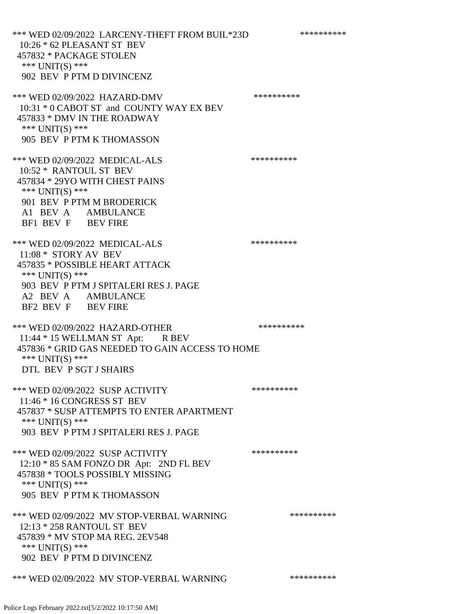\*\*\* WED 02/09/2022 LARCENY-THEFT FROM BUIL\*23D \*\*\*\*\*\*\*\*\*\* 10:26 \* 62 PLEASANT ST BEV 457832 \* PACKAGE STOLEN \*\*\* UNIT(S) \*\*\* 902 BEV P PTM D DIVINCENZ \*\*\* WED 02/09/2022 HAZARD-DMV \*\*\*\*\*\*\*\*\*\* 10:31 \* 0 CABOT ST and COUNTY WAY EX BEV 457833 \* DMV IN THE ROADWAY \*\*\* UNIT(S) \*\*\* 905 BEV P PTM K THOMASSON \*\*\* WED 02/09/2022 MEDICAL-ALS \*\*\*\*\*\*\*\*\*\* 10:52 \* RANTOUL ST BEV 457834 \* 29YO WITH CHEST PAINS \*\*\* UNIT(S) \*\*\* 901 BEV P PTM M BRODERICK A1 BEV A AMBULANCE BF1 BEV F BEV FIRE \*\*\* WED 02/09/2022 MEDICAL-ALS \*\*\*\*\*\*\*\*\*\*\*\* 11:08 \* STORY AV BEV 457835 \* POSSIBLE HEART ATTACK \*\*\* UNIT(S) \*\*\* 903 BEV P PTM J SPITALERI RES J. PAGE A2 BEV A AMBULANCE BF2 BEV F BEV FIRE \*\*\* WED 02/09/2022 HAZARD-OTHER \*\*\*\*\*\*\*\*\*\* 11:44 \* 15 WELLMAN ST Apt: R BEV 457836 \* GRID GAS NEEDED TO GAIN ACCESS TO HOME \*\*\* UNIT(S) \*\*\* DTL BEV P SGT J SHAIRS \*\*\* WED 02/09/2022 SUSP ACTIVITY \*\*\*\*\*\*\*\*\*\*\*\* 11:46 \* 16 CONGRESS ST BEV 457837 \* SUSP ATTEMPTS TO ENTER APARTMENT \*\*\* UNIT(S) \*\*\* 903 BEV P PTM J SPITALERI RES J. PAGE \*\*\* WED 02/09/2022 SUSP ACTIVITY \*\*\*\*\*\*\*\*\*\*\*\* 12:10 \* 85 SAM FONZO DR Apt: 2ND FL BEV 457838 \* TOOLS POSSIBLY MISSING \*\*\* UNIT(S) \*\*\* 905 BEV P PTM K THOMASSON \*\*\* WED 02/09/2022 MV STOP-VERBAL WARNING \*\*\*\*\*\*\*\*\*\*\*\* 12:13 \* 258 RANTOUL ST BEV 457839 \* MV STOP MA REG. 2EV548 \*\*\* UNIT(S) \*\*\* 902 BEV P PTM D DIVINCENZ \*\*\* WED 02/09/2022 MV STOP-VERBAL WARNING \*\*\*\*\*\*\*\*\*\*\*\*

Police Logs February 2022.txt[5/2/2022 10:17:50 AM]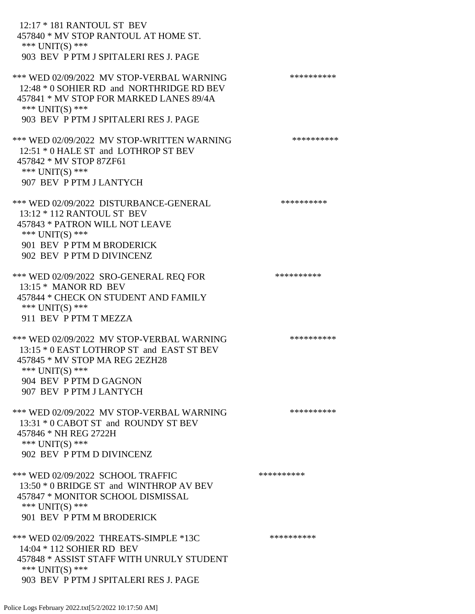| 12:17 * 181 RANTOUL ST BEV<br>457840 * MV STOP RANTOUL AT HOME ST.<br>*** UNIT(S) ***<br>903 BEV P PTM J SPITALERI RES J. PAGE                                                                   |            |
|--------------------------------------------------------------------------------------------------------------------------------------------------------------------------------------------------|------------|
| *** WED 02/09/2022 MV STOP-VERBAL WARNING<br>12:48 * 0 SOHIER RD and NORTHRIDGE RD BEV<br>457841 * MV STOP FOR MARKED LANES 89/4A<br>*** $UNIT(S)$ ***<br>903 BEV P PTM J SPITALERI RES J. PAGE  | ********** |
| *** WED 02/09/2022 MV STOP-WRITTEN WARNING<br>12:51 * 0 HALE ST and LOTHROP ST BEV<br>457842 * MV STOP 87ZF61<br>*** $UNIT(S)$ ***<br>907 BEV P PTM J LANTYCH                                    | ********** |
| *** WED 02/09/2022 DISTURBANCE-GENERAL<br>13:12 * 112 RANTOUL ST BEV<br>457843 * PATRON WILL NOT LEAVE<br>*** UNIT(S) ***<br>901 BEV P PTM M BRODERICK<br>902 BEV P PTM D DIVINCENZ              | ********** |
| *** WED 02/09/2022 SRO-GENERAL REQ FOR<br>13:15 * MANOR RD BEV<br>457844 * CHECK ON STUDENT AND FAMILY<br>*** UNIT(S) ***<br>911 BEV P PTM T MEZZA                                               | ********** |
| *** WED 02/09/2022 MV STOP-VERBAL WARNING<br>13:15 * 0 EAST LOTHROP ST and EAST ST BEV<br>457845 * MV STOP MA REG 2EZH28<br>*** UNIT(S) ***<br>904 BEV P PTM D GAGNON<br>907 BEV P PTM J LANTYCH | ********** |
| *** WED 02/09/2022 MV STOP-VERBAL WARNING<br>13:31 * 0 CABOT ST and ROUNDY ST BEV<br>457846 * NH REG 2722H<br>*** UNIT(S) ***<br>902 BEV P PTM D DIVINCENZ                                       | ********** |
| *** WED 02/09/2022 SCHOOL TRAFFIC<br>13:50 * 0 BRIDGE ST and WINTHROP AV BEV<br>457847 * MONITOR SCHOOL DISMISSAL<br>*** UNIT(S) ***<br>901 BEV P PTM M BRODERICK                                | ********** |
| *** WED 02/09/2022 THREATS-SIMPLE *13C<br>14:04 * 112 SOHIER RD BEV<br>457848 * ASSIST STAFF WITH UNRULY STUDENT<br>*** $UNIT(S)$ ***<br>903 BEV P PTM J SPITALERI RES J. PAGE                   | ********** |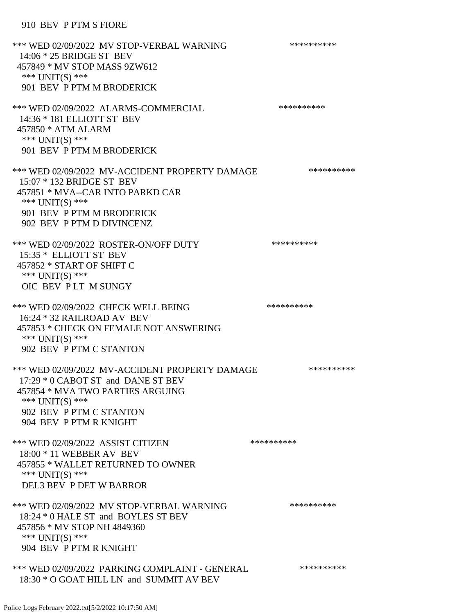### 910 BEV P PTM S FIORE

\*\*\* WED 02/09/2022 MV STOP-VERBAL WARNING \*\*\*\*\*\*\*\*\*\*\*\* 14:06 \* 25 BRIDGE ST BEV 457849 \* MV STOP MASS 9ZW612 \*\*\* UNIT(S) \*\*\* 901 BEV P PTM M BRODERICK \*\*\* WED 02/09/2022 ALARMS-COMMERCIAL \*\*\*\*\*\*\*\*\*\* 14:36 \* 181 ELLIOTT ST BEV 457850 \* ATM ALARM \*\*\* UNIT(S) \*\*\* 901 BEV P PTM M BRODERICK \*\*\* WED 02/09/2022 MV-ACCIDENT PROPERTY DAMAGE \*\*\*\*\*\*\*\*\*\*\*\* 15:07 \* 132 BRIDGE ST BEV 457851 \* MVA--CAR INTO PARKD CAR \*\*\* UNIT(S) \*\*\* 901 BEV P PTM M BRODERICK 902 BEV P PTM D DIVINCENZ \*\*\* WED 02/09/2022 ROSTER-ON/OFF DUTY \*\*\*\*\*\*\*\*\*\* 15:35 \* ELLIOTT ST BEV 457852 \* START OF SHIFT C \*\*\* UNIT(S) \*\*\* OIC BEV P LT M SUNGY \*\*\* WED 02/09/2022 CHECK WELL BEING \*\*\*\*\*\*\*\*\*\* 16:24 \* 32 RAILROAD AV BEV 457853 \* CHECK ON FEMALE NOT ANSWERING \*\*\* UNIT(S) \*\*\* 902 BEV P PTM C STANTON \*\*\* WED 02/09/2022 MV-ACCIDENT PROPERTY DAMAGE \*\*\*\*\*\*\*\*\*\*\*\* 17:29 \* 0 CABOT ST and DANE ST BEV 457854 \* MVA TWO PARTIES ARGUING \*\*\* UNIT(S) \*\*\* 902 BEV P PTM C STANTON 904 BEV P PTM R KNIGHT \*\*\* WED 02/09/2022 ASSIST CITIZEN \*\*\*\*\*\*\*\*\*\*\*\* 18:00 \* 11 WEBBER AV BEV 457855 \* WALLET RETURNED TO OWNER \*\*\* UNIT(S) \*\*\* DEL3 BEV P DET W BARROR \*\*\* WED 02/09/2022 MV STOP-VERBAL WARNING \*\*\*\*\*\*\*\*\*\*\*\* 18:24 \* 0 HALE ST and BOYLES ST BEV 457856 \* MV STOP NH 4849360 \*\*\* UNIT(S) \*\*\* 904 BEV P PTM R KNIGHT \*\*\* WED 02/09/2022 PARKING COMPLAINT - GENERAL \*\*\*\*\*\*\*\*\*\* 18:30 \* O GOAT HILL LN and SUMMIT AV BEV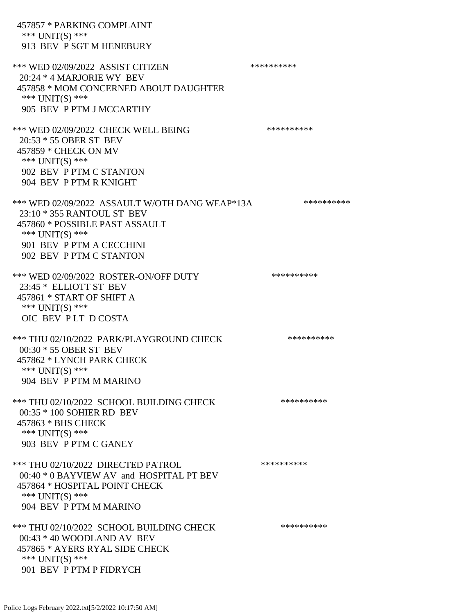| 457857 * PARKING COMPLAINT<br>*** UNIT(S) ***<br>913 BEV P SGT M HENEBURY                                                                                                                |            |
|------------------------------------------------------------------------------------------------------------------------------------------------------------------------------------------|------------|
| *** WED 02/09/2022 ASSIST CITIZEN<br>$20:24 * 4$ MARJORIE WY BEV<br>457858 * MOM CONCERNED ABOUT DAUGHTER<br>*** UNIT(S) ***<br>905 BEV P PTM J MCCARTHY                                 | ********** |
| *** WED 02/09/2022 CHECK WELL BEING<br>20:53 * 55 OBER ST BEV<br>457859 * CHECK ON MV<br>*** UNIT(S) ***<br>902 BEV P PTM C STANTON<br>904 BEV P PTM R KNIGHT                            | ********** |
| *** WED 02/09/2022 ASSAULT W/OTH DANG WEAP*13A<br>23:10 * 355 RANTOUL ST BEV<br>457860 * POSSIBLE PAST ASSAULT<br>*** UNIT(S) ***<br>901 BEV P PTM A CECCHINI<br>902 BEV P PTM C STANTON | ********** |
| *** WED 02/09/2022 ROSTER-ON/OFF DUTY<br>23:45 * ELLIOTT ST BEV<br>457861 * START OF SHIFT A<br>*** $UNIT(S)$ ***<br>OIC BEV PLT DCOSTA                                                  | ********** |
| *** THU 02/10/2022 PARK/PLAYGROUND CHECK<br>00:30 * 55 OBER ST BEV<br>457862 * LYNCH PARK CHECK<br>*** UNIT(S) ***<br>904 BEV P PTM M MARINO                                             | ********** |
| *** THU 02/10/2022 SCHOOL BUILDING CHECK<br>00:35 * 100 SOHIER RD BEV<br>457863 * BHS CHECK<br>*** UNIT(S) ***<br>903 BEV P PTM C GANEY                                                  | ********** |
| *** THU 02/10/2022 DIRECTED PATROL<br>00:40 * 0 BAYVIEW AV and HOSPITAL PT BEV<br>457864 * HOSPITAL POINT CHECK<br>*** UNIT(S) ***<br>904 BEV P PTM M MARINO                             | ********** |
| *** THU 02/10/2022 SCHOOL BUILDING CHECK<br>$00:43 * 40$ WOODLAND AV BEV<br>457865 * AYERS RYAL SIDE CHECK<br>*** UNIT(S) ***<br>901 BEV P PTM P FIDRYCH                                 | ********** |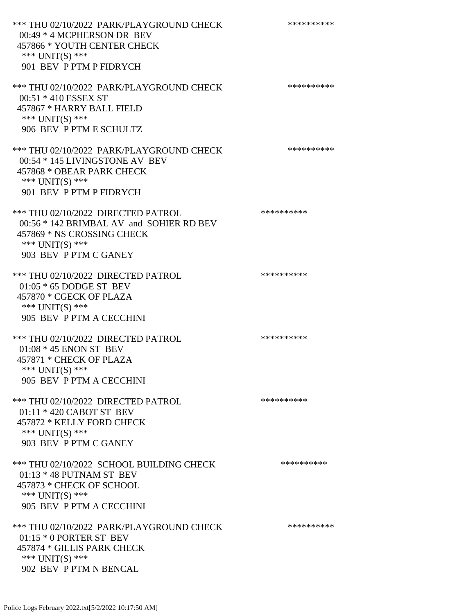\*\*\* THU 02/10/2022 PARK/PLAYGROUND CHECK \*\*\*\*\*\*\*\*\*\*\*\* 00:49 \* 4 MCPHERSON DR BEV 457866 \* YOUTH CENTER CHECK \*\*\* UNIT(S) \*\*\* 901 BEV P PTM P FIDRYCH \*\*\* THU 02/10/2022 PARK/PLAYGROUND CHECK \*\*\*\*\*\*\*\*\*\*\*\* 00:51 \* 410 ESSEX ST 457867 \* HARRY BALL FIELD \*\*\* UNIT(S) \*\*\* 906 BEV P PTM E SCHULTZ \*\*\* THU 02/10/2022 PARK/PLAYGROUND CHECK \*\*\*\*\*\*\*\*\*\*\*\* 00:54 \* 145 LIVINGSTONE AV BEV 457868 \* OBEAR PARK CHECK \*\*\* UNIT(S) \*\*\* 901 BEV P PTM P FIDRYCH \*\*\* THU 02/10/2022 DIRECTED PATROL \*\*\*\*\*\*\*\*\*\* 00:56 \* 142 BRIMBAL AV and SOHIER RD BEV 457869 \* NS CROSSING CHECK \*\*\* UNIT(S) \*\*\* 903 BEV P PTM C GANEY \*\*\* THU 02/10/2022 DIRECTED PATROL \*\*\*\*\*\*\*\*\*\* 01:05 \* 65 DODGE ST BEV 457870 \* CGECK OF PLAZA \*\*\* UNIT(S) \*\*\* 905 BEV P PTM A CECCHINI \*\*\* THU 02/10/2022 DIRECTED PATROL \*\*\*\*\*\*\*\*\*\* 01:08 \* 45 ENON ST BEV 457871 \* CHECK OF PLAZA \*\*\* UNIT(S) \*\*\* 905 BEV P PTM A CECCHINI \*\*\* THU 02/10/2022 DIRECTED PATROL \*\*\*\*\*\*\*\*\*\* 01:11 \* 420 CABOT ST BEV 457872 \* KELLY FORD CHECK \*\*\* UNIT(S) \*\*\* 903 BEV P PTM C GANEY \*\*\* THU 02/10/2022 SCHOOL BUILDING CHECK \*\*\*\*\*\*\*\*\*\*\* 01:13 \* 48 PUTNAM ST BEV 457873 \* CHECK OF SCHOOL \*\*\* UNIT(S) \*\*\* 905 BEV P PTM A CECCHINI \*\*\* THU 02/10/2022 PARK/PLAYGROUND CHECK \*\*\*\*\*\*\*\*\*\*\*\* 01:15 \* 0 PORTER ST BEV 457874 \* GILLIS PARK CHECK \*\*\* UNIT(S) \*\*\* 902 BEV P PTM N BENCAL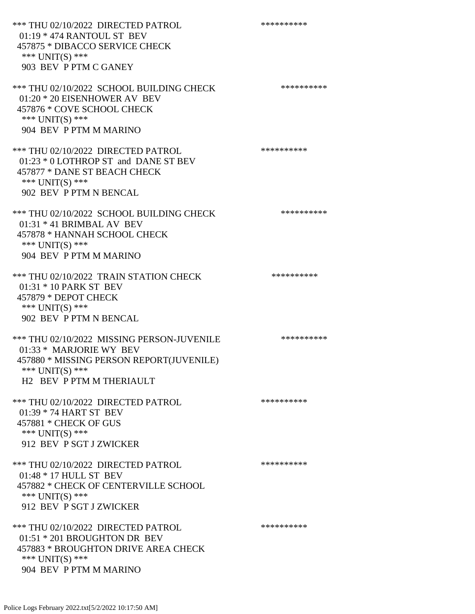\*\*\* THU 02/10/2022 DIRECTED PATROL \*\*\*\*\*\*\*\*\*\* 01:19 \* 474 RANTOUL ST BEV 457875 \* DIBACCO SERVICE CHECK \*\*\* UNIT(S) \*\*\* 903 BEV P PTM C GANEY \*\*\* THU 02/10/2022 SCHOOL BUILDING CHECK \*\*\*\*\*\*\*\*\*\*\*\* 01:20 \* 20 EISENHOWER AV BEV 457876 \* COVE SCHOOL CHECK \*\*\* UNIT(S) \*\*\* 904 BEV P PTM M MARINO \*\*\* THU 02/10/2022 DIRECTED PATROL \*\*\*\*\*\*\*\*\*\* 01:23 \* 0 LOTHROP ST and DANE ST BEV 457877 \* DANE ST BEACH CHECK \*\*\* UNIT(S) \*\*\* 902 BEV P PTM N BENCAL \*\*\* THU 02/10/2022 SCHOOL BUILDING CHECK \*\*\*\*\*\*\*\*\*\*\* 01:31 \* 41 BRIMBAL AV BEV 457878 \* HANNAH SCHOOL CHECK \*\*\* UNIT(S) \*\*\* 904 BEV P PTM M MARINO \*\*\* THU 02/10/2022 TRAIN STATION CHECK \*\*\*\*\*\*\*\*\*\*\*\* 01:31 \* 10 PARK ST BEV 457879 \* DEPOT CHECK \*\*\* UNIT(S) \*\*\* 902 BEV P PTM N BENCAL \*\*\* THU 02/10/2022 MISSING PERSON-JUVENILE \*\*\*\*\*\*\*\*\*\*\*\* 01:33 \* MARJORIE WY BEV 457880 \* MISSING PERSON REPORT(JUVENILE) \*\*\* UNIT(S) \*\*\* H2 BEV P PTM M THERIAULT \*\*\* THU 02/10/2022 DIRECTED PATROL \*\*\*\*\*\*\*\*\*\* 01:39 \* 74 HART ST BEV 457881 \* CHECK OF GUS \*\*\* UNIT(S) \*\*\* 912 BEV P SGT J ZWICKER \*\*\* THU 02/10/2022 DIRECTED PATROL 01:48 \* 17 HULL ST BEV 457882 \* CHECK OF CENTERVILLE SCHOOL \*\*\* UNIT(S) \*\*\* 912 BEV P SGT J ZWICKER \*\*\* THU 02/10/2022 DIRECTED PATROL \*\*\*\*\*\*\*\*\*\* 01:51 \* 201 BROUGHTON DR BEV 457883 \* BROUGHTON DRIVE AREA CHECK \*\*\* UNIT(S) \*\*\* 904 BEV P PTM M MARINO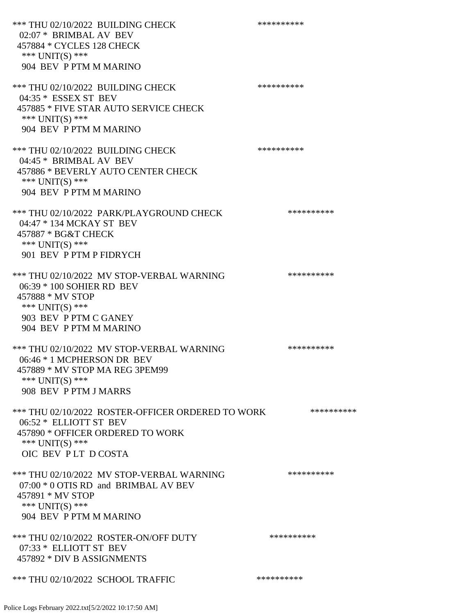\*\*\* THU 02/10/2022 BUILDING CHECK \*\*\*\*\*\*\*\*\*\* 02:07 \* BRIMBAL AV BEV 457884 \* CYCLES 128 CHECK \*\*\* UNIT(S) \*\*\* 904 BEV P PTM M MARINO \*\*\* THU 02/10/2022 BUILDING CHECK \*\*\*\*\*\*\*\*\*\*\*\* 04:35 \* ESSEX ST BEV 457885 \* FIVE STAR AUTO SERVICE CHECK \*\*\* UNIT(S) \*\*\* 904 BEV P PTM M MARINO \*\*\* THU 02/10/2022 BUILDING CHECK \*\*\*\*\*\*\*\*\*\*\*\* 04:45 \* BRIMBAL AV BEV 457886 \* BEVERLY AUTO CENTER CHECK \*\*\* UNIT(S) \*\*\* 904 BEV P PTM M MARINO \*\*\* THU 02/10/2022 PARK/PLAYGROUND CHECK \*\*\*\*\*\*\*\*\*\*\*\* 04:47 \* 134 MCKAY ST BEV 457887 \* BG&T CHECK \*\*\* UNIT(S) \*\*\* 901 BEV P PTM P FIDRYCH \*\*\* THU 02/10/2022 MV STOP-VERBAL WARNING \*\*\*\*\*\*\*\*\*\*\*\* 06:39 \* 100 SOHIER RD BEV 457888 \* MV STOP \*\*\* UNIT(S) \*\*\* 903 BEV P PTM C GANEY 904 BEV P PTM M MARINO \*\*\* THU 02/10/2022 MV STOP-VERBAL WARNING \*\*\*\*\*\*\*\*\*\*\*\*\* 06:46 \* 1 MCPHERSON DR BEV 457889 \* MV STOP MA REG 3PEM99 \*\*\* UNIT(S) \*\*\* 908 BEV P PTM J MARRS \*\*\* THU 02/10/2022 ROSTER-OFFICER ORDERED TO WORK \*\*\*\*\*\*\*\*\*\*\*\* 06:52 \* ELLIOTT ST BEV 457890 \* OFFICER ORDERED TO WORK \*\*\* UNIT(S) \*\*\* OIC BEV P LT D COSTA \*\*\* THU 02/10/2022 MV STOP-VERBAL WARNING \*\*\*\*\*\*\*\*\*\* 07:00 \* 0 OTIS RD and BRIMBAL AV BEV 457891 \* MV STOP \*\*\* UNIT(S) \*\*\* 904 BEV P PTM M MARINO \*\*\* THU 02/10/2022 ROSTER-ON/OFF DUTY \*\*\*\*\*\*\*\*\*\* 07:33 \* ELLIOTT ST BEV 457892 \* DIV B ASSIGNMENTS \*\*\* THU 02/10/2022 SCHOOL TRAFFIC \*\*\*\*\*\*\*\*\*\*\*\*\*\*\*\*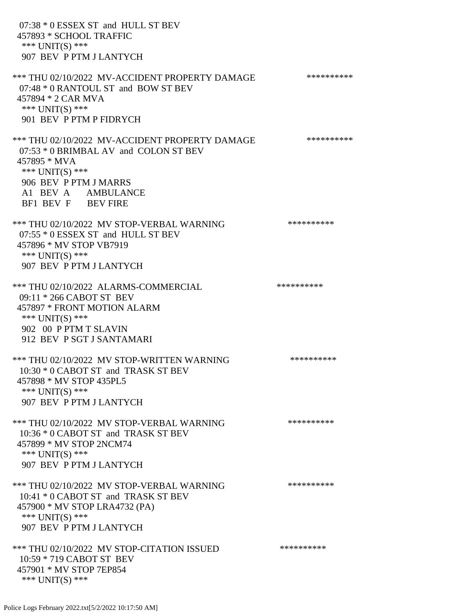07:38 \* 0 ESSEX ST and HULL ST BEV 457893 \* SCHOOL TRAFFIC \*\*\* UNIT(S) \*\*\* 907 BEV P PTM J LANTYCH \*\*\* THU 02/10/2022 MV-ACCIDENT PROPERTY DAMAGE \*\*\*\*\*\*\*\*\*\*\*\* 07:48 \* 0 RANTOUL ST and BOW ST BEV 457894 \* 2 CAR MVA \*\*\* UNIT(S) \*\*\* 901 BEV P PTM P FIDRYCH \*\*\* THU 02/10/2022 MV-ACCIDENT PROPERTY DAMAGE \*\*\*\*\*\*\*\*\*\*\*\* 07:53 \* 0 BRIMBAL AV and COLON ST BEV 457895 \* MVA \*\*\* UNIT(S) \*\*\* 906 BEV P PTM J MARRS A1 BEV A AMBULANCE BF1 BEV F BEV FIRE \*\*\* THU 02/10/2022 MV STOP-VERBAL WARNING \*\*\*\*\*\*\*\*\*\*\*\*\* 07:55 \* 0 ESSEX ST and HULL ST BEV 457896 \* MV STOP VB7919 \*\*\* UNIT(S) \*\*\* 907 BEV P PTM J LANTYCH \*\*\* THU 02/10/2022 ALARMS-COMMERCIAL \*\*\*\*\*\*\*\*\*\* 09:11 \* 266 CABOT ST BEV 457897 \* FRONT MOTION ALARM \*\*\* UNIT(S) \*\*\* 902 00 P PTM T SLAVIN 912 BEV P SGT J SANTAMARI \*\*\* THU 02/10/2022 MV STOP-WRITTEN WARNING \*\*\*\*\*\*\*\*\*\*\*\*\*\* 10:30 \* 0 CABOT ST and TRASK ST BEV 457898 \* MV STOP 435PL5 \*\*\* UNIT(S) \*\*\* 907 BEV P PTM J LANTYCH \*\*\* THU 02/10/2022 MV STOP-VERBAL WARNING \*\*\*\*\*\*\*\*\*\*\*\*\* 10:36 \* 0 CABOT ST and TRASK ST BEV 457899 \* MV STOP 2NCM74 \*\*\* UNIT(S) \*\*\* 907 BEV P PTM J LANTYCH \*\*\* THU 02/10/2022 MV STOP-VERBAL WARNING \*\*\*\*\*\*\*\*\*\*\*\*\* 10:41 \* 0 CABOT ST and TRASK ST BEV 457900 \* MV STOP LRA4732 (PA) \*\*\* UNIT(S) \*\*\* 907 BEV P PTM J LANTYCH \*\*\* THU 02/10/2022 MV STOP-CITATION ISSUED \*\*\*\*\*\*\*\*\*\* 10:59 \* 719 CABOT ST BEV 457901 \* MV STOP 7EP854 \*\*\* UNIT(S) \*\*\*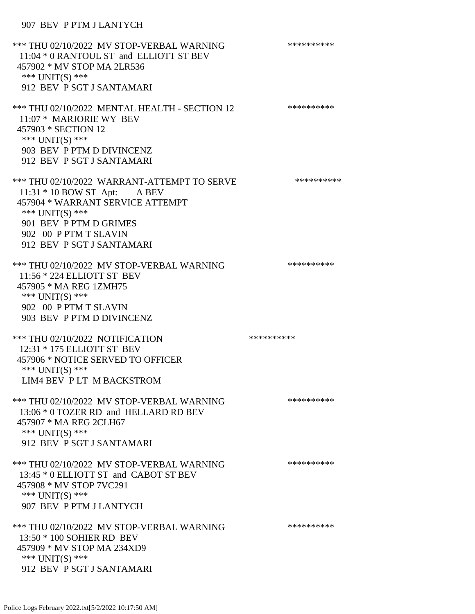# 907 BEV P PTM J LANTYCH

| *** THU 02/10/2022 MV STOP-VERBAL WARNING<br>11:04 * 0 RANTOUL ST and ELLIOTT ST BEV<br>457902 * MV STOP MA 2LR536<br>*** UNIT(S) ***<br>912 BEV P SGT J SANTAMARI                                                   | ********** |
|----------------------------------------------------------------------------------------------------------------------------------------------------------------------------------------------------------------------|------------|
| *** THU 02/10/2022 MENTAL HEALTH - SECTION 12<br>11:07 * MARJORIE WY BEV<br>457903 * SECTION 12<br>*** UNIT(S) ***<br>903 BEV P PTM D DIVINCENZ<br>912 BEV P SGT J SANTAMARI                                         | ********** |
| *** THU 02/10/2022 WARRANT-ATTEMPT TO SERVE<br>$11:31 * 10$ BOW ST Apt: A BEV<br>457904 * WARRANT SERVICE ATTEMPT<br>*** UNIT(S) ***<br>901 BEV P PTM D GRIMES<br>902 00 P PTM T SLAVIN<br>912 BEV P SGT J SANTAMARI | ********** |
| *** THU 02/10/2022 MV STOP-VERBAL WARNING<br>11:56 * 224 ELLIOTT ST BEV<br>457905 * MA REG 1ZMH75<br>*** UNIT(S) ***<br>902 00 P PTM T SLAVIN<br>903 BEV P PTM D DIVINCENZ                                           | ********** |
| *** THU 02/10/2022 NOTIFICATION<br>12:31 * 175 ELLIOTT ST BEV<br>457906 * NOTICE SERVED TO OFFICER<br>*** UNIT(S) ***<br>LIM4 BEV PLT M BACKSTROM                                                                    | ********** |
| *** THU 02/10/2022 MV STOP-VERBAL WARNING<br>13:06 * 0 TOZER RD and HELLARD RD BEV<br>457907 * MA REG 2CLH67<br>*** UNIT(S) ***<br>912 BEV P SGT J SANTAMARI                                                         | ********** |
| *** THU 02/10/2022 MV STOP-VERBAL WARNING<br>13:45 * 0 ELLIOTT ST and CABOT ST BEV<br>457908 * MV STOP 7VC291<br>*** UNIT(S) ***<br>907 BEV P PTM J LANTYCH                                                          | ********** |
| *** THU 02/10/2022 MV STOP-VERBAL WARNING<br>13:50 * 100 SOHIER RD BEV<br>457909 * MV STOP MA 234XD9<br>*** UNIT(S) ***<br>912 BEV P SGT J SANTAMARI                                                                 | ********** |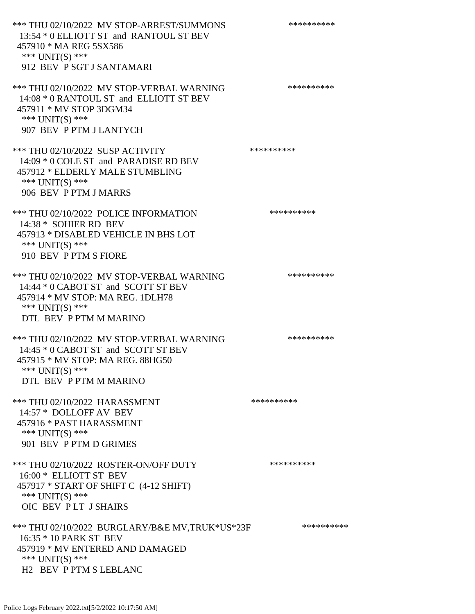\*\*\* THU 02/10/2022 MV STOP-ARREST/SUMMONS \*\*\*\*\*\*\*\*\*\*\*\*\*\* 13:54 \* 0 ELLIOTT ST and RANTOUL ST BEV 457910 \* MA REG 5SX586 \*\*\* UNIT(S) \*\*\* 912 BEV P SGT J SANTAMARI \*\*\* THU 02/10/2022 MV STOP-VERBAL WARNING \*\*\*\*\*\*\*\*\*\*\*\*\* 14:08 \* 0 RANTOUL ST and ELLIOTT ST BEV 457911 \* MV STOP 3DGM34 \*\*\* UNIT(S) \*\*\* 907 BEV P PTM J LANTYCH \*\*\* THU 02/10/2022 SUSP ACTIVITY \*\*\*\*\*\*\*\*\*\*\*\* 14:09 \* 0 COLE ST and PARADISE RD BEV 457912 \* ELDERLY MALE STUMBLING \*\*\* UNIT(S) \*\*\* 906 BEV P PTM J MARRS \*\*\* THU 02/10/2022 POLICE INFORMATION \*\*\*\*\*\*\*\*\*\* 14:38 \* SOHIER RD BEV 457913 \* DISABLED VEHICLE IN BHS LOT \*\*\* UNIT(S) \*\*\* 910 BEV P PTM S FIORE \*\*\* THU 02/10/2022 MV STOP-VERBAL WARNING \*\*\*\*\*\*\*\*\*\*\*\*\*\* 14:44 \* 0 CABOT ST and SCOTT ST BEV 457914 \* MV STOP: MA REG. 1DLH78 \*\*\* UNIT(S) \*\*\* DTL BEV P PTM M MARINO \*\*\* THU 02/10/2022 MV STOP-VERBAL WARNING \*\*\*\*\*\*\*\*\*\*\*\*\* 14:45 \* 0 CABOT ST and SCOTT ST BEV 457915 \* MV STOP: MA REG. 88HG50 \*\*\* UNIT(S) \*\*\* DTL BEV P PTM M MARINO \*\*\* THU 02/10/2022 HARASSMENT \*\*\*\*\*\*\*\*\*\* 14:57 \* DOLLOFF AV BEV 457916 \* PAST HARASSMENT \*\*\* UNIT(S) \*\*\* 901 BEV P PTM D GRIMES \*\*\* THU 02/10/2022 ROSTER-ON/OFF DUTY \*\*\*\*\*\*\*\*\*\* 16:00 \* ELLIOTT ST BEV 457917 \* START OF SHIFT C (4-12 SHIFT) \*\*\* UNIT(S) \*\*\* OIC BEV P LT J SHAIRS \*\*\* THU 02/10/2022 BURGLARY/B&E MV,TRUK\*US\*23F \*\*\*\*\*\*\*\*\*\* 16:35 \* 10 PARK ST BEV 457919 \* MV ENTERED AND DAMAGED \*\*\* UNIT(S) \*\*\* H2 BEV P PTM S LEBLANC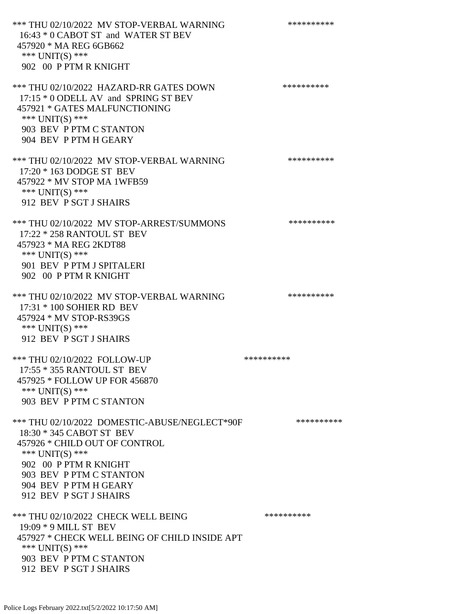\*\*\* THU 02/10/2022 MV STOP-VERBAL WARNING \*\*\*\*\*\*\*\*\*\*\*\*\* 16:43 \* 0 CABOT ST and WATER ST BEV 457920 \* MA REG 6GB662 \*\*\* UNIT(S) \*\*\* 902 00 P PTM R KNIGHT \*\*\* THU 02/10/2022 HAZARD-RR GATES DOWN \*\*\*\*\*\*\*\*\*\* 17:15 \* 0 ODELL AV and SPRING ST BEV 457921 \* GATES MALFUNCTIONING \*\*\* UNIT(S) \*\*\* 903 BEV P PTM C STANTON 904 BEV P PTM H GEARY \*\*\* THU 02/10/2022 MV STOP-VERBAL WARNING \*\*\*\*\*\*\*\*\*\*\*\*\* 17:20 \* 163 DODGE ST BEV 457922 \* MV STOP MA 1WFB59 \*\*\* UNIT(S) \*\*\* 912 BEV P SGT J SHAIRS \*\*\* THU 02/10/2022 MV STOP-ARREST/SUMMONS \*\*\*\*\*\*\*\*\*\* 17:22 \* 258 RANTOUL ST BEV 457923 \* MA REG 2KDT88 \*\*\* UNIT(S) \*\*\* 901 BEV P PTM J SPITALERI 902 00 P PTM R KNIGHT \*\*\* THU 02/10/2022 MV STOP-VERBAL WARNING \*\*\*\*\*\*\*\*\*\*\*\*\*\*\* 17:31 \* 100 SOHIER RD BEV 457924 \* MV STOP-RS39GS \*\*\* UNIT(S) \*\*\* 912 BEV P SGT J SHAIRS \*\*\* THU 02/10/2022 FOLLOW-UP \*\*\*\*\*\*\*\*\*\*\*\* 17:55 \* 355 RANTOUL ST BEV 457925 \* FOLLOW UP FOR 456870 \*\*\* UNIT(S) \*\*\* 903 BEV P PTM C STANTON \*\*\* THU 02/10/2022 DOMESTIC-ABUSE/NEGLECT\*90F \*\*\*\*\*\*\*\*\*\*\*\* 18:30 \* 345 CABOT ST BEV 457926 \* CHILD OUT OF CONTROL \*\*\* UNIT(S) \*\*\* 902 00 P PTM R KNIGHT 903 BEV P PTM C STANTON 904 BEV P PTM H GEARY 912 BEV P SGT J SHAIRS \*\*\* THU 02/10/2022 CHECK WELL BEING \*\*\*\*\*\*\*\*\*\*\*\*\* 19:09 \* 9 MILL ST BEV 457927 \* CHECK WELL BEING OF CHILD INSIDE APT \*\*\* UNIT(S) \*\*\* 903 BEV P PTM C STANTON 912 BEV P SGT J SHAIRS

Police Logs February 2022.txt[5/2/2022 10:17:50 AM]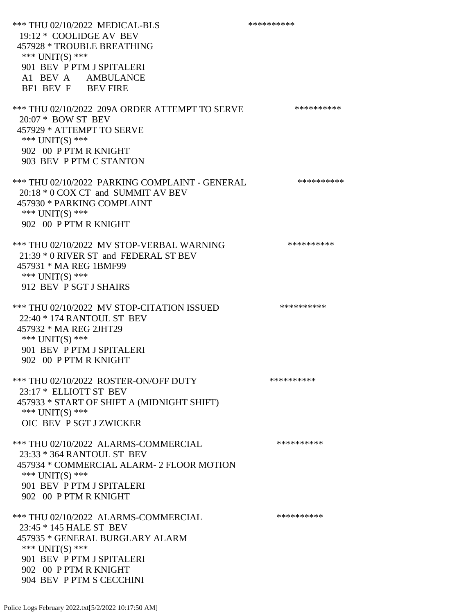\*\*\* THU 02/10/2022 MEDICAL-BLS \*\*\*\*\*\*\*\*\*\*\*\*\* 19:12 \* COOLIDGE AV BEV 457928 \* TROUBLE BREATHING \*\*\* UNIT(S) \*\*\* 901 BEV P PTM J SPITALERI A1 BEV A AMBULANCE BF1 BEV F BEV FIRE \*\*\* THU 02/10/2022 209A ORDER ATTEMPT TO SERVE \*\*\*\*\*\*\*\*\*\* 20:07 \* BOW ST BEV 457929 \* ATTEMPT TO SERVE \*\*\* UNIT(S) \*\*\* 902 00 P PTM R KNIGHT 903 BEV P PTM C STANTON \*\*\* THU 02/10/2022 PARKING COMPLAINT - GENERAL \*\*\*\*\*\*\*\*\*\* 20:18 \* 0 COX CT and SUMMIT AV BEV 457930 \* PARKING COMPLAINT \*\*\* UNIT(S) \*\*\* 902 00 P PTM R KNIGHT \*\*\* THU 02/10/2022 MV STOP-VERBAL WARNING \*\*\*\*\*\*\*\*\*\*\*\*\* 21:39 \* 0 RIVER ST and FEDERAL ST BEV 457931 \* MA REG 1BMF99 \*\*\* UNIT(S) \*\*\* 912 BEV P SGT J SHAIRS \*\*\* THU 02/10/2022 MV STOP-CITATION ISSUED \*\*\*\*\*\*\*\*\*\* 22:40 \* 174 RANTOUL ST BEV 457932 \* MA REG 2JHT29 \*\*\* UNIT(S) \*\*\* 901 BEV P PTM J SPITALERI 902 00 P PTM R KNIGHT \*\*\* THU 02/10/2022 ROSTER-ON/OFF DUTY \*\*\*\*\*\*\*\*\*\*\*\* 23:17 \* ELLIOTT ST BEV 457933 \* START OF SHIFT A (MIDNIGHT SHIFT) \*\*\* UNIT(S) \*\*\* OIC BEV P SGT J ZWICKER \*\*\* THU 02/10/2022 ALARMS-COMMERCIAL \*\*\*\*\*\*\*\*\*\*\*\* 23:33 \* 364 RANTOUL ST BEV 457934 \* COMMERCIAL ALARM- 2 FLOOR MOTION \*\*\* UNIT(S) \*\*\* 901 BEV P PTM J SPITALERI 902 00 P PTM R KNIGHT \*\*\* THU 02/10/2022 ALARMS-COMMERCIAL \*\*\*\*\*\*\*\*\*\* 23:45 \* 145 HALE ST BEV 457935 \* GENERAL BURGLARY ALARM \*\*\*  $UNIT(S)$  \*\*\* 901 BEV P PTM J SPITALERI 902 00 P PTM R KNIGHT 904 BEV P PTM S CECCHINI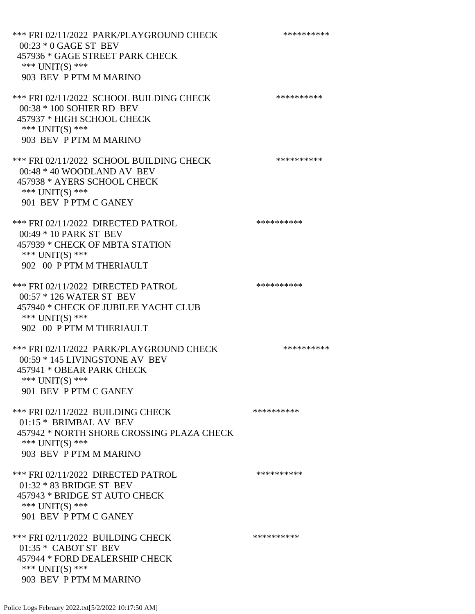\*\*\* FRI 02/11/2022 PARK/PLAYGROUND CHECK \*\*\*\*\*\*\*\*\*\*\*\* 00:23 \* 0 GAGE ST BEV 457936 \* GAGE STREET PARK CHECK \*\*\* UNIT(S) \*\*\* 903 BEV P PTM M MARINO \*\*\* FRI 02/11/2022 SCHOOL BUILDING CHECK \*\*\*\*\*\*\*\*\*\*\* 00:38 \* 100 SOHIER RD BEV 457937 \* HIGH SCHOOL CHECK \*\*\* UNIT(S) \*\*\* 903 BEV P PTM M MARINO \*\*\* FRI 02/11/2022 SCHOOL BUILDING CHECK \*\*\*\*\*\*\*\*\*\* 00:48 \* 40 WOODLAND AV BEV 457938 \* AYERS SCHOOL CHECK \*\*\* UNIT(S) \*\*\* 901 BEV P PTM C GANEY \*\*\* FRI 02/11/2022 DIRECTED PATROL \*\*\*\*\*\*\*\*\*\* 00:49 \* 10 PARK ST BEV 457939 \* CHECK OF MBTA STATION \*\*\* UNIT(S) \*\*\* 902 00 P PTM M THERIAULT \*\*\* FRI 02/11/2022 DIRECTED PATROL \*\*\*\*\*\*\*\*\*\*\*\* 00:57 \* 126 WATER ST BEV 457940 \* CHECK OF JUBILEE YACHT CLUB \*\*\* UNIT(S) \*\*\* 902 00 P PTM M THERIAULT \*\*\* FRI 02/11/2022 PARK/PLAYGROUND CHECK \*\*\*\*\*\*\*\*\*\*\*\* 00:59 \* 145 LIVINGSTONE AV BEV 457941 \* OBEAR PARK CHECK \*\*\* UNIT(S) \*\*\* 901 BEV P PTM C GANEY \*\*\* FRI 02/11/2022 BUILDING CHECK \*\*\*\*\*\*\*\*\*\*\*\*\* 01:15 \* BRIMBAL AV BEV 457942 \* NORTH SHORE CROSSING PLAZA CHECK \*\*\* UNIT(S) \*\*\* 903 BEV P PTM M MARINO \*\*\* FRI 02/11/2022 DIRECTED PATROL \*\*\*\*\*\*\*\*\*\* 01:32 \* 83 BRIDGE ST BEV 457943 \* BRIDGE ST AUTO CHECK \*\*\* UNIT(S) \*\*\* 901 BEV P PTM C GANEY \*\*\* FRI 02/11/2022 BUILDING CHECK \*\*\*\*\*\*\*\*\*\*\* 01:35 \* CABOT ST BEV 457944 \* FORD DEALERSHIP CHECK \*\*\* UNIT(S) \*\*\* 903 BEV P PTM M MARINO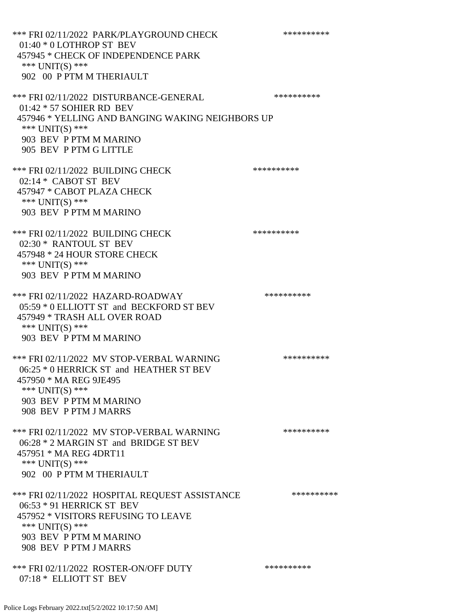\*\*\* FRI 02/11/2022 PARK/PLAYGROUND CHECK \*\*\*\*\*\*\*\*\*\*\*\* 01:40 \* 0 LOTHROP ST BEV 457945 \* CHECK OF INDEPENDENCE PARK \*\*\* UNIT(S) \*\*\* 902 00 P PTM M THERIAULT \*\*\* FRI 02/11/2022 DISTURBANCE-GENERAL \*\*\*\*\*\*\*\*\*\* 01:42 \* 57 SOHIER RD BEV 457946 \* YELLING AND BANGING WAKING NEIGHBORS UP \*\*\* UNIT(S) \*\*\* 903 BEV P PTM M MARINO 905 BEV P PTM G LITTLE \*\*\* FRI 02/11/2022 BUILDING CHECK \*\*\*\*\*\*\*\*\*\*\* 02:14 \* CABOT ST BEV 457947 \* CABOT PLAZA CHECK \*\*\* UNIT(S) \*\*\* 903 BEV P PTM M MARINO \*\*\* FRI 02/11/2022 BUILDING CHECK \*\*\*\*\*\*\*\*\*\*\* 02:30 \* RANTOUL ST BEV 457948 \* 24 HOUR STORE CHECK \*\*\* UNIT(S) \*\*\* 903 BEV P PTM M MARINO \*\*\* FRI 02/11/2022 HAZARD-ROADWAY \*\*\*\*\*\*\*\*\*\* 05:59 \* 0 ELLIOTT ST and BECKFORD ST BEV 457949 \* TRASH ALL OVER ROAD \*\*\* UNIT(S) \*\*\* 903 BEV P PTM M MARINO \*\*\* FRI 02/11/2022 MV STOP-VERBAL WARNING \*\*\*\*\*\*\*\*\*\*\*\* 06:25 \* 0 HERRICK ST and HEATHER ST BEV 457950 \* MA REG 9JE495 \*\*\* UNIT(S) \*\*\* 903 BEV P PTM M MARINO 908 BEV P PTM J MARRS \*\*\* FRI 02/11/2022 MV STOP-VERBAL WARNING \*\*\*\*\*\*\*\*\*\*\*\*\* 06:28 \* 2 MARGIN ST and BRIDGE ST BEV 457951 \* MA REG 4DRT11 \*\*\* UNIT(S) \*\*\* 902 00 P PTM M THERIAULT \*\*\* FRI 02/11/2022 HOSPITAL REQUEST ASSISTANCE \*\*\*\*\*\*\*\*\*\* 06:53 \* 91 HERRICK ST BEV 457952 \* VISITORS REFUSING TO LEAVE \*\*\* UNIT(S) \*\*\* 903 BEV P PTM M MARINO 908 BEV P PTM J MARRS \*\*\* FRI 02/11/2022 ROSTER-ON/OFF DUTY \*\*\*\*\*\*\*\*\*\* 07:18 \* ELLIOTT ST BEV

Police Logs February 2022.txt[5/2/2022 10:17:50 AM]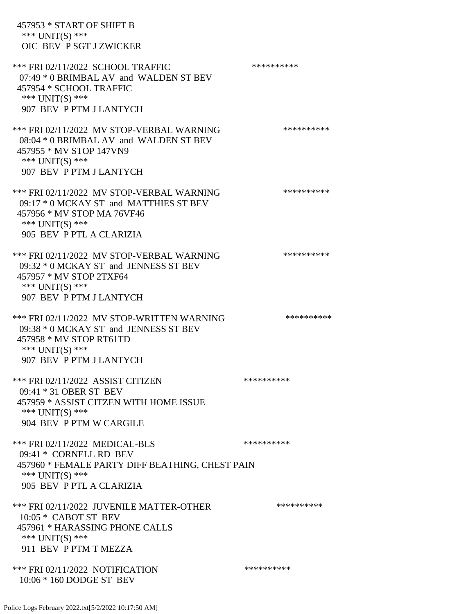457953 \* START OF SHIFT B \*\*\* UNIT(S) \*\*\* OIC BEV P SGT J ZWICKER \*\*\* FRI 02/11/2022 SCHOOL TRAFFIC \*\*\*\*\*\*\*\*\*\*\*\*\* 07:49 \* 0 BRIMBAL AV and WALDEN ST BEV 457954 \* SCHOOL TRAFFIC \*\*\* UNIT(S) \*\*\* 907 BEV P PTM J LANTYCH \*\*\* FRI 02/11/2022 MV STOP-VERBAL WARNING \*\*\*\*\*\*\*\*\*\*\*\* 08:04 \* 0 BRIMBAL AV and WALDEN ST BEV 457955 \* MV STOP 147VN9 \*\*\* UNIT(S) \*\*\* 907 BEV P PTM J LANTYCH \*\*\* FRI 02/11/2022 MV STOP-VERBAL WARNING \*\*\*\*\*\*\*\*\*\*\*\* 09:17 \* 0 MCKAY ST and MATTHIES ST BEV 457956 \* MV STOP MA 76VF46 \*\*\* UNIT(S) \*\*\* 905 BEV P PTL A CLARIZIA \*\*\* FRI 02/11/2022 MV STOP-VERBAL WARNING \*\*\*\*\*\*\*\*\*\*\*\* 09:32 \* 0 MCKAY ST and JENNESS ST BEV 457957 \* MV STOP 2TXF64 \*\*\* UNIT(S) \*\*\* 907 BEV P PTM J LANTYCH \*\*\* FRI 02/11/2022 MV STOP-WRITTEN WARNING \*\*\*\*\*\*\*\*\*\*\*\*\* 09:38 \* 0 MCKAY ST and JENNESS ST BEV 457958 \* MV STOP RT61TD \*\*\* UNIT(S) \*\*\* 907 BEV P PTM J LANTYCH \*\*\* FRI 02/11/2022 ASSIST CITIZEN \*\*\*\*\*\*\*\*\*\* 09:41 \* 31 OBER ST BEV 457959 \* ASSIST CITZEN WITH HOME ISSUE \*\*\* UNIT(S) \*\*\* 904 BEV P PTM W CARGILE \*\*\* FRI 02/11/2022 MEDICAL-BLS \*\*\*\*\*\*\*\*\*\*\*\*\* 09:41 \* CORNELL RD BEV 457960 \* FEMALE PARTY DIFF BEATHING, CHEST PAIN \*\*\* UNIT(S) \*\*\* 905 BEV P PTL A CLARIZIA \*\*\* FRI 02/11/2022 JUVENILE MATTER-OTHER \*\*\*\*\*\*\*\*\*\* 10:05 \* CABOT ST BEV 457961 \* HARASSING PHONE CALLS \*\*\* UNIT(S) \*\*\* 911 BEV P PTM T MEZZA \*\*\* FRI 02/11/2022 NOTIFICATION \*\*\*\*\*\*\*\*\*\* 10:06 \* 160 DODGE ST BEV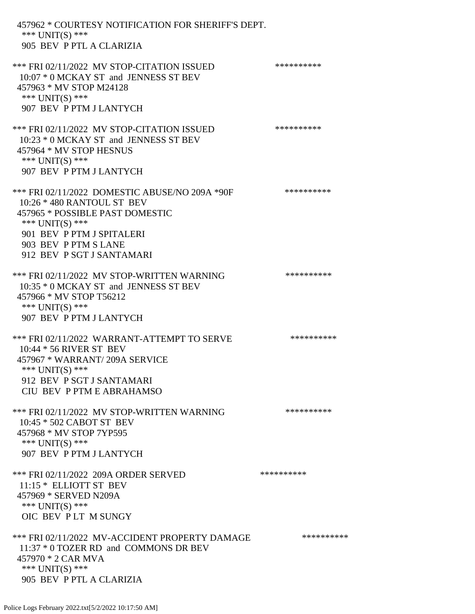| 457962 * COURTESY NOTIFICATION FOR SHERIFF'S DEPT.<br>*** UNIT(S) ***<br>905 BEV P PTL A CLARIZIA                                                                                                                    |            |
|----------------------------------------------------------------------------------------------------------------------------------------------------------------------------------------------------------------------|------------|
| *** FRI 02/11/2022 MV STOP-CITATION ISSUED<br>10:07 * 0 MCKAY ST and JENNESS ST BEV<br>457963 * MV STOP M24128<br>*** $UNIT(S)$ ***<br>907 BEV P PTM J LANTYCH                                                       | ********** |
| *** FRI 02/11/2022 MV STOP-CITATION ISSUED<br>10:23 * 0 MCKAY ST and JENNESS ST BEV<br>457964 * MV STOP HESNUS<br>*** $UNIT(S)$ ***<br>907 BEV P PTM J LANTYCH                                                       | ********** |
| *** FRI 02/11/2022 DOMESTIC ABUSE/NO 209A *90F<br>10:26 * 480 RANTOUL ST BEV<br>457965 * POSSIBLE PAST DOMESTIC<br>*** UNIT(S) ***<br>901 BEV P PTM J SPITALERI<br>903 BEV P PTM S LANE<br>912 BEV P SGT J SANTAMARI | ********** |
| *** FRI 02/11/2022 MV STOP-WRITTEN WARNING<br>10:35 * 0 MCKAY ST and JENNESS ST BEV<br>457966 * MV STOP T56212<br>*** UNIT(S) ***<br>907 BEV P PTM J LANTYCH                                                         | ********** |
| *** FRI 02/11/2022 WARRANT-ATTEMPT TO SERVE<br>10:44 * 56 RIVER ST BEV<br>457967 * WARRANT/209A SERVICE<br>*** UNIT(S) ***<br>912 BEV P SGT J SANTAMARI<br>CIU BEV P PTM E ABRAHAMSO                                 | ********** |
| *** FRI 02/11/2022 MV STOP-WRITTEN WARNING<br>10:45 * 502 CABOT ST BEV<br>457968 * MV STOP 7YP595<br>*** UNIT(S) ***<br>907 BEV P PTM J LANTYCH                                                                      | ********** |
| *** FRI 02/11/2022 209A ORDER SERVED<br>11:15 * ELLIOTT ST BEV<br>457969 * SERVED N209A<br>*** UNIT(S) ***<br>OIC BEV PLT M SUNGY                                                                                    | ********** |
| *** FRI 02/11/2022 MV-ACCIDENT PROPERTY DAMAGE<br>11:37 * 0 TOZER RD and COMMONS DR BEV<br>457970 * 2 CAR MVA<br>*** $UNIT(S)$ ***<br>905 BEV P PTL A CLARIZIA                                                       | ********** |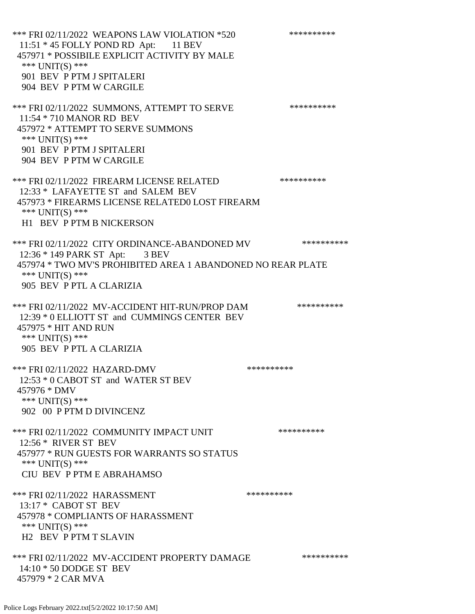\*\*\* FRI 02/11/2022 WEAPONS LAW VIOLATION \*520 \*\*\*\*\*\*\*\*\*\* 11:51 \* 45 FOLLY POND RD Apt: 11 BEV 457971 \* POSSIBILE EXPLICIT ACTIVITY BY MALE \*\*\* UNIT(S) \*\*\* 901 BEV P PTM J SPITALERI 904 BEV P PTM W CARGILE \*\*\* FRI 02/11/2022 SUMMONS, ATTEMPT TO SERVE \*\*\*\*\*\*\*\*\*\* 11:54 \* 710 MANOR RD BEV 457972 \* ATTEMPT TO SERVE SUMMONS \*\*\*  $UNIT(S)$  \*\*\* 901 BEV P PTM J SPITALERI 904 BEV P PTM W CARGILE \*\*\* FRI 02/11/2022 FIREARM LICENSE RELATED \*\*\*\*\*\*\*\*\*\* 12:33 \* LAFAYETTE ST and SALEM BEV 457973 \* FIREARMS LICENSE RELATED0 LOST FIREARM \*\*\* UNIT(S) \*\*\* H1 BEV P PTM B NICKERSON \*\*\* FRI 02/11/2022 CITY ORDINANCE-ABANDONED MV \*\*\*\*\*\*\*\*\*\* 12:36 \* 149 PARK ST Apt: 3 BEV 457974 \* TWO MV'S PROHIBITED AREA 1 ABANDONED NO REAR PLATE \*\*\* UNIT(S) \*\*\* 905 BEV P PTL A CLARIZIA \*\*\* FRI 02/11/2022 MV-ACCIDENT HIT-RUN/PROP DAM \*\*\*\*\*\*\*\*\*\* 12:39 \* 0 ELLIOTT ST and CUMMINGS CENTER BEV 457975 \* HIT AND RUN \*\*\* UNIT(S) \*\*\* 905 BEV P PTL A CLARIZIA \*\*\* FRI 02/11/2022 HAZARD-DMV \*\*\*\*\*\*\*\*\*\* 12:53 \* 0 CABOT ST and WATER ST BEV 457976 \* DMV \*\*\* UNIT(S) \*\*\* 902 00 P PTM D DIVINCENZ \*\*\* FRI 02/11/2022 COMMUNITY IMPACT UNIT \*\*\*\*\*\*\*\*\*\*\*\*\* 12:56 \* RIVER ST BEV 457977 \* RUN GUESTS FOR WARRANTS SO STATUS \*\*\* UNIT(S) \*\*\* CIU BEV P PTM E ABRAHAMSO \*\*\* FRI 02/11/2022 HARASSMENT \*\*\*\*\*\*\*\*\*\*\*\*\*\* 13:17 \* CABOT ST BEV 457978 \* COMPLIANTS OF HARASSMENT \*\*\* UNIT(S) \*\*\* H2 BEV P PTM T SLAVIN \*\*\* FRI 02/11/2022 MV-ACCIDENT PROPERTY DAMAGE \*\*\*\*\*\*\*\*\*\* 14:10 \* 50 DODGE ST BEV 457979 \* 2 CAR MVA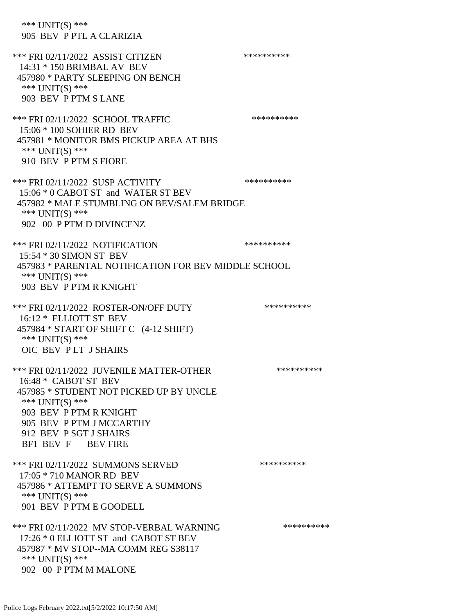\*\*\* UNIT(S) \*\*\* 905 BEV P PTL A CLARIZIA \*\*\* FRI 02/11/2022 ASSIST CITIZEN \*\*\*\*\*\*\*\*\*\*\* 14:31 \* 150 BRIMBAL AV BEV 457980 \* PARTY SLEEPING ON BENCH \*\*\* UNIT(S) \*\*\* 903 BEV P PTM S LANE \*\*\* FRI 02/11/2022 SCHOOL TRAFFIC \*\*\*\*\*\*\*\*\*\*\*\* 15:06 \* 100 SOHIER RD BEV 457981 \* MONITOR BMS PICKUP AREA AT BHS \*\*\* UNIT(S) \*\*\* 910 BEV P PTM S FIORE \*\*\* FRI 02/11/2022 SUSP ACTIVITY \*\*\*\*\*\*\*\*\*\*\*\*\*\* 15:06 \* 0 CABOT ST and WATER ST BEV 457982 \* MALE STUMBLING ON BEV/SALEM BRIDGE \*\*\* UNIT(S) \*\*\* 902 00 P PTM D DIVINCENZ \*\*\* FRI 02/11/2022 NOTIFICATION \*\*\*\*\*\*\*\*\*\*\* 15:54 \* 30 SIMON ST BEV 457983 \* PARENTAL NOTIFICATION FOR BEV MIDDLE SCHOOL \*\*\* UNIT(S) \*\*\* 903 BEV P PTM R KNIGHT \*\*\* FRI 02/11/2022 ROSTER-ON/OFF DUTY \*\*\*\*\*\*\*\*\*\*\*\* 16:12 \* ELLIOTT ST BEV 457984 \* START OF SHIFT C (4-12 SHIFT) \*\*\* UNIT(S) \*\*\* OIC BEV P LT J SHAIRS \*\*\* FRI 02/11/2022 JUVENILE MATTER-OTHER \*\*\*\*\*\*\*\*\*\* 16:48 \* CABOT ST BEV 457985 \* STUDENT NOT PICKED UP BY UNCLE \*\*\* UNIT(S) \*\*\* 903 BEV P PTM R KNIGHT 905 BEV P PTM J MCCARTHY 912 BEV P SGT J SHAIRS BF1 BEV F BEV FIRE \*\*\* FRI 02/11/2022 SUMMONS SERVED \*\*\*\*\*\*\*\*\*\* 17:05 \* 710 MANOR RD BEV 457986 \* ATTEMPT TO SERVE A SUMMONS \*\*\* UNIT(S) \*\*\* 901 BEV P PTM E GOODELL \*\*\* FRI 02/11/2022 MV STOP-VERBAL WARNING \*\*\*\*\*\*\*\*\*\*\*\* 17:26 \* 0 ELLIOTT ST and CABOT ST BEV 457987 \* MV STOP--MA COMM REG S38117 \*\*\* UNIT(S) \*\*\* 902 00 P PTM M MALONE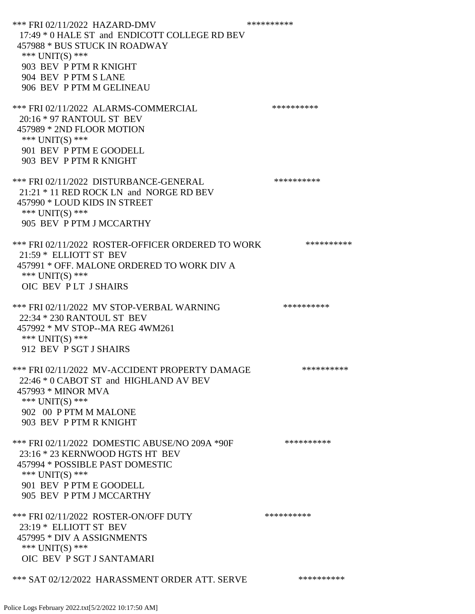\*\*\* FRI 02/11/2022 HAZARD-DMV \*\*\*\*\*\*\*\*\*\* 17:49 \* 0 HALE ST and ENDICOTT COLLEGE RD BEV 457988 \* BUS STUCK IN ROADWAY \*\*\* UNIT(S) \*\*\* 903 BEV P PTM R KNIGHT 904 BEV P PTM S LANE 906 BEV P PTM M GELINEAU \*\*\* FRI 02/11/2022 ALARMS-COMMERCIAL \*\*\*\*\*\*\*\*\*\* 20:16 \* 97 RANTOUL ST BEV 457989 \* 2ND FLOOR MOTION \*\*\* UNIT(S) \*\*\* 901 BEV P PTM E GOODELL 903 BEV P PTM R KNIGHT \*\*\* FRI 02/11/2022 DISTURBANCE-GENERAL \*\*\*\*\*\*\*\*\*\* 21:21 \* 11 RED ROCK LN and NORGE RD BEV 457990 \* LOUD KIDS IN STREET \*\*\* UNIT(S) \*\*\* 905 BEV P PTM J MCCARTHY \*\*\* FRI 02/11/2022 ROSTER-OFFICER ORDERED TO WORK \*\*\*\*\*\*\*\*\*\*\* 21:59 \* ELLIOTT ST BEV 457991 \* OFF. MALONE ORDERED TO WORK DIV A \*\*\* UNIT(S) \*\*\* OIC BEV P LT J SHAIRS \*\*\* FRI 02/11/2022 MV STOP-VERBAL WARNING \*\*\*\*\*\*\*\*\*\*\*\* 22:34 \* 230 RANTOUL ST BEV 457992 \* MV STOP--MA REG 4WM261 \*\*\* UNIT(S) \*\*\* 912 BEV P SGT J SHAIRS \*\*\* FRI 02/11/2022 MV-ACCIDENT PROPERTY DAMAGE \*\*\*\*\*\*\*\*\*\* 22:46 \* 0 CABOT ST and HIGHLAND AV BEV 457993 \* MINOR MVA \*\*\* UNIT(S) \*\*\* 902 00 P PTM M MALONE 903 BEV P PTM R KNIGHT \*\*\* FRI 02/11/2022 DOMESTIC ABUSE/NO 209A \*90F \*\*\*\*\*\*\*\*\*\* 23:16 \* 23 KERNWOOD HGTS HT BEV 457994 \* POSSIBLE PAST DOMESTIC \*\*\* UNIT(S) \*\*\* 901 BEV P PTM E GOODELL 905 BEV P PTM J MCCARTHY \*\*\* FRI 02/11/2022 ROSTER-ON/OFF DUTY \*\*\*\*\*\*\*\*\*\*\* 23:19 \* ELLIOTT ST BEV 457995 \* DIV A ASSIGNMENTS \*\*\* UNIT(S) \*\*\* OIC BEV P SGT J SANTAMARI \*\*\* SAT 02/12/2022 HARASSMENT ORDER ATT. SERVE \*\*\*\*\*\*\*\*\*\*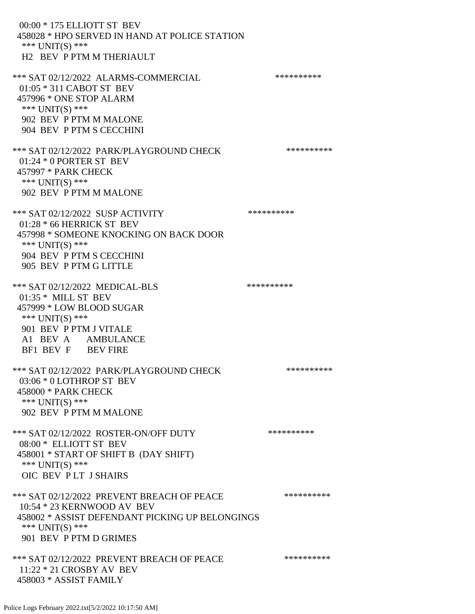00:00 \* 175 ELLIOTT ST BEV 458028 \* HPO SERVED IN HAND AT POLICE STATION \*\*\* UNIT(S) \*\*\* H2 BEV P PTM M THERIAULT \*\*\* SAT 02/12/2022 ALARMS-COMMERCIAL \*\*\*\*\*\*\*\*\*\* 01:05 \* 311 CABOT ST BEV 457996 \* ONE STOP ALARM  $***$  UNIT(S)  $***$  902 BEV P PTM M MALONE 904 BEV P PTM S CECCHINI \*\*\* SAT 02/12/2022 PARK/PLAYGROUND CHECK \*\*\*\*\*\*\*\*\*\*\*\* 01:24 \* 0 PORTER ST BEV 457997 \* PARK CHECK \*\*\* UNIT(S) \*\*\* 902 BEV P PTM M MALONE \*\*\* SAT 02/12/2022 SUSP ACTIVITY \*\*\*\*\*\*\*\*\*\*\*\* 01:28 \* 66 HERRICK ST BEV 457998 \* SOMEONE KNOCKING ON BACK DOOR \*\*\* UNIT(S) \*\*\* 904 BEV P PTM S CECCHINI 905 BEV P PTM G LITTLE \*\*\* SAT 02/12/2022 MEDICAL-BLS \*\*\*\*\*\*\*\*\*\*\*\*\*\*\* 01:35 \* MILL ST BEV 457999 \* LOW BLOOD SUGAR \*\*\* UNIT(S) \*\*\* 901 BEV P PTM J VITALE A1 BEV A AMBULANCE BF1 BEV F BEV FIRE \*\*\* SAT 02/12/2022 PARK/PLAYGROUND CHECK \*\*\*\*\*\*\*\*\*\*\*\* 03:06 \* 0 LOTHROP ST BEV 458000 \* PARK CHECK \*\*\* UNIT(S) \*\*\* 902 BEV P PTM M MALONE \*\*\* SAT 02/12/2022 ROSTER-ON/OFF DUTY \*\*\*\*\*\*\*\*\*\* 08:00 \* ELLIOTT ST BEV 458001 \* START OF SHIFT B (DAY SHIFT) \*\*\* UNIT(S) \*\*\* OIC BEV P LT J SHAIRS \*\*\* SAT 02/12/2022 PREVENT BREACH OF PEACE \*\*\*\*\*\*\*\*\*\*\*\* 10:54 \* 23 KERNWOOD AV BEV 458002 \* ASSIST DEFENDANT PICKING UP BELONGINGS \*\*\* UNIT(S) \*\*\* 901 BEV P PTM D GRIMES \*\*\* SAT 02/12/2022 PREVENT BREACH OF PEACE \*\*\*\*\*\*\*\*\*\* 11:22 \* 21 CROSBY AV BEV 458003 \* ASSIST FAMILY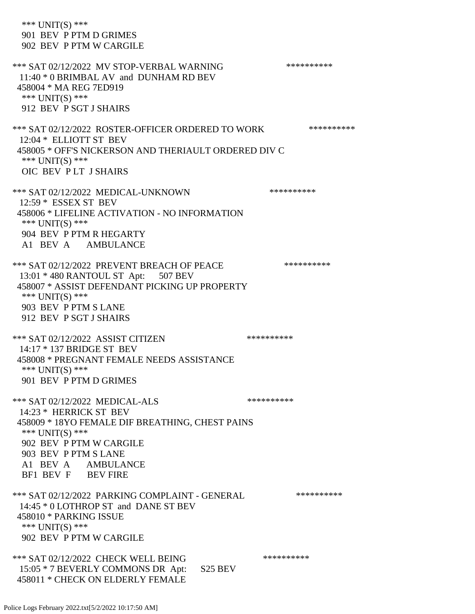\*\*\* UNIT(S) \*\*\* 901 BEV P PTM D GRIMES 902 BEV P PTM W CARGILE \*\*\* SAT 02/12/2022 MV STOP-VERBAL WARNING \*\*\*\*\*\*\*\*\*\*\*\*\* 11:40 \* 0 BRIMBAL AV and DUNHAM RD BEV 458004 \* MA REG 7ED919 \*\*\* UNIT(S) \*\*\* 912 BEV P SGT J SHAIRS \*\*\* SAT 02/12/2022 ROSTER-OFFICER ORDERED TO WORK \*\*\*\*\*\*\*\*\*\*\*\* 12:04 \* ELLIOTT ST BEV 458005 \* OFF'S NICKERSON AND THERIAULT ORDERED DIV C \*\*\* UNIT(S) \*\*\* OIC BEV P LT J SHAIRS \*\*\* SAT 02/12/2022 MEDICAL-UNKNOWN \*\*\*\*\*\*\*\*\*\* 12:59 \* ESSEX ST BEV 458006 \* LIFELINE ACTIVATION - NO INFORMATION \*\*\* UNIT(S) \*\*\* 904 BEV P PTM R HEGARTY A1 BEV A AMBULANCE \*\*\* SAT 02/12/2022 PREVENT BREACH OF PEACE \*\*\*\*\*\*\*\*\*\*\*\* 13:01 \* 480 RANTOUL ST Apt: 507 BEV 458007 \* ASSIST DEFENDANT PICKING UP PROPERTY \*\*\* UNIT(S) \*\*\* 903 BEV P PTM S LANE 912 BEV P SGT J SHAIRS \*\*\* SAT 02/12/2022 ASSIST CITIZEN \*\*\*\*\*\*\*\*\*\*\*\* 14:17 \* 137 BRIDGE ST BEV 458008 \* PREGNANT FEMALE NEEDS ASSISTANCE \*\*\* UNIT(S) \*\*\* 901 BEV P PTM D GRIMES \*\*\* SAT 02/12/2022 MEDICAL-ALS \*\*\*\*\*\*\*\*\*\*\*\*\* 14:23 \* HERRICK ST BEV 458009 \* 18YO FEMALE DIF BREATHING, CHEST PAINS \*\*\* UNIT(S) \*\*\* 902 BEV P PTM W CARGILE 903 BEV P PTM S LANE A1 BEV A AMBULANCE BF1 BEV F BEV FIRE \*\*\* SAT 02/12/2022 PARKING COMPLAINT - GENERAL \*\*\*\*\*\*\*\*\*\*\*\* 14:45 \* 0 LOTHROP ST and DANE ST BEV 458010 \* PARKING ISSUE \*\*\* UNIT(S) \*\*\* 902 BEV P PTM W CARGILE \*\*\* SAT 02/12/2022 CHECK WELL BEING \*\*\*\*\*\*\*\*\*\* 15:05 \* 7 BEVERLY COMMONS DR Apt: S25 BEV 458011 \* CHECK ON ELDERLY FEMALE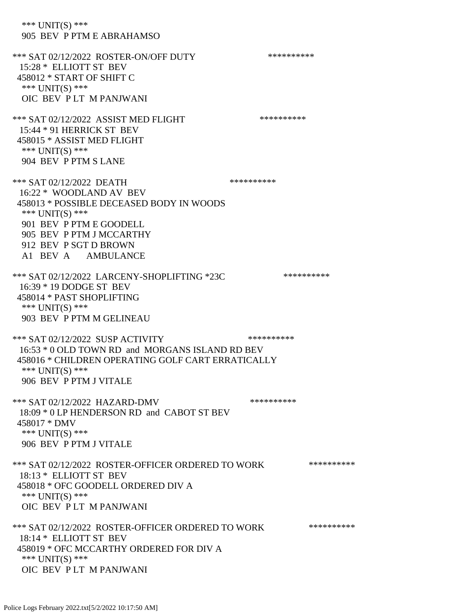\*\*\* UNIT(S) \*\*\* 905 BEV P PTM E ABRAHAMSO \*\*\* SAT 02/12/2022 ROSTER-ON/OFF DUTY \*\*\*\*\*\*\*\*\*\* 15:28 \* ELLIOTT ST BEV 458012 \* START OF SHIFT C \*\*\* UNIT(S) \*\*\* OIC BEV P LT M PANJWANI \*\*\* SAT 02/12/2022 ASSIST MED FLIGHT \*\*\*\*\*\*\*\*\*\*\*\*\*\* 15:44 \* 91 HERRICK ST BEV 458015 \* ASSIST MED FLIGHT \*\*\* UNIT(S) \*\*\* 904 BEV P PTM S LANE \*\*\* SAT 02/12/2022 DEATH \*\*\*\*\*\*\*\*\*\*\*\*\*\*\* 16:22 \* WOODLAND AV BEV 458013 \* POSSIBLE DECEASED BODY IN WOODS \*\*\* UNIT(S) \*\*\* 901 BEV P PTM E GOODELL 905 BEV P PTM J MCCARTHY 912 BEV P SGT D BROWN A1 BEV A AMBULANCE \*\*\* SAT 02/12/2022 LARCENY-SHOPLIFTING \*23C \*\*\*\*\*\*\*\*\*\*\*\* 16:39 \* 19 DODGE ST BEV 458014 \* PAST SHOPLIFTING \*\*\* UNIT(S) \*\*\* 903 BEV P PTM M GELINEAU \*\*\* SAT 02/12/2022 SUSP ACTIVITY \*\*\*\*\*\*\*\*\*\*\*\*\* 16:53 \* 0 OLD TOWN RD and MORGANS ISLAND RD BEV 458016 \* CHILDREN OPERATING GOLF CART ERRATICALLY \*\*\* UNIT(S) \*\*\* 906 BEV P PTM J VITALE \*\*\* SAT 02/12/2022 HAZARD-DMV \*\*\*\*\*\*\*\*\*\*\*\*\* 18:09 \* 0 LP HENDERSON RD and CABOT ST BEV 458017 \* DMV \*\*\* UNIT(S) \*\*\* 906 BEV P PTM J VITALE \*\*\* SAT 02/12/2022 ROSTER-OFFICER ORDERED TO WORK \*\*\*\*\*\*\*\*\*\*\*\* 18:13 \* ELLIOTT ST BEV 458018 \* OFC GOODELL ORDERED DIV A \*\*\* UNIT(S) \*\*\* OIC BEV P LT M PANJWANI \*\*\* SAT 02/12/2022 ROSTER-OFFICER ORDERED TO WORK \*\*\*\*\*\*\*\*\*\*\*\* 18:14 \* ELLIOTT ST BEV 458019 \* OFC MCCARTHY ORDERED FOR DIV A \*\*\* UNIT(S) \*\*\* OIC BEV P LT M PANJWANI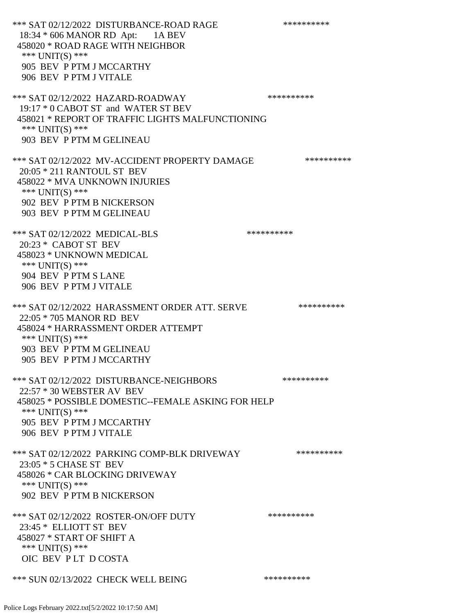\*\*\* SAT 02/12/2022 DISTURBANCE-ROAD RAGE \*\*\*\*\*\*\*\*\*\* 18:34 \* 606 MANOR RD Apt: 1A BEV 458020 \* ROAD RAGE WITH NEIGHBOR \*\*\* UNIT(S) \*\*\* 905 BEV P PTM J MCCARTHY 906 BEV P PTM J VITALE \*\*\* SAT 02/12/2022 HAZARD-ROADWAY \*\*\*\*\*\*\*\*\*\* 19:17 \* 0 CABOT ST and WATER ST BEV 458021 \* REPORT OF TRAFFIC LIGHTS MALFUNCTIONING \*\*\* UNIT(S) \*\*\* 903 BEV P PTM M GELINEAU \*\*\* SAT 02/12/2022 MV-ACCIDENT PROPERTY DAMAGE \*\*\*\*\*\*\*\*\*\* 20:05 \* 211 RANTOUL ST BEV 458022 \* MVA UNKNOWN INJURIES \*\*\* UNIT(S) \*\*\* 902 BEV P PTM B NICKERSON 903 BEV P PTM M GELINEAU \*\*\* SAT 02/12/2022 MEDICAL-BLS \*\*\*\*\*\*\*\*\*\*\*\* 20:23 \* CABOT ST BEV 458023 \* UNKNOWN MEDICAL \*\*\* UNIT(S) \*\*\* 904 BEV P PTM S LANE 906 BEV P PTM J VITALE \*\*\* SAT 02/12/2022 HARASSMENT ORDER ATT. SERVE \*\*\*\*\*\*\*\*\*\*\*\* 22:05 \* 705 MANOR RD BEV 458024 \* HARRASSMENT ORDER ATTEMPT \*\*\* UNIT(S) \*\*\* 903 BEV P PTM M GELINEAU 905 BEV P PTM J MCCARTHY \*\*\* SAT 02/12/2022 DISTURBANCE-NEIGHBORS \*\*\*\*\*\*\*\*\*\*\*\*\* 22:57 \* 30 WEBSTER AV BEV 458025 \* POSSIBLE DOMESTIC--FEMALE ASKING FOR HELP \*\*\* UNIT(S) \*\*\* 905 BEV P PTM J MCCARTHY 906 BEV P PTM J VITALE \*\*\* SAT 02/12/2022 PARKING COMP-BLK DRIVEWAY \*\*\*\*\*\*\*\*\*\*\*\* 23:05 \* 5 CHASE ST BEV 458026 \* CAR BLOCKING DRIVEWAY  $***$  UNIT(S)  $***$  902 BEV P PTM B NICKERSON \*\*\* SAT 02/12/2022 ROSTER-ON/OFF DUTY \*\*\*\*\*\*\*\*\*\* 23:45 \* ELLIOTT ST BEV 458027 \* START OF SHIFT A \*\*\* UNIT(S) \*\*\* OIC BEV P LT D COSTA \*\*\* SUN 02/13/2022 CHECK WELL BEING \*\*\*\*\*\*\*\*\*\*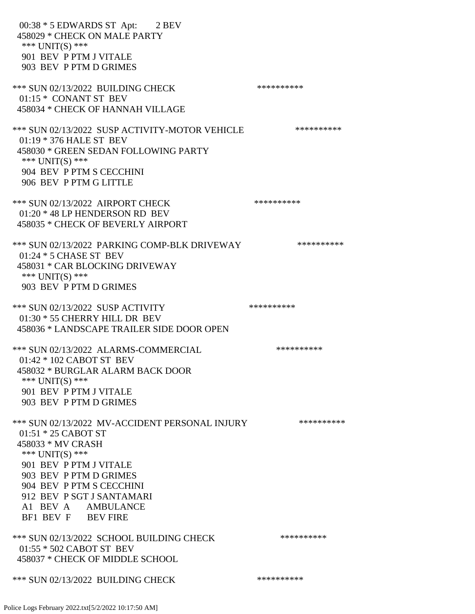00:38 \* 5 EDWARDS ST Apt: 2 BEV 458029 \* CHECK ON MALE PARTY \*\*\* UNIT(S) \*\*\* 901 BEV P PTM J VITALE 903 BEV P PTM D GRIMES \*\*\* SUN 02/13/2022 BUILDING CHECK \*\*\*\*\*\*\*\*\*\*\*\*\* 01:15 \* CONANT ST BEV 458034 \* CHECK OF HANNAH VILLAGE \*\*\* SUN 02/13/2022 SUSP ACTIVITY-MOTOR VEHICLE \*\*\*\*\*\*\*\*\*\*\*\* 01:19 \* 376 HALE ST BEV 458030 \* GREEN SEDAN FOLLOWING PARTY \*\*\* UNIT(S) \*\*\* 904 BEV P PTM S CECCHINI 906 BEV P PTM G LITTLE \*\*\* SUN 02/13/2022 AIRPORT CHECK \*\*\*\*\*\*\*\*\*\*\*\* 01:20 \* 48 LP HENDERSON RD BEV 458035 \* CHECK OF BEVERLY AIRPORT \*\*\* SUN 02/13/2022 PARKING COMP-BLK DRIVEWAY \*\*\*\*\*\*\*\*\*\*\*\* 01:24 \* 5 CHASE ST BEV 458031 \* CAR BLOCKING DRIVEWAY \*\*\* UNIT(S) \*\*\* 903 BEV P PTM D GRIMES \*\*\* SUN 02/13/2022 SUSP ACTIVITY \*\*\*\*\*\*\*\*\*\*\*\* 01:30 \* 55 CHERRY HILL DR BEV 458036 \* LANDSCAPE TRAILER SIDE DOOR OPEN \*\*\* SUN 02/13/2022 ALARMS-COMMERCIAL \*\*\*\*\*\*\*\*\*\* 01:42 \* 102 CABOT ST BEV 458032 \* BURGLAR ALARM BACK DOOR \*\*\* UNIT(S) \*\*\* 901 BEV P PTM J VITALE 903 BEV P PTM D GRIMES \*\*\* SUN 02/13/2022 MV-ACCIDENT PERSONAL INJURY \*\*\*\*\*\*\*\*\*\*\* 01:51 \* 25 CABOT ST 458033 \* MV CRASH \*\*\* UNIT(S) \*\*\* 901 BEV P PTM J VITALE 903 BEV P PTM D GRIMES 904 BEV P PTM S CECCHINI 912 BEV P SGT J SANTAMARI A1 BEV A AMBULANCE BF1 BEV F BEV FIRE \*\*\* SUN 02/13/2022 SCHOOL BUILDING CHECK \*\*\*\*\*\*\*\*\*\*\* 01:55 \* 502 CABOT ST BEV 458037 \* CHECK OF MIDDLE SCHOOL \*\*\* SUN 02/13/2022 BUILDING CHECK \*\*\*\*\*\*\*\*\*\*\*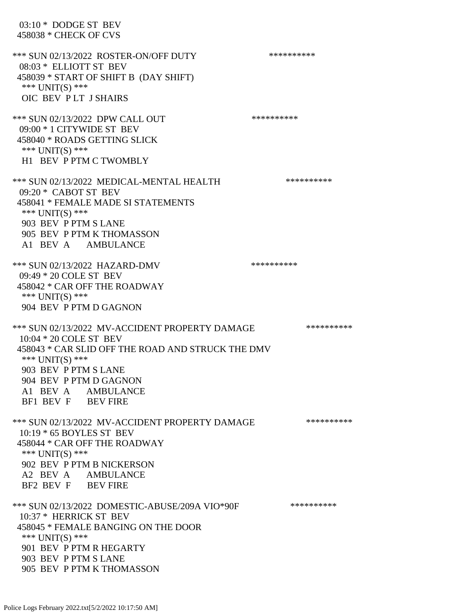03:10 \* DODGE ST BEV 458038 \* CHECK OF CVS \*\*\* SUN 02/13/2022 ROSTER-ON/OFF DUTY \*\*\*\*\*\*\*\*\*\* 08:03 \* ELLIOTT ST BEV 458039 \* START OF SHIFT B (DAY SHIFT) \*\*\* UNIT(S) \*\*\* OIC BEV P LT J SHAIRS \*\*\* SUN 02/13/2022 DPW CALL OUT \*\*\*\*\*\*\*\*\*\*\*\* 09:00 \* 1 CITYWIDE ST BEV 458040 \* ROADS GETTING SLICK \*\*\* UNIT(S) \*\*\* H1 BEV P PTM C TWOMBLY \*\*\* SUN 02/13/2022 MEDICAL-MENTAL HEALTH \*\*\*\*\*\*\*\*\*\* 09:20 \* CABOT ST BEV 458041 \* FEMALE MADE SI STATEMENTS \*\*\* UNIT(S) \*\*\* 903 BEV P PTM S LANE 905 BEV P PTM K THOMASSON A1 BEV A AMBULANCE \*\*\* SUN 02/13/2022 HAZARD-DMV \*\*\*\*\*\*\*\*\*\*\*\* 09:49 \* 20 COLE ST BEV 458042 \* CAR OFF THE ROADWAY \*\*\* UNIT(S) \*\*\* 904 BEV P PTM D GAGNON \*\*\* SUN 02/13/2022 MV-ACCIDENT PROPERTY DAMAGE \*\*\*\*\*\*\*\*\*\*\*\* 10:04 \* 20 COLE ST BEV 458043 \* CAR SLID OFF THE ROAD AND STRUCK THE DMV \*\*\* UNIT(S) \*\*\* 903 BEV P PTM S LANE 904 BEV P PTM D GAGNON A1 BEV A AMBULANCE BF1 BEV F BEV FIRE \*\*\* SUN 02/13/2022 MV-ACCIDENT PROPERTY DAMAGE \*\*\*\*\*\*\*\*\*\*\* 10:19 \* 65 BOYLES ST BEV 458044 \* CAR OFF THE ROADWAY \*\*\* UNIT(S) \*\*\* 902 BEV P PTM B NICKERSON A2 BEV A AMBULANCE BF2 BEV F BEV FIRE \*\*\* SUN 02/13/2022 DOMESTIC-ABUSE/209A VIO\*90F \*\*\*\*\*\*\*\*\*\* 10:37 \* HERRICK ST BEV 458045 \* FEMALE BANGING ON THE DOOR \*\*\* UNIT(S) \*\*\* 901 BEV P PTM R HEGARTY 903 BEV P PTM S LANE 905 BEV P PTM K THOMASSON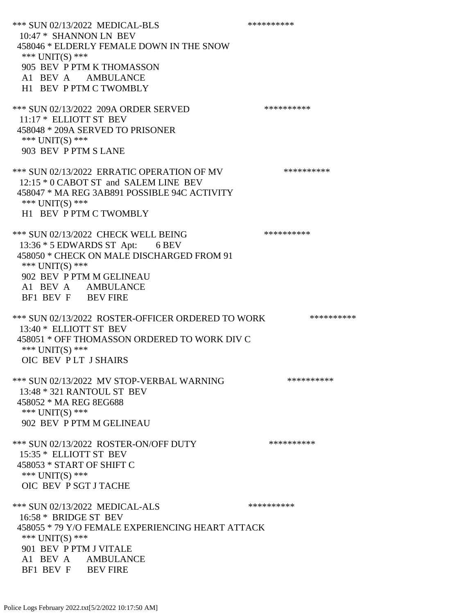\*\*\* SUN 02/13/2022 MEDICAL-BLS \*\*\*\*\*\*\*\*\*\*\*\*\* 10:47 \* SHANNON LN BEV 458046 \* ELDERLY FEMALE DOWN IN THE SNOW \*\*\* UNIT(S) \*\*\* 905 BEV P PTM K THOMASSON A1 BEV A AMBULANCE H1 BEV P PTM C TWOMBLY \*\*\* SUN 02/13/2022 209A ORDER SERVED \*\*\*\*\*\*\*\*\*\* 11:17 \* ELLIOTT ST BEV 458048 \* 209A SERVED TO PRISONER \*\*\* UNIT(S) \*\*\* 903 BEV P PTM S LANE \*\*\* SUN 02/13/2022 ERRATIC OPERATION OF MV \*\*\*\*\*\*\*\*\*\* 12:15 \* 0 CABOT ST and SALEM LINE BEV 458047 \* MA REG 3AB891 POSSIBLE 94C ACTIVITY \*\*\* UNIT(S) \*\*\* H1 BEV P PTM C TWOMBLY \*\*\* SUN 02/13/2022 CHECK WELL BEING \*\*\*\*\*\*\*\*\*\*\*\* 13:36 \* 5 EDWARDS ST Apt: 6 BEV 458050 \* CHECK ON MALE DISCHARGED FROM 91 \*\*\* UNIT(S) \*\*\* 902 BEV P PTM M GELINEAU A1 BEV A AMBULANCE BF1 BEV F BEV FIRE \*\*\* SUN 02/13/2022 ROSTER-OFFICER ORDERED TO WORK \*\*\*\*\*\*\*\*\*\*\* 13:40 \* ELLIOTT ST BEV 458051 \* OFF THOMASSON ORDERED TO WORK DIV C \*\*\* UNIT(S) \*\*\* OIC BEV P LT J SHAIRS \*\*\* SUN 02/13/2022 MV STOP-VERBAL WARNING \*\*\*\*\*\*\*\*\*\*\*\*\* 13:48 \* 321 RANTOUL ST BEV 458052 \* MA REG 8EG688 \*\*\* UNIT(S) \*\*\* 902 BEV P PTM M GELINEAU \*\*\* SUN 02/13/2022 ROSTER-ON/OFF DUTY \*\*\*\*\*\*\*\*\*\* 15:35 \* ELLIOTT ST BEV 458053 \* START OF SHIFT C \*\*\* UNIT(S) \*\*\* OIC BEV P SGT J TACHE \*\*\* SUN 02/13/2022 MEDICAL-ALS \*\*\*\*\*\*\*\*\*\* 16:58 \* BRIDGE ST BEV 458055 \* 79 Y/O FEMALE EXPERIENCING HEART ATTACK \*\*\* UNIT(S) \*\*\* 901 BEV P PTM J VITALE A1 BEV A AMBULANCE BF1 BEV F BEV FIRE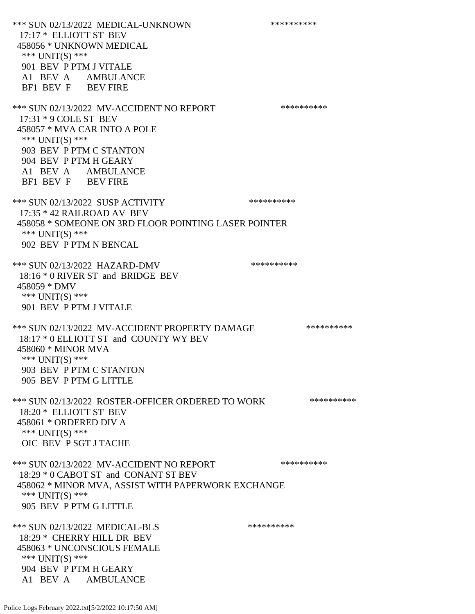\*\*\* SUN 02/13/2022 MEDICAL-UNKNOWN \*\*\*\*\*\*\*\*\*\* 17:17 \* ELLIOTT ST BEV 458056 \* UNKNOWN MEDICAL \*\*\* UNIT(S) \*\*\* 901 BEV P PTM J VITALE A1 BEV A AMBULANCE BF1 BEV F BEV FIRE \*\*\* SUN 02/13/2022 MV-ACCIDENT NO REPORT \*\*\*\*\*\*\*\*\*\*\*\* 17:31 \* 9 COLE ST BEV 458057 \* MVA CAR INTO A POLE \*\*\* UNIT(S) \*\*\* 903 BEV P PTM C STANTON 904 BEV P PTM H GEARY A1 BEV A AMBULANCE BF1 BEV F BEV FIRE \*\*\* SUN 02/13/2022 SUSP ACTIVITY \*\*\*\*\*\*\*\*\*\*\*\*\*\* 17:35 \* 42 RAILROAD AV BEV 458058 \* SOMEONE ON 3RD FLOOR POINTING LASER POINTER \*\*\* UNIT(S) \*\*\* 902 BEV P PTM N BENCAL \*\*\* SUN 02/13/2022 HAZARD-DMV \*\*\*\*\*\*\*\*\*\*\*\* 18:16 \* 0 RIVER ST and BRIDGE BEV 458059 \* DMV \*\*\* UNIT(S) \*\*\* 901 BEV P PTM J VITALE \*\*\* SUN 02/13/2022 MV-ACCIDENT PROPERTY DAMAGE \*\*\*\*\*\*\*\*\*\*\*\* 18:17 \* 0 ELLIOTT ST and COUNTY WY BEV 458060 \* MINOR MVA \*\*\* UNIT(S) \*\*\* 903 BEV P PTM C STANTON 905 BEV P PTM G LITTLE \*\*\* SUN 02/13/2022 ROSTER-OFFICER ORDERED TO WORK \*\*\*\*\*\*\*\*\*\*\* 18:20 \* ELLIOTT ST BEV 458061 \* ORDERED DIV A \*\*\* UNIT(S) \*\*\* OIC BEV P SGT J TACHE \*\*\* SUN 02/13/2022 MV-ACCIDENT NO REPORT \*\*\*\*\*\*\*\*\*\*\*\* 18:29 \* 0 CABOT ST and CONANT ST BEV 458062 \* MINOR MVA, ASSIST WITH PAPERWORK EXCHANGE \*\*\* UNIT(S) \*\*\* 905 BEV P PTM G LITTLE \*\*\* SUN 02/13/2022 MEDICAL-BLS \*\*\*\*\*\*\*\*\*\*\*\*\* 18:29 \* CHERRY HILL DR BEV 458063 \* UNCONSCIOUS FEMALE \*\*\* UNIT(S) \*\*\* 904 BEV P PTM H GEARY A1 BEV A AMBULANCE

Police Logs February 2022.txt[5/2/2022 10:17:50 AM]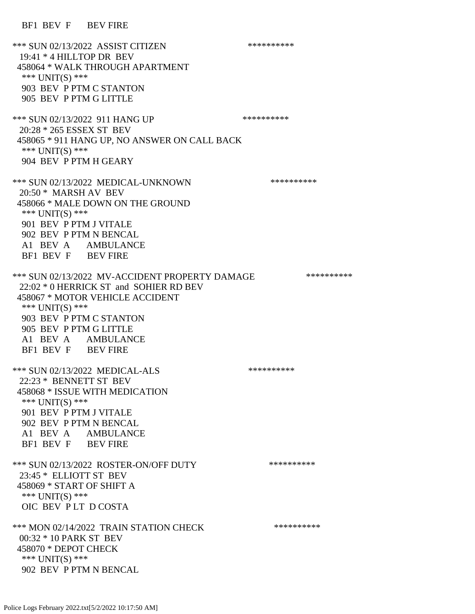BF1 BEV F BEV FIRE

\*\*\* SUN 02/13/2022 ASSIST CITIZEN \*\*\*\*\*\*\*\*\*\* 19:41 \* 4 HILLTOP DR BEV 458064 \* WALK THROUGH APARTMENT \*\*\* UNIT(S) \*\*\* 903 BEV P PTM C STANTON 905 BEV P PTM G LITTLE \*\*\* SUN 02/13/2022 911 HANG UP \*\*\*\*\*\*\*\*\*\*\*\*\* 20:28 \* 265 ESSEX ST BEV 458065 \* 911 HANG UP, NO ANSWER ON CALL BACK \*\*\* UNIT(S) \*\*\* 904 BEV P PTM H GEARY \*\*\* SUN 02/13/2022 MEDICAL-UNKNOWN \*\*\*\*\*\*\*\*\*\* 20:50 \* MARSH AV BEV 458066 \* MALE DOWN ON THE GROUND \*\*\* UNIT(S) \*\*\* 901 BEV P PTM J VITALE 902 BEV P PTM N BENCAL A1 BEV A AMBULANCE BF1 BEV F BEV FIRE \*\*\* SUN 02/13/2022 MV-ACCIDENT PROPERTY DAMAGE \*\*\*\*\*\*\*\*\*\*\*\* 22:02 \* 0 HERRICK ST and SOHIER RD BEV 458067 \* MOTOR VEHICLE ACCIDENT \*\*\* UNIT(S) \*\*\* 903 BEV P PTM C STANTON 905 BEV P PTM G LITTLE A1 BEV A AMBULANCE BF1 BEV F BEV FIRE \*\*\* SUN 02/13/2022 MEDICAL-ALS \*\*\*\*\*\*\*\*\*\* 22:23 \* BENNETT ST BEV 458068 \* ISSUE WITH MEDICATION \*\*\* UNIT(S) \*\*\* 901 BEV P PTM J VITALE 902 BEV P PTM N BENCAL A1 BEV A AMBULANCE BF1 BEV F BEV FIRE \*\*\* SUN 02/13/2022 ROSTER-ON/OFF DUTY \*\*\*\*\*\*\*\*\*\* 23:45 \* ELLIOTT ST BEV 458069 \* START OF SHIFT A \*\*\* UNIT(S) \*\*\* OIC BEV P LT D COSTA \*\*\* MON 02/14/2022 TRAIN STATION CHECK \*\*\*\*\*\*\*\*\*\*\*\* 00:32 \* 10 PARK ST BEV 458070 \* DEPOT CHECK \*\*\* UNIT(S) \*\*\* 902 BEV P PTM N BENCAL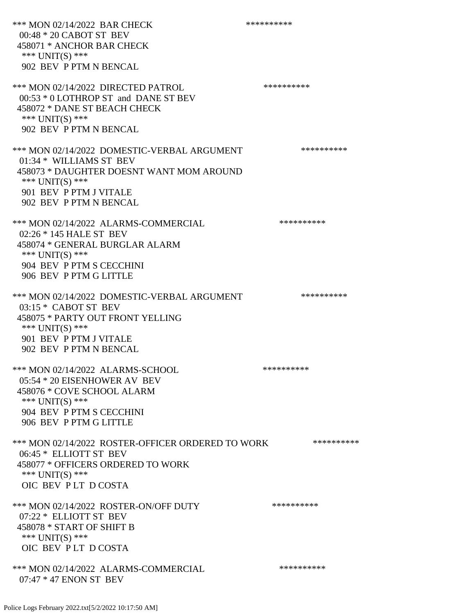\*\*\* MON 02/14/2022 BAR CHECK \*\*\*\*\*\*\*\*\*\*\*\*\* 00:48 \* 20 CABOT ST BEV 458071 \* ANCHOR BAR CHECK \*\*\* UNIT(S) \*\*\* 902 BEV P PTM N BENCAL \*\*\* MON 02/14/2022 DIRECTED PATROL \*\*\*\*\*\*\*\*\*\* 00:53 \* 0 LOTHROP ST and DANE ST BEV 458072 \* DANE ST BEACH CHECK \*\*\* UNIT(S) \*\*\* 902 BEV P PTM N BENCAL \*\*\* MON 02/14/2022 DOMESTIC-VERBAL ARGUMENT \*\*\*\*\*\*\*\*\*\*\*\* 01:34 \* WILLIAMS ST BEV 458073 \* DAUGHTER DOESNT WANT MOM AROUND \*\*\* UNIT(S) \*\*\* 901 BEV P PTM J VITALE 902 BEV P PTM N BENCAL \*\*\* MON 02/14/2022 ALARMS-COMMERCIAL \*\*\*\*\*\*\*\*\*\* 02:26 \* 145 HALE ST BEV 458074 \* GENERAL BURGLAR ALARM \*\*\* UNIT(S) \*\*\* 904 BEV P PTM S CECCHINI 906 BEV P PTM G LITTLE \*\*\* MON 02/14/2022 DOMESTIC-VERBAL ARGUMENT \*\*\*\*\*\*\*\*\*\*\*\* 03:15 \* CABOT ST BEV 458075 \* PARTY OUT FRONT YELLING \*\*\* UNIT(S) \*\*\* 901 BEV P PTM J VITALE 902 BEV P PTM N BENCAL \*\*\* MON 02/14/2022 ALARMS-SCHOOL \*\*\*\*\*\*\*\*\*\* 05:54 \* 20 EISENHOWER AV BEV 458076 \* COVE SCHOOL ALARM \*\*\* UNIT(S) \*\*\* 904 BEV P PTM S CECCHINI 906 BEV P PTM G LITTLE \*\*\* MON 02/14/2022 ROSTER-OFFICER ORDERED TO WORK \*\*\*\*\*\*\*\*\*\*\* 06:45 \* ELLIOTT ST BEV 458077 \* OFFICERS ORDERED TO WORK \*\*\* UNIT(S) \*\*\* OIC BEV P LT D COSTA \*\*\* MON 02/14/2022 ROSTER-ON/OFF DUTY \*\*\*\*\*\*\*\*\*\* 07:22 \* ELLIOTT ST BEV 458078 \* START OF SHIFT B \*\*\* UNIT(S) \*\*\* OIC BEV P LT D COSTA \*\*\* MON 02/14/2022 ALARMS-COMMERCIAL \*\*\*\*\*\*\*\*\*\* 07:47 \* 47 ENON ST BEV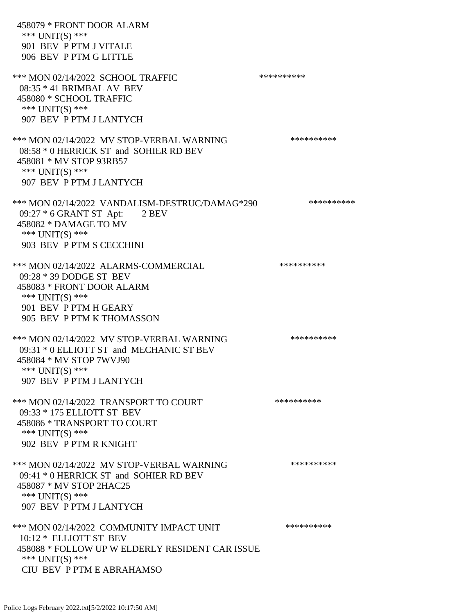458079 \* FRONT DOOR ALARM \*\*\* UNIT(S) \*\*\* 901 BEV P PTM J VITALE 906 BEV P PTM G LITTLE \*\*\* MON 02/14/2022 SCHOOL TRAFFIC \*\*\*\*\*\*\*\*\*\*\*\*\*\* 08:35 \* 41 BRIMBAL AV BEV 458080 \* SCHOOL TRAFFIC \*\*\* UNIT(S) \*\*\* 907 BEV P PTM J LANTYCH \*\*\* MON 02/14/2022 MV STOP-VERBAL WARNING \*\*\*\*\*\*\*\*\*\*\*\* 08:58 \* 0 HERRICK ST and SOHIER RD BEV 458081 \* MV STOP 93RB57 \*\*\* UNIT(S) \*\*\* 907 BEV P PTM J LANTYCH \*\*\* MON 02/14/2022 VANDALISM-DESTRUC/DAMAG\*290 \*\*\*\*\*\*\*\*\*\* 09:27 \* 6 GRANT ST Apt: 2 BEV 458082 \* DAMAGE TO MV \*\*\* UNIT(S) \*\*\* 903 BEV P PTM S CECCHINI \*\*\* MON 02/14/2022 ALARMS-COMMERCIAL \*\*\*\*\*\*\*\*\*\* 09:28 \* 39 DODGE ST BEV 458083 \* FRONT DOOR ALARM \*\*\* UNIT(S) \*\*\* 901 BEV P PTM H GEARY 905 BEV P PTM K THOMASSON \*\*\* MON 02/14/2022 MV STOP-VERBAL WARNING \*\*\*\*\*\*\*\*\*\*\*\* 09:31 \* 0 ELLIOTT ST and MECHANIC ST BEV 458084 \* MV STOP 7WVJ90 \*\*\* UNIT(S) \*\*\* 907 BEV P PTM J LANTYCH \*\*\* MON 02/14/2022 TRANSPORT TO COURT \*\*\*\*\*\*\*\*\*\*\*\* 09:33 \* 175 ELLIOTT ST BEV 458086 \* TRANSPORT TO COURT \*\*\* UNIT(S) \*\*\* 902 BEV P PTM R KNIGHT \*\*\* MON 02/14/2022 MV STOP-VERBAL WARNING \*\*\*\*\*\*\*\*\*\*\*\* 09:41 \* 0 HERRICK ST and SOHIER RD BEV 458087 \* MV STOP 2HAC25 \*\*\* UNIT(S) \*\*\* 907 BEV P PTM J LANTYCH \*\*\* MON 02/14/2022 COMMUNITY IMPACT UNIT \*\*\*\*\*\*\*\*\*\*\*\* 10:12 \* ELLIOTT ST BEV 458088 \* FOLLOW UP W ELDERLY RESIDENT CAR ISSUE \*\*\* UNIT(S) \*\*\* CIU BEV P PTM E ABRAHAMSO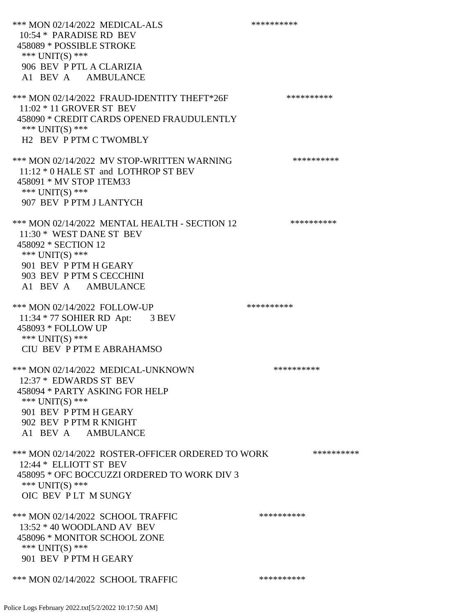\*\*\* MON 02/14/2022 MEDICAL-ALS \*\*\*\*\*\*\*\*\*\* 10:54 \* PARADISE RD BEV 458089 \* POSSIBLE STROKE \*\*\* UNIT(S) \*\*\* 906 BEV P PTL A CLARIZIA A1 BEV A AMBULANCE \*\*\* MON 02/14/2022 FRAUD-IDENTITY THEFT\*26F \*\*\*\*\*\*\*\*\*\*\*\*\* 11:02 \* 11 GROVER ST BEV 458090 \* CREDIT CARDS OPENED FRAUDULENTLY \*\*\* UNIT(S) \*\*\* H2 BEV P PTM C TWOMBLY \*\*\* MON 02/14/2022 MV STOP-WRITTEN WARNING \*\*\*\*\*\*\*\*\*\*\*\* 11:12 \* 0 HALE ST and LOTHROP ST BEV 458091 \* MV STOP 1TEM33 \*\*\* UNIT(S) \*\*\* 907 BEV P PTM J LANTYCH \*\*\* MON 02/14/2022 MENTAL HEALTH - SECTION 12 \*\*\*\*\*\*\*\*\*\* 11:30 \* WEST DANE ST BEV 458092 \* SECTION 12 \*\*\* UNIT(S) \*\*\* 901 BEV P PTM H GEARY 903 BEV P PTM S CECCHINI A1 BEV A AMBULANCE \*\*\* MON 02/14/2022 FOLLOW-UP \*\*\*\*\*\*\*\*\*\*\*\* 11:34 \* 77 SOHIER RD Apt: 3 BEV 458093 \* FOLLOW UP \*\*\* UNIT(S) \*\*\* CIU BEV P PTM E ABRAHAMSO \*\*\* MON 02/14/2022 MEDICAL-UNKNOWN \*\*\*\*\*\*\*\*\*\* 12:37 \* EDWARDS ST BEV 458094 \* PARTY ASKING FOR HELP \*\*\* UNIT(S) \*\*\* 901 BEV P PTM H GEARY 902 BEV P PTM R KNIGHT A1 BEV A AMBULANCE \*\*\* MON 02/14/2022 ROSTER-OFFICER ORDERED TO WORK \*\*\*\*\*\*\*\*\*\*\* 12:44 \* ELLIOTT ST BEV 458095 \* OFC BOCCUZZI ORDERED TO WORK DIV 3 \*\*\* UNIT(S) \*\*\* OIC BEV P LT M SUNGY \*\*\* MON 02/14/2022 SCHOOL TRAFFIC \*\*\*\*\*\*\*\*\*\*\*\*\* 13:52 \* 40 WOODLAND AV BEV 458096 \* MONITOR SCHOOL ZONE \*\*\* UNIT(S) \*\*\* 901 BEV P PTM H GEARY \*\*\* MON 02/14/2022 SCHOOL TRAFFIC \*\*\*\*\*\*\*\*\*\*\*\*\*\*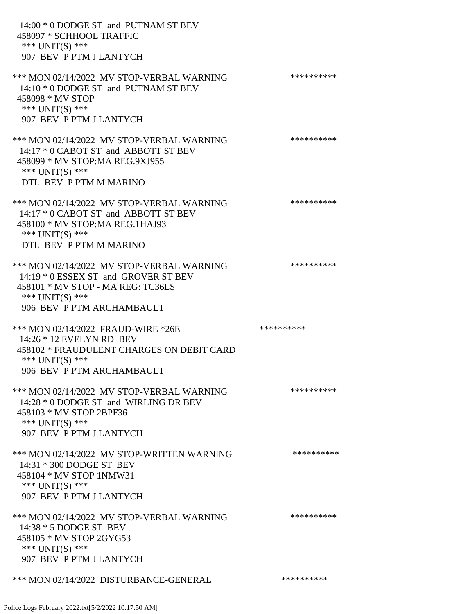| 14:00 * 0 DODGE ST and PUTNAM ST BEV<br>458097 * SCHHOOL TRAFFIC<br>*** UNIT(S) ***<br>907 BEV P PTM J LANTYCH                                                         |            |
|------------------------------------------------------------------------------------------------------------------------------------------------------------------------|------------|
| *** MON 02/14/2022 MV STOP-VERBAL WARNING<br>14:10 * 0 DODGE ST and PUTNAM ST BEV<br>458098 * MV STOP<br>*** $UNIT(S)$ ***<br>907 BEV P PTM J LANTYCH                  | ********** |
| *** MON 02/14/2022 MV STOP-VERBAL WARNING<br>14:17 * 0 CABOT ST and ABBOTT ST BEV<br>458099 * MV STOP:MA REG.9XJ955<br>*** $UNIT(S)$ ***<br>DTL BEV P PTM M MARINO     | ********** |
| *** MON 02/14/2022 MV STOP-VERBAL WARNING<br>14:17 * 0 CABOT ST and ABBOTT ST BEV<br>458100 * MV STOP: MA REG. 1HAJ93<br>*** UNIT(S) ***<br>DTL BEV P PTM M MARINO     | ********** |
| *** MON 02/14/2022 MV STOP-VERBAL WARNING<br>14:19 * 0 ESSEX ST and GROVER ST BEV<br>458101 * MV STOP - MA REG: TC36LS<br>*** UNIT(S) ***<br>906 BEV P PTM ARCHAMBAULT | ********** |
| *** MON 02/14/2022 FRAUD-WIRE *26E<br>14:26 * 12 EVELYN RD BEV<br>458102 * FRAUDULENT CHARGES ON DEBIT CARD<br>*** UNIT(S) ***<br>906 BEV P PTM ARCHAMBAULT            | ********** |
| *** MON 02/14/2022 MV STOP-VERBAL WARNING<br>14:28 * 0 DODGE ST and WIRLING DR BEV<br>458103 * MV STOP 2BPF36<br>*** UNIT(S) ***<br>907 BEV P PTM J LANTYCH            | ********** |
| *** MON 02/14/2022 MV STOP-WRITTEN WARNING<br>14:31 * 300 DODGE ST BEV<br>458104 * MV STOP 1NMW31<br>*** UNIT(S) ***<br>907 BEV P PTM J LANTYCH                        | ********** |
| *** MON 02/14/2022 MV STOP-VERBAL WARNING<br>14:38 * 5 DODGE ST BEV<br>458105 * MV STOP 2GYG53<br>*** $UNIT(S)$ ***<br>907 BEV P PTM J LANTYCH                         | ********** |
| *** MON 02/14/2022 DISTURBANCE-GENERAL                                                                                                                                 | ********** |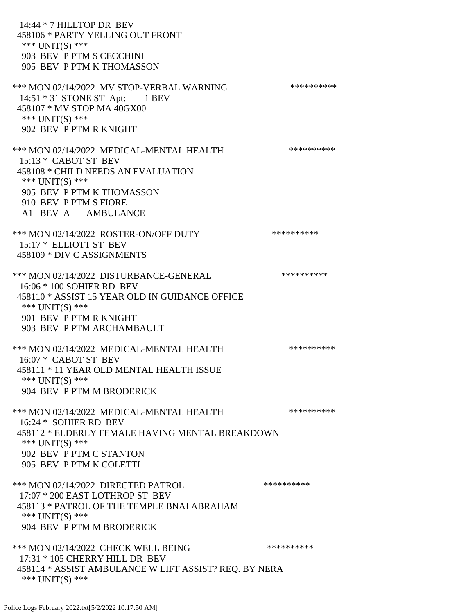14:44 \* 7 HILLTOP DR BEV 458106 \* PARTY YELLING OUT FRONT \*\*\* UNIT(S) \*\*\* 903 BEV P PTM S CECCHINI 905 BEV P PTM K THOMASSON \*\*\* MON 02/14/2022 MV STOP-VERBAL WARNING \*\*\*\*\*\*\*\*\*\*\*\* 14:51 \* 31 STONE ST Apt: 1 BEV 458107 \* MV STOP MA 40GX00 \*\*\* UNIT(S) \*\*\* 902 BEV P PTM R KNIGHT \*\*\* MON 02/14/2022 MEDICAL-MENTAL HEALTH \*\*\*\*\*\*\*\*\*\*\*\* 15:13 \* CABOT ST BEV 458108 \* CHILD NEEDS AN EVALUATION \*\*\* UNIT(S) \*\*\* 905 BEV P PTM K THOMASSON 910 BEV P PTM S FIORE A1 BEV A AMBULANCE \*\*\* MON 02/14/2022 ROSTER-ON/OFF DUTY \*\*\*\*\*\*\*\*\*\* 15:17 \* ELLIOTT ST BEV 458109 \* DIV C ASSIGNMENTS \*\*\* MON 02/14/2022 DISTURBANCE-GENERAL \*\*\*\*\*\*\*\*\*\* 16:06 \* 100 SOHIER RD BEV 458110 \* ASSIST 15 YEAR OLD IN GUIDANCE OFFICE \*\*\* UNIT(S) \*\*\* 901 BEV P PTM R KNIGHT 903 BEV P PTM ARCHAMBAULT \*\*\* MON 02/14/2022 MEDICAL-MENTAL HEALTH \*\*\*\*\*\*\*\*\*\* 16:07 \* CABOT ST BEV 458111 \* 11 YEAR OLD MENTAL HEALTH ISSUE \*\*\* UNIT(S) \*\*\* 904 BEV P PTM M BRODERICK \*\*\* MON 02/14/2022 MEDICAL-MENTAL HEALTH \*\*\*\*\*\*\*\*\*\* 16:24 \* SOHIER RD BEV 458112 \* ELDERLY FEMALE HAVING MENTAL BREAKDOWN \*\*\* UNIT(S) \*\*\* 902 BEV P PTM C STANTON 905 BEV P PTM K COLETTI \*\*\* MON 02/14/2022 DIRECTED PATROL \*\*\*\*\*\*\*\*\*\* 17:07 \* 200 EAST LOTHROP ST BEV 458113 \* PATROL OF THE TEMPLE BNAI ABRAHAM \*\*\* UNIT(S) \*\*\* 904 BEV P PTM M BRODERICK \*\*\* MON 02/14/2022 CHECK WELL BEING \*\*\*\*\*\*\*\*\*\* 17:31 \* 105 CHERRY HILL DR BEV 458114 \* ASSIST AMBULANCE W LIFT ASSIST? REQ. BY NERA \*\*\* UNIT(S) \*\*\*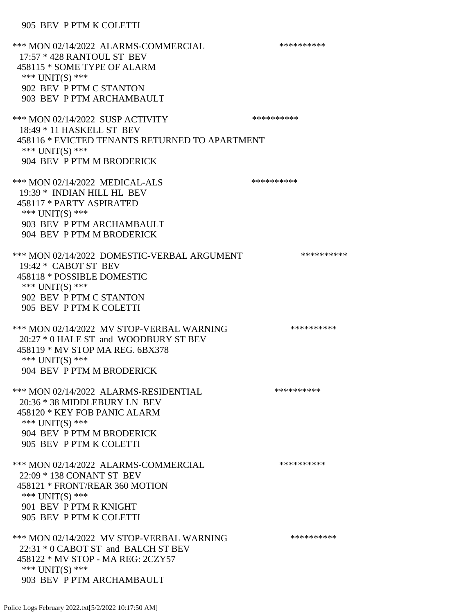### 905 BEV P PTM K COLETTI

| *** MON 02/14/2022 ALARMS-COMMERCIAL<br>17:57 * 428 RANTOUL ST BEV<br>458115 * SOME TYPE OF ALARM<br>*** UNIT(S) ***<br>902 BEV P PTM C STANTON<br>903 BEV P PTM ARCHAMBAULT       | ********** |
|------------------------------------------------------------------------------------------------------------------------------------------------------------------------------------|------------|
| *** MON 02/14/2022 SUSP ACTIVITY<br>18:49 * 11 HASKELL ST BEV<br>458116 * EVICTED TENANTS RETURNED TO APARTMENT<br>*** $UNIT(S)$ ***<br>904 BEV P PTM M BRODERICK                  | ********** |
| *** MON 02/14/2022 MEDICAL-ALS<br>19:39 * INDIAN HILL HL BEV<br>458117 * PARTY ASPIRATED<br>*** UNIT(S) ***<br>903 BEV P PTM ARCHAMBAULT<br>904 BEV P PTM M BRODERICK              | ********** |
| *** MON 02/14/2022 DOMESTIC-VERBAL ARGUMENT<br>19:42 * CABOT ST BEV<br>458118 * POSSIBLE DOMESTIC<br>*** UNIT(S) ***<br>902 BEV P PTM C STANTON<br>905 BEV P PTM K COLETTI         | ********** |
| *** MON 02/14/2022 MV STOP-VERBAL WARNING<br>20:27 * 0 HALE ST and WOODBURY ST BEV<br>458119 * MV STOP MA REG. 6BX378<br>*** UNIT(S) ***<br>904 BEV P PTM M BRODERICK              | ********** |
| *** MON 02/14/2022 ALARMS-RESIDENTIAL<br>20:36 * 38 MIDDLEBURY LN BEV<br>458120 * KEY FOB PANIC ALARM<br>*** $UNIT(S)$ ***<br>904 BEV P PTM M BRODERICK<br>905 BEV P PTM K COLETTI | ********** |
| *** MON 02/14/2022 ALARMS-COMMERCIAL<br>22:09 * 138 CONANT ST BEV<br>458121 * FRONT/REAR 360 MOTION<br>*** $UNIT(S)$ ***<br>901 BEV P PTM R KNIGHT<br>905 BEV P PTM K COLETTI      | ********** |
| *** MON 02/14/2022 MV STOP-VERBAL WARNING<br>22:31 * 0 CABOT ST and BALCH ST BEV<br>458122 * MV STOP - MA REG: 2CZY57<br>*** $UNIT(S)$ ***<br>903 BEV P PTM ARCHAMBAULT            | ********** |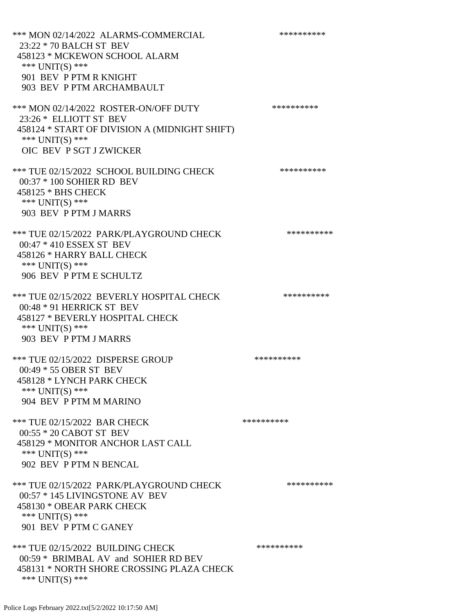\*\*\* MON 02/14/2022 ALARMS-COMMERCIAL \*\*\*\*\*\*\*\*\*\* 23:22 \* 70 BALCH ST BEV 458123 \* MCKEWON SCHOOL ALARM \*\*\* UNIT(S) \*\*\* 901 BEV P PTM R KNIGHT 903 BEV P PTM ARCHAMBAULT \*\*\* MON 02/14/2022 ROSTER-ON/OFF DUTY \*\*\*\*\*\*\*\*\*\* 23:26 \* ELLIOTT ST BEV 458124 \* START OF DIVISION A (MIDNIGHT SHIFT) \*\*\* UNIT(S) \*\*\* OIC BEV P SGT J ZWICKER \*\*\* TUE 02/15/2022 SCHOOL BUILDING CHECK \*\*\*\*\*\*\*\*\*\*\* 00:37 \* 100 SOHIER RD BEV 458125 \* BHS CHECK \*\*\* UNIT(S) \*\*\* 903 BEV P PTM J MARRS \*\*\* TUE 02/15/2022 PARK/PLAYGROUND CHECK \*\*\*\*\*\*\*\*\*\* 00:47 \* 410 ESSEX ST BEV 458126 \* HARRY BALL CHECK \*\*\* UNIT(S) \*\*\* 906 BEV P PTM E SCHULTZ \*\*\* TUE 02/15/2022 BEVERLY HOSPITAL CHECK \*\*\*\*\*\*\*\*\*\* 00:48 \* 91 HERRICK ST BEV 458127 \* BEVERLY HOSPITAL CHECK \*\*\* UNIT(S) \*\*\* 903 BEV P PTM J MARRS \*\*\* TUE 02/15/2022 DISPERSE GROUP \*\*\*\*\*\*\*\*\*\* 00:49 \* 55 OBER ST BEV 458128 \* LYNCH PARK CHECK \*\*\* UNIT(S) \*\*\* 904 BEV P PTM M MARINO \*\*\* TUE 02/15/2022 BAR CHECK \*\*\*\*\*\*\*\*\*\*\* 00:55 \* 20 CABOT ST BEV 458129 \* MONITOR ANCHOR LAST CALL \*\*\* UNIT(S) \*\*\* 902 BEV P PTM N BENCAL \*\*\* TUE 02/15/2022 PARK/PLAYGROUND CHECK \*\*\*\*\*\*\*\*\*\* 00:57 \* 145 LIVINGSTONE AV BEV 458130 \* OBEAR PARK CHECK \*\*\* UNIT(S) \*\*\* 901 BEV P PTM C GANEY \*\*\* TUE 02/15/2022 BUILDING CHECK \*\*\*\*\*\*\*\*\*\* 00:59 \* BRIMBAL AV and SOHIER RD BEV 458131 \* NORTH SHORE CROSSING PLAZA CHECK \*\*\* UNIT(S) \*\*\*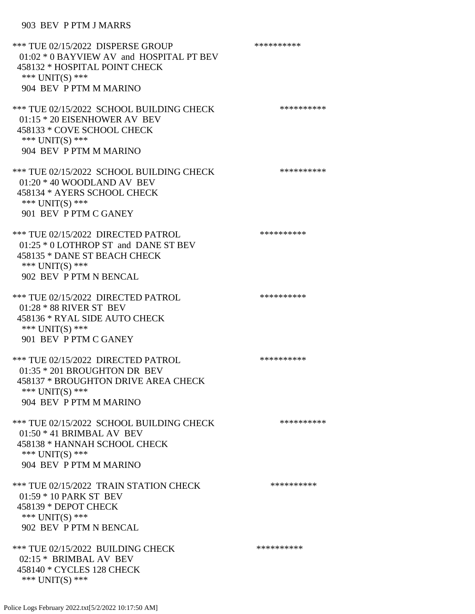# 903 BEV P PTM J MARRS

| *** TUE 02/15/2022 DISPERSE GROUP<br>01:02 * 0 BAYVIEW AV and HOSPITAL PT BEV<br>458132 * HOSPITAL POINT CHECK<br>*** UNIT(S) ***<br>904 BEV P PTM M MARINO | ********** |
|-------------------------------------------------------------------------------------------------------------------------------------------------------------|------------|
| *** TUE 02/15/2022 SCHOOL BUILDING CHECK<br>$01:15 * 20$ EISENHOWER AV BEV<br>458133 * COVE SCHOOL CHECK<br>*** $UNIT(S)$ ***<br>904 BEV P PTM M MARINO     | ********** |
| *** TUE 02/15/2022 SCHOOL BUILDING CHECK<br>$01:20 * 40$ WOODLAND AV BEV<br>458134 * AYERS SCHOOL CHECK<br>*** UNIT(S) ***<br>901 BEV P PTM C GANEY         | ********** |
| *** TUE 02/15/2022 DIRECTED PATROL<br>$01:25 * 0$ LOTHROP ST and DANE ST BEV<br>458135 * DANE ST BEACH CHECK<br>*** $UNIT(S)$ ***<br>902 BEV P PTM N BENCAL | ********** |
| *** TUE 02/15/2022 DIRECTED PATROL<br>01:28 * 88 RIVER ST BEV<br>458136 * RYAL SIDE AUTO CHECK<br>*** UNIT(S) ***<br>901 BEV P PTM C GANEY                  | ********** |
| *** TUE 02/15/2022 DIRECTED PATROL<br>$01:35 * 201$ BROUGHTON DR BEV<br>458137 * BROUGHTON DRIVE AREA CHECK<br>*** UNIT(S) ***<br>904 BEV P PTM M MARINO    | ********** |
| *** TUE 02/15/2022 SCHOOL BUILDING CHECK<br>$01:50 * 41$ BRIMBAL AV BEV<br>458138 * HANNAH SCHOOL CHECK<br>*** UNIT(S) ***<br>904 BEV P PTM M MARINO        | ********** |
| *** TUE 02/15/2022 TRAIN STATION CHECK<br>01:59 * 10 PARK ST BEV<br>458139 * DEPOT CHECK<br>*** UNIT(S) ***<br>902 BEV P PTM N BENCAL                       | ********** |
| *** TUE 02/15/2022 BUILDING CHECK<br>02:15 * BRIMBAL AV BEV<br>458140 * CYCLES 128 CHECK<br>*** UNIT(S) ***                                                 | ********** |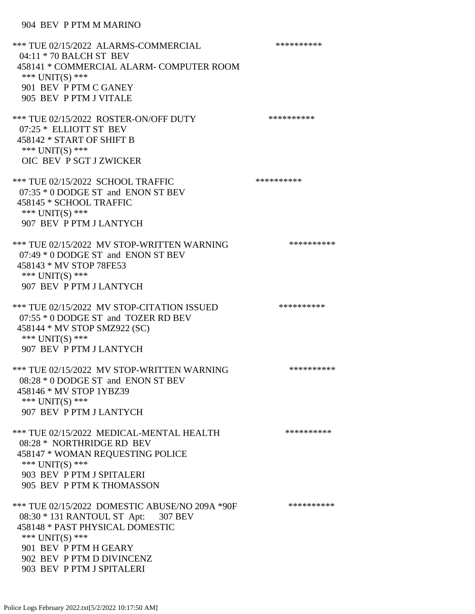\*\*\* TUE 02/15/2022 ALARMS-COMMERCIAL \*\*\*\*\*\*\*\*\*\* 04:11 \* 70 BALCH ST BEV 458141 \* COMMERCIAL ALARM- COMPUTER ROOM \*\*\* UNIT(S) \*\*\* 901 BEV P PTM C GANEY 905 BEV P PTM J VITALE \*\*\* TUE 02/15/2022 ROSTER-ON/OFF DUTY \*\*\*\*\*\*\*\*\*\* 07:25 \* ELLIOTT ST BEV 458142 \* START OF SHIFT B \*\*\* UNIT(S) \*\*\* OIC BEV P SGT J ZWICKER \*\*\* TUE 02/15/2022 SCHOOL TRAFFIC \*\*\*\*\*\*\*\*\*\*\*\*\* 07:35 \* 0 DODGE ST and ENON ST BEV 458145 \* SCHOOL TRAFFIC \*\*\* UNIT(S) \*\*\* 907 BEV P PTM J LANTYCH \*\*\* TUE 02/15/2022 MV STOP-WRITTEN WARNING \*\*\*\*\*\*\*\*\*\*\*\*\* 07:49 \* 0 DODGE ST and ENON ST BEV 458143 \* MV STOP 78FE53 \*\*\* UNIT(S) \*\*\* 907 BEV P PTM J LANTYCH \*\*\* TUE 02/15/2022 MV STOP-CITATION ISSUED \*\*\*\*\*\*\*\*\*\* 07:55 \* 0 DODGE ST and TOZER RD BEV 458144 \* MV STOP SMZ922 (SC) \*\*\* UNIT(S) \*\*\* 907 BEV P PTM J LANTYCH \*\*\* TUE 02/15/2022 MV STOP-WRITTEN WARNING \*\*\*\*\*\*\*\*\*\*\*\*\* 08:28 \* 0 DODGE ST and ENON ST BEV 458146 \* MV STOP 1YBZ39 \*\*\* UNIT(S) \*\*\* 907 BEV P PTM J LANTYCH \*\*\* TUE 02/15/2022 MEDICAL-MENTAL HEALTH \*\*\*\*\*\*\*\*\*\* 08:28 \* NORTHRIDGE RD BEV 458147 \* WOMAN REQUESTING POLICE \*\*\* UNIT(S) \*\*\* 903 BEV P PTM J SPITALERI 905 BEV P PTM K THOMASSON \*\*\* TUE 02/15/2022 DOMESTIC ABUSE/NO 209A \*90F \*\*\*\*\*\*\*\*\*\*\*\* 08:30 \* 131 RANTOUL ST Apt: 307 BEV 458148 \* PAST PHYSICAL DOMESTIC \*\*\* UNIT(S) \*\*\* 901 BEV P PTM H GEARY 902 BEV P PTM D DIVINCENZ 903 BEV P PTM J SPITALERI

Police Logs February 2022.txt[5/2/2022 10:17:50 AM]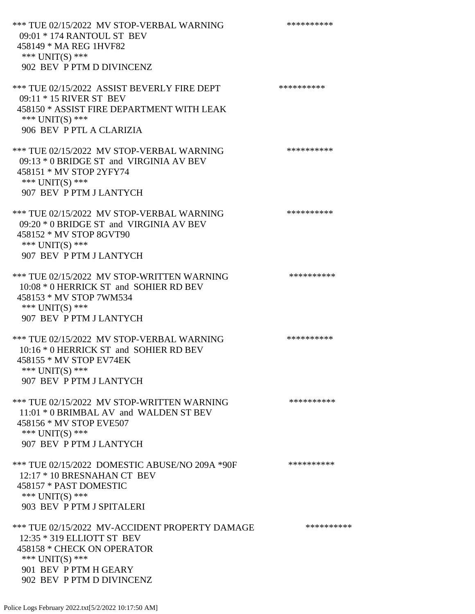\*\*\* TUE 02/15/2022 MV STOP-VERBAL WARNING \*\*\*\*\*\*\*\*\*\*\*\*\* 09:01 \* 174 RANTOUL ST BEV 458149 \* MA REG 1HVF82 \*\*\* UNIT(S) \*\*\* 902 BEV P PTM D DIVINCENZ \*\*\* TUE 02/15/2022 ASSIST BEVERLY FIRE DEPT \*\*\*\*\*\*\*\*\*\*\*\* 09:11 \* 15 RIVER ST BEV 458150 \* ASSIST FIRE DEPARTMENT WITH LEAK \*\*\* UNIT(S) \*\*\* 906 BEV P PTL A CLARIZIA \*\*\* TUE 02/15/2022 MV STOP-VERBAL WARNING \*\*\*\*\*\*\*\*\*\*\*\*\* 09:13 \* 0 BRIDGE ST and VIRGINIA AV BEV 458151 \* MV STOP 2YFY74 \*\*\* UNIT(S) \*\*\* 907 BEV P PTM J LANTYCH \*\*\* TUE 02/15/2022 MV STOP-VERBAL WARNING \*\*\*\*\*\*\*\*\*\*\*\*\* 09:20 \* 0 BRIDGE ST and VIRGINIA AV BEV 458152 \* MV STOP 8GVT90 \*\*\* UNIT(S) \*\*\* 907 BEV P PTM J LANTYCH \*\*\* TUE 02/15/2022 MV STOP-WRITTEN WARNING \*\*\*\*\*\*\*\*\*\*\*\*\* 10:08 \* 0 HERRICK ST and SOHIER RD BEV 458153 \* MV STOP 7WM534 \*\*\* UNIT(S) \*\*\* 907 BEV P PTM J LANTYCH \*\*\* TUE 02/15/2022 MV STOP-VERBAL WARNING \*\*\*\*\*\*\*\*\*\*\*\*\* 10:16 \* 0 HERRICK ST and SOHIER RD BEV 458155 \* MV STOP EV74EK \*\*\* UNIT(S) \*\*\* 907 BEV P PTM J LANTYCH \*\*\* TUE 02/15/2022 MV STOP-WRITTEN WARNING \*\*\*\*\*\*\*\*\*\*\*\*\* 11:01 \* 0 BRIMBAL AV and WALDEN ST BEV 458156 \* MV STOP EVE507 \*\*\* UNIT(S) \*\*\* 907 BEV P PTM J LANTYCH \*\*\* TUE 02/15/2022 DOMESTIC ABUSE/NO 209A \*90F \*\*\*\*\*\*\*\*\*\*\*\* 12:17 \* 10 BRESNAHAN CT BEV 458157 \* PAST DOMESTIC \*\*\* UNIT(S) \*\*\* 903 BEV P PTM J SPITALERI \*\*\* TUE 02/15/2022 MV-ACCIDENT PROPERTY DAMAGE \*\*\*\*\*\*\*\*\*\*\*\* 12:35 \* 319 ELLIOTT ST BEV 458158 \* CHECK ON OPERATOR \*\*\* UNIT(S) \*\*\* 901 BEV P PTM H GEARY 902 BEV P PTM D DIVINCENZ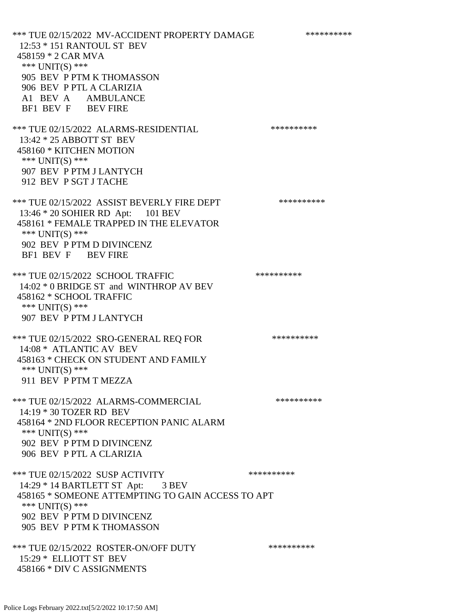\*\*\* TUE 02/15/2022 MV-ACCIDENT PROPERTY DAMAGE \*\*\*\*\*\*\*\*\*\*\*\* 12:53 \* 151 RANTOUL ST BEV 458159 \* 2 CAR MVA \*\*\* UNIT(S) \*\*\* 905 BEV P PTM K THOMASSON 906 BEV P PTL A CLARIZIA A1 BEV A AMBULANCE BF1 BEV F BEV FIRE \*\*\* TUE 02/15/2022 ALARMS-RESIDENTIAL \*\*\*\*\*\*\*\*\*\* 13:42 \* 25 ABBOTT ST BEV 458160 \* KITCHEN MOTION \*\*\* UNIT(S) \*\*\* 907 BEV P PTM J LANTYCH 912 BEV P SGT J TACHE \*\*\* TUE 02/15/2022 ASSIST BEVERLY FIRE DEPT \*\*\*\*\*\*\*\*\*\* 13:46 \* 20 SOHIER RD Apt: 101 BEV 458161 \* FEMALE TRAPPED IN THE ELEVATOR \*\*\* UNIT(S) \*\*\* 902 BEV P PTM D DIVINCENZ BF1 BEV F BEV FIRE \*\*\* TUE 02/15/2022 SCHOOL TRAFFIC \*\*\*\*\*\*\*\*\*\* 14:02 \* 0 BRIDGE ST and WINTHROP AV BEV 458162 \* SCHOOL TRAFFIC \*\*\* UNIT(S) \*\*\* 907 BEV P PTM J LANTYCH \*\*\* TUE 02/15/2022 SRO-GENERAL REQ FOR \*\*\*\*\*\*\*\*\*\*\*\* 14:08 \* ATLANTIC AV BEV 458163 \* CHECK ON STUDENT AND FAMILY \*\*\* UNIT(S) \*\*\* 911 BEV P PTM T MEZZA \*\*\* TUE 02/15/2022 ALARMS-COMMERCIAL \*\*\*\*\*\*\*\*\*\* 14:19 \* 30 TOZER RD BEV 458164 \* 2ND FLOOR RECEPTION PANIC ALARM \*\*\* UNIT(S) \*\*\* 902 BEV P PTM D DIVINCENZ 906 BEV P PTL A CLARIZIA \*\*\* TUE 02/15/2022 SUSP ACTIVITY \*\*\*\*\*\*\*\*\*\*\*\* 14:29 \* 14 BARTLETT ST Apt: 3 BEV 458165 \* SOMEONE ATTEMPTING TO GAIN ACCESS TO APT \*\*\* UNIT(S) \*\*\* 902 BEV P PTM D DIVINCENZ 905 BEV P PTM K THOMASSON \*\*\* TUE 02/15/2022 ROSTER-ON/OFF DUTY \*\*\*\*\*\*\*\*\*\* 15:29 \* ELLIOTT ST BEV 458166 \* DIV C ASSIGNMENTS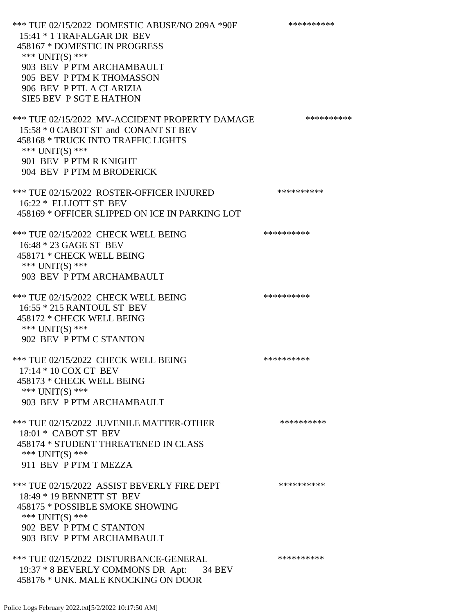\*\*\* TUE 02/15/2022 DOMESTIC ABUSE/NO 209A \*90F \*\*\*\*\*\*\*\*\*\*\*\* 15:41 \* 1 TRAFALGAR DR BEV 458167 \* DOMESTIC IN PROGRESS \*\*\* UNIT(S) \*\*\* 903 BEV P PTM ARCHAMBAULT 905 BEV P PTM K THOMASSON 906 BEV P PTL A CLARIZIA SIE5 BEV P SGT E HATHON \*\*\* TUE 02/15/2022 MV-ACCIDENT PROPERTY DAMAGE \*\*\*\*\*\*\*\*\*\*\*\* 15:58 \* 0 CABOT ST and CONANT ST BEV 458168 \* TRUCK INTO TRAFFIC LIGHTS \*\*\* UNIT(S) \*\*\* 901 BEV P PTM R KNIGHT 904 BEV P PTM M BRODERICK \*\*\* TUE 02/15/2022 ROSTER-OFFICER INJURED \*\*\*\*\*\*\*\*\*\* 16:22 \* ELLIOTT ST BEV 458169 \* OFFICER SLIPPED ON ICE IN PARKING LOT \*\*\* TUE 02/15/2022 CHECK WELL BEING \*\*\*\*\*\*\*\*\*\*\*\*\* 16:48 \* 23 GAGE ST BEV 458171 \* CHECK WELL BEING \*\*\* UNIT(S) \*\*\* 903 BEV P PTM ARCHAMBAULT \*\*\* TUE 02/15/2022 CHECK WELL BEING \*\*\*\*\*\*\*\*\*\* 16:55 \* 215 RANTOUL ST BEV 458172 \* CHECK WELL BEING \*\*\* UNIT(S) \*\*\* 902 BEV P PTM C STANTON \*\*\* TUE 02/15/2022 CHECK WELL BEING \*\*\*\*\*\*\*\*\*\*\*\*\*\*\*\*\* 17:14 \* 10 COX CT BEV 458173 \* CHECK WELL BEING \*\*\* UNIT(S) \*\*\* 903 BEV P PTM ARCHAMBAULT \*\*\* TUE 02/15/2022 JUVENILE MATTER-OTHER \*\*\*\*\*\*\*\*\*\*\*\*\* 18:01 \* CABOT ST BEV 458174 \* STUDENT THREATENED IN CLASS \*\*\* UNIT(S) \*\*\* 911 BEV P PTM T MEZZA \*\*\* TUE 02/15/2022 ASSIST BEVERLY FIRE DEPT \*\*\*\*\*\*\*\*\*\*\*\* 18:49 \* 19 BENNETT ST BEV 458175 \* POSSIBLE SMOKE SHOWING \*\*\* UNIT(S) \*\*\* 902 BEV P PTM C STANTON 903 BEV P PTM ARCHAMBAULT \*\*\* TUE 02/15/2022 DISTURBANCE-GENERAL \*\*\*\*\*\*\*\*\*\* 19:37 \* 8 BEVERLY COMMONS DR Apt: 34 BEV 458176 \* UNK. MALE KNOCKING ON DOOR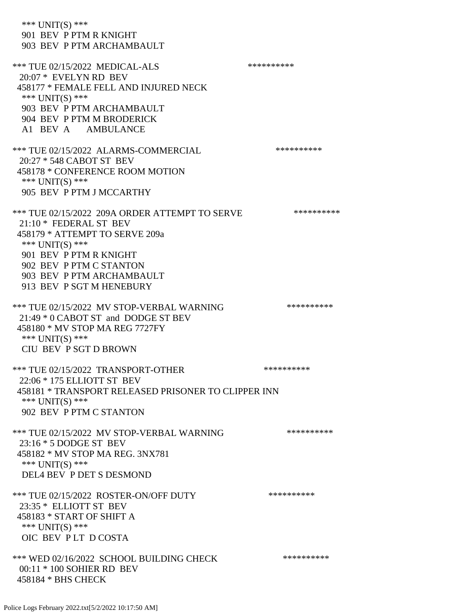\*\*\* UNIT(S) \*\*\* 901 BEV P PTM R KNIGHT 903 BEV P PTM ARCHAMBAULT \*\*\* TUE 02/15/2022 MEDICAL-ALS \*\*\*\*\*\*\*\*\*\*\*\*\* 20:07 \* EVELYN RD BEV 458177 \* FEMALE FELL AND INJURED NECK \*\*\* UNIT(S) \*\*\* 903 BEV P PTM ARCHAMBAULT 904 BEV P PTM M BRODERICK A1 BEV A AMBULANCE \*\*\* TUE 02/15/2022 ALARMS-COMMERCIAL \*\*\*\*\*\*\*\*\*\* 20:27 \* 548 CABOT ST BEV 458178 \* CONFERENCE ROOM MOTION \*\*\* UNIT(S) \*\*\* 905 BEV P PTM J MCCARTHY \*\*\* TUE 02/15/2022 209A ORDER ATTEMPT TO SERVE \*\*\*\*\*\*\*\*\*\* 21:10 \* FEDERAL ST BEV 458179 \* ATTEMPT TO SERVE 209a \*\*\* UNIT(S) \*\*\* 901 BEV P PTM R KNIGHT 902 BEV P PTM C STANTON 903 BEV P PTM ARCHAMBAULT 913 BEV P SGT M HENEBURY \*\*\* TUE 02/15/2022 MV STOP-VERBAL WARNING \*\*\*\*\*\*\*\*\*\*\*\*\* 21:49 \* 0 CABOT ST and DODGE ST BEV 458180 \* MV STOP MA REG 7727FY \*\*\* UNIT(S) \*\*\* CIU BEV P SGT D BROWN \*\*\* TUE 02/15/2022 TRANSPORT-OTHER \*\*\*\*\*\*\*\*\*\* 22:06 \* 175 ELLIOTT ST BEV 458181 \* TRANSPORT RELEASED PRISONER TO CLIPPER INN \*\*\* UNIT(S) \*\*\* 902 BEV P PTM C STANTON \*\*\* TUE 02/15/2022 MV STOP-VERBAL WARNING \*\*\*\*\*\*\*\*\*\*\*\*\* 23:16 \* 5 DODGE ST BEV 458182 \* MV STOP MA REG. 3NX781 \*\*\* UNIT(S) \*\*\* DEL4 BEV P DET S DESMOND \*\*\* TUE 02/15/2022 ROSTER-ON/OFF DUTY \*\*\*\*\*\*\*\*\*\* 23:35 \* ELLIOTT ST BEV 458183 \* START OF SHIFT A \*\*\* UNIT(S) \*\*\* OIC BEV P LT D COSTA \*\*\* WED 02/16/2022 SCHOOL BUILDING CHECK \*\*\*\*\*\*\*\*\*\*\*\* 00:11 \* 100 SOHIER RD BEV 458184 \* BHS CHECK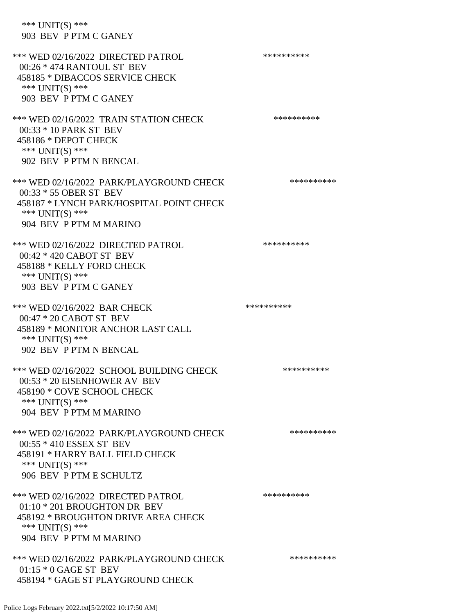\*\*\* UNIT(S) \*\*\* 903 BEV P PTM C GANEY \*\*\* WED 02/16/2022 DIRECTED PATROL \*\*\*\*\*\*\*\*\*\* 00:26 \* 474 RANTOUL ST BEV 458185 \* DIBACCOS SERVICE CHECK \*\*\* UNIT(S) \*\*\* 903 BEV P PTM C GANEY \*\*\* WED 02/16/2022 TRAIN STATION CHECK \*\*\*\*\*\*\*\*\*\*\*\* 00:33 \* 10 PARK ST BEV 458186 \* DEPOT CHECK \*\*\* UNIT(S) \*\*\* 902 BEV P PTM N BENCAL \*\*\* WED 02/16/2022 PARK/PLAYGROUND CHECK \*\*\*\*\*\*\*\*\*\* 00:33 \* 55 OBER ST BEV 458187 \* LYNCH PARK/HOSPITAL POINT CHECK \*\*\* UNIT(S) \*\*\* 904 BEV P PTM M MARINO \*\*\* WED 02/16/2022 DIRECTED PATROL \*\*\*\*\*\*\*\*\*\* 00:42 \* 420 CABOT ST BEV 458188 \* KELLY FORD CHECK \*\*\* UNIT(S) \*\*\* 903 BEV P PTM C GANEY \*\*\* WED 02/16/2022 BAR CHECK \*\*\*\*\*\*\*\*\*\*\*\* 00:47 \* 20 CABOT ST BEV 458189 \* MONITOR ANCHOR LAST CALL \*\*\* UNIT(S) \*\*\* 902 BEV P PTM N BENCAL \*\*\* WED 02/16/2022 SCHOOL BUILDING CHECK \*\*\*\*\*\*\*\*\*\*\*\* 00:53 \* 20 EISENHOWER AV BEV 458190 \* COVE SCHOOL CHECK \*\*\* UNIT(S) \*\*\* 904 BEV P PTM M MARINO \*\*\* WED 02/16/2022 PARK/PLAYGROUND CHECK \*\*\*\*\*\*\*\*\*\*\*\* 00:55 \* 410 ESSEX ST BEV 458191 \* HARRY BALL FIELD CHECK \*\*\* UNIT(S) \*\*\* 906 BEV P PTM E SCHULTZ \*\*\* WED 02/16/2022 DIRECTED PATROL \*\*\*\*\*\*\*\*\*\* 01:10 \* 201 BROUGHTON DR BEV 458192 \* BROUGHTON DRIVE AREA CHECK \*\*\* UNIT(S) \*\*\* 904 BEV P PTM M MARINO \*\*\* WED 02/16/2022 PARK/PLAYGROUND CHECK \*\*\*\*\*\*\*\*\*\*\*\*  $01:15 * 0$  GAGE ST BEV 458194 \* GAGE ST PLAYGROUND CHECK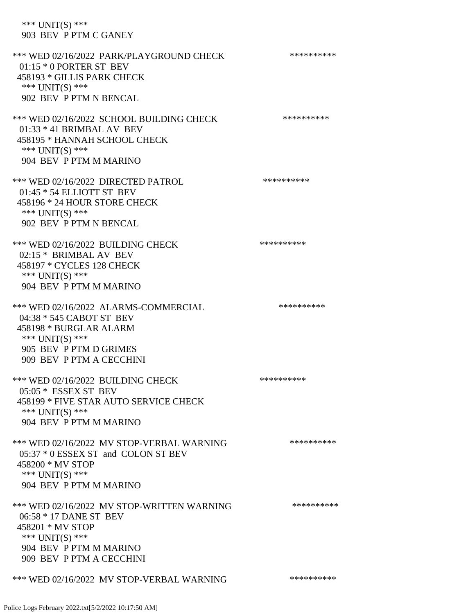\*\*\* UNIT(S) \*\*\* 903 BEV P PTM C GANEY

\*\*\* WED 02/16/2022 PARK/PLAYGROUND CHECK \*\*\*\*\*\*\*\*\*\*\*\* 01:15 \* 0 PORTER ST BEV 458193 \* GILLIS PARK CHECK \*\*\* UNIT(S) \*\*\* 902 BEV P PTM N BENCAL \*\*\* WED 02/16/2022 SCHOOL BUILDING CHECK \*\*\*\*\*\*\*\*\*\*\*\* 01:33 \* 41 BRIMBAL AV BEV 458195 \* HANNAH SCHOOL CHECK \*\*\* UNIT(S) \*\*\* 904 BEV P PTM M MARINO \*\*\* WED 02/16/2022 DIRECTED PATROL \*\*\*\*\*\*\*\*\*\* 01:45 \* 54 ELLIOTT ST BEV 458196 \* 24 HOUR STORE CHECK \*\*\* UNIT(S) \*\*\* 902 BEV P PTM N BENCAL \*\*\* WED 02/16/2022 BUILDING CHECK \*\*\*\*\*\*\*\*\*\*\* 02:15 \* BRIMBAL AV BEV 458197 \* CYCLES 128 CHECK \*\*\* UNIT(S) \*\*\* 904 BEV P PTM M MARINO \*\*\* WED 02/16/2022 ALARMS-COMMERCIAL \*\*\*\*\*\*\*\*\*\* 04:38 \* 545 CABOT ST BEV 458198 \* BURGLAR ALARM \*\*\* UNIT(S) \*\*\* 905 BEV P PTM D GRIMES 909 BEV P PTM A CECCHINI \*\*\* WED 02/16/2022 BUILDING CHECK \*\*\*\*\*\*\*\*\*\*\*\* 05:05 \* ESSEX ST BEV 458199 \* FIVE STAR AUTO SERVICE CHECK \*\*\* UNIT(S) \*\*\* 904 BEV P PTM M MARINO \*\*\* WED 02/16/2022 MV STOP-VERBAL WARNING \*\*\*\*\*\*\*\*\*\*\*\* 05:37 \* 0 ESSEX ST and COLON ST BEV 458200 \* MV STOP \*\*\* UNIT(S) \*\*\* 904 BEV P PTM M MARINO \*\*\* WED 02/16/2022 MV STOP-WRITTEN WARNING \*\*\*\*\*\*\*\*\*\*\*\* 06:58 \* 17 DANE ST BEV 458201 \* MV STOP \*\*\* UNIT(S) \*\*\* 904 BEV P PTM M MARINO 909 BEV P PTM A CECCHINI \*\*\* WED 02/16/2022 MV STOP-VERBAL WARNING \*\*\*\*\*\*\*\*\*\*\*\*\*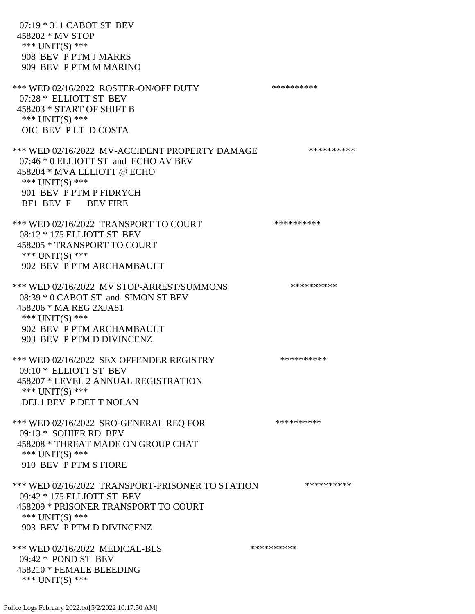07:19 \* 311 CABOT ST BEV 458202 \* MV STOP \*\*\* UNIT(S) \*\*\* 908 BEV P PTM J MARRS 909 BEV P PTM M MARINO \*\*\* WED 02/16/2022 ROSTER-ON/OFF DUTY \*\*\*\*\*\*\*\*\*\* 07:28 \* ELLIOTT ST BEV 458203 \* START OF SHIFT B \*\*\* UNIT(S) \*\*\* OIC BEV P LT D COSTA \*\*\* WED 02/16/2022 MV-ACCIDENT PROPERTY DAMAGE \*\*\*\*\*\*\*\*\*\*\*\* 07:46 \* 0 ELLIOTT ST and ECHO AV BEV 458204 \* MVA ELLIOTT @ ECHO \*\*\* UNIT(S) \*\*\* 901 BEV P PTM P FIDRYCH BF1 BEV F BEV FIRE \*\*\* WED 02/16/2022 TRANSPORT TO COURT \*\*\*\*\*\*\*\*\*\*\*\*\* 08:12 \* 175 ELLIOTT ST BEV 458205 \* TRANSPORT TO COURT \*\*\* UNIT(S) \*\*\* 902 BEV P PTM ARCHAMBAULT \*\*\* WED 02/16/2022 MV STOP-ARREST/SUMMONS \*\*\*\*\*\*\*\*\*\*\*\*\* 08:39 \* 0 CABOT ST and SIMON ST BEV 458206 \* MA REG 2XJA81 \*\*\* UNIT(S) \*\*\* 902 BEV P PTM ARCHAMBAULT 903 BEV P PTM D DIVINCENZ \*\*\* WED 02/16/2022 SEX OFFENDER REGISTRY \*\*\*\*\*\*\*\*\*\*\*\* 09:10 \* ELLIOTT ST BEV 458207 \* LEVEL 2 ANNUAL REGISTRATION \*\*\* UNIT(S) \*\*\* DEL1 BEV P DET T NOLAN \*\*\* WED 02/16/2022 SRO-GENERAL REQ FOR \*\*\*\*\*\*\*\*\*\* 09:13 \* SOHIER RD BEV 458208 \* THREAT MADE ON GROUP CHAT \*\*\* UNIT(S) \*\*\* 910 BEV P PTM S FIORE \*\*\* WED 02/16/2022 TRANSPORT-PRISONER TO STATION \*\*\*\*\*\*\*\*\*\* 09:42 \* 175 ELLIOTT ST BEV 458209 \* PRISONER TRANSPORT TO COURT \*\*\* UNIT(S) \*\*\* 903 BEV P PTM D DIVINCENZ \*\*\* WED 02/16/2022 MEDICAL-BLS \*\*\*\*\*\*\*\*\*\* 09:42 \* POND ST BEV 458210 \* FEMALE BLEEDING \*\*\* UNIT(S) \*\*\*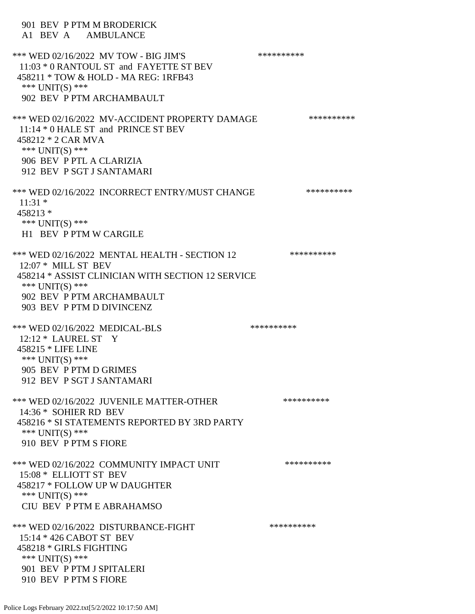901 BEV P PTM M BRODERICK A1 BEV A AMBULANCE \*\*\* WED 02/16/2022 MV TOW - BIG JIM'S \*\*\*\*\*\*\*\*\*\*\*\*\* 11:03 \* 0 RANTOUL ST and FAYETTE ST BEV 458211 \* TOW & HOLD - MA REG: 1RFB43 \*\*\* UNIT(S) \*\*\* 902 BEV P PTM ARCHAMBAULT \*\*\* WED 02/16/2022 MV-ACCIDENT PROPERTY DAMAGE \*\*\*\*\*\*\*\*\*\*\*\*\* 11:14 \* 0 HALE ST and PRINCE ST BEV 458212 \* 2 CAR MVA \*\*\* UNIT(S) \*\*\* 906 BEV P PTL A CLARIZIA 912 BEV P SGT J SANTAMARI \*\*\* WED 02/16/2022 INCORRECT ENTRY/MUST CHANGE \*\*\*\*\*\*\*\*\*\*\*\* 11:31 \* 458213 \* \*\*\* UNIT(S) \*\*\* H1 BEV P PTM W CARGILE \*\*\* WED 02/16/2022 MENTAL HEALTH - SECTION 12 \*\*\*\*\*\*\*\*\*\* 12:07 \* MILL ST BEV 458214 \* ASSIST CLINICIAN WITH SECTION 12 SERVICE \*\*\* UNIT(S) \*\*\* 902 BEV P PTM ARCHAMBAULT 903 BEV P PTM D DIVINCENZ \*\*\* WED 02/16/2022 MEDICAL-BLS \*\*\*\*\*\*\*\*\*\*\*\* 12:12 \* LAUREL ST Y 458215 \* LIFE LINE \*\*\* UNIT(S) \*\*\* 905 BEV P PTM D GRIMES 912 BEV P SGT J SANTAMARI \*\*\* WED 02/16/2022 JUVENILE MATTER-OTHER \*\*\*\*\*\*\*\*\*\*\*\* 14:36 \* SOHIER RD BEV 458216 \* SI STATEMENTS REPORTED BY 3RD PARTY \*\*\* UNIT(S) \*\*\* 910 BEV P PTM S FIORE \*\*\* WED 02/16/2022 COMMUNITY IMPACT UNIT \*\*\*\*\*\*\*\*\*\*\*\* 15:08 \* ELLIOTT ST BEV 458217 \* FOLLOW UP W DAUGHTER \*\*\* UNIT(S) \*\*\* CIU BEV P PTM E ABRAHAMSO \*\*\* WED 02/16/2022 DISTURBANCE-FIGHT \*\*\*\*\*\*\*\*\*\*\*\*\* 15:14 \* 426 CABOT ST BEV 458218 \* GIRLS FIGHTING \*\*\* UNIT(S) \*\*\* 901 BEV P PTM J SPITALERI 910 BEV P PTM S FIORE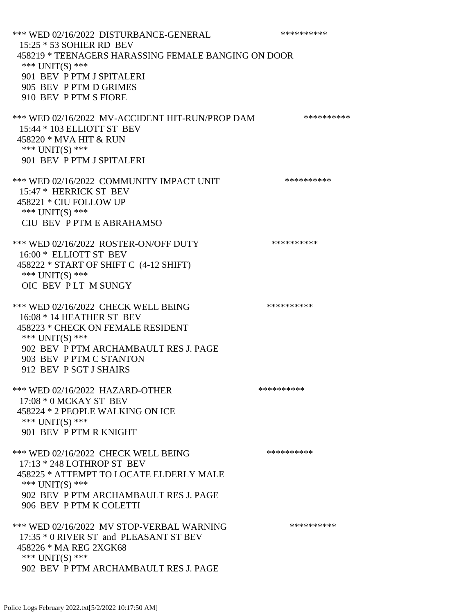\*\*\* WED 02/16/2022 DISTURBANCE-GENERAL \*\*\*\*\*\*\*\*\*\*\*\*\* 15:25 \* 53 SOHIER RD BEV 458219 \* TEENAGERS HARASSING FEMALE BANGING ON DOOR \*\*\* UNIT(S) \*\*\* 901 BEV P PTM J SPITALERI 905 BEV P PTM D GRIMES 910 BEV P PTM S FIORE \*\*\* WED 02/16/2022 MV-ACCIDENT HIT-RUN/PROP DAM \*\*\*\*\*\*\*\*\*\* 15:44 \* 103 ELLIOTT ST BEV 458220 \* MVA HIT & RUN \*\*\* UNIT(S) \*\*\* 901 BEV P PTM J SPITALERI \*\*\* WED 02/16/2022 COMMUNITY IMPACT UNIT \*\*\*\*\*\*\*\*\*\*\*\* 15:47 \* HERRICK ST BEV 458221 \* CIU FOLLOW UP \*\*\* UNIT(S) \*\*\* CIU BEV P PTM E ABRAHAMSO \*\*\* WED 02/16/2022 ROSTER-ON/OFF DUTY \*\*\*\*\*\*\*\*\*\* 16:00 \* ELLIOTT ST BEV 458222 \* START OF SHIFT C (4-12 SHIFT) \*\*\* UNIT(S) \*\*\* OIC BEV P LT M SUNGY \*\*\* WED 02/16/2022 CHECK WELL BEING \*\*\*\*\*\*\*\*\*\*\*\*\* 16:08 \* 14 HEATHER ST BEV 458223 \* CHECK ON FEMALE RESIDENT \*\*\* UNIT(S) \*\*\* 902 BEV P PTM ARCHAMBAULT RES J. PAGE 903 BEV P PTM C STANTON 912 BEV P SGT J SHAIRS \*\*\* WED 02/16/2022 HAZARD-OTHER \*\*\*\*\*\*\*\*\*\*\*\*\* 17:08 \* 0 MCKAY ST BEV 458224 \* 2 PEOPLE WALKING ON ICE \*\*\* UNIT(S) \*\*\* 901 BEV P PTM R KNIGHT \*\*\* WED 02/16/2022 CHECK WELL BEING \*\*\*\*\*\*\*\*\*\*\*\*\* 17:13 \* 248 LOTHROP ST BEV 458225 \* ATTEMPT TO LOCATE ELDERLY MALE \*\*\* UNIT(S) \*\*\* 902 BEV P PTM ARCHAMBAULT RES J. PAGE 906 BEV P PTM K COLETTI \*\*\* WED 02/16/2022 MV STOP-VERBAL WARNING \*\*\*\*\*\*\*\*\*\*\*\*\* 17:35 \* 0 RIVER ST and PLEASANT ST BEV 458226 \* MA REG 2XGK68 \*\*\* UNIT(S) \*\*\* 902 BEV P PTM ARCHAMBAULT RES J. PAGE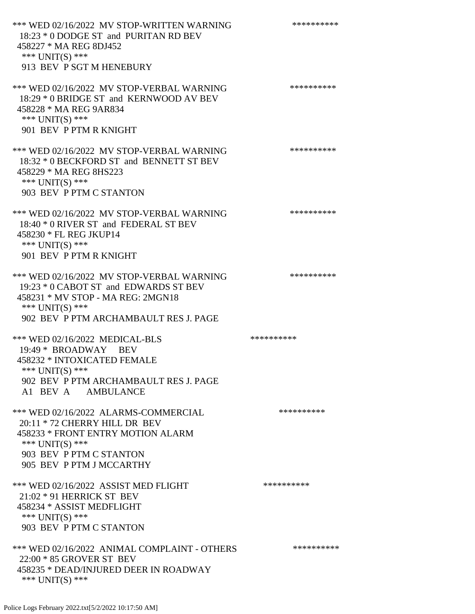\*\*\* WED 02/16/2022 MV STOP-WRITTEN WARNING \*\*\*\*\*\*\*\*\*\*\*\* 18:23 \* 0 DODGE ST and PURITAN RD BEV 458227 \* MA REG 8DJ452 \*\*\* UNIT(S) \*\*\* 913 BEV P SGT M HENEBURY \*\*\* WED 02/16/2022 MV STOP-VERBAL WARNING \*\*\*\*\*\*\*\*\*\*\*\*\* 18:29 \* 0 BRIDGE ST and KERNWOOD AV BEV 458228 \* MA REG 9AR834 \*\*\* UNIT(S) \*\*\* 901 BEV P PTM R KNIGHT \*\*\* WED 02/16/2022 MV STOP-VERBAL WARNING \*\*\*\*\*\*\*\*\*\*\*\*\* 18:32 \* 0 BECKFORD ST and BENNETT ST BEV 458229 \* MA REG 8HS223 \*\*\* UNIT(S) \*\*\* 903 BEV P PTM C STANTON \*\*\* WED 02/16/2022 MV STOP-VERBAL WARNING \*\*\*\*\*\*\*\*\*\*\*\* 18:40 \* 0 RIVER ST and FEDERAL ST BEV 458230 \* FL REG JKUP14 \*\*\* UNIT(S) \*\*\* 901 BEV P PTM R KNIGHT \*\*\* WED 02/16/2022 MV STOP-VERBAL WARNING \*\*\*\*\*\*\*\*\*\*\*\* 19:23 \* 0 CABOT ST and EDWARDS ST BEV 458231 \* MV STOP - MA REG: 2MGN18 \*\*\* UNIT(S) \*\*\* 902 BEV P PTM ARCHAMBAULT RES J. PAGE \*\*\* WED 02/16/2022 MEDICAL-BLS \*\*\*\*\*\*\*\*\*\*\*\* 19:49 \* BROADWAY BEV 458232 \* INTOXICATED FEMALE \*\*\* UNIT(S) \*\*\* 902 BEV P PTM ARCHAMBAULT RES J. PAGE A1 BEV A AMBULANCE \*\*\* WED 02/16/2022 ALARMS-COMMERCIAL \*\*\*\*\*\*\*\*\*\* 20:11 \* 72 CHERRY HILL DR BEV 458233 \* FRONT ENTRY MOTION ALARM \*\*\* UNIT(S) \*\*\* 903 BEV P PTM C STANTON 905 BEV P PTM J MCCARTHY \*\*\* WED 02/16/2022 ASSIST MED FLIGHT \*\*\*\*\*\*\*\*\*\*\*\*\* 21:02 \* 91 HERRICK ST BEV 458234 \* ASSIST MEDFLIGHT \*\*\* UNIT(S) \*\*\* 903 BEV P PTM C STANTON \*\*\* WED 02/16/2022 ANIMAL COMPLAINT - OTHERS \*\*\*\*\*\*\*\*\*\* 22:00 \* 85 GROVER ST BEV 458235 \* DEAD/INJURED DEER IN ROADWAY \*\*\* UNIT(S) \*\*\*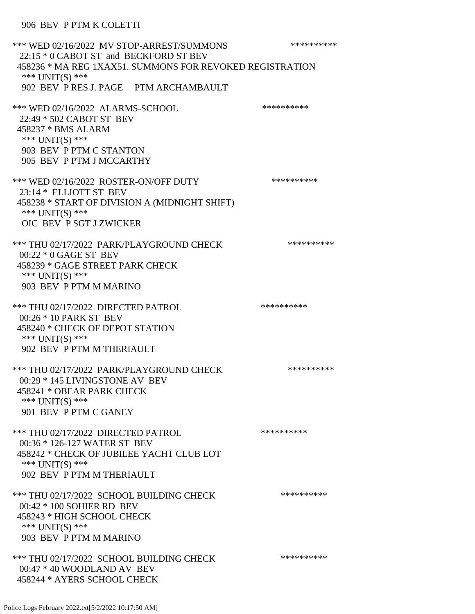\*\*\* WED 02/16/2022 MV STOP-ARREST/SUMMONS \*\*\*\*\*\*\*\*\*\*\*\*\* 22:15 \* 0 CABOT ST and BECKFORD ST BEV 458236 \* MA REG 1XAX51. SUMMONS FOR REVOKED REGISTRATION \*\*\* UNIT(S) \*\*\* 902 BEV P RES J. PAGE PTM ARCHAMBAULT \*\*\* WED 02/16/2022 ALARMS-SCHOOL \*\*\*\*\*\*\*\*\*\*\*\*\*\*\*\* 22:49 \* 502 CABOT ST BEV 458237 \* BMS ALARM \*\*\* UNIT(S) \*\*\* 903 BEV P PTM C STANTON 905 BEV P PTM J MCCARTHY \*\*\* WED 02/16/2022 ROSTER-ON/OFF DUTY \*\*\*\*\*\*\*\*\*\* 23:14 \* ELLIOTT ST BEV 458238 \* START OF DIVISION A (MIDNIGHT SHIFT) \*\*\* UNIT(S) \*\*\* OIC BEV P SGT J ZWICKER \*\*\* THU 02/17/2022 PARK/PLAYGROUND CHECK \*\*\*\*\*\*\*\*\*\*\*\* 00:22 \* 0 GAGE ST BEV 458239 \* GAGE STREET PARK CHECK \*\*\* UNIT(S) \*\*\* 903 BEV P PTM M MARINO \*\*\* THU 02/17/2022 DIRECTED PATROL \*\*\*\*\*\*\*\*\*\*\*\*\*\*\* 00:26 \* 10 PARK ST BEV 458240 \* CHECK OF DEPOT STATION \*\*\* UNIT(S) \*\*\* 902 BEV P PTM M THERIAULT \*\*\* THU 02/17/2022 PARK/PLAYGROUND CHECK \*\*\*\*\*\*\*\*\*\*\*\* 00:29 \* 145 LIVINGSTONE AV BEV 458241 \* OBEAR PARK CHECK \*\*\* UNIT(S) \*\*\* 901 BEV P PTM C GANEY \*\*\* THU 02/17/2022 DIRECTED PATROL \*\*\*\*\*\*\*\*\*\* 00:36 \* 126-127 WATER ST BEV 458242 \* CHECK OF JUBILEE YACHT CLUB LOT \*\*\* UNIT(S) \*\*\* 902 BEV P PTM M THERIAULT \*\*\* THU 02/17/2022 SCHOOL BUILDING CHECK \*\*\*\*\*\*\*\*\*\*\* 00:42 \* 100 SOHIER RD BEV 458243 \* HIGH SCHOOL CHECK \*\*\* UNIT(S) \*\*\* 903 BEV P PTM M MARINO \*\*\* THU 02/17/2022 SCHOOL BUILDING CHECK \*\*\*\*\*\*\*\*\*\*\* 00:47 \* 40 WOODLAND AV BEV 458244 \* AYERS SCHOOL CHECK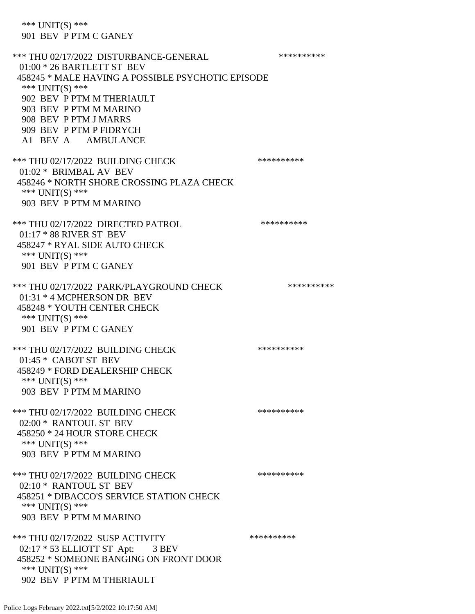\*\*\* UNIT(S) \*\*\* 901 BEV P PTM C GANEY \*\*\* THU 02/17/2022 DISTURBANCE-GENERAL \*\*\*\*\*\*\*\*\*\* 01:00 \* 26 BARTLETT ST BEV 458245 \* MALE HAVING A POSSIBLE PSYCHOTIC EPISODE \*\*\* UNIT(S) \*\*\* 902 BEV P PTM M THERIAULT 903 BEV P PTM M MARINO 908 BEV P PTM J MARRS 909 BEV P PTM P FIDRYCH A1 BEV A AMBULANCE \*\*\* THU 02/17/2022 BUILDING CHECK \*\*\*\*\*\*\*\*\*\* 01:02 \* BRIMBAL AV BEV 458246 \* NORTH SHORE CROSSING PLAZA CHECK \*\*\* UNIT(S) \*\*\* 903 BEV P PTM M MARINO \*\*\* THU 02/17/2022 DIRECTED PATROL \*\*\*\*\*\*\*\*\*\* 01:17 \* 88 RIVER ST BEV 458247 \* RYAL SIDE AUTO CHECK \*\*\* UNIT(S) \*\*\* 901 BEV P PTM C GANEY \*\*\* THU 02/17/2022 PARK/PLAYGROUND CHECK \*\*\*\*\*\*\*\*\*\*\*\* 01:31 \* 4 MCPHERSON DR BEV 458248 \* YOUTH CENTER CHECK \*\*\* UNIT(S) \*\*\* 901 BEV P PTM C GANEY \*\*\* THU 02/17/2022 BUILDING CHECK \*\*\*\*\*\*\*\*\*\*\*\* 01:45 \* CABOT ST BEV 458249 \* FORD DEALERSHIP CHECK \*\*\* UNIT(S) \*\*\* 903 BEV P PTM M MARINO \*\*\* THU 02/17/2022 BUILDING CHECK \*\*\*\*\*\*\*\*\*\* 02:00 \* RANTOUL ST BEV 458250 \* 24 HOUR STORE CHECK \*\*\* UNIT(S) \*\*\* 903 BEV P PTM M MARINO \*\*\* THU 02/17/2022 BUILDING CHECK \*\*\*\*\*\*\*\*\*\*\*\* 02:10 \* RANTOUL ST BEV 458251 \* DIBACCO'S SERVICE STATION CHECK \*\*\* UNIT(S) \*\*\* 903 BEV P PTM M MARINO \*\*\* THU 02/17/2022 SUSP ACTIVITY \*\*\*\*\*\*\*\*\*\*\*\* 02:17 \* 53 ELLIOTT ST Apt: 3 BEV 458252 \* SOMEONE BANGING ON FRONT DOOR \*\*\* UNIT(S) \*\*\* 902 BEV P PTM M THERIAULT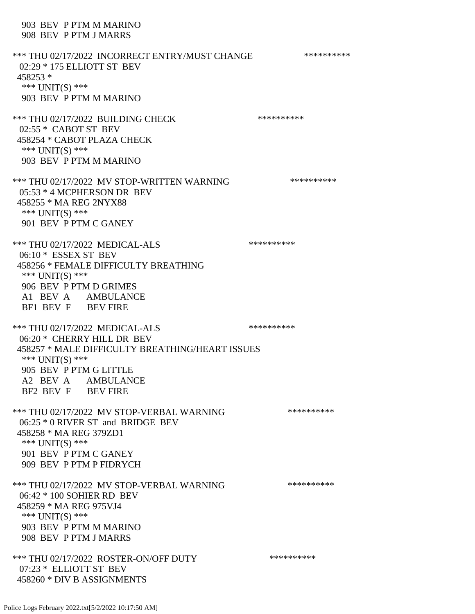### 903 BEV P PTM M MARINO 908 BEV P PTM J MARRS

\*\*\* THU 02/17/2022 INCORRECT ENTRY/MUST CHANGE \*\*\*\*\*\*\*\*\*\* 02:29 \* 175 ELLIOTT ST BEV 458253 \* \*\*\* UNIT(S) \*\*\* 903 BEV P PTM M MARINO \*\*\* THU 02/17/2022 BUILDING CHECK \*\*\*\*\*\*\*\*\*\* 02:55 \* CABOT ST BEV 458254 \* CABOT PLAZA CHECK \*\*\* UNIT(S) \*\*\* 903 BEV P PTM M MARINO \*\*\* THU 02/17/2022 MV STOP-WRITTEN WARNING \*\*\*\*\*\*\*\*\*\*\*\*\* 05:53 \* 4 MCPHERSON DR BEV 458255 \* MA REG 2NYX88 \*\*\* UNIT(S) \*\*\* 901 BEV P PTM C GANEY \*\*\* THU 02/17/2022 MEDICAL-ALS \*\*\*\*\*\*\*\*\*\* 06:10 \* ESSEX ST BEV 458256 \* FEMALE DIFFICULTY BREATHING \*\*\* UNIT(S) \*\*\* 906 BEV P PTM D GRIMES A1 BEV A AMBULANCE BF1 BEV F BEV FIRE \*\*\* THU 02/17/2022 MEDICAL-ALS \*\*\*\*\*\*\*\*\*\* 06:20 \* CHERRY HILL DR BEV 458257 \* MALE DIFFICULTY BREATHING/HEART ISSUES \*\*\* UNIT(S) \*\*\* 905 BEV P PTM G LITTLE A2 BEV A AMBULANCE BF2 BEV F BEV FIRE \*\*\* THU 02/17/2022 MV STOP-VERBAL WARNING \*\*\*\*\*\*\*\*\*\*\*\*\*\*\* 06:25 \* 0 RIVER ST and BRIDGE BEV 458258 \* MA REG 379ZD1 \*\*\* UNIT(S) \*\*\* 901 BEV P PTM C GANEY 909 BEV P PTM P FIDRYCH \*\*\* THU 02/17/2022 MV STOP-VERBAL WARNING \*\*\*\*\*\*\*\*\*\*\*\*\* 06:42 \* 100 SOHIER RD BEV 458259 \* MA REG 975VJ4 \*\*\* UNIT(S) \*\*\* 903 BEV P PTM M MARINO 908 BEV P PTM J MARRS \*\*\* THU 02/17/2022 ROSTER-ON/OFF DUTY \*\*\*\*\*\*\*\*\*\* 07:23 \* ELLIOTT ST BEV 458260 \* DIV B ASSIGNMENTS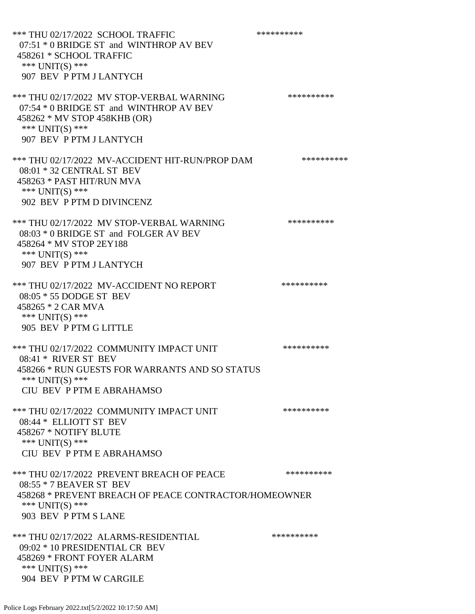\*\*\* THU 02/17/2022 SCHOOL TRAFFIC \*\*\*\*\*\*\*\*\*\* 07:51 \* 0 BRIDGE ST and WINTHROP AV BEV 458261 \* SCHOOL TRAFFIC \*\*\* UNIT(S) \*\*\* 907 BEV P PTM J LANTYCH \*\*\* THU 02/17/2022 MV STOP-VERBAL WARNING \*\*\*\*\*\*\*\*\*\*\*\* 07:54 \* 0 BRIDGE ST and WINTHROP AV BEV 458262 \* MV STOP 458KHB (OR) \*\*\* UNIT(S) \*\*\* 907 BEV P PTM J LANTYCH \*\*\* THU 02/17/2022 MV-ACCIDENT HIT-RUN/PROP DAM \*\*\*\*\*\*\*\*\*\* 08:01 \* 32 CENTRAL ST BEV 458263 \* PAST HIT/RUN MVA \*\*\* UNIT(S) \*\*\* 902 BEV P PTM D DIVINCENZ \*\*\* THU 02/17/2022 MV STOP-VERBAL WARNING \*\*\*\*\*\*\*\*\*\*\*\*\* 08:03 \* 0 BRIDGE ST and FOLGER AV BEV 458264 \* MV STOP 2EY188 \*\*\* UNIT(S) \*\*\* 907 BEV P PTM J LANTYCH \*\*\* THU 02/17/2022 MV-ACCIDENT NO REPORT \*\*\*\*\*\*\*\*\*\*\*\* 08:05 \* 55 DODGE ST BEV 458265 \* 2 CAR MVA \*\*\* UNIT(S) \*\*\* 905 BEV P PTM G LITTLE \*\*\* THU 02/17/2022 COMMUNITY IMPACT UNIT \*\*\*\*\*\*\*\*\*\*\*\* 08:41 \* RIVER ST BEV 458266 \* RUN GUESTS FOR WARRANTS AND SO STATUS \*\*\* UNIT(S) \*\*\* CIU BEV P PTM E ABRAHAMSO \*\*\* THU 02/17/2022 COMMUNITY IMPACT UNIT \*\*\*\*\*\*\*\*\*\*\*\* 08:44 \* ELLIOTT ST BEV 458267 \* NOTIFY BLUTE \*\*\* UNIT(S) \*\*\* CIU BEV P PTM E ABRAHAMSO \*\*\* THU 02/17/2022 PREVENT BREACH OF PEACE \*\*\*\*\*\*\*\*\*\*\*\* 08:55 \* 7 BEAVER ST BEV 458268 \* PREVENT BREACH OF PEACE CONTRACTOR/HOMEOWNER \*\*\* UNIT(S) \*\*\* 903 BEV P PTM S LANE \*\*\* THU 02/17/2022 ALARMS-RESIDENTIAL \*\*\*\*\*\*\*\*\*\*\*\* 09:02 \* 10 PRESIDENTIAL CR BEV 458269 \* FRONT FOYER ALARM \*\*\* UNIT(S) \*\*\* 904 BEV P PTM W CARGILE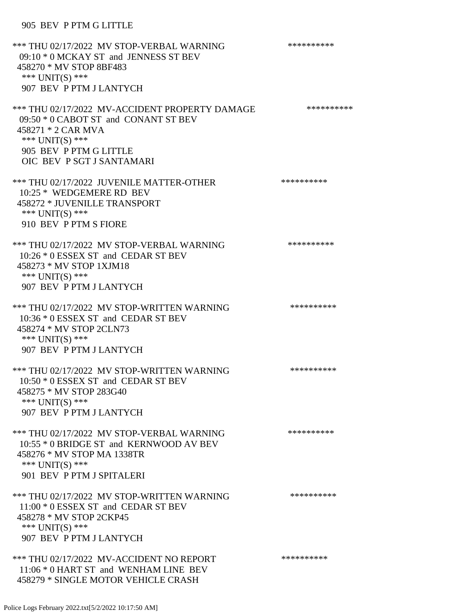# 905 BEV P PTM G LITTLE

| *** THU 02/17/2022 MV STOP-VERBAL WARNING<br>09:10 * 0 MCKAY ST and JENNESS ST BEV<br>458270 * MV STOP 8BF483<br>*** UNIT(S) ***<br>907 BEV P PTM J LANTYCH                            | ********** |
|----------------------------------------------------------------------------------------------------------------------------------------------------------------------------------------|------------|
| *** THU 02/17/2022 MV-ACCIDENT PROPERTY DAMAGE<br>09:50 * 0 CABOT ST and CONANT ST BEV<br>458271 * 2 CAR MVA<br>*** UNIT(S) ***<br>905 BEV P PTM G LITTLE<br>OIC BEV P SGT J SANTAMARI | ********** |
| *** THU 02/17/2022 JUVENILE MATTER-OTHER<br>10:25 * WEDGEMERE RD BEV<br>458272 * JUVENILLE TRANSPORT<br>*** UNIT(S) ***<br>910 BEV P PTM S FIORE                                       | ********** |
| *** THU 02/17/2022 MV STOP-VERBAL WARNING<br>10:26 * 0 ESSEX ST and CEDAR ST BEV<br>458273 * MV STOP 1XJM18<br>*** $UNIT(S)$ ***<br>907 BEV P PTM J LANTYCH                            | ********** |
| *** THU 02/17/2022 MV STOP-WRITTEN WARNING<br>10:36 * 0 ESSEX ST and CEDAR ST BEV<br>458274 * MV STOP 2CLN73<br>*** UNIT(S) ***<br>907 BEV P PTM J LANTYCH                             | ********** |
| *** THU 02/17/2022 MV STOP-WRITTEN WARNING<br>10:50 * 0 ESSEX ST and CEDAR ST BEV<br>458275 * MV STOP 283G40<br>*** $UNIT(S)$ ***<br>907 BEV P PTM J LANTYCH                           | ********** |
| *** THU 02/17/2022 MV STOP-VERBAL WARNING<br>10:55 * 0 BRIDGE ST and KERNWOOD AV BEV<br>458276 * MV STOP MA 1338TR<br>*** UNIT(S) ***<br>901 BEV P PTM J SPITALERI                     | ********** |
| *** THU 02/17/2022 MV STOP-WRITTEN WARNING<br>11:00 * 0 ESSEX ST and CEDAR ST BEV<br>458278 * MV STOP 2CKP45<br>*** UNIT(S) ***<br>907 BEV P PTM J LANTYCH                             | ********** |
| *** THU 02/17/2022 MV-ACCIDENT NO REPORT<br>11:06 * 0 HART ST and WENHAM LINE BEV<br>458279 * SINGLE MOTOR VEHICLE CRASH                                                               | ********** |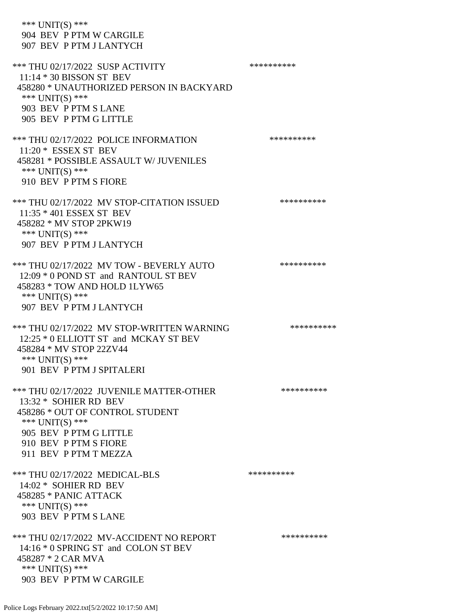\*\*\* UNIT(S) \*\*\* 904 BEV P PTM W CARGILE 907 BEV P PTM J LANTYCH \*\*\* THU 02/17/2022 SUSP ACTIVITY \*\*\*\*\*\*\*\*\*\*\*\* 11:14 \* 30 BISSON ST BEV 458280 \* UNAUTHORIZED PERSON IN BACKYARD \*\*\* UNIT(S) \*\*\* 903 BEV P PTM S LANE 905 BEV P PTM G LITTLE \*\*\* THU 02/17/2022 POLICE INFORMATION \*\*\*\*\*\*\*\*\*\* 11:20 \* ESSEX ST BEV 458281 \* POSSIBLE ASSAULT W/ JUVENILES \*\*\* UNIT(S) \*\*\* 910 BEV P PTM S FIORE \*\*\* THU 02/17/2022 MV STOP-CITATION ISSUED \*\*\*\*\*\*\*\*\*\* 11:35 \* 401 ESSEX ST BEV 458282 \* MV STOP 2PKW19 \*\*\* UNIT(S) \*\*\* 907 BEV P PTM J LANTYCH \*\*\* THU 02/17/2022 MV TOW - BEVERLY AUTO \*\*\*\*\*\*\*\*\*\* 12:09 \* 0 POND ST and RANTOUL ST BEV 458283 \* TOW AND HOLD 1LYW65 \*\*\* UNIT(S) \*\*\* 907 BEV P PTM J LANTYCH \*\*\* THU 02/17/2022 MV STOP-WRITTEN WARNING \*\*\*\*\*\*\*\*\*\*\*\* 12:25 \* 0 ELLIOTT ST and MCKAY ST BEV 458284 \* MV STOP 22ZV44 \*\*\* UNIT(S) \*\*\* 901 BEV P PTM J SPITALERI \*\*\* THU 02/17/2022 JUVENILE MATTER-OTHER \*\*\*\*\*\*\*\*\*\*\*\* 13:32 \* SOHIER RD BEV 458286 \* OUT OF CONTROL STUDENT \*\*\* UNIT(S) \*\*\* 905 BEV P PTM G LITTLE 910 BEV P PTM S FIORE 911 BEV P PTM T MEZZA \*\*\* THU 02/17/2022 MEDICAL-BLS \*\*\*\*\*\*\*\*\*\* 14:02 \* SOHIER RD BEV 458285 \* PANIC ATTACK \*\*\* UNIT(S) \*\*\* 903 BEV P PTM S LANE \*\*\* THU 02/17/2022 MV-ACCIDENT NO REPORT \*\*\*\*\*\*\*\*\*\*\*\* 14:16 \* 0 SPRING ST and COLON ST BEV 458287 \* 2 CAR MVA \*\*\* UNIT(S) \*\*\* 903 BEV P PTM W CARGILE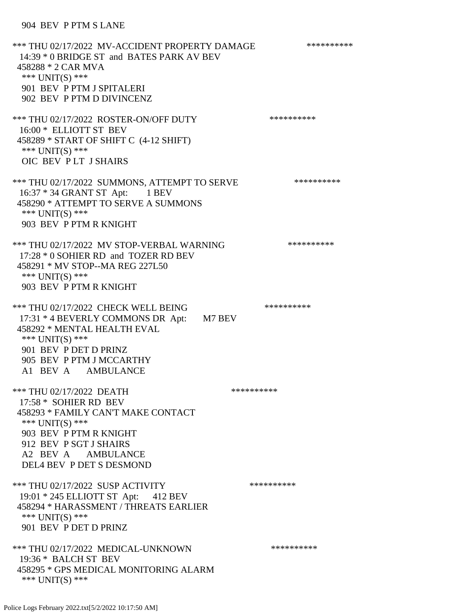#### 904 BEV P PTM S LANE

\*\*\* THU 02/17/2022 MV-ACCIDENT PROPERTY DAMAGE \*\*\*\*\*\*\*\*\*\*\*\* 14:39 \* 0 BRIDGE ST and BATES PARK AV BEV 458288 \* 2 CAR MVA \*\*\* UNIT(S) \*\*\* 901 BEV P PTM J SPITALERI 902 BEV P PTM D DIVINCENZ \*\*\* THU 02/17/2022 ROSTER-ON/OFF DUTY \*\*\*\*\*\*\*\*\*\* 16:00 \* ELLIOTT ST BEV 458289 \* START OF SHIFT C (4-12 SHIFT) \*\*\* UNIT(S) \*\*\* OIC BEV P LT J SHAIRS \*\*\* THU 02/17/2022 SUMMONS, ATTEMPT TO SERVE \*\*\*\*\*\*\*\*\*\* 16:37 \* 34 GRANT ST Apt: 1 BEV 458290 \* ATTEMPT TO SERVE A SUMMONS \*\*\* UNIT(S) \*\*\* 903 BEV P PTM R KNIGHT \*\*\* THU 02/17/2022 MV STOP-VERBAL WARNING \*\*\*\*\*\*\*\*\*\*\*\*\* 17:28 \* 0 SOHIER RD and TOZER RD BEV 458291 \* MV STOP--MA REG 227L50 \*\*\* UNIT(S) \*\*\* 903 BEV P PTM R KNIGHT \*\*\* THU 02/17/2022 CHECK WELL BEING \*\*\*\*\*\*\*\*\*\*\*\*\* 17:31 \* 4 BEVERLY COMMONS DR Apt: M7 BEV 458292 \* MENTAL HEALTH EVAL \*\*\* UNIT(S) \*\*\* 901 BEV P DET D PRINZ 905 BEV P PTM J MCCARTHY A1 BEV A AMBULANCE \*\*\* THU 02/17/2022 DEATH 17:58 \* SOHIER RD BEV 458293 \* FAMILY CAN'T MAKE CONTACT \*\*\* UNIT(S) \*\*\* 903 BEV P PTM R KNIGHT 912 BEV P SGT J SHAIRS A2 BEV A AMBULANCE DEL4 BEV P DET S DESMOND \*\*\* THU 02/17/2022 SUSP ACTIVITY \*\*\*\*\*\*\*\*\*\*\*\* 19:01 \* 245 ELLIOTT ST Apt: 412 BEV 458294 \* HARASSMENT / THREATS EARLIER \*\*\* UNIT(S) \*\*\* 901 BEV P DET D PRINZ \*\*\* THU 02/17/2022 MEDICAL-UNKNOWN \*\*\*\*\*\*\*\*\*\* 19:36 \* BALCH ST BEV 458295 \* GPS MEDICAL MONITORING ALARM \*\*\* UNIT(S) \*\*\*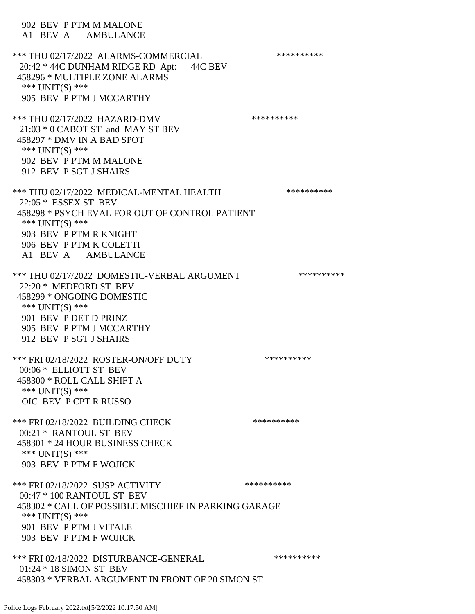902 BEV P PTM M MALONE A1 BEV A AMBULANCE \*\*\* THU 02/17/2022 ALARMS-COMMERCIAL \*\*\*\*\*\*\*\*\*\* 20:42 \* 44C DUNHAM RIDGE RD Apt: 44C BEV 458296 \* MULTIPLE ZONE ALARMS \*\*\* UNIT(S) \*\*\* 905 BEV P PTM J MCCARTHY \*\*\* THU 02/17/2022 HAZARD-DMV \*\*\*\*\*\*\*\*\*\* 21:03 \* 0 CABOT ST and MAY ST BEV 458297 \* DMV IN A BAD SPOT \*\*\* UNIT(S) \*\*\* 902 BEV P PTM M MALONE 912 BEV P SGT J SHAIRS \*\*\* THU 02/17/2022 MEDICAL-MENTAL HEALTH \*\*\*\*\*\*\*\*\*\*\*\* 22:05 \* ESSEX ST BEV 458298 \* PSYCH EVAL FOR OUT OF CONTROL PATIENT \*\*\* UNIT(S) \*\*\* 903 BEV P PTM R KNIGHT 906 BEV P PTM K COLETTI A1 BEV A AMBULANCE \*\*\* THU 02/17/2022 DOMESTIC-VERBAL ARGUMENT \*\*\*\*\*\*\*\*\*\*\*\*\* 22:20 \* MEDFORD ST BEV 458299 \* ONGOING DOMESTIC \*\*\* UNIT(S) \*\*\* 901 BEV P DET D PRINZ 905 BEV P PTM J MCCARTHY 912 BEV P SGT J SHAIRS \*\*\* FRI 02/18/2022 ROSTER-ON/OFF DUTY \*\*\*\*\*\*\*\*\*\* 00:06 \* ELLIOTT ST BEV 458300 \* ROLL CALL SHIFT A \*\*\* UNIT(S) \*\*\* OIC BEV P CPT R RUSSO \*\*\* FRI 02/18/2022 BUILDING CHECK \*\*\*\*\*\*\*\*\*\*\*\* 00:21 \* RANTOUL ST BEV 458301 \* 24 HOUR BUSINESS CHECK \*\*\* UNIT(S) \*\*\* 903 BEV P PTM F WOJICK \*\*\* FRI 02/18/2022 SUSP ACTIVITY \*\*\*\*\*\*\*\*\*\*\*\*\* 00:47 \* 100 RANTOUL ST BEV 458302 \* CALL OF POSSIBLE MISCHIEF IN PARKING GARAGE \*\*\* UNIT(S) \*\*\* 901 BEV P PTM J VITALE 903 BEV P PTM F WOJICK \*\*\* FRI 02/18/2022 DISTURBANCE-GENERAL \*\*\*\*\*\*\*\*\*\* 01:24 \* 18 SIMON ST BEV 458303 \* VERBAL ARGUMENT IN FRONT OF 20 SIMON ST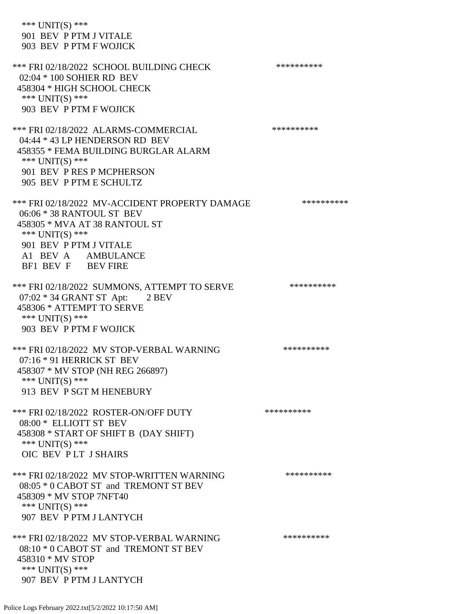\*\*\* UNIT(S) \*\*\* 901 BEV P PTM J VITALE 903 BEV P PTM F WOJICK \*\*\* FRI 02/18/2022 SCHOOL BUILDING CHECK \*\*\*\*\*\*\*\*\*\* 02:04 \* 100 SOHIER RD BEV 458304 \* HIGH SCHOOL CHECK \*\*\* UNIT(S) \*\*\* 903 BEV P PTM F WOJICK \*\*\* FRI 02/18/2022 ALARMS-COMMERCIAL \*\*\*\*\*\*\*\*\*\* 04:44 \* 43 LP HENDERSON RD BEV 458355 \* FEMA BUILDING BURGLAR ALARM \*\*\* UNIT(S) \*\*\* 901 BEV P RES P MCPHERSON 905 BEV P PTM E SCHULTZ \*\*\* FRI 02/18/2022 MV-ACCIDENT PROPERTY DAMAGE \*\*\*\*\*\*\*\*\*\* 06:06 \* 38 RANTOUL ST BEV 458305 \* MVA AT 38 RANTOUL ST \*\*\* UNIT(S) \*\*\* 901 BEV P PTM J VITALE A1 BEV A AMBULANCE BF1 BEV F BEV FIRE \*\*\* FRI 02/18/2022 SUMMONS, ATTEMPT TO SERVE \*\*\*\*\*\*\*\*\*\* 07:02 \* 34 GRANT ST Apt: 2 BEV 458306 \* ATTEMPT TO SERVE \*\*\* UNIT(S) \*\*\* 903 BEV P PTM F WOJICK \*\*\* FRI 02/18/2022 MV STOP-VERBAL WARNING \*\*\*\*\*\*\*\*\*\*\*\* 07:16 \* 91 HERRICK ST BEV 458307 \* MV STOP (NH REG 266897) \*\*\* UNIT(S) \*\*\* 913 BEV P SGT M HENEBURY \*\*\* FRI 02/18/2022 ROSTER-ON/OFF DUTY \*\*\*\*\*\*\*\*\*\* 08:00 \* ELLIOTT ST BEV 458308 \* START OF SHIFT B (DAY SHIFT) \*\*\* UNIT(S) \*\*\* OIC BEV P LT J SHAIRS \*\*\* FRI 02/18/2022 MV STOP-WRITTEN WARNING \*\*\*\*\*\*\*\*\*\*\*\* 08:05 \* 0 CABOT ST and TREMONT ST BEV 458309 \* MV STOP 7NFT40 \*\*\* UNIT(S) \*\*\* 907 BEV P PTM J LANTYCH \*\*\* FRI 02/18/2022 MV STOP-VERBAL WARNING \*\*\*\*\*\*\*\*\*\*\*\* 08:10 \* 0 CABOT ST and TREMONT ST BEV 458310 \* MV STOP \*\*\* UNIT(S) \*\*\* 907 BEV P PTM J LANTYCH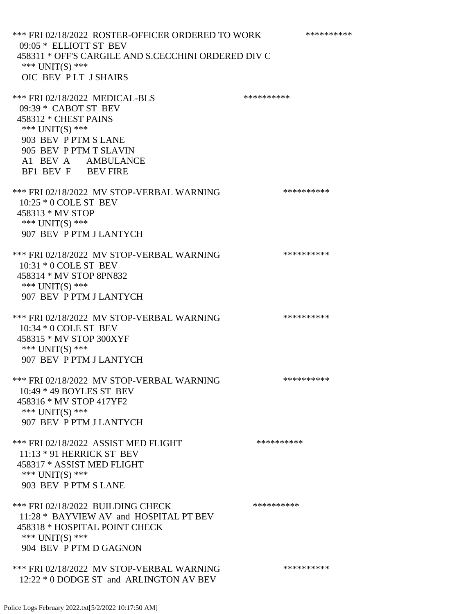\*\*\* FRI 02/18/2022 ROSTER-OFFICER ORDERED TO WORK \*\*\*\*\*\*\*\*\*\*\* 09:05 \* ELLIOTT ST BEV 458311 \* OFF'S CARGILE AND S.CECCHINI ORDERED DIV C \*\*\* UNIT(S) \*\*\* OIC BEV P LT J SHAIRS \*\*\* FRI 02/18/2022 MEDICAL-BLS \*\*\*\*\*\*\*\*\*\*\*\*\* 09:39 \* CABOT ST BEV 458312 \* CHEST PAINS \*\*\* UNIT(S) \*\*\* 903 BEV P PTM S LANE 905 BEV P PTM T SLAVIN A1 BEV A AMBULANCE BF1 BEV F BEV FIRE \*\*\* FRI 02/18/2022 MV STOP-VERBAL WARNING \*\*\*\*\*\*\*\*\*\*\*\* 10:25 \* 0 COLE ST BEV 458313 \* MV STOP \*\*\* UNIT(S) \*\*\* 907 BEV P PTM J LANTYCH \*\*\* FRI 02/18/2022 MV STOP-VERBAL WARNING \*\*\*\*\*\*\*\*\*\*\*\* 10:31 \* 0 COLE ST BEV 458314 \* MV STOP 8PN832 \*\*\* UNIT(S) \*\*\* 907 BEV P PTM J LANTYCH \*\*\* FRI 02/18/2022 MV STOP-VERBAL WARNING \*\*\*\*\*\*\*\*\*\*\*\*\* 10:34 \* 0 COLE ST BEV 458315 \* MV STOP 300XYF \*\*\* UNIT(S) \*\*\* 907 BEV P PTM J LANTYCH \*\*\* FRI 02/18/2022 MV STOP-VERBAL WARNING \*\*\*\*\*\*\*\*\*\*\*\* 10:49 \* 49 BOYLES ST BEV 458316 \* MV STOP 417YF2 \*\*\* UNIT(S) \*\*\* 907 BEV P PTM J LANTYCH \*\*\* FRI 02/18/2022 ASSIST MED FLIGHT \*\*\*\*\*\*\*\*\*\*\*\*\* 11:13 \* 91 HERRICK ST BEV 458317 \* ASSIST MED FLIGHT \*\*\* UNIT(S) \*\*\* 903 BEV P PTM S LANE \*\*\* FRI 02/18/2022 BUILDING CHECK \*\*\*\*\*\*\*\*\*\* 11:28 \* BAYVIEW AV and HOSPITAL PT BEV 458318 \* HOSPITAL POINT CHECK \*\*\* UNIT(S) \*\*\* 904 BEV P PTM D GAGNON \*\*\* FRI 02/18/2022 MV STOP-VERBAL WARNING \*\*\*\*\*\*\*\*\*\*\*\*\*\*

Police Logs February 2022.txt[5/2/2022 10:17:50 AM]

12:22 \* 0 DODGE ST and ARLINGTON AV BEV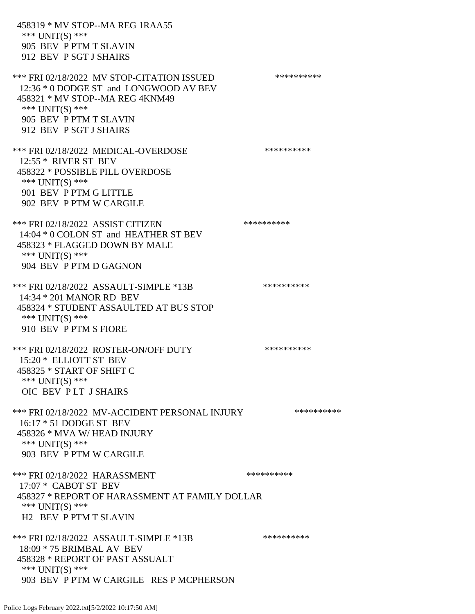458319 \* MV STOP--MA REG 1RAA55 \*\*\* UNIT(S) \*\*\* 905 BEV P PTM T SLAVIN 912 BEV P SGT J SHAIRS \*\*\* FRI 02/18/2022 MV STOP-CITATION ISSUED \*\*\*\*\*\*\*\*\*\* 12:36 \* 0 DODGE ST and LONGWOOD AV BEV 458321 \* MV STOP--MA REG 4KNM49 \*\*\* UNIT(S) \*\*\* 905 BEV P PTM T SLAVIN 912 BEV P SGT J SHAIRS \*\*\* FRI 02/18/2022 MEDICAL-OVERDOSE \*\*\*\*\*\*\*\*\*\* 12:55 \* RIVER ST BEV 458322 \* POSSIBLE PILL OVERDOSE \*\*\* UNIT(S) \*\*\* 901 BEV P PTM G LITTLE 902 BEV P PTM W CARGILE \*\*\* FRI 02/18/2022 ASSIST CITIZEN \*\*\*\*\*\*\*\*\*\*\*\* 14:04 \* 0 COLON ST and HEATHER ST BEV 458323 \* FLAGGED DOWN BY MALE \*\*\* UNIT(S) \*\*\* 904 BEV P PTM D GAGNON \*\*\* FRI 02/18/2022 ASSAULT-SIMPLE \*13B \*\*\*\*\*\*\*\*\*\* 14:34 \* 201 MANOR RD BEV 458324 \* STUDENT ASSAULTED AT BUS STOP \*\*\* UNIT(S) \*\*\* 910 BEV P PTM S FIORE \*\*\* FRI 02/18/2022 ROSTER-ON/OFF DUTY \*\*\*\*\*\*\*\*\*\* 15:20 \* ELLIOTT ST BEV 458325 \* START OF SHIFT C \*\*\* UNIT(S) \*\*\* OIC BEV P LT J SHAIRS \*\*\* FRI 02/18/2022 MV-ACCIDENT PERSONAL INJURY \*\*\*\*\*\*\*\*\*\* 16:17 \* 51 DODGE ST BEV 458326 \* MVA W/ HEAD INJURY \*\*\* UNIT(S) \*\*\* 903 BEV P PTM W CARGILE \*\*\* FRI 02/18/2022 HARASSMENT \*\*\*\*\*\*\*\*\*\*\*\*\*\*\*\*\*\*\*\*\*\* 17:07 \* CABOT ST BEV 458327 \* REPORT OF HARASSMENT AT FAMILY DOLLAR \*\*\* UNIT(S) \*\*\* H2 BEV P PTM T SLAVIN \*\*\* FRI 02/18/2022 ASSAULT-SIMPLE \*13B \*\*\*\*\*\*\*\*\*\* 18:09 \* 75 BRIMBAL AV BEV 458328 \* REPORT OF PAST ASSUALT \*\*\* UNIT(S) \*\*\* 903 BEV P PTM W CARGILE RES P MCPHERSON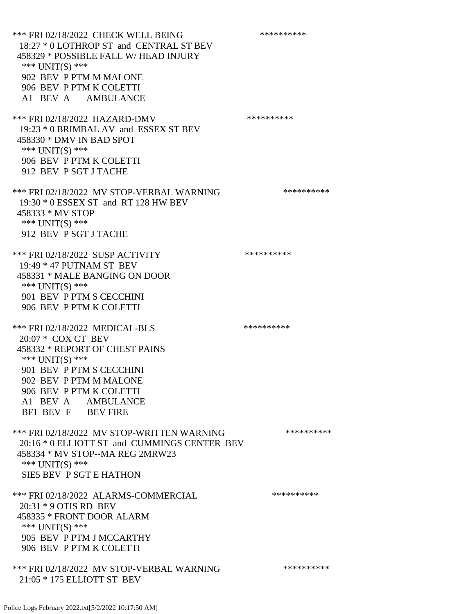\*\*\* FRI 02/18/2022 CHECK WELL BEING \*\*\*\*\*\*\*\*\*\* 18:27 \* 0 LOTHROP ST and CENTRAL ST BEV 458329 \* POSSIBLE FALL W/ HEAD INJURY \*\*\* UNIT(S) \*\*\* 902 BEV P PTM M MALONE 906 BEV P PTM K COLETTI A1 BEV A AMBULANCE \*\*\* FRI 02/18/2022 HAZARD-DMV \*\*\*\*\*\*\*\*\*\* 19:23 \* 0 BRIMBAL AV and ESSEX ST BEV 458330 \* DMV IN BAD SPOT \*\*\* UNIT(S) \*\*\* 906 BEV P PTM K COLETTI 912 BEV P SGT J TACHE \*\*\* FRI 02/18/2022 MV STOP-VERBAL WARNING \*\*\*\*\*\*\*\*\*\*\*\*\* 19:30 \* 0 ESSEX ST and RT 128 HW BEV 458333 \* MV STOP \*\*\* UNIT(S) \*\*\* 912 BEV P SGT J TACHE \*\*\* FRI 02/18/2022 SUSP ACTIVITY \*\*\*\*\*\*\*\*\*\*\*\*\* 19:49 \* 47 PUTNAM ST BEV 458331 \* MALE BANGING ON DOOR \*\*\* UNIT(S) \*\*\* 901 BEV P PTM S CECCHINI 906 BEV P PTM K COLETTI \*\*\* FRI 02/18/2022 MEDICAL-BLS \*\*\*\*\*\*\*\*\*\*\*\* 20:07 \* COX CT BEV 458332 \* REPORT OF CHEST PAINS \*\*\* UNIT(S) \*\*\* 901 BEV P PTM S CECCHINI 902 BEV P PTM M MALONE 906 BEV P PTM K COLETTI A1 BEV A AMBULANCE BF1 BEV F BEV FIRE \*\*\* FRI 02/18/2022 MV STOP-WRITTEN WARNING \*\*\*\*\*\*\*\*\*\*\*\*\* 20:16 \* 0 ELLIOTT ST and CUMMINGS CENTER BEV 458334 \* MV STOP--MA REG 2MRW23 \*\*\* UNIT(S) \*\*\* SIE5 BEV P SGT E HATHON \*\*\* FRI 02/18/2022 ALARMS-COMMERCIAL \*\*\*\*\*\*\*\*\*\* 20:31 \* 9 OTIS RD BEV 458335 \* FRONT DOOR ALARM \*\*\* UNIT(S) \*\*\* 905 BEV P PTM J MCCARTHY 906 BEV P PTM K COLETTI \*\*\* FRI 02/18/2022 MV STOP-VERBAL WARNING \*\*\*\*\*\*\*\*\*\*\*\*\*\* 21:05 \* 175 ELLIOTT ST BEV

Police Logs February 2022.txt[5/2/2022 10:17:50 AM]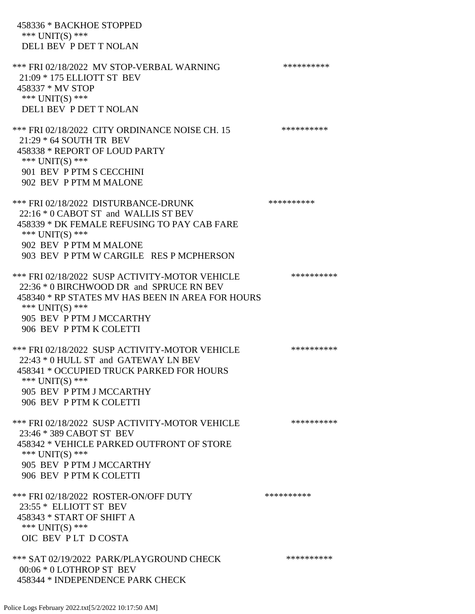458336 \* BACKHOE STOPPED \*\*\* UNIT(S) \*\*\* DEL1 BEV P DET T NOLAN \*\*\* FRI 02/18/2022 MV STOP-VERBAL WARNING \*\*\*\*\*\*\*\*\*\*\*\* 21:09 \* 175 ELLIOTT ST BEV 458337 \* MV STOP \*\*\* UNIT(S) \*\*\* DEL1 BEV P DET T NOLAN \*\*\* FRI 02/18/2022 CITY ORDINANCE NOISE CH. 15 \*\*\*\*\*\*\*\*\*\*\*\* 21:29 \* 64 SOUTH TR BEV 458338 \* REPORT OF LOUD PARTY \*\*\* UNIT(S) \*\*\* 901 BEV P PTM S CECCHINI 902 BEV P PTM M MALONE \*\*\* FRI 02/18/2022 DISTURBANCE-DRUNK \*\*\*\*\*\*\*\*\*\* 22:16 \* 0 CABOT ST and WALLIS ST BEV 458339 \* DK FEMALE REFUSING TO PAY CAB FARE \*\*\* UNIT(S) \*\*\* 902 BEV P PTM M MALONE 903 BEV P PTM W CARGILE RES P MCPHERSON \*\*\* FRI 02/18/2022 SUSP ACTIVITY-MOTOR VEHICLE \*\*\*\*\*\*\*\*\*\* 22:36 \* 0 BIRCHWOOD DR and SPRUCE RN BEV 458340 \* RP STATES MV HAS BEEN IN AREA FOR HOURS \*\*\* UNIT(S) \*\*\* 905 BEV P PTM J MCCARTHY 906 BEV P PTM K COLETTI \*\*\* FRI 02/18/2022 SUSP ACTIVITY-MOTOR VEHICLE \*\*\*\*\*\*\*\*\*\*\*\* 22:43 \* 0 HULL ST and GATEWAY LN BEV 458341 \* OCCUPIED TRUCK PARKED FOR HOURS \*\*\* UNIT(S) \*\*\* 905 BEV P PTM J MCCARTHY 906 BEV P PTM K COLETTI \*\*\* FRI 02/18/2022 SUSP ACTIVITY-MOTOR VEHICLE \*\*\*\*\*\*\*\*\*\* 23:46 \* 389 CABOT ST BEV 458342 \* VEHICLE PARKED OUTFRONT OF STORE \*\*\* UNIT(S) \*\*\* 905 BEV P PTM J MCCARTHY 906 BEV P PTM K COLETTI \*\*\* FRI 02/18/2022 ROSTER-ON/OFF DUTY \*\*\*\*\*\*\*\*\*\* 23:55 \* ELLIOTT ST BEV 458343 \* START OF SHIFT A \*\*\* UNIT(S) \*\*\* OIC BEV P LT D COSTA \*\*\* SAT 02/19/2022 PARK/PLAYGROUND CHECK \*\*\*\*\*\*\*\*\*\*\*\* 00:06 \* 0 LOTHROP ST BEV 458344 \* INDEPENDENCE PARK CHECK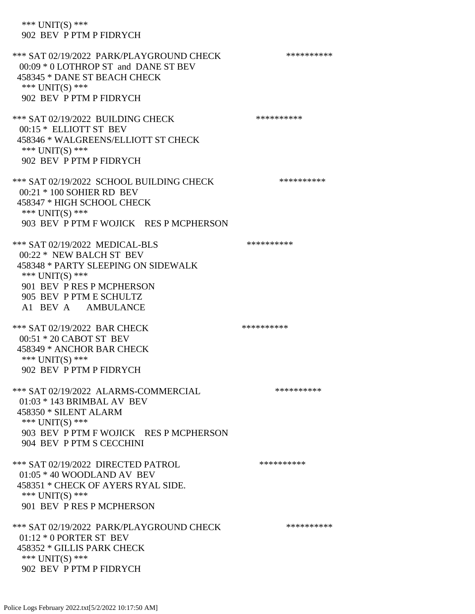\*\*\* UNIT(S) \*\*\* 902 BEV P PTM P FIDRYCH \*\*\* SAT 02/19/2022 PARK/PLAYGROUND CHECK \*\*\*\*\*\*\*\*\*\*\*\* 00:09 \* 0 LOTHROP ST and DANE ST BEV 458345 \* DANE ST BEACH CHECK \*\*\* UNIT(S) \*\*\* 902 BEV P PTM P FIDRYCH \*\*\* SAT 02/19/2022 BUILDING CHECK \*\*\*\*\*\*\*\*\*\*\*\*\* 00:15 \* ELLIOTT ST BEV 458346 \* WALGREENS/ELLIOTT ST CHECK \*\*\* UNIT(S) \*\*\* 902 BEV P PTM P FIDRYCH \*\*\* SAT 02/19/2022 SCHOOL BUILDING CHECK \*\*\*\*\*\*\*\*\*\*\* 00:21 \* 100 SOHIER RD BEV 458347 \* HIGH SCHOOL CHECK \*\*\* UNIT(S) \*\*\* 903 BEV P PTM F WOJICK RES P MCPHERSON \*\*\* SAT 02/19/2022 MEDICAL-BLS \*\*\*\*\*\*\*\*\*\*\*\*\*\* 00:22 \* NEW BALCH ST BEV 458348 \* PARTY SLEEPING ON SIDEWALK \*\*\* UNIT(S) \*\*\* 901 BEV P RES P MCPHERSON 905 BEV P PTM E SCHULTZ A1 BEV A AMBULANCE \*\*\* SAT 02/19/2022 BAR CHECK \*\*\*\*\*\*\*\*\*\*\*\* 00:51 \* 20 CABOT ST BEV 458349 \* ANCHOR BAR CHECK \*\*\* UNIT(S) \*\*\* 902 BEV P PTM P FIDRYCH \*\*\* SAT 02/19/2022 ALARMS-COMMERCIAL \*\*\*\*\*\*\*\*\*\* 01:03 \* 143 BRIMBAL AV BEV 458350 \* SILENT ALARM \*\*\* UNIT(S) \*\*\* 903 BEV P PTM F WOJICK RES P MCPHERSON 904 BEV P PTM S CECCHINI \*\*\* SAT 02/19/2022 DIRECTED PATROL \*\*\*\*\*\*\*\*\*\* 01:05 \* 40 WOODLAND AV BEV 458351 \* CHECK OF AYERS RYAL SIDE. \*\*\* UNIT(S) \*\*\* 901 BEV P RES P MCPHERSON \*\*\* SAT 02/19/2022 PARK/PLAYGROUND CHECK \*\*\*\*\*\*\*\*\*\*\*\* 01:12 \* 0 PORTER ST BEV 458352 \* GILLIS PARK CHECK \*\*\* UNIT(S) \*\*\* 902 BEV P PTM P FIDRYCH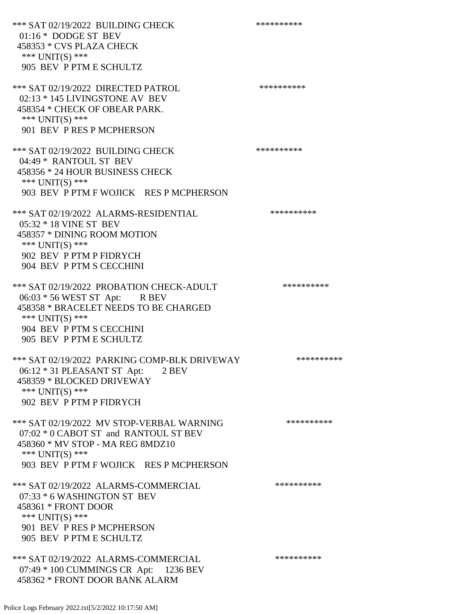\*\*\* SAT 02/19/2022 BUILDING CHECK \*\*\*\*\*\*\*\*\*\*\*\* 01:16 \* DODGE ST BEV 458353 \* CVS PLAZA CHECK \*\*\* UNIT(S) \*\*\* 905 BEV P PTM E SCHULTZ \*\*\* SAT 02/19/2022 DIRECTED PATROL \*\*\*\*\*\*\*\*\*\* 02:13 \* 145 LIVINGSTONE AV BEV 458354 \* CHECK OF OBEAR PARK. \*\*\* UNIT(S) \*\*\* 901 BEV P RES P MCPHERSON \*\*\* SAT 02/19/2022 BUILDING CHECK \*\*\*\*\*\*\*\*\*\*\*\* 04:49 \* RANTOUL ST BEV 458356 \* 24 HOUR BUSINESS CHECK \*\*\* UNIT(S) \*\*\* 903 BEV P PTM F WOJICK RES P MCPHERSON \*\*\* SAT 02/19/2022 ALARMS-RESIDENTIAL \*\*\*\*\*\*\*\*\*\*\*\* 05:32 \* 18 VINE ST BEV 458357 \* DINING ROOM MOTION \*\*\* UNIT(S) \*\*\* 902 BEV P PTM P FIDRYCH 904 BEV P PTM S CECCHINI \*\*\* SAT 02/19/2022 PROBATION CHECK-ADULT \*\*\*\*\*\*\*\*\*\*\*\* 06:03 \* 56 WEST ST Apt: R BEV 458358 \* BRACELET NEEDS TO BE CHARGED \*\*\* UNIT(S) \*\*\* 904 BEV P PTM S CECCHINI 905 BEV P PTM E SCHULTZ \*\*\* SAT 02/19/2022 PARKING COMP-BLK DRIVEWAY \*\*\*\*\*\*\*\*\*\* 06:12 \* 31 PLEASANT ST Apt: 2 BEV 458359 \* BLOCKED DRIVEWAY \*\*\* UNIT(S) \*\*\* 902 BEV P PTM P FIDRYCH \*\*\* SAT 02/19/2022 MV STOP-VERBAL WARNING \*\*\*\*\*\*\*\*\*\*\*\* 07:02 \* 0 CABOT ST and RANTOUL ST BEV 458360 \* MV STOP - MA REG 8MDZ10 \*\*\* UNIT(S) \*\*\* 903 BEV P PTM F WOJICK RES P MCPHERSON \*\*\* SAT 02/19/2022 ALARMS-COMMERCIAL \*\*\*\*\*\*\*\*\*\* 07:33 \* 6 WASHINGTON ST BEV 458361 \* FRONT DOOR \*\*\* UNIT(S) \*\*\* 901 BEV P RES P MCPHERSON 905 BEV P PTM E SCHULTZ \*\*\* SAT 02/19/2022 ALARMS-COMMERCIAL \*\*\*\*\*\*\*\*\*\* 07:49 \* 100 CUMMINGS CR Apt: 1236 BEV 458362 \* FRONT DOOR BANK ALARM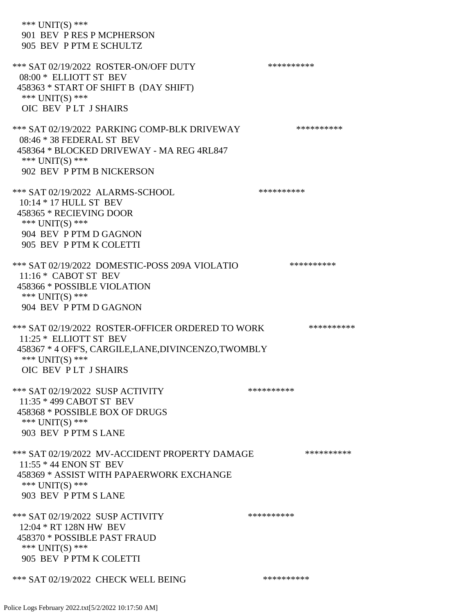| *** $UNIT(S)$ ***<br>901 BEV P RES P MCPHERSON<br>905 BEV P PTM E SCHULTZ                                                                                                   |            |
|-----------------------------------------------------------------------------------------------------------------------------------------------------------------------------|------------|
| *** SAT 02/19/2022 ROSTER-ON/OFF DUTY<br>08:00 * ELLIOTT ST BEV<br>458363 * START OF SHIFT B (DAY SHIFT)<br>*** UNIT(S) ***<br>OIC BEV PLT JSHAIRS                          | ********** |
| *** SAT 02/19/2022 PARKING COMP-BLK DRIVEWAY<br>08:46 * 38 FEDERAL ST BEV<br>458364 * BLOCKED DRIVEWAY - MA REG 4RL847<br>*** UNIT(S) ***<br>902 BEV P PTM B NICKERSON      | ********** |
| *** SAT 02/19/2022 ALARMS-SCHOOL<br>10:14 * 17 HULL ST BEV<br>458365 * RECIEVING DOOR<br>*** UNIT(S) ***<br>904 BEV P PTM D GAGNON<br>905 BEV P PTM K COLETTI               | ********** |
| *** SAT 02/19/2022 DOMESTIC-POSS 209A VIOLATIO<br>$11:16*$ CABOT ST BEV<br>458366 * POSSIBLE VIOLATION<br>*** UNIT(S) ***<br>904 BEV P PTM D GAGNON                         | ********** |
| *** SAT 02/19/2022 ROSTER-OFFICER ORDERED TO WORK<br>11:25 * ELLIOTT ST BEV<br>458367 * 4 OFF'S, CARGILE,LANE,DIVINCENZO,TWOMBLY<br>*** UNIT(S) ***<br>OIC BEV PLT J SHAIRS | ********** |
| *** SAT 02/19/2022 SUSP ACTIVITY<br>11:35 * 499 CABOT ST BEV<br>458368 * POSSIBLE BOX OF DRUGS<br>*** UNIT(S) ***<br>903 BEV P PTM S LANE                                   | ********** |
| *** SAT 02/19/2022 MV-ACCIDENT PROPERTY DAMAGE<br>11:55 * 44 ENON ST BEV<br>458369 * ASSIST WITH PAPAERWORK EXCHANGE<br>*** UNIT(S) ***<br>903 BEV P PTM S LANE             | ********** |
| *** SAT 02/19/2022 SUSP ACTIVITY<br>12:04 * RT 128N HW BEV<br>458370 * POSSIBLE PAST FRAUD<br>*** $UNIT(S)$ ***<br>905 BEV P PTM K COLETTI                                  | ********** |
| *** SAT 02/19/2022 CHECK WELL BEING                                                                                                                                         | ********** |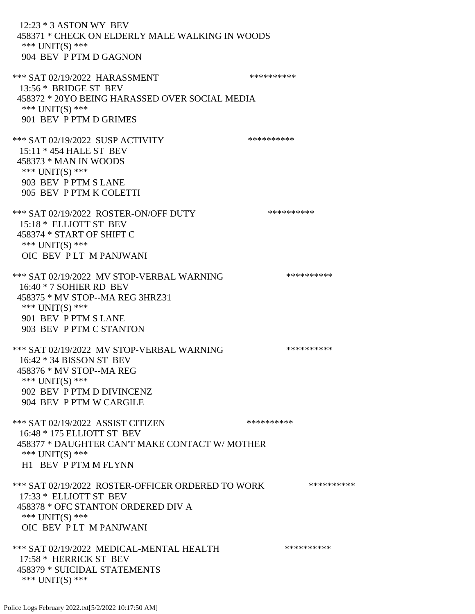12:23 \* 3 ASTON WY BEV 458371 \* CHECK ON ELDERLY MALE WALKING IN WOODS \*\*\* UNIT(S) \*\*\* 904 BEV P PTM D GAGNON \*\*\* SAT 02/19/2022 HARASSMENT \*\*\*\*\*\*\*\*\*\* 13:56 \* BRIDGE ST BEV 458372 \* 20YO BEING HARASSED OVER SOCIAL MEDIA \*\*\* UNIT(S) \*\*\* 901 BEV P PTM D GRIMES \*\*\* SAT 02/19/2022 SUSP ACTIVITY \*\*\*\*\*\*\*\*\*\*\*\* 15:11 \* 454 HALE ST BEV 458373 \* MAN IN WOODS \*\*\* UNIT(S) \*\*\* 903 BEV P PTM S LANE 905 BEV P PTM K COLETTI \*\*\* SAT 02/19/2022 ROSTER-ON/OFF DUTY \*\*\*\*\*\*\*\*\*\* 15:18 \* ELLIOTT ST BEV 458374 \* START OF SHIFT C \*\*\* UNIT(S) \*\*\* OIC BEV P LT M PANJWANI \*\*\* SAT 02/19/2022 MV STOP-VERBAL WARNING \*\*\*\*\*\*\*\*\*\*\*\*\*\* 16:40 \* 7 SOHIER RD BEV 458375 \* MV STOP--MA REG 3HRZ31 \*\*\* UNIT(S) \*\*\* 901 BEV P PTM S LANE 903 BEV P PTM C STANTON \*\*\* SAT 02/19/2022 MV STOP-VERBAL WARNING \*\*\*\*\*\*\*\*\*\*\*\*\* 16:42 \* 34 BISSON ST BEV 458376 \* MV STOP--MA REG \*\*\* UNIT(S) \*\*\* 902 BEV P PTM D DIVINCENZ 904 BEV P PTM W CARGILE \*\*\* SAT 02/19/2022 ASSIST CITIZEN \*\*\*\*\*\*\*\*\*\*\*\* 16:48 \* 175 ELLIOTT ST BEV 458377 \* DAUGHTER CAN'T MAKE CONTACT W/ MOTHER \*\*\* UNIT(S) \*\*\* H1 BEV P PTM M FLYNN \*\*\* SAT 02/19/2022 ROSTER-OFFICER ORDERED TO WORK \*\*\*\*\*\*\*\*\*\*\* 17:33 \* ELLIOTT ST BEV 458378 \* OFC STANTON ORDERED DIV A \*\*\* UNIT(S) \*\*\* OIC BEV P LT M PANJWANI \*\*\* SAT 02/19/2022 MEDICAL-MENTAL HEALTH \*\*\*\*\*\*\*\*\*\* 17:58 \* HERRICK ST BEV 458379 \* SUICIDAL STATEMENTS \*\*\* UNIT(S) \*\*\*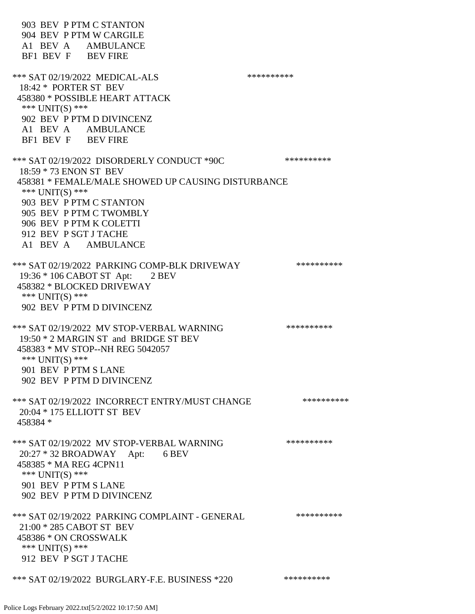903 BEV P PTM C STANTON 904 BEV P PTM W CARGILE A1 BEV A AMBULANCE BF1 BEV F BEV FIRE \*\*\* SAT 02/19/2022 MEDICAL-ALS \*\*\*\*\*\*\*\*\*\* 18:42 \* PORTER ST BEV 458380 \* POSSIBLE HEART ATTACK \*\*\* UNIT(S) \*\*\* 902 BEV P PTM D DIVINCENZ A1 BEV A AMBULANCE BF1 BEV F BEV FIRE \*\*\* SAT 02/19/2022 DISORDERLY CONDUCT \*90C \*\*\*\*\*\*\*\*\*\* 18:59 \* 73 ENON ST BEV 458381 \* FEMALE/MALE SHOWED UP CAUSING DISTURBANCE \*\*\* UNIT(S) \*\*\* 903 BEV P PTM C STANTON 905 BEV P PTM C TWOMBLY 906 BEV P PTM K COLETTI 912 BEV P SGT J TACHE A1 BEV A AMBULANCE \*\*\* SAT 02/19/2022 PARKING COMP-BLK DRIVEWAY \*\*\*\*\*\*\*\*\*\*\*\* 19:36 \* 106 CABOT ST Apt: 2 BEV 458382 \* BLOCKED DRIVEWAY \*\*\* UNIT(S) \*\*\* 902 BEV P PTM D DIVINCENZ \*\*\* SAT 02/19/2022 MV STOP-VERBAL WARNING \*\*\*\*\*\*\*\*\*\*\*\*\* 19:50 \* 2 MARGIN ST and BRIDGE ST BEV 458383 \* MV STOP--NH REG 5042057 \*\*\* UNIT(S) \*\*\* 901 BEV P PTM S LANE 902 BEV P PTM D DIVINCENZ \*\*\* SAT 02/19/2022 INCORRECT ENTRY/MUST CHANGE \*\*\*\*\*\*\*\*\*\* 20:04 \* 175 ELLIOTT ST BEV 458384 \* \*\*\* SAT 02/19/2022 MV STOP-VERBAL WARNING \*\*\*\*\*\*\*\*\*\*\*\*\* 20:27 \* 32 BROADWAY Apt: 6 BEV 458385 \* MA REG 4CPN11 \*\*\* UNIT(S) \*\*\* 901 BEV P PTM S LANE 902 BEV P PTM D DIVINCENZ \*\*\* SAT 02/19/2022 PARKING COMPLAINT - GENERAL \*\*\*\*\*\*\*\*\*\* 21:00 \* 285 CABOT ST BEV 458386 \* ON CROSSWALK \*\*\* UNIT(S) \*\*\* 912 BEV P SGT J TACHE \*\*\* SAT 02/19/2022 BURGLARY-F.E. BUSINESS \*220 \*\*\*\*\*\*\*\*\*\*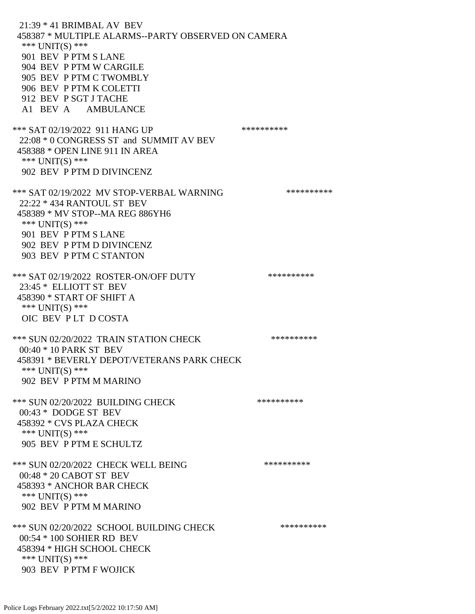21:39 \* 41 BRIMBAL AV BEV 458387 \* MULTIPLE ALARMS--PARTY OBSERVED ON CAMERA \*\*\* UNIT(S) \*\*\* 901 BEV P PTM S LANE 904 BEV P PTM W CARGILE 905 BEV P PTM C TWOMBLY 906 BEV P PTM K COLETTI 912 BEV P SGT J TACHE A1 BEV A AMBULANCE \*\*\* SAT 02/19/2022 911 HANG UP \*\*\*\*\*\*\*\*\*\*\*\* 22:08 \* 0 CONGRESS ST and SUMMIT AV BEV 458388 \* OPEN LINE 911 IN AREA \*\*\* UNIT(S) \*\*\* 902 BEV P PTM D DIVINCENZ \*\*\* SAT 02/19/2022 MV STOP-VERBAL WARNING \*\*\*\*\*\*\*\*\*\*\*\*\* 22:22 \* 434 RANTOUL ST BEV 458389 \* MV STOP--MA REG 886YH6 \*\*\* UNIT(S) \*\*\* 901 BEV P PTM S LANE 902 BEV P PTM D DIVINCENZ 903 BEV P PTM C STANTON \*\*\* SAT 02/19/2022 ROSTER-ON/OFF DUTY \*\*\*\*\*\*\*\*\*\* 23:45 \* ELLIOTT ST BEV 458390 \* START OF SHIFT A \*\*\* UNIT(S) \*\*\* OIC BEV P LT D COSTA \*\*\* SUN 02/20/2022 TRAIN STATION CHECK \*\*\*\*\*\*\*\*\*\*\* 00:40 \* 10 PARK ST BEV 458391 \* BEVERLY DEPOT/VETERANS PARK CHECK \*\*\* UNIT(S) \*\*\* 902 BEV P PTM M MARINO \*\*\* SUN 02/20/2022 BUILDING CHECK \*\*\*\*\*\*\*\*\*\*\* 00:43 \* DODGE ST BEV 458392 \* CVS PLAZA CHECK \*\*\* UNIT(S) \*\*\* 905 BEV P PTM E SCHULTZ \*\*\* SUN 02/20/2022 CHECK WELL BEING \*\*\*\*\*\*\*\*\*\* 00:48 \* 20 CABOT ST BEV 458393 \* ANCHOR BAR CHECK \*\*\* UNIT(S) \*\*\* 902 BEV P PTM M MARINO \*\*\* SUN 02/20/2022 SCHOOL BUILDING CHECK \*\*\*\*\*\*\*\*\*\*\* 00:54 \* 100 SOHIER RD BEV 458394 \* HIGH SCHOOL CHECK \*\*\* UNIT(S) \*\*\* 903 BEV P PTM F WOJICK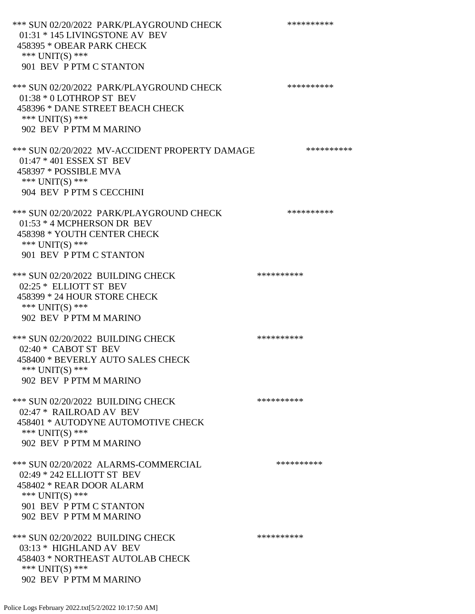\*\*\* SUN 02/20/2022 PARK/PLAYGROUND CHECK \*\*\*\*\*\*\*\*\*\* 01:31 \* 145 LIVINGSTONE AV BEV 458395 \* OBEAR PARK CHECK \*\*\* UNIT(S) \*\*\* 901 BEV P PTM C STANTON \*\*\* SUN 02/20/2022 PARK/PLAYGROUND CHECK \*\*\*\*\*\*\*\*\*\*\* 01:38 \* 0 LOTHROP ST BEV 458396 \* DANE STREET BEACH CHECK \*\*\* UNIT(S) \*\*\* 902 BEV P PTM M MARINO \*\*\* SUN 02/20/2022 MV-ACCIDENT PROPERTY DAMAGE \*\*\*\*\*\*\*\*\*\*\*\* 01:47 \* 401 ESSEX ST BEV 458397 \* POSSIBLE MVA \*\*\* UNIT(S) \*\*\* 904 BEV P PTM S CECCHINI \*\*\* SUN 02/20/2022 PARK/PLAYGROUND CHECK \*\*\*\*\*\*\*\*\*\*\*\* 01:53 \* 4 MCPHERSON DR BEV 458398 \* YOUTH CENTER CHECK \*\*\* UNIT(S) \*\*\* 901 BEV P PTM C STANTON \*\*\* SUN 02/20/2022 BUILDING CHECK \*\*\*\*\*\*\*\*\*\* 02:25 \* ELLIOTT ST BEV 458399 \* 24 HOUR STORE CHECK \*\*\* UNIT(S) \*\*\* 902 BEV P PTM M MARINO \*\*\* SUN 02/20/2022 BUILDING CHECK \*\*\*\*\*\*\*\*\*\*\* 02:40 \* CABOT ST BEV 458400 \* BEVERLY AUTO SALES CHECK \*\*\* UNIT(S) \*\*\* 902 BEV P PTM M MARINO \*\*\* SUN 02/20/2022 BUILDING CHECK \*\*\*\*\*\*\*\*\*\*\* 02:47 \* RAILROAD AV BEV 458401 \* AUTODYNE AUTOMOTIVE CHECK \*\*\* UNIT(S) \*\*\* 902 BEV P PTM M MARINO \*\*\* SUN 02/20/2022 ALARMS-COMMERCIAL \*\*\*\*\*\*\*\*\*\* 02:49 \* 242 ELLIOTT ST BEV 458402 \* REAR DOOR ALARM \*\*\* UNIT(S) \*\*\* 901 BEV P PTM C STANTON 902 BEV P PTM M MARINO \*\*\* SUN 02/20/2022 BUILDING CHECK \*\*\*\*\*\*\*\*\*\*\* 03:13 \* HIGHLAND AV BEV 458403 \* NORTHEAST AUTOLAB CHECK \*\*\* UNIT(S) \*\*\* 902 BEV P PTM M MARINO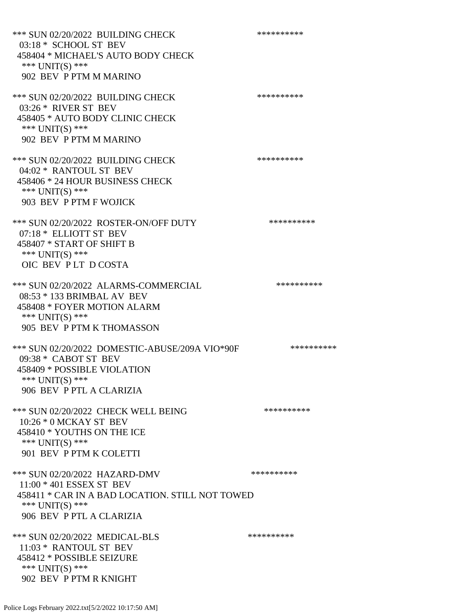\*\*\* SUN 02/20/2022 BUILDING CHECK \*\*\*\*\*\*\*\*\*\*\* 03:18 \* SCHOOL ST BEV 458404 \* MICHAEL'S AUTO BODY CHECK \*\*\* UNIT(S) \*\*\* 902 BEV P PTM M MARINO \*\*\* SUN 02/20/2022 BUILDING CHECK \*\*\*\*\*\*\*\*\*\* 03:26 \* RIVER ST BEV 458405 \* AUTO BODY CLINIC CHECK \*\*\* UNIT(S) \*\*\* 902 BEV P PTM M MARINO \*\*\* SUN 02/20/2022 BUILDING CHECK \*\*\*\*\*\*\*\*\*\* 04:02 \* RANTOUL ST BEV 458406 \* 24 HOUR BUSINESS CHECK \*\*\* UNIT(S) \*\*\* 903 BEV P PTM F WOJICK \*\*\* SUN 02/20/2022 ROSTER-ON/OFF DUTY \*\*\*\*\*\*\*\*\*\* 07:18 \* ELLIOTT ST BEV 458407 \* START OF SHIFT B \*\*\* UNIT(S) \*\*\* OIC BEV P LT D COSTA \*\*\* SUN 02/20/2022 ALARMS-COMMERCIAL \*\*\*\*\*\*\*\*\*\* 08:53 \* 133 BRIMBAL AV BEV 458408 \* FOYER MOTION ALARM \*\*\* UNIT(S) \*\*\* 905 BEV P PTM K THOMASSON \*\*\* SUN 02/20/2022 DOMESTIC-ABUSE/209A VIO\*90F \*\*\*\*\*\*\*\*\*\* 09:38 \* CABOT ST BEV 458409 \* POSSIBLE VIOLATION \*\*\* UNIT(S) \*\*\* 906 BEV P PTL A CLARIZIA \*\*\* SUN 02/20/2022 CHECK WELL BEING \*\*\*\*\*\*\*\*\*\* 10:26 \* 0 MCKAY ST BEV 458410 \* YOUTHS ON THE ICE \*\*\* UNIT(S) \*\*\* 901 BEV P PTM K COLETTI \*\*\* SUN 02/20/2022 HAZARD-DMV \*\*\*\*\*\*\*\*\*\*\*\* 11:00 \* 401 ESSEX ST BEV 458411 \* CAR IN A BAD LOCATION. STILL NOT TOWED \*\*\* UNIT(S) \*\*\* 906 BEV P PTL A CLARIZIA \*\*\* SUN 02/20/2022 MEDICAL-BLS \*\*\*\*\*\*\*\*\*\*\*\*\* 11:03 \* RANTOUL ST BEV 458412 \* POSSIBLE SEIZURE \*\*\* UNIT(S) \*\*\* 902 BEV P PTM R KNIGHT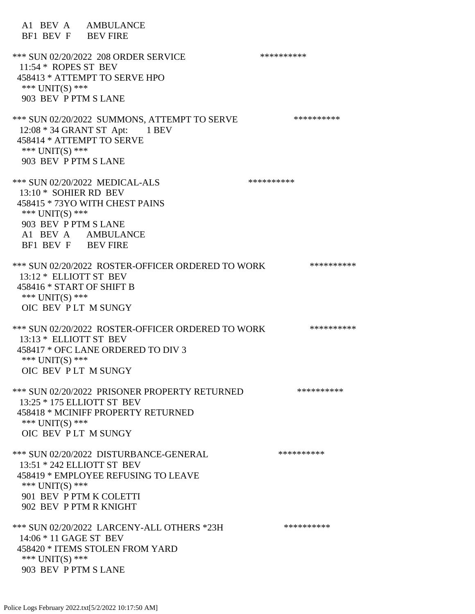A1 BEV A AMBULANCE BF1 BEV F BEV FIRE \*\*\* SUN 02/20/2022 208 ORDER SERVICE \*\*\*\*\*\*\*\*\*\* 11:54 \* ROPES ST BEV 458413 \* ATTEMPT TO SERVE HPO \*\*\* UNIT(S) \*\*\* 903 BEV P PTM S LANE \*\*\* SUN 02/20/2022 SUMMONS, ATTEMPT TO SERVE \*\*\*\*\*\*\*\*\*\*\*\* 12:08 \* 34 GRANT ST Apt: 1 BEV 458414 \* ATTEMPT TO SERVE \*\*\* UNIT(S) \*\*\* 903 BEV P PTM S LANE \*\*\* SUN 02/20/2022 MEDICAL-ALS \*\*\*\*\*\*\*\*\*\* 13:10 \* SOHIER RD BEV 458415 \* 73YO WITH CHEST PAINS \*\*\* UNIT(S) \*\*\* 903 BEV P PTM S LANE A1 BEV A AMBULANCE BF1 BEV F BEV FIRE \*\*\* SUN 02/20/2022 ROSTER-OFFICER ORDERED TO WORK \*\*\*\*\*\*\*\*\*\*\* 13:12 \* ELLIOTT ST BEV 458416 \* START OF SHIFT B \*\*\* UNIT(S) \*\*\* OIC BEV P LT M SUNGY \*\*\* SUN 02/20/2022 ROSTER-OFFICER ORDERED TO WORK \*\*\*\*\*\*\*\*\*\*\* 13:13 \* ELLIOTT ST BEV 458417 \* OFC LANE ORDERED TO DIV 3 \*\*\* UNIT(S) \*\*\* OIC BEV P LT M SUNGY \*\*\* SUN 02/20/2022 PRISONER PROPERTY RETURNED \*\*\*\*\*\*\*\*\*\* 13:25 \* 175 ELLIOTT ST BEV 458418 \* MCINIFF PROPERTY RETURNED \*\*\* UNIT(S) \*\*\* OIC BEV P LT M SUNGY \*\*\* SUN 02/20/2022 DISTURBANCE-GENERAL \*\*\*\*\*\*\*\*\*\* 13:51 \* 242 ELLIOTT ST BEV 458419 \* EMPLOYEE REFUSING TO LEAVE \*\*\* UNIT(S) \*\*\* 901 BEV P PTM K COLETTI 902 BEV P PTM R KNIGHT \*\*\* SUN 02/20/2022 LARCENY-ALL OTHERS \*23H \*\*\*\*\*\*\*\*\*\* 14:06 \* 11 GAGE ST BEV 458420 \* ITEMS STOLEN FROM YARD \*\*\* UNIT(S) \*\*\* 903 BEV P PTM S LANE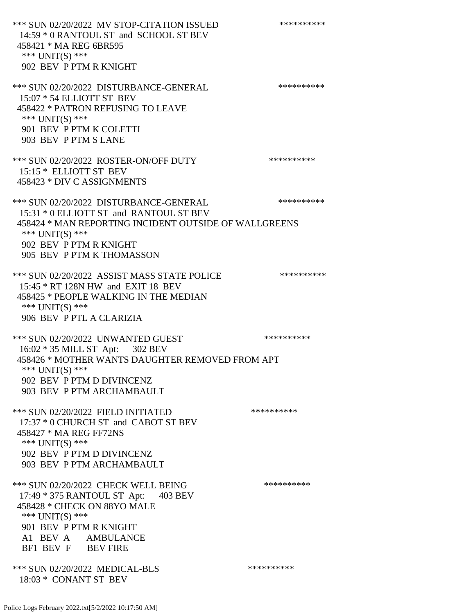\*\*\* SUN 02/20/2022 MV STOP-CITATION ISSUED \*\*\*\*\*\*\*\*\*\* 14:59 \* 0 RANTOUL ST and SCHOOL ST BEV 458421 \* MA REG 6BR595 \*\*\* UNIT(S) \*\*\* 902 BEV P PTM R KNIGHT \*\*\* SUN 02/20/2022 DISTURBANCE-GENERAL \*\*\*\*\*\*\*\*\*\* 15:07 \* 54 ELLIOTT ST BEV 458422 \* PATRON REFUSING TO LEAVE \*\*\* UNIT(S) \*\*\* 901 BEV P PTM K COLETTI 903 BEV P PTM S LANE \*\*\* SUN 02/20/2022 ROSTER-ON/OFF DUTY \*\*\*\*\*\*\*\*\*\* 15:15 \* ELLIOTT ST BEV 458423 \* DIV C ASSIGNMENTS \*\*\* SUN 02/20/2022 DISTURBANCE-GENERAL \*\*\*\*\*\*\*\*\*\* 15:31 \* 0 ELLIOTT ST and RANTOUL ST BEV 458424 \* MAN REPORTING INCIDENT OUTSIDE OF WALLGREENS \*\*\* UNIT(S) \*\*\* 902 BEV P PTM R KNIGHT 905 BEV P PTM K THOMASSON \*\*\* SUN 02/20/2022 ASSIST MASS STATE POLICE \*\*\*\*\*\*\*\*\*\* 15:45 \* RT 128N HW and EXIT 18 BEV 458425 \* PEOPLE WALKING IN THE MEDIAN \*\*\* UNIT(S) \*\*\* 906 BEV P PTL A CLARIZIA \*\*\* SUN 02/20/2022 UNWANTED GUEST \*\*\*\*\*\*\*\*\*\*\*\*\*\* 16:02 \* 35 MILL ST Apt: 302 BEV 458426 \* MOTHER WANTS DAUGHTER REMOVED FROM APT \*\*\* UNIT(S) \*\*\* 902 BEV P PTM D DIVINCENZ 903 BEV P PTM ARCHAMBAULT \*\*\* SUN 02/20/2022 FIELD INITIATED \*\*\*\*\*\*\*\*\*\* 17:37 \* 0 CHURCH ST and CABOT ST BEV 458427 \* MA REG FF72NS \*\*\* UNIT(S) \*\*\* 902 BEV P PTM D DIVINCENZ 903 BEV P PTM ARCHAMBAULT \*\*\* SUN 02/20/2022 CHECK WELL BEING \*\*\*\*\*\*\*\*\*\*\*\* 17:49 \* 375 RANTOUL ST Apt: 403 BEV 458428 \* CHECK ON 88YO MALE \*\*\* UNIT(S) \*\*\* 901 BEV P PTM R KNIGHT A1 BEV A AMBULANCE BF1 BEV F BEV FIRE \*\*\* SUN 02/20/2022 MEDICAL-BLS \*\*\*\*\*\*\*\*\*\*\*\*\* 18:03 \* CONANT ST BEV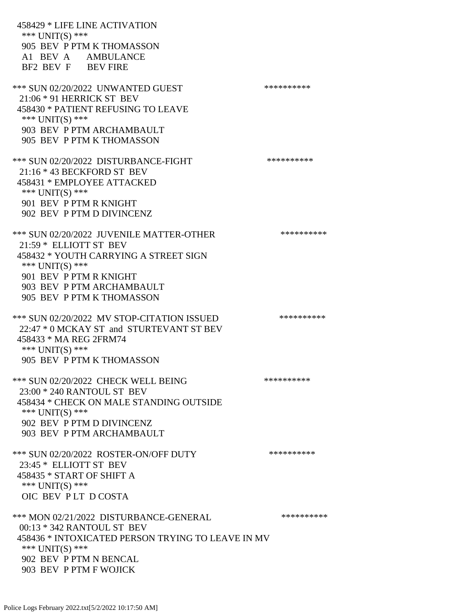458429 \* LIFE LINE ACTIVATION \*\*\* UNIT(S) \*\*\* 905 BEV P PTM K THOMASSON A1 BEV A AMBULANCE BF2 BEV F BEV FIRE \*\*\* SUN 02/20/2022 UNWANTED GUEST \*\*\*\*\*\*\*\*\*\*\*\*\*\* 21:06 \* 91 HERRICK ST BEV 458430 \* PATIENT REFUSING TO LEAVE \*\*\* UNIT(S) \*\*\* 903 BEV P PTM ARCHAMBAULT 905 BEV P PTM K THOMASSON \*\*\* SUN 02/20/2022 DISTURBANCE-FIGHT \*\*\*\*\*\*\*\*\*\*\*\*\* 21:16 \* 43 BECKFORD ST BEV 458431 \* EMPLOYEE ATTACKED \*\*\* UNIT(S) \*\*\* 901 BEV P PTM R KNIGHT 902 BEV P PTM D DIVINCENZ \*\*\* SUN 02/20/2022 JUVENILE MATTER-OTHER \*\*\*\*\*\*\*\*\*\*\*\* 21:59 \* ELLIOTT ST BEV 458432 \* YOUTH CARRYING A STREET SIGN \*\*\* UNIT(S) \*\*\* 901 BEV P PTM R KNIGHT 903 BEV P PTM ARCHAMBAULT 905 BEV P PTM K THOMASSON \*\*\* SUN 02/20/2022 MV STOP-CITATION ISSUED \*\*\*\*\*\*\*\*\*\* 22:47 \* 0 MCKAY ST and STURTEVANT ST BEV 458433 \* MA REG 2FRM74 \*\*\* UNIT(S) \*\*\* 905 BEV P PTM K THOMASSON \*\*\* SUN 02/20/2022 CHECK WELL BEING \*\*\*\*\*\*\*\*\*\* 23:00 \* 240 RANTOUL ST BEV 458434 \* CHECK ON MALE STANDING OUTSIDE \*\*\* UNIT(S) \*\*\* 902 BEV P PTM D DIVINCENZ 903 BEV P PTM ARCHAMBAULT \*\*\* SUN 02/20/2022 ROSTER-ON/OFF DUTY \*\*\*\*\*\*\*\*\*\* 23:45 \* ELLIOTT ST BEV 458435 \* START OF SHIFT A \*\*\* UNIT(S) \*\*\* OIC BEV P LT D COSTA \*\*\* MON 02/21/2022 DISTURBANCE-GENERAL \*\*\*\*\*\*\*\*\*\*\*\* 00:13 \* 342 RANTOUL ST BEV 458436 \* INTOXICATED PERSON TRYING TO LEAVE IN MV \*\*\* UNIT(S) \*\*\* 902 BEV P PTM N BENCAL 903 BEV P PTM F WOJICK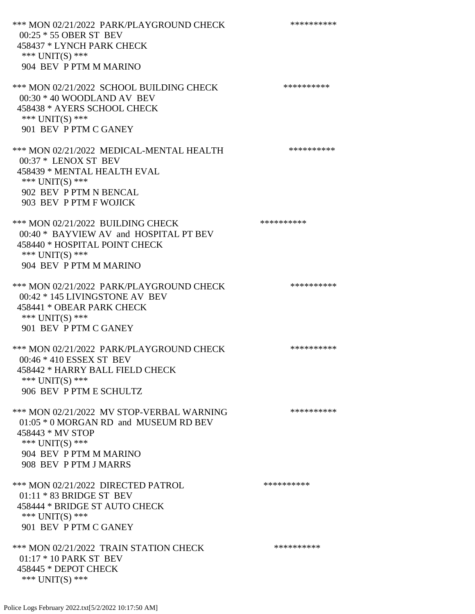\*\*\* MON 02/21/2022 PARK/PLAYGROUND CHECK \*\*\*\*\*\*\*\*\*\* 00:25 \* 55 OBER ST BEV 458437 \* LYNCH PARK CHECK \*\*\* UNIT(S) \*\*\* 904 BEV P PTM M MARINO \*\*\* MON 02/21/2022 SCHOOL BUILDING CHECK \*\*\*\*\*\*\*\*\*\*\* 00:30 \* 40 WOODLAND AV BEV 458438 \* AYERS SCHOOL CHECK \*\*\* UNIT(S) \*\*\* 901 BEV P PTM C GANEY \*\*\* MON 02/21/2022 MEDICAL-MENTAL HEALTH \*\*\*\*\*\*\*\*\*\*\* 00:37 \* LENOX ST BEV 458439 \* MENTAL HEALTH EVAL \*\*\* UNIT(S) \*\*\* 902 BEV P PTM N BENCAL 903 BEV P PTM F WOJICK \*\*\* MON 02/21/2022 BUILDING CHECK \*\*\*\*\*\*\*\*\*\*\*\* 00:40 \* BAYVIEW AV and HOSPITAL PT BEV 458440 \* HOSPITAL POINT CHECK \*\*\* UNIT(S) \*\*\* 904 BEV P PTM M MARINO \*\*\* MON 02/21/2022 PARK/PLAYGROUND CHECK \*\*\*\*\*\*\*\*\*\*\*\* 00:42 \* 145 LIVINGSTONE AV BEV 458441 \* OBEAR PARK CHECK \*\*\* UNIT(S) \*\*\* 901 BEV P PTM C GANEY \*\*\* MON 02/21/2022 PARK/PLAYGROUND CHECK \*\*\*\*\*\*\*\*\*\*\*\* 00:46 \* 410 ESSEX ST BEV 458442 \* HARRY BALL FIELD CHECK \*\*\* UNIT(S) \*\*\* 906 BEV P PTM E SCHULTZ \*\*\* MON 02/21/2022 MV STOP-VERBAL WARNING \*\*\*\*\*\*\*\*\*\*\*\*\*\* 01:05 \* 0 MORGAN RD and MUSEUM RD BEV 458443 \* MV STOP \*\*\* UNIT(S) \*\*\* 904 BEV P PTM M MARINO 908 BEV P PTM J MARRS \*\*\* MON 02/21/2022 DIRECTED PATROL \*\*\*\*\*\*\*\*\*\* 01:11 \* 83 BRIDGE ST BEV 458444 \* BRIDGE ST AUTO CHECK \*\*\* UNIT(S) \*\*\* 901 BEV P PTM C GANEY \*\*\* MON 02/21/2022 TRAIN STATION CHECK \*\*\*\*\*\*\*\*\*\*\*\* 01:17 \* 10 PARK ST BEV 458445 \* DEPOT CHECK \*\*\* UNIT(S) \*\*\*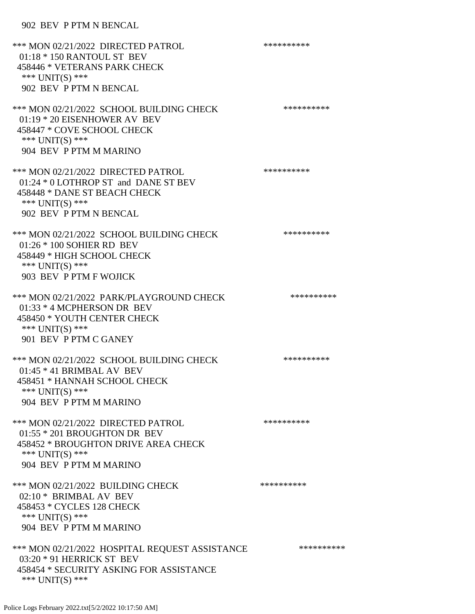## 902 BEV P PTM N BENCAL

| *** MON 02/21/2022 DIRECTED PATROL<br>$01:18 * 150$ RANTOUL ST BEV<br>458446 * VETERANS PARK CHECK<br>*** UNIT(S) ***<br>902 BEV P PTM N BENCAL           | ********** |
|-----------------------------------------------------------------------------------------------------------------------------------------------------------|------------|
| *** MON 02/21/2022 SCHOOL BUILDING CHECK<br>01:19 * 20 EISENHOWER AV BEV<br>458447 * COVE SCHOOL CHECK<br>*** UNIT(S) ***<br>904 BEV P PTM M MARINO       | ********** |
| *** MON 02/21/2022 DIRECTED PATROL<br>01:24 * 0 LOTHROP ST and DANE ST BEV<br>458448 * DANE ST BEACH CHECK<br>*** $UNIT(S)$ ***<br>902 BEV P PTM N BENCAL | ********** |
| *** MON 02/21/2022 SCHOOL BUILDING CHECK<br>01:26 * 100 SOHIER RD BEV<br>458449 * HIGH SCHOOL CHECK<br>*** UNIT(S) ***<br>903 BEV P PTM F WOJICK          | ********** |
| *** MON 02/21/2022 PARK/PLAYGROUND CHECK<br>$01:33 * 4$ MCPHERSON DR BEV<br>458450 * YOUTH CENTER CHECK<br>*** UNIT(S) ***<br>901 BEV P PTM C GANEY       | ********** |
| *** MON 02/21/2022 SCHOOL BUILDING CHECK<br>$01:45 * 41$ BRIMBAL AV BEV<br>458451 * HANNAH SCHOOL CHECK<br>*** $UNIT(S)$ ***<br>904 BEV P PTM M MARINO    | ********** |
| *** MON 02/21/2022 DIRECTED PATROL<br>01:55 * 201 BROUGHTON DR BEV<br>458452 * BROUGHTON DRIVE AREA CHECK<br>*** UNIT(S) ***<br>904 BEV P PTM M MARINO    | ********** |
| *** MON 02/21/2022 BUILDING CHECK<br>02:10 * BRIMBAL AV BEV<br>458453 * CYCLES 128 CHECK<br>*** UNIT(S) ***<br>904 BEV P PTM M MARINO                     | ********** |
| *** MON 02/21/2022 HOSPITAL REQUEST ASSISTANCE<br>03:20 * 91 HERRICK ST BEV<br>458454 * SECURITY ASKING FOR ASSISTANCE<br>*** $UNIT(S)$ ***               | ********** |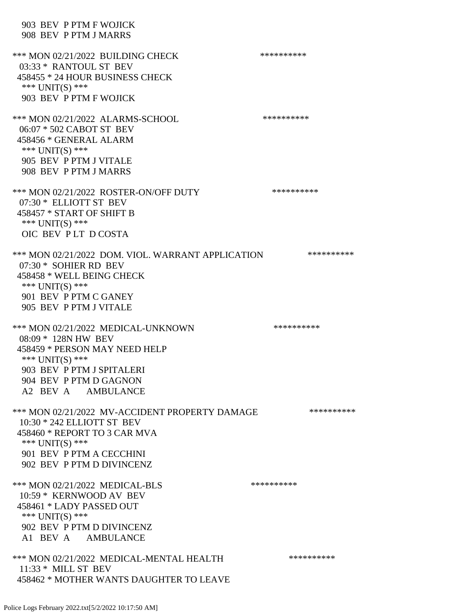903 BEV P PTM F WOJICK 908 BEV P PTM J MARRS \*\*\* MON 02/21/2022 BUILDING CHECK \*\*\*\*\*\*\*\*\*\*\* 03:33 \* RANTOUL ST BEV 458455 \* 24 HOUR BUSINESS CHECK \*\*\* UNIT(S) \*\*\* 903 BEV P PTM F WOJICK \*\*\* MON 02/21/2022 ALARMS-SCHOOL \*\*\*\*\*\*\*\*\*\* 06:07 \* 502 CABOT ST BEV 458456 \* GENERAL ALARM \*\*\* UNIT(S) \*\*\* 905 BEV P PTM J VITALE 908 BEV P PTM J MARRS \*\*\* MON 02/21/2022 ROSTER-ON/OFF DUTY \*\*\*\*\*\*\*\*\*\* 07:30 \* ELLIOTT ST BEV 458457 \* START OF SHIFT B  $***$  UNIT(S)  $***$  OIC BEV P LT D COSTA \*\*\* MON 02/21/2022 DOM. VIOL. WARRANT APPLICATION \*\*\*\*\*\*\*\*\*\* 07:30 \* SOHIER RD BEV 458458 \* WELL BEING CHECK \*\*\* UNIT(S) \*\*\* 901 BEV P PTM C GANEY 905 BEV P PTM J VITALE \*\*\* MON 02/21/2022 MEDICAL-UNKNOWN \*\*\*\*\*\*\*\*\*\*\* 08:09 \* 128N HW BEV 458459 \* PERSON MAY NEED HELP \*\*\* UNIT(S) \*\*\* 903 BEV P PTM J SPITALERI 904 BEV P PTM D GAGNON A2 BEV A AMBULANCE \*\*\* MON 02/21/2022 MV-ACCIDENT PROPERTY DAMAGE \*\*\*\*\*\*\*\*\*\*\*\* 10:30 \* 242 ELLIOTT ST BEV 458460 \* REPORT TO 3 CAR MVA \*\*\* UNIT(S) \*\*\* 901 BEV P PTM A CECCHINI 902 BEV P PTM D DIVINCENZ \*\*\* MON 02/21/2022 MEDICAL-BLS \*\*\*\*\*\*\*\*\*\* 10:59 \* KERNWOOD AV BEV 458461 \* LADY PASSED OUT \*\*\* UNIT(S) \*\*\* 902 BEV P PTM D DIVINCENZ A1 BEV A AMBULANCE \*\*\* MON 02/21/2022 MEDICAL-MENTAL HEALTH \*\*\*\*\*\*\*\*\*\*\*\* 11:33 \* MILL ST BEV 458462 \* MOTHER WANTS DAUGHTER TO LEAVE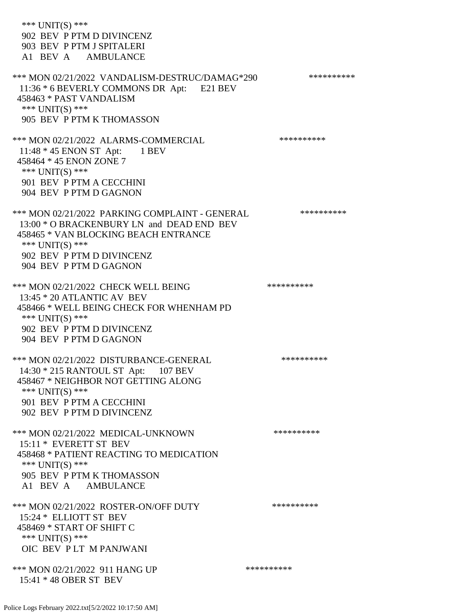| *** $UNIT(S)$ ***<br>902 BEV P PTM D DIVINCENZ<br>903 BEV P PTM J SPITALERI<br>A1 BEV A AMBULANCE                                                                                                             |            |
|---------------------------------------------------------------------------------------------------------------------------------------------------------------------------------------------------------------|------------|
| *** MON 02/21/2022 VANDALISM-DESTRUC/DAMAG*290<br>11:36 * 6 BEVERLY COMMONS DR Apt: E21 BEV<br>458463 * PAST VANDALISM<br>*** UNIT(S) ***<br>905 BEV P PTM K THOMASSON                                        | ********** |
| *** MON 02/21/2022 ALARMS-COMMERCIAL<br>11:48 $*$ 45 ENON ST Apt: 1 BEV<br>458464 * 45 ENON ZONE 7<br>*** $UNIT(S)$ ***<br>901 BEV P PTM A CECCHINI<br>904 BEV P PTM D GAGNON                                 | ********** |
| *** MON 02/21/2022 PARKING COMPLAINT - GENERAL<br>13:00 * O BRACKENBURY LN and DEAD END BEV<br>458465 * VAN BLOCKING BEACH ENTRANCE<br>*** UNIT(S) ***<br>902 BEV P PTM D DIVINCENZ<br>904 BEV P PTM D GAGNON | ********** |
| *** MON 02/21/2022 CHECK WELL BEING<br>13:45 * 20 ATLANTIC AV BEV<br>458466 * WELL BEING CHECK FOR WHENHAM PD<br>*** UNIT(S) ***<br>902 BEV P PTM D DIVINCENZ<br>904 BEV P PTM D GAGNON                       | ********** |
| *** MON 02/21/2022 DISTURBANCE-GENERAL<br>14:30 * 215 RANTOUL ST Apt: 107 BEV<br>458467 * NEIGHBOR NOT GETTING ALONG<br>*** $UNIT(S)$ ***<br>901 BEV P PTM A CECCHINI<br>902 BEV P PTM D DIVINCENZ            | ********** |
| *** MON 02/21/2022 MEDICAL-UNKNOWN<br>15:11 * EVERETT ST BEV<br>458468 * PATIENT REACTING TO MEDICATION<br>*** UNIT(S) ***<br>905 BEV P PTM K THOMASSON<br>A1 BEV A AMBULANCE                                 | ********** |
| *** MON 02/21/2022 ROSTER-ON/OFF DUTY<br>15:24 * ELLIOTT ST BEV<br>458469 * START OF SHIFT C<br>*** $UNIT(S)$ ***<br>OIC BEV PLT M PANJWANI                                                                   | ********** |
| *** MON 02/21/2022 911 HANG UP<br>15:41 * 48 OBER ST BEV                                                                                                                                                      | ********** |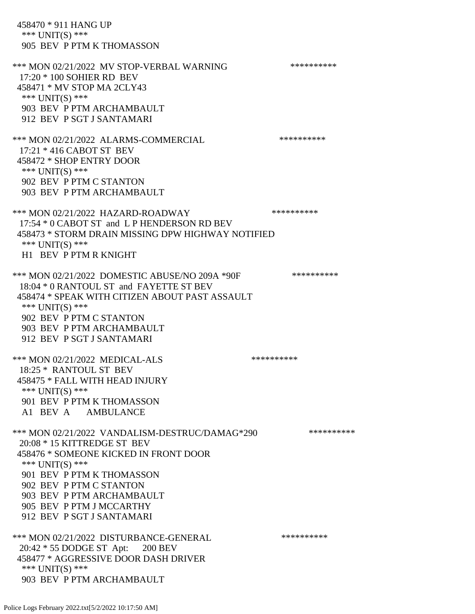458470 \* 911 HANG UP \*\*\* UNIT(S) \*\*\* 905 BEV P PTM K THOMASSON \*\*\* MON 02/21/2022 MV STOP-VERBAL WARNING \*\*\*\*\*\*\*\*\*\*\*\*\* 17:20 \* 100 SOHIER RD BEV 458471 \* MV STOP MA 2CLY43 \*\*\* UNIT(S) \*\*\* 903 BEV P PTM ARCHAMBAULT 912 BEV P SGT J SANTAMARI \*\*\* MON 02/21/2022 ALARMS-COMMERCIAL \*\*\*\*\*\*\*\*\*\* 17:21 \* 416 CABOT ST BEV 458472 \* SHOP ENTRY DOOR \*\*\* UNIT(S) \*\*\* 902 BEV P PTM C STANTON 903 BEV P PTM ARCHAMBAULT \*\*\* MON 02/21/2022 HAZARD-ROADWAY \*\*\*\*\*\*\*\*\*\* 17:54 \* 0 CABOT ST and L P HENDERSON RD BEV 458473 \* STORM DRAIN MISSING DPW HIGHWAY NOTIFIED \*\*\* UNIT(S) \*\*\* H1 BEV P PTM R KNIGHT \*\*\* MON 02/21/2022 DOMESTIC ABUSE/NO 209A \*90F \*\*\*\*\*\*\*\*\*\* 18:04 \* 0 RANTOUL ST and FAYETTE ST BEV 458474 \* SPEAK WITH CITIZEN ABOUT PAST ASSAULT \*\*\* UNIT(S) \*\*\* 902 BEV P PTM C STANTON 903 BEV P PTM ARCHAMBAULT 912 BEV P SGT J SANTAMARI \*\*\* MON 02/21/2022 MEDICAL-ALS \*\*\*\*\*\*\*\*\*\*\*\*\* 18:25 \* RANTOUL ST BEV 458475 \* FALL WITH HEAD INJURY \*\*\* UNIT(S) \*\*\* 901 BEV P PTM K THOMASSON A1 BEV A AMBULANCE \*\*\* MON 02/21/2022 VANDALISM-DESTRUC/DAMAG\*290 \*\*\*\*\*\*\*\*\*\* 20:08 \* 15 KITTREDGE ST BEV 458476 \* SOMEONE KICKED IN FRONT DOOR \*\*\* UNIT(S) \*\*\* 901 BEV P PTM K THOMASSON 902 BEV P PTM C STANTON 903 BEV P PTM ARCHAMBAULT 905 BEV P PTM J MCCARTHY 912 BEV P SGT J SANTAMARI \*\*\* MON 02/21/2022 DISTURBANCE-GENERAL \*\*\*\*\*\*\*\*\*\*\*\* 20:42 \* 55 DODGE ST Apt: 200 BEV 458477 \* AGGRESSIVE DOOR DASH DRIVER \*\*\* UNIT(S) \*\*\* 903 BEV P PTM ARCHAMBAULT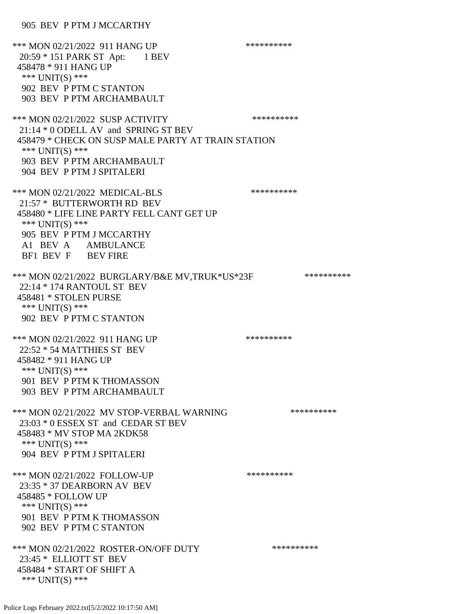905 BEV P PTM J MCCARTHY

\*\*\* MON 02/21/2022 911 HANG UP \*\*\*\*\*\*\*\*\*\*\*\*\* 20:59 \* 151 PARK ST Apt: 1 BEV 458478 \* 911 HANG UP \*\*\* UNIT(S) \*\*\* 902 BEV P PTM C STANTON 903 BEV P PTM ARCHAMBAULT \*\*\* MON 02/21/2022 SUSP ACTIVITY \*\*\*\*\*\*\*\*\*\*\*\* 21:14 \* 0 ODELL AV and SPRING ST BEV 458479 \* CHECK ON SUSP MALE PARTY AT TRAIN STATION \*\*\* UNIT(S) \*\*\* 903 BEV P PTM ARCHAMBAULT 904 BEV P PTM J SPITALERI \*\*\* MON 02/21/2022 MEDICAL-BLS \*\*\*\*\*\*\*\*\*\* 21:57 \* BUTTERWORTH RD BEV 458480 \* LIFE LINE PARTY FELL CANT GET UP \*\*\* UNIT(S) \*\*\* 905 BEV P PTM J MCCARTHY A1 BEV A AMBULANCE BF1 BEV F BEV FIRE \*\*\* MON 02/21/2022 BURGLARY/B&E MV,TRUK\*US\*23F \*\*\*\*\*\*\*\*\*\*\* 22:14 \* 174 RANTOUL ST BEV 458481 \* STOLEN PURSE \*\*\* UNIT(S) \*\*\* 902 BEV P PTM C STANTON \*\*\* MON 02/21/2022 911 HANG UP \*\*\*\*\*\*\*\*\*\*\*\*\* 22:52 \* 54 MATTHIES ST BEV 458482 \* 911 HANG UP \*\*\* UNIT(S) \*\*\* 901 BEV P PTM K THOMASSON 903 BEV P PTM ARCHAMBAULT \*\*\* MON 02/21/2022 MV STOP-VERBAL WARNING \*\*\*\*\*\*\*\*\*\*\*\* 23:03 \* 0 ESSEX ST and CEDAR ST BEV 458483 \* MV STOP MA 2KDK58 \*\*\* UNIT(S) \*\*\* 904 BEV P PTM J SPITALERI \*\*\* MON 02/21/2022 FOLLOW-UP \*\*\*\*\*\*\*\*\*\* 23:35 \* 37 DEARBORN AV BEV 458485 \* FOLLOW UP \*\*\* UNIT(S) \*\*\* 901 BEV P PTM K THOMASSON 902 BEV P PTM C STANTON \*\*\* MON 02/21/2022 ROSTER-ON/OFF DUTY \*\*\*\*\*\*\*\*\*\* 23:45 \* ELLIOTT ST BEV 458484 \* START OF SHIFT A \*\*\* UNIT(S) \*\*\*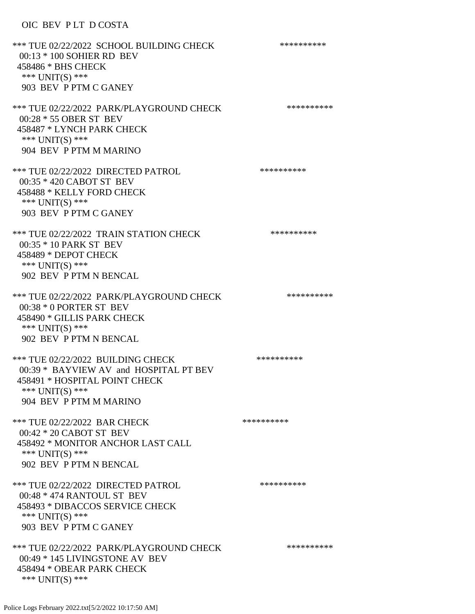## OIC BEV P LT D COSTA

\*\*\* TUE 02/22/2022 SCHOOL BUILDING CHECK \*\*\*\*\*\*\*\*\*\* 00:13 \* 100 SOHIER RD BEV 458486 \* BHS CHECK \*\*\* UNIT(S) \*\*\* 903 BEV P PTM C GANEY \*\*\* TUE 02/22/2022 PARK/PLAYGROUND CHECK \*\*\*\*\*\*\*\*\*\* 00:28 \* 55 OBER ST BEV 458487 \* LYNCH PARK CHECK \*\*\* UNIT(S) \*\*\* 904 BEV P PTM M MARINO \*\*\* TUE 02/22/2022 DIRECTED PATROL \*\*\*\*\*\*\*\*\*\* 00:35 \* 420 CABOT ST BEV 458488 \* KELLY FORD CHECK \*\*\* UNIT(S) \*\*\* 903 BEV P PTM C GANEY \*\*\* TUE 02/22/2022 TRAIN STATION CHECK \*\*\*\*\*\*\*\*\*\* 00:35 \* 10 PARK ST BEV 458489 \* DEPOT CHECK \*\*\* UNIT(S) \*\*\* 902 BEV P PTM N BENCAL \*\*\* TUE 02/22/2022 PARK/PLAYGROUND CHECK \*\*\*\*\*\*\*\*\*\* 00:38 \* 0 PORTER ST BEV 458490 \* GILLIS PARK CHECK \*\*\* UNIT(S) \*\*\* 902 BEV P PTM N BENCAL \*\*\* TUE 02/22/2022 BUILDING CHECK \*\*\*\*\*\*\*\*\*\*\*\* 00:39 \* BAYVIEW AV and HOSPITAL PT BEV 458491 \* HOSPITAL POINT CHECK \*\*\* UNIT(S) \*\*\* 904 BEV P PTM M MARINO \*\*\* TUE 02/22/2022 BAR CHECK \*\*\*\*\*\*\*\*\*\*\*\* 00:42 \* 20 CABOT ST BEV 458492 \* MONITOR ANCHOR LAST CALL \*\*\* UNIT(S) \*\*\* 902 BEV P PTM N BENCAL \*\*\* TUE 02/22/2022 DIRECTED PATROL \*\*\*\*\*\*\*\*\*\* 00:48 \* 474 RANTOUL ST BEV 458493 \* DIBACCOS SERVICE CHECK \*\*\* UNIT(S) \*\*\* 903 BEV P PTM C GANEY \*\*\* TUE 02/22/2022 PARK/PLAYGROUND CHECK \*\*\*\*\*\*\*\*\*\*\*\* 00:49 \* 145 LIVINGSTONE AV BEV 458494 \* OBEAR PARK CHECK \*\*\* UNIT(S) \*\*\*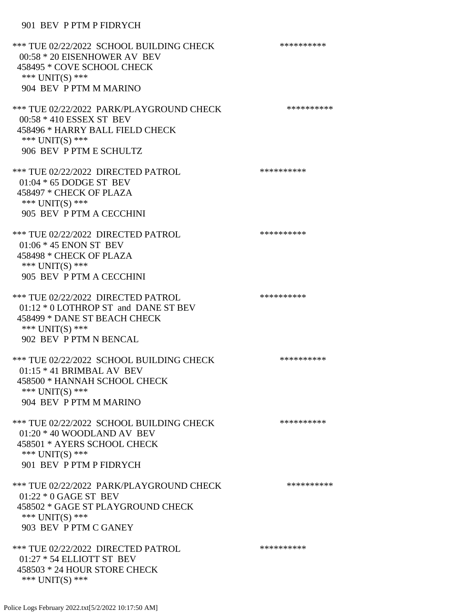## 901 BEV P PTM P FIDRYCH

| *** TUE 02/22/2022 SCHOOL BUILDING CHECK<br>00:58 * 20 EISENHOWER AV BEV<br>458495 * COVE SCHOOL CHECK<br>*** UNIT(S) ***<br>904 BEV P PTM M MARINO     | ********** |
|---------------------------------------------------------------------------------------------------------------------------------------------------------|------------|
| *** TUE 02/22/2022 PARK/PLAYGROUND CHECK<br>00:58 * 410 ESSEX ST BEV<br>458496 * HARRY BALL FIELD CHECK<br>*** $UNIT(S)$ ***<br>906 BEV P PTM E SCHULTZ | ********** |
| *** TUE 02/22/2022 DIRECTED PATROL<br>$01:04 * 65$ DODGE ST BEV<br>458497 * CHECK OF PLAZA<br>*** UNIT(S) ***<br>905 BEV P PTM A CECCHINI               | ********** |
| *** TUE 02/22/2022 DIRECTED PATROL<br>$01:06 * 45$ ENON ST BEV<br>458498 * CHECK OF PLAZA<br>*** UNIT(S) ***<br>905 BEV P PTM A CECCHINI                | ********** |
| *** TUE 02/22/2022 DIRECTED PATROL<br>01:12 * 0 LOTHROP ST and DANE ST BEV<br>458499 * DANE ST BEACH CHECK<br>*** UNIT(S) ***<br>902 BEV P PTM N BENCAL | ********** |
| *** TUE 02/22/2022 SCHOOL BUILDING CHECK<br>$01:15 * 41$ BRIMBAL AV BEV<br>458500 * HANNAH SCHOOL CHECK<br>*** UNIT(S) ***<br>904 BEV P PTM M MARINO    | ********** |
| *** TUE 02/22/2022 SCHOOL BUILDING CHECK<br>$01:20 * 40$ WOODLAND AV BEV<br>458501 * AYERS SCHOOL CHECK<br>*** UNIT(S) ***<br>901 BEV P PTM P FIDRYCH   | ********** |
| *** TUE 02/22/2022 PARK/PLAYGROUND CHECK<br>$01:22 * 0$ GAGE ST BEV<br>458502 * GAGE ST PLAYGROUND CHECK<br>*** $UNIT(S)$ ***<br>903 BEV P PTM C GANEY  | ********** |
| *** TUE 02/22/2022 DIRECTED PATROL<br>01:27 * 54 ELLIOTT ST BEV<br>458503 * 24 HOUR STORE CHECK<br>*** UNIT(S) ***                                      | ********** |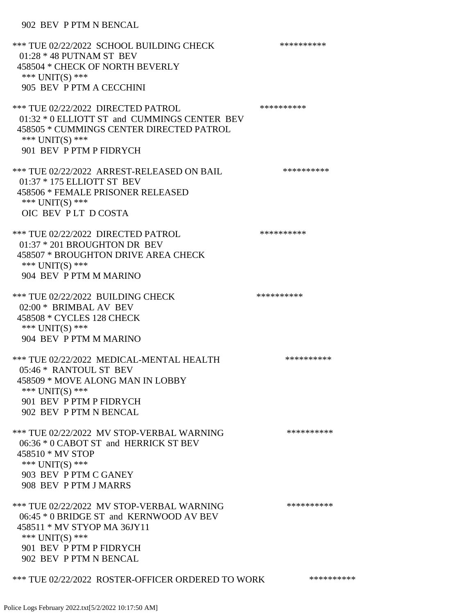## 902 BEV P PTM N BENCAL

| *** TUE 02/22/2022 SCHOOL BUILDING CHECK<br>$01:28 * 48$ PUTNAM ST BEV<br>458504 * CHECK OF NORTH BEVERLY<br>*** UNIT(S) ***<br>905 BEV P PTM A CECCHINI                                    | ********** |
|---------------------------------------------------------------------------------------------------------------------------------------------------------------------------------------------|------------|
| *** TUE 02/22/2022 DIRECTED PATROL<br>01:32 * 0 ELLIOTT ST and CUMMINGS CENTER BEV<br>458505 * CUMMINGS CENTER DIRECTED PATROL<br>*** UNIT(S) ***<br>901 BEV P PTM P FIDRYCH                | ********** |
| *** TUE 02/22/2022 ARREST-RELEASED ON BAIL<br>01:37 * 175 ELLIOTT ST BEV<br>458506 * FEMALE PRISONER RELEASED<br>*** UNIT(S) ***<br>OIC BEV PLT DCOSTA                                      | ********** |
| *** TUE 02/22/2022 DIRECTED PATROL<br>01:37 * 201 BROUGHTON DR BEV<br>458507 * BROUGHTON DRIVE AREA CHECK<br>*** $UNIT(S)$ ***<br>904 BEV P PTM M MARINO                                    | ********** |
| *** TUE 02/22/2022 BUILDING CHECK<br>02:00 * BRIMBAL AV BEV<br>458508 * CYCLES 128 CHECK<br>*** UNIT(S) ***<br>904 BEV P PTM M MARINO                                                       | ********** |
| *** TUE 02/22/2022 MEDICAL-MENTAL HEALTH<br>05:46 * RANTOUL ST BEV<br>458509 * MOVE ALONG MAN IN LOBBY<br>*** UNIT(S) ***<br>901 BEV P PTM P FIDRYCH<br>902 BEV P PTM N BENCAL              | ********** |
| *** TUE 02/22/2022 MV STOP-VERBAL WARNING<br>06:36 * 0 CABOT ST and HERRICK ST BEV<br>458510 * MV STOP<br>*** UNIT(S) ***<br>903 BEV P PTM C GANEY<br>908 BEV P PTM J MARRS                 | ********** |
| *** TUE 02/22/2022 MV STOP-VERBAL WARNING<br>06:45 * 0 BRIDGE ST and KERNWOOD AV BEV<br>458511 * MV STYOP MA 36JY11<br>*** UNIT(S) ***<br>901 BEV P PTM P FIDRYCH<br>902 BEV P PTM N BENCAL | ********** |
| *** TUE 02/22/2022 ROSTER-OFFICER ORDERED TO WORK                                                                                                                                           | ********** |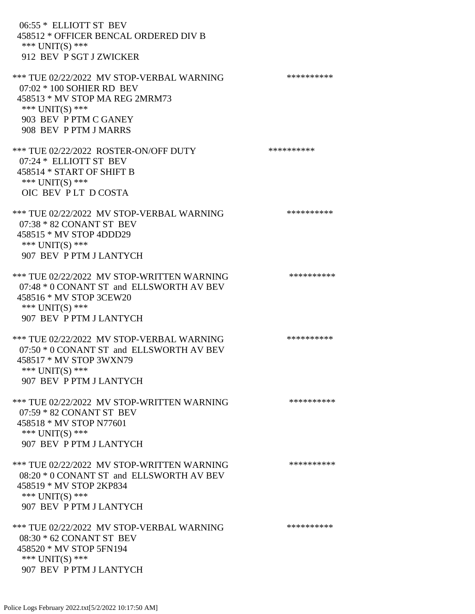06:55 \* ELLIOTT ST BEV 458512 \* OFFICER BENCAL ORDERED DIV B \*\*\* UNIT(S) \*\*\* 912 BEV P SGT J ZWICKER \*\*\* TUE 02/22/2022 MV STOP-VERBAL WARNING \*\*\*\*\*\*\*\*\*\*\*\*\* 07:02 \* 100 SOHIER RD BEV 458513 \* MV STOP MA REG 2MRM73 \*\*\* UNIT(S) \*\*\* 903 BEV P PTM C GANEY 908 BEV P PTM J MARRS \*\*\* TUE 02/22/2022 ROSTER-ON/OFF DUTY \*\*\*\*\*\*\*\*\*\* 07:24 \* ELLIOTT ST BEV 458514 \* START OF SHIFT B \*\*\* UNIT(S) \*\*\* OIC BEV P LT D COSTA \*\*\* TUE 02/22/2022 MV STOP-VERBAL WARNING \*\*\*\*\*\*\*\*\*\*\*\* 07:38 \* 82 CONANT ST BEV 458515 \* MV STOP 4DDD29 \*\*\* UNIT(S) \*\*\* 907 BEV P PTM J LANTYCH \*\*\* TUE 02/22/2022 MV STOP-WRITTEN WARNING \*\*\*\*\*\*\*\*\*\* 07:48 \* 0 CONANT ST and ELLSWORTH AV BEV 458516 \* MV STOP 3CEW20 \*\*\* UNIT(S) \*\*\* 907 BEV P PTM J LANTYCH \*\*\* TUE 02/22/2022 MV STOP-VERBAL WARNING \*\*\*\*\*\*\*\*\*\*\*\*\* 07:50 \* 0 CONANT ST and ELLSWORTH AV BEV 458517 \* MV STOP 3WXN79 \*\*\* UNIT(S) \*\*\* 907 BEV P PTM J LANTYCH \*\*\* TUE 02/22/2022 MV STOP-WRITTEN WARNING \*\*\*\*\*\*\*\*\*\*\*\*\* 07:59 \* 82 CONANT ST BEV 458518 \* MV STOP N77601 \*\*\* UNIT(S) \*\*\* 907 BEV P PTM J LANTYCH \*\*\* TUE 02/22/2022 MV STOP-WRITTEN WARNING \*\*\*\*\*\*\*\*\*\*\*\*\* 08:20 \* 0 CONANT ST and ELLSWORTH AV BEV 458519 \* MV STOP 2KP834 \*\*\* UNIT(S) \*\*\* 907 BEV P PTM J LANTYCH \*\*\* TUE 02/22/2022 MV STOP-VERBAL WARNING \*\*\*\*\*\*\*\*\*\*\*\*\* 08:30 \* 62 CONANT ST BEV 458520 \* MV STOP 5FN194 \*\*\* UNIT(S) \*\*\*

Police Logs February 2022.txt[5/2/2022 10:17:50 AM]

907 BEV P PTM J LANTYCH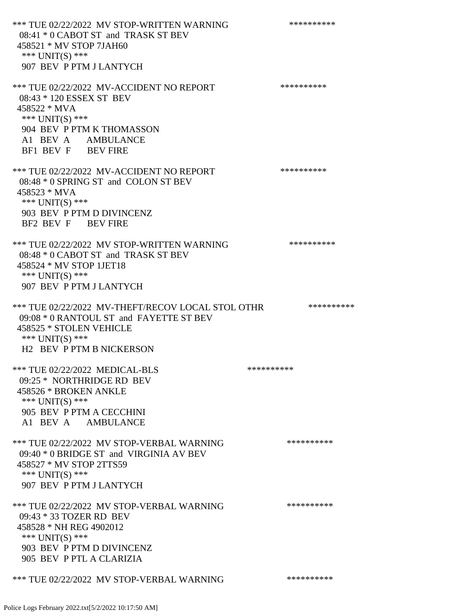\*\*\* TUE 02/22/2022 MV STOP-WRITTEN WARNING \*\*\*\*\*\*\*\*\*\*\*\*\* 08:41 \* 0 CABOT ST and TRASK ST BEV 458521 \* MV STOP 7JAH60 \*\*\* UNIT(S) \*\*\* 907 BEV P PTM J LANTYCH \*\*\* TUE 02/22/2022 MV-ACCIDENT NO REPORT \*\*\*\*\*\*\*\*\*\*\*\* 08:43 \* 120 ESSEX ST BEV 458522 \* MVA \*\*\* UNIT(S) \*\*\* 904 BEV P PTM K THOMASSON A1 BEV A AMBULANCE BF1 BEV F BEV FIRE \*\*\* TUE 02/22/2022 MV-ACCIDENT NO REPORT \*\*\*\*\*\*\*\*\*\*\*\* 08:48 \* 0 SPRING ST and COLON ST BEV 458523 \* MVA \*\*\* UNIT(S) \*\*\* 903 BEV P PTM D DIVINCENZ BF2 BEV F BEV FIRE \*\*\* TUE 02/22/2022 MV STOP-WRITTEN WARNING \*\*\*\*\*\*\*\*\*\*\*\* 08:48 \* 0 CABOT ST and TRASK ST BEV 458524 \* MV STOP 1JET18 \*\*\* UNIT(S) \*\*\* 907 BEV P PTM J LANTYCH \*\*\* TUE 02/22/2022 MV-THEFT/RECOV LOCAL STOL OTHR \*\*\*\*\*\*\*\*\*\* 09:08 \* 0 RANTOUL ST and FAYETTE ST BEV 458525 \* STOLEN VEHICLE \*\*\* UNIT(S) \*\*\* H2 BEV P PTM B NICKERSON \*\*\* TUE 02/22/2022 MEDICAL-BLS \*\*\*\*\*\*\*\*\*\*\*\* 09:25 \* NORTHRIDGE RD BEV 458526 \* BROKEN ANKLE \*\*\* UNIT(S) \*\*\* 905 BEV P PTM A CECCHINI A1 BEV A AMBULANCE \*\*\* TUE 02/22/2022 MV STOP-VERBAL WARNING \*\*\*\*\*\*\*\*\*\*\*\*\* 09:40 \* 0 BRIDGE ST and VIRGINIA AV BEV 458527 \* MV STOP 2TTS59 \*\*\* UNIT(S) \*\*\* 907 BEV P PTM J LANTYCH \*\*\* TUE 02/22/2022 MV STOP-VERBAL WARNING \*\*\*\*\*\*\*\*\*\*\*\*\* 09:43 \* 33 TOZER RD BEV 458528 \* NH REG 4902012 \*\*\* UNIT(S) \*\*\* 903 BEV P PTM D DIVINCENZ 905 BEV P PTL A CLARIZIA \*\*\* TUE 02/22/2022 MV STOP-VERBAL WARNING \*\*\*\*\*\*\*\*\*\*\*\*\*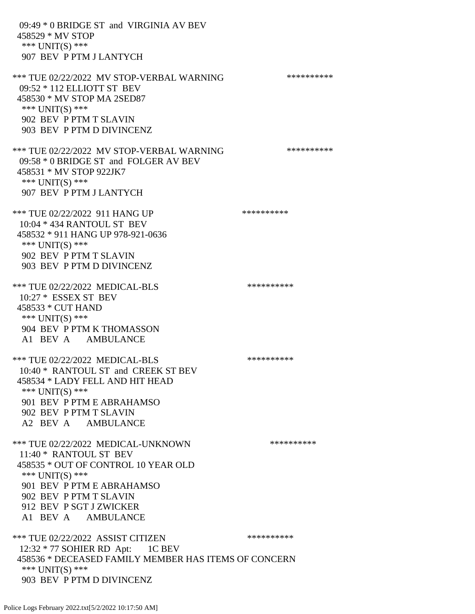09:49 \* 0 BRIDGE ST and VIRGINIA AV BEV 458529 \* MV STOP \*\*\* UNIT(S) \*\*\* 907 BEV P PTM J LANTYCH \*\*\* TUE 02/22/2022 MV STOP-VERBAL WARNING \*\*\*\*\*\*\*\*\*\*\*\*\* 09:52 \* 112 ELLIOTT ST BEV 458530 \* MV STOP MA 2SED87  $***$  UNIT(S)  $***$  902 BEV P PTM T SLAVIN 903 BEV P PTM D DIVINCENZ \*\*\* TUE 02/22/2022 MV STOP-VERBAL WARNING \*\*\*\*\*\*\*\*\*\*\*\*\* 09:58 \* 0 BRIDGE ST and FOLGER AV BEV 458531 \* MV STOP 922JK7 \*\*\* UNIT(S) \*\*\* 907 BEV P PTM J LANTYCH \*\*\* TUE 02/22/2022 911 HANG UP \*\*\*\*\*\*\*\*\*\*\*\* 10:04 \* 434 RANTOUL ST BEV 458532 \* 911 HANG UP 978-921-0636 \*\*\* UNIT(S) \*\*\* 902 BEV P PTM T SLAVIN 903 BEV P PTM D DIVINCENZ \*\*\* TUE 02/22/2022 MEDICAL-BLS \*\*\*\*\*\*\*\*\*\* 10:27 \* ESSEX ST BEV 458533 \* CUT HAND \*\*\* UNIT(S) \*\*\* 904 BEV P PTM K THOMASSON A1 BEV A AMBULANCE \*\*\* TUE 02/22/2022 MEDICAL-BLS \*\*\*\*\*\*\*\*\*\* 10:40 \* RANTOUL ST and CREEK ST BEV 458534 \* LADY FELL AND HIT HEAD \*\*\* UNIT(S) \*\*\* 901 BEV P PTM E ABRAHAMSO 902 BEV P PTM T SLAVIN A2 BEV A AMBULANCE \*\*\* TUE 02/22/2022 MEDICAL-UNKNOWN \*\*\*\*\*\*\*\*\*\* 11:40 \* RANTOUL ST BEV 458535 \* OUT OF CONTROL 10 YEAR OLD \*\*\* UNIT(S) \*\*\* 901 BEV P PTM E ABRAHAMSO 902 BEV P PTM T SLAVIN 912 BEV P SGT J ZWICKER A1 BEV A AMBULANCE \*\*\* TUE 02/22/2022 ASSIST CITIZEN \*\*\*\*\*\*\*\*\*\*\*\* 12:32 \* 77 SOHIER RD Apt: 1C BEV 458536 \* DECEASED FAMILY MEMBER HAS ITEMS OF CONCERN \*\*\* UNIT(S) \*\*\* 903 BEV P PTM D DIVINCENZ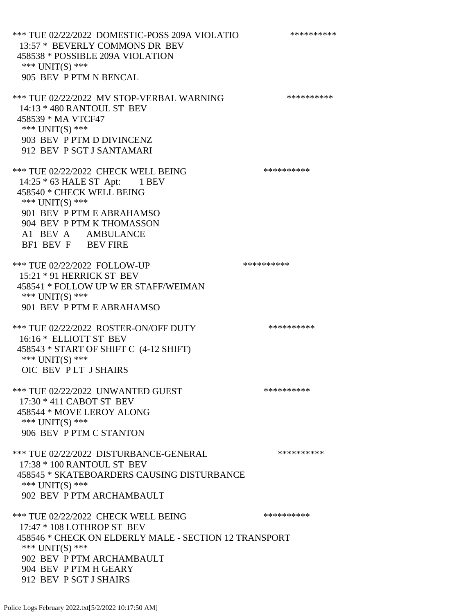\*\*\* TUE 02/22/2022 DOMESTIC-POSS 209A VIOLATIO \*\*\*\*\*\*\*\*\*\* 13:57 \* BEVERLY COMMONS DR BEV 458538 \* POSSIBLE 209A VIOLATION \*\*\* UNIT(S) \*\*\* 905 BEV P PTM N BENCAL \*\*\* TUE 02/22/2022 MV STOP-VERBAL WARNING \*\*\*\*\*\*\*\*\*\*\*\*\* 14:13 \* 480 RANTOUL ST BEV 458539 \* MA VTCF47 \*\*\* UNIT(S) \*\*\* 903 BEV P PTM D DIVINCENZ 912 BEV P SGT J SANTAMARI \*\*\* TUE 02/22/2022 CHECK WELL BEING \*\*\*\*\*\*\*\*\*\* 14:25 \* 63 HALE ST Apt: 1 BEV 458540 \* CHECK WELL BEING \*\*\* UNIT(S) \*\*\* 901 BEV P PTM E ABRAHAMSO 904 BEV P PTM K THOMASSON A1 BEV A AMBULANCE BF1 BEV F BEV FIRE \*\*\* TUE 02/22/2022 FOLLOW-UP \*\*\*\*\*\*\*\*\*\*\*\* 15:21 \* 91 HERRICK ST BEV 458541 \* FOLLOW UP W ER STAFF/WEIMAN \*\*\* UNIT(S) \*\*\* 901 BEV P PTM E ABRAHAMSO \*\*\* TUE 02/22/2022 ROSTER-ON/OFF DUTY \*\*\*\*\*\*\*\*\*\* 16:16 \* ELLIOTT ST BEV 458543 \* START OF SHIFT C (4-12 SHIFT) \*\*\* UNIT(S) \*\*\* OIC BEV P LT J SHAIRS \*\*\* TUE 02/22/2022 UNWANTED GUEST \*\*\*\*\*\*\*\*\*\*\*\*\*\*\* 17:30 \* 411 CABOT ST BEV 458544 \* MOVE LEROY ALONG \*\*\* UNIT(S) \*\*\* 906 BEV P PTM C STANTON \*\*\* TUE 02/22/2022 DISTURBANCE-GENERAL \*\*\*\*\*\*\*\*\*\* 17:38 \* 100 RANTOUL ST BEV 458545 \* SKATEBOARDERS CAUSING DISTURBANCE \*\*\* UNIT(S) \*\*\* 902 BEV P PTM ARCHAMBAULT \*\*\* TUE 02/22/2022 CHECK WELL BEING \*\*\*\*\*\*\*\*\*\*\*\*\* 17:47 \* 108 LOTHROP ST BEV 458546 \* CHECK ON ELDERLY MALE - SECTION 12 TRANSPORT \*\*\* UNIT(S) \*\*\* 902 BEV P PTM ARCHAMBAULT 904 BEV P PTM H GEARY 912 BEV P SGT J SHAIRS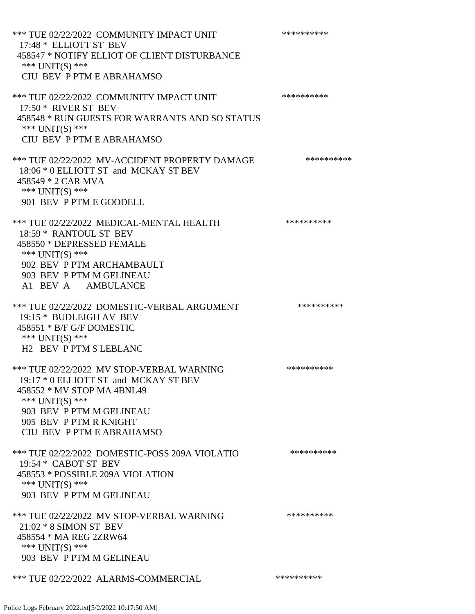\*\*\* TUE 02/22/2022 COMMUNITY IMPACT UNIT \*\*\*\*\*\*\*\*\*\*\*\* 17:48 \* ELLIOTT ST BEV 458547 \* NOTIFY ELLIOT OF CLIENT DISTURBANCE \*\*\* UNIT(S) \*\*\* CIU BEV P PTM E ABRAHAMSO \*\*\* TUE 02/22/2022 COMMUNITY IMPACT UNIT \*\*\*\*\*\*\*\*\*\*\*\* 17:50 \* RIVER ST BEV 458548 \* RUN GUESTS FOR WARRANTS AND SO STATUS \*\*\* UNIT(S) \*\*\* CIU BEV P PTM E ABRAHAMSO \*\*\* TUE 02/22/2022 MV-ACCIDENT PROPERTY DAMAGE \*\*\*\*\*\*\*\*\*\* 18:06 \* 0 ELLIOTT ST and MCKAY ST BEV 458549 \* 2 CAR MVA \*\*\* UNIT(S) \*\*\* 901 BEV P PTM E GOODELL \*\*\* TUE 02/22/2022 MEDICAL-MENTAL HEALTH \*\*\*\*\*\*\*\*\*\* 18:59 \* RANTOUL ST BEV 458550 \* DEPRESSED FEMALE \*\*\* UNIT(S) \*\*\* 902 BEV P PTM ARCHAMBAULT 903 BEV P PTM M GELINEAU A1 BEV A AMBULANCE \*\*\* TUE 02/22/2022 DOMESTIC-VERBAL ARGUMENT \*\*\*\*\*\*\*\*\*\*\*\*\* 19:15 \* BUDLEIGH AV BEV 458551 \* B/F G/F DOMESTIC \*\*\* UNIT(S) \*\*\* H2 BEV P PTM S LEBLANC \*\*\* TUE 02/22/2022 MV STOP-VERBAL WARNING \*\*\*\*\*\*\*\*\*\*\*\*\* 19:17 \* 0 ELLIOTT ST and MCKAY ST BEV 458552 \* MV STOP MA 4BNL49 \*\*\* UNIT(S) \*\*\* 903 BEV P PTM M GELINEAU 905 BEV P PTM R KNIGHT CIU BEV P PTM E ABRAHAMSO \*\*\* TUE 02/22/2022 DOMESTIC-POSS 209A VIOLATIO \*\*\*\*\*\*\*\*\*\* 19:54 \* CABOT ST BEV 458553 \* POSSIBLE 209A VIOLATION \*\*\* UNIT(S) \*\*\* 903 BEV P PTM M GELINEAU \*\*\* TUE 02/22/2022 MV STOP-VERBAL WARNING \*\*\*\*\*\*\*\*\*\*\*\* 21:02 \* 8 SIMON ST BEV 458554 \* MA REG 2ZRW64 \*\*\* UNIT(S) \*\*\* 903 BEV P PTM M GELINEAU \*\*\* TUE 02/22/2022 ALARMS-COMMERCIAL \*\*\*\*\*\*\*\*\*\*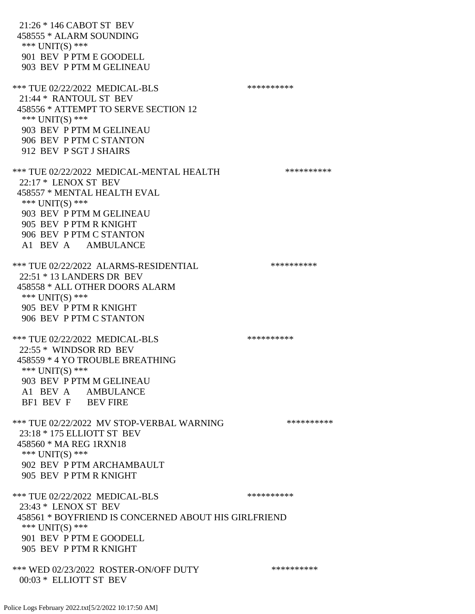21:26 \* 146 CABOT ST BEV 458555 \* ALARM SOUNDING \*\*\* UNIT(S) \*\*\* 901 BEV P PTM E GOODELL 903 BEV P PTM M GELINEAU \*\*\* TUE 02/22/2022 MEDICAL-BLS \*\*\*\*\*\*\*\*\*\*\*\* 21:44 \* RANTOUL ST BEV 458556 \* ATTEMPT TO SERVE SECTION 12 \*\*\* UNIT(S) \*\*\* 903 BEV P PTM M GELINEAU 906 BEV P PTM C STANTON 912 BEV P SGT J SHAIRS \*\*\* TUE 02/22/2022 MEDICAL-MENTAL HEALTH \*\*\*\*\*\*\*\*\*\* 22:17 \* LENOX ST BEV 458557 \* MENTAL HEALTH EVAL \*\*\* UNIT(S) \*\*\* 903 BEV P PTM M GELINEAU 905 BEV P PTM R KNIGHT 906 BEV P PTM C STANTON A1 BEV A AMBULANCE \*\*\* TUE 02/22/2022 ALARMS-RESIDENTIAL \*\*\*\*\*\*\*\*\*\* 22:51 \* 13 LANDERS DR BEV 458558 \* ALL OTHER DOORS ALARM \*\*\* UNIT(S) \*\*\* 905 BEV P PTM R KNIGHT 906 BEV P PTM C STANTON \*\*\* TUE 02/22/2022 MEDICAL-BLS \*\*\*\*\*\*\*\*\*\*\*\*\* 22:55 \* WINDSOR RD BEV 458559 \* 4 YO TROUBLE BREATHING \*\*\* UNIT(S) \*\*\* 903 BEV P PTM M GELINEAU A1 BEV A AMBULANCE BF1 BEV F BEV FIRE \*\*\* TUE 02/22/2022 MV STOP-VERBAL WARNING \*\*\*\*\*\*\*\*\*\*\*\* 23:18 \* 175 ELLIOTT ST BEV 458560 \* MA REG 1RXN18 \*\*\* UNIT(S) \*\*\* 902 BEV P PTM ARCHAMBAULT 905 BEV P PTM R KNIGHT \*\*\* TUE 02/22/2022 MEDICAL-BLS \*\*\*\*\*\*\*\*\*\*\*\* 23:43 \* LENOX ST BEV 458561 \* BOYFRIEND IS CONCERNED ABOUT HIS GIRLFRIEND \*\*\* UNIT(S) \*\*\* 901 BEV P PTM E GOODELL 905 BEV P PTM R KNIGHT \*\*\* WED 02/23/2022 ROSTER-ON/OFF DUTY \*\*\*\*\*\*\*\*\*\* 00:03 \* ELLIOTT ST BEV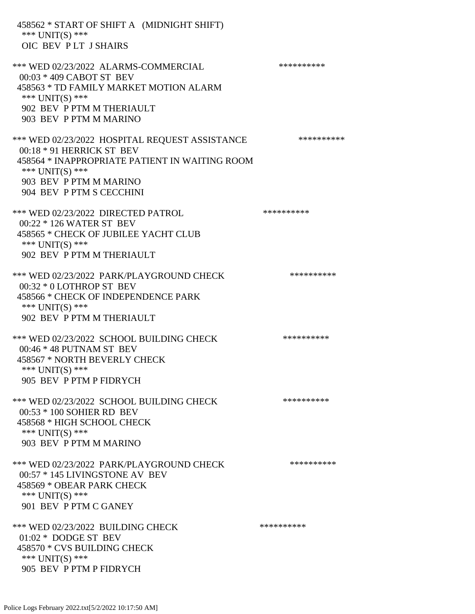458562 \* START OF SHIFT A (MIDNIGHT SHIFT) \*\*\* UNIT(S) \*\*\* OIC BEV P LT J SHAIRS \*\*\* WED 02/23/2022 ALARMS-COMMERCIAL \*\*\*\*\*\*\*\*\*\* 00:03 \* 409 CABOT ST BEV 458563 \* TD FAMILY MARKET MOTION ALARM \*\*\* UNIT(S) \*\*\* 902 BEV P PTM M THERIAULT 903 BEV P PTM M MARINO \*\*\* WED 02/23/2022 HOSPITAL REQUEST ASSISTANCE \*\*\*\*\*\*\*\*\*\* 00:18 \* 91 HERRICK ST BEV 458564 \* INAPPROPRIATE PATIENT IN WAITING ROOM \*\*\* UNIT(S) \*\*\* 903 BEV P PTM M MARINO 904 BEV P PTM S CECCHINI \*\*\* WED 02/23/2022 DIRECTED PATROL \*\*\*\*\*\*\*\*\*\* 00:22 \* 126 WATER ST BEV 458565 \* CHECK OF JUBILEE YACHT CLUB \*\*\* UNIT(S) \*\*\* 902 BEV P PTM M THERIAULT \*\*\* WED 02/23/2022 PARK/PLAYGROUND CHECK \*\*\*\*\*\*\*\*\*\*\* 00:32 \* 0 LOTHROP ST BEV 458566 \* CHECK OF INDEPENDENCE PARK \*\*\* UNIT(S) \*\*\* 902 BEV P PTM M THERIAULT \*\*\* WED 02/23/2022 SCHOOL BUILDING CHECK \*\*\*\*\*\*\*\*\*\*\* 00:46 \* 48 PUTNAM ST BEV 458567 \* NORTH BEVERLY CHECK \*\*\* UNIT(S) \*\*\* 905 BEV P PTM P FIDRYCH \*\*\* WED 02/23/2022 SCHOOL BUILDING CHECK \*\*\*\*\*\*\*\*\*\*\*\* 00:53 \* 100 SOHIER RD BEV 458568 \* HIGH SCHOOL CHECK \*\*\* UNIT(S) \*\*\* 903 BEV P PTM M MARINO \*\*\* WED 02/23/2022 PARK/PLAYGROUND CHECK \*\*\*\*\*\*\*\*\*\*\*\* 00:57 \* 145 LIVINGSTONE AV BEV 458569 \* OBEAR PARK CHECK \*\*\* UNIT(S) \*\*\* 901 BEV P PTM C GANEY \*\*\* WED 02/23/2022 BUILDING CHECK \*\*\*\*\*\*\*\*\*\* 01:02 \* DODGE ST BEV 458570 \* CVS BUILDING CHECK \*\*\* UNIT(S) \*\*\* 905 BEV P PTM P FIDRYCH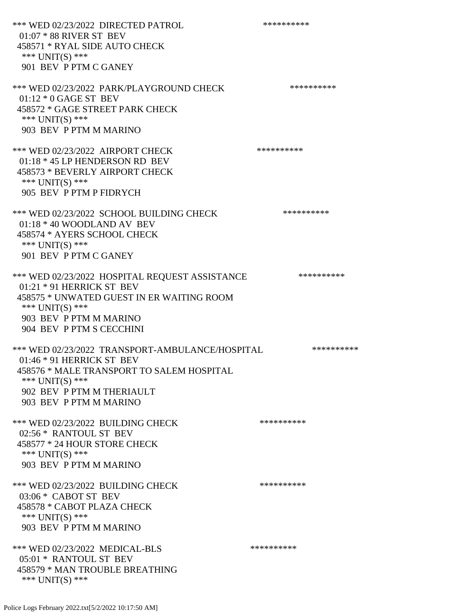\*\*\* WED 02/23/2022 DIRECTED PATROL \*\*\*\*\*\*\*\*\*\* 01:07 \* 88 RIVER ST BEV 458571 \* RYAL SIDE AUTO CHECK \*\*\* UNIT(S) \*\*\* 901 BEV P PTM C GANEY \*\*\* WED 02/23/2022 PARK/PLAYGROUND CHECK \*\*\*\*\*\*\*\*\*\* 01:12 \* 0 GAGE ST BEV 458572 \* GAGE STREET PARK CHECK \*\*\* UNIT(S) \*\*\* 903 BEV P PTM M MARINO \*\*\* WED 02/23/2022 AIRPORT CHECK \*\*\*\*\*\*\*\*\*\*\*\* 01:18 \* 45 LP HENDERSON RD BEV 458573 \* BEVERLY AIRPORT CHECK \*\*\* UNIT(S) \*\*\* 905 BEV P PTM P FIDRYCH \*\*\* WED 02/23/2022 SCHOOL BUILDING CHECK \*\*\*\*\*\*\*\*\*\*\* 01:18 \* 40 WOODLAND AV BEV 458574 \* AYERS SCHOOL CHECK \*\*\* UNIT(S) \*\*\* 901 BEV P PTM C GANEY \*\*\* WED 02/23/2022 HOSPITAL REQUEST ASSISTANCE \*\*\*\*\*\*\*\*\*\* 01:21 \* 91 HERRICK ST BEV 458575 \* UNWATED GUEST IN ER WAITING ROOM \*\*\* UNIT(S) \*\*\* 903 BEV P PTM M MARINO 904 BEV P PTM S CECCHINI \*\*\* WED 02/23/2022 TRANSPORT-AMBULANCE/HOSPITAL \*\*\*\*\*\*\*\*\*\* 01:46 \* 91 HERRICK ST BEV 458576 \* MALE TRANSPORT TO SALEM HOSPITAL \*\*\* UNIT(S) \*\*\* 902 BEV P PTM M THERIAULT 903 BEV P PTM M MARINO \*\*\* WED 02/23/2022 BUILDING CHECK \*\*\*\*\*\*\*\*\*\*\* 02:56 \* RANTOUL ST BEV 458577 \* 24 HOUR STORE CHECK \*\*\* UNIT(S) \*\*\* 903 BEV P PTM M MARINO \*\*\* WED 02/23/2022 BUILDING CHECK \*\*\*\*\*\*\*\*\*\*\* 03:06 \* CABOT ST BEV 458578 \* CABOT PLAZA CHECK \*\*\* UNIT(S) \*\*\* 903 BEV P PTM M MARINO \*\*\* WED 02/23/2022 MEDICAL-BLS \*\*\*\*\*\*\*\*\*\*\*\* 05:01 \* RANTOUL ST BEV 458579 \* MAN TROUBLE BREATHING \*\*\* UNIT(S) \*\*\*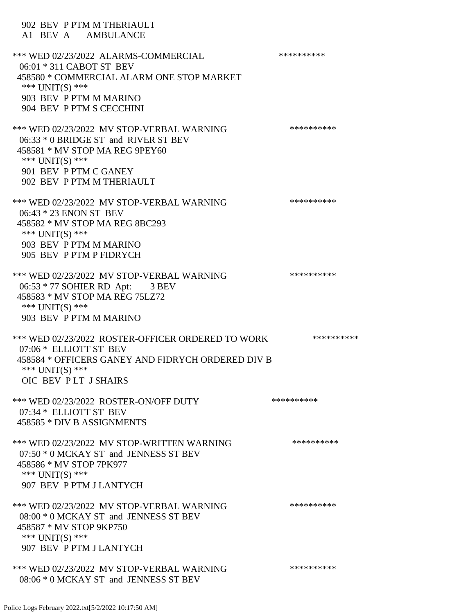| 902 BEV P PTM M THERIAULT<br>A1 BEV A AMBULANCE                                                                                                                                                |            |
|------------------------------------------------------------------------------------------------------------------------------------------------------------------------------------------------|------------|
| *** WED 02/23/2022 ALARMS-COMMERCIAL<br>06:01 * 311 CABOT ST BEV<br>458580 * COMMERCIAL ALARM ONE STOP MARKET<br>*** $UNIT(S)$ ***<br>903 BEV P PTM M MARINO<br>904 BEV P PTM S CECCHINI       | ********** |
| *** WED 02/23/2022 MV STOP-VERBAL WARNING<br>06:33 * 0 BRIDGE ST and RIVER ST BEV<br>458581 * MV STOP MA REG 9PEY60<br>*** $UNIT(S)$ ***<br>901 BEV P PTM C GANEY<br>902 BEV P PTM M THERIAULT | ********** |
| *** WED 02/23/2022 MV STOP-VERBAL WARNING<br>06:43 * 23 ENON ST BEV<br>458582 * MV STOP MA REG 8BC293<br>*** UNIT(S) ***<br>903 BEV P PTM M MARINO<br>905 BEV P PTM P FIDRYCH                  | ********** |
| *** WED 02/23/2022 MV STOP-VERBAL WARNING<br>06:53 * 77 SOHIER RD Apt: 3 BEV<br>458583 * MV STOP MA REG 75LZ72<br>*** UNIT(S) ***<br>903 BEV P PTM M MARINO                                    | ********** |
| *** WED 02/23/2022 ROSTER-OFFICER ORDERED TO WORK<br>07:06 * ELLIOTT ST BEV<br>458584 * OFFICERS GANEY AND FIDRYCH ORDERED DIV B<br>*** UNIT(S) ***<br>OIC BEV PLT JSHAIRS                     | ********** |
| *** WED 02/23/2022 ROSTER-ON/OFF DUTY<br>07:34 * ELLIOTT ST BEV<br>458585 * DIV B ASSIGNMENTS                                                                                                  | ********** |
| *** WED 02/23/2022 MV STOP-WRITTEN WARNING<br>07:50 * 0 MCKAY ST and JENNESS ST BEV<br>458586 * MV STOP 7PK977<br>*** $UNIT(S)$ ***<br>907 BEV P PTM J LANTYCH                                 | ********** |
| *** WED 02/23/2022 MV STOP-VERBAL WARNING<br>08:00 * 0 MCKAY ST and JENNESS ST BEV<br>458587 * MV STOP 9KP750<br>*** $UNIT(S)$ ***<br>907 BEV P PTM J LANTYCH                                  | ********** |
| *** WED 02/23/2022 MV STOP-VERBAL WARNING<br>08:06 * 0 MCKAY ST and JENNESS ST BEV                                                                                                             | ********** |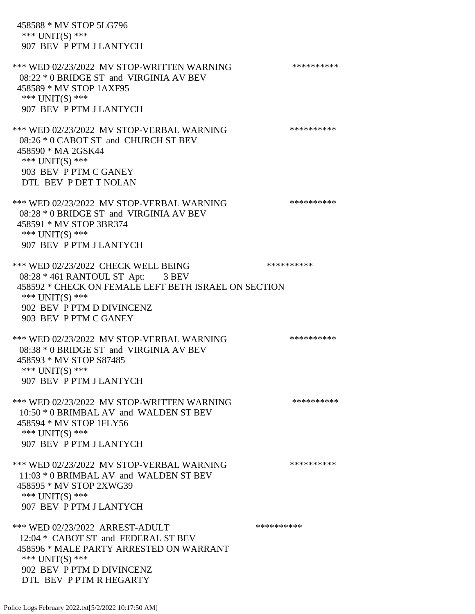458588 \* MV STOP 5LG796 \*\*\* UNIT(S) \*\*\* 907 BEV P PTM J LANTYCH \*\*\* WED 02/23/2022 MV STOP-WRITTEN WARNING \*\*\*\*\*\*\*\*\*\*\*\* 08:22 \* 0 BRIDGE ST and VIRGINIA AV BEV 458589 \* MV STOP 1AXF95 \*\*\* UNIT(S) \*\*\* 907 BEV P PTM J LANTYCH \*\*\* WED 02/23/2022 MV STOP-VERBAL WARNING \*\*\*\*\*\*\*\*\*\*\*\* 08:26 \* 0 CABOT ST and CHURCH ST BEV 458590 \* MA 2GSK44 \*\*\* UNIT(S) \*\*\* 903 BEV P PTM C GANEY DTL BEV P DET T NOLAN \*\*\* WED 02/23/2022 MV STOP-VERBAL WARNING \*\*\*\*\*\*\*\*\*\*\*\* 08:28 \* 0 BRIDGE ST and VIRGINIA AV BEV 458591 \* MV STOP 3BR374 \*\*\* UNIT(S) \*\*\* 907 BEV P PTM J LANTYCH \*\*\* WED 02/23/2022 CHECK WELL BEING \*\*\*\*\*\*\*\*\*\* 08:28 \* 461 RANTOUL ST Apt: 3 BEV 458592 \* CHECK ON FEMALE LEFT BETH ISRAEL ON SECTION \*\*\* UNIT(S) \*\*\* 902 BEV P PTM D DIVINCENZ 903 BEV P PTM C GANEY \*\*\* WED 02/23/2022 MV STOP-VERBAL WARNING \*\*\*\*\*\*\*\*\*\*\*\* 08:38 \* 0 BRIDGE ST and VIRGINIA AV BEV 458593 \* MV STOP S87485 \*\*\* UNIT(S) \*\*\* 907 BEV P PTM J LANTYCH \*\*\* WED 02/23/2022 MV STOP-WRITTEN WARNING \*\*\*\*\*\*\*\*\*\*\*\* 10:50 \* 0 BRIMBAL AV and WALDEN ST BEV 458594 \* MV STOP 1FLY56 \*\*\* UNIT(S) \*\*\* 907 BEV P PTM J LANTYCH \*\*\* WED 02/23/2022 MV STOP-VERBAL WARNING \*\*\*\*\*\*\*\*\*\*\*\* 11:03 \* 0 BRIMBAL AV and WALDEN ST BEV 458595 \* MV STOP 2XWG39 \*\*\* UNIT(S) \*\*\* 907 BEV P PTM J LANTYCH \*\*\* WED 02/23/2022 ARREST-ADULT \*\*\*\*\*\*\*\*\*\*\*\* 12:04 \* CABOT ST and FEDERAL ST BEV 458596 \* MALE PARTY ARRESTED ON WARRANT \*\*\* UNIT(S) \*\*\* 902 BEV P PTM D DIVINCENZ DTL BEV P PTM R HEGARTY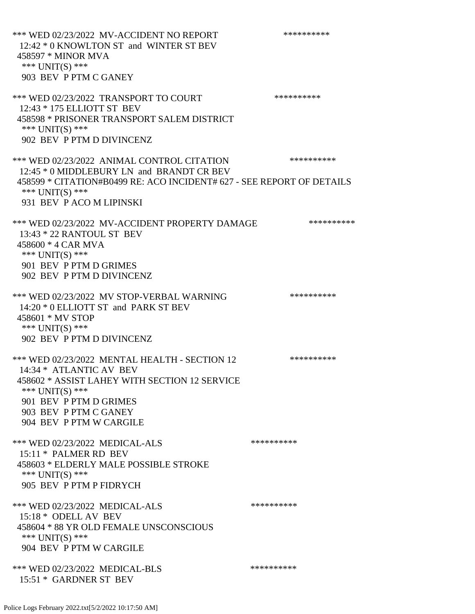\*\*\* WED 02/23/2022 MV-ACCIDENT NO REPORT \*\*\*\*\*\*\*\*\*\*\*\* 12:42 \* 0 KNOWLTON ST and WINTER ST BEV 458597 \* MINOR MVA \*\*\* UNIT(S) \*\*\* 903 BEV P PTM C GANEY \*\*\* WED 02/23/2022 TRANSPORT TO COURT \*\*\*\*\*\*\*\*\*\*\*\* 12:43 \* 175 ELLIOTT ST BEV 458598 \* PRISONER TRANSPORT SALEM DISTRICT \*\*\* UNIT(S) \*\*\* 902 BEV P PTM D DIVINCENZ \*\*\* WED 02/23/2022 ANIMAL CONTROL CITATION \*\*\*\*\*\*\*\*\*\* 12:45 \* 0 MIDDLEBURY LN and BRANDT CR BEV 458599 \* CITATION#B0499 RE: ACO INCIDENT# 627 - SEE REPORT OF DETAILS \*\*\* UNIT(S) \*\*\* 931 BEV P ACO M LIPINSKI \*\*\* WED 02/23/2022 MV-ACCIDENT PROPERTY DAMAGE \*\*\*\*\*\*\*\*\*\*\*\* 13:43 \* 22 RANTOUL ST BEV 458600 \* 4 CAR MVA \*\*\* UNIT(S) \*\*\* 901 BEV P PTM D GRIMES 902 BEV P PTM D DIVINCENZ \*\*\* WED 02/23/2022 MV STOP-VERBAL WARNING \*\*\*\*\*\*\*\*\*\*\*\* 14:20 \* 0 ELLIOTT ST and PARK ST BEV 458601 \* MV STOP \*\*\* UNIT(S) \*\*\* 902 BEV P PTM D DIVINCENZ \*\*\* WED 02/23/2022 MENTAL HEALTH - SECTION 12 \*\*\*\*\*\*\*\*\*\*\* 14:34 \* ATLANTIC AV BEV 458602 \* ASSIST LAHEY WITH SECTION 12 SERVICE \*\*\* UNIT(S) \*\*\* 901 BEV P PTM D GRIMES 903 BEV P PTM C GANEY 904 BEV P PTM W CARGILE \*\*\* WED 02/23/2022 MEDICAL-ALS \*\*\*\*\*\*\*\*\*\*\*\*\* 15:11 \* PALMER RD BEV 458603 \* ELDERLY MALE POSSIBLE STROKE \*\*\* UNIT(S) \*\*\* 905 BEV P PTM P FIDRYCH \*\*\* WED 02/23/2022 MEDICAL-ALS \*\*\*\*\*\*\*\*\*\*\*\* 15:18 \* ODELL AV BEV 458604 \* 88 YR OLD FEMALE UNSCONSCIOUS \*\*\* UNIT(S) \*\*\* 904 BEV P PTM W CARGILE \*\*\* WED 02/23/2022 MEDICAL-BLS \*\*\*\*\*\*\*\*\*\*\*\*\* 15:51 \* GARDNER ST BEV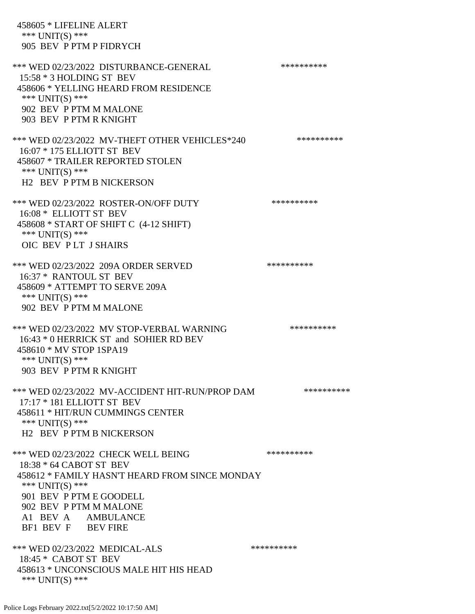458605 \* LIFELINE ALERT \*\*\* UNIT(S) \*\*\* 905 BEV P PTM P FIDRYCH \*\*\* WED 02/23/2022 DISTURBANCE-GENERAL \*\*\*\*\*\*\*\*\*\* 15:58 \* 3 HOLDING ST BEV 458606 \* YELLING HEARD FROM RESIDENCE \*\*\* UNIT(S) \*\*\* 902 BEV P PTM M MALONE 903 BEV P PTM R KNIGHT \*\*\* WED 02/23/2022 MV-THEFT OTHER VEHICLES\*240 \*\*\*\*\*\*\*\*\*\* 16:07 \* 175 ELLIOTT ST BEV 458607 \* TRAILER REPORTED STOLEN \*\*\* UNIT(S) \*\*\* H2 BEV P PTM B NICKERSON \*\*\* WED 02/23/2022 ROSTER-ON/OFF DUTY \*\*\*\*\*\*\*\*\*\* 16:08 \* ELLIOTT ST BEV 458608 \* START OF SHIFT C (4-12 SHIFT) \*\*\* UNIT(S) \*\*\* OIC BEV P LT J SHAIRS \*\*\* WED 02/23/2022 209A ORDER SERVED \*\*\*\*\*\*\*\*\*\* 16:37 \* RANTOUL ST BEV 458609 \* ATTEMPT TO SERVE 209A \*\*\* UNIT(S) \*\*\* 902 BEV P PTM M MALONE \*\*\* WED 02/23/2022 MV STOP-VERBAL WARNING \*\*\*\*\*\*\*\*\*\*\*\* 16:43 \* 0 HERRICK ST and SOHIER RD BEV 458610 \* MV STOP 1SPA19 \*\*\* UNIT(S) \*\*\* 903 BEV P PTM R KNIGHT \*\*\* WED 02/23/2022 MV-ACCIDENT HIT-RUN/PROP DAM \*\*\*\*\*\*\*\*\*\* 17:17 \* 181 ELLIOTT ST BEV 458611 \* HIT/RUN CUMMINGS CENTER \*\*\* UNIT(S) \*\*\* H2 BEV P PTM B NICKERSON \*\*\* WED 02/23/2022 CHECK WELL BEING \*\*\*\*\*\*\*\*\*\* 18:38 \* 64 CABOT ST BEV 458612 \* FAMILY HASN'T HEARD FROM SINCE MONDAY \*\*\* UNIT(S) \*\*\* 901 BEV P PTM E GOODELL 902 BEV P PTM M MALONE A1 BEV A AMBULANCE BF1 BEV F BEV FIRE \*\*\* WED 02/23/2022 MEDICAL-ALS \*\*\*\*\*\*\*\*\*\* 18:45 \* CABOT ST BEV 458613 \* UNCONSCIOUS MALE HIT HIS HEAD \*\*\* UNIT(S) \*\*\*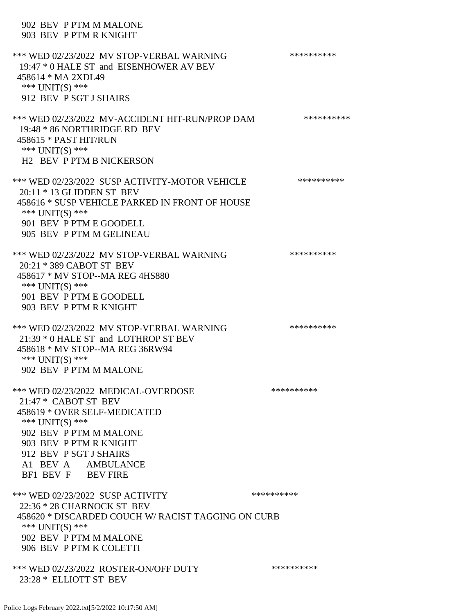# 902 BEV P PTM M MALONE 903 BEV P PTM R KNIGHT \*\*\* WED 02/23/2022 MV STOP-VERBAL WARNING \*\*\*\*\*\*\*\*\*\*\*\* 19:47 \* 0 HALE ST and EISENHOWER AV BEV 458614 \* MA 2XDL49 \*\*\* UNIT(S) \*\*\* 912 BEV P SGT J SHAIRS \*\*\* WED 02/23/2022 MV-ACCIDENT HIT-RUN/PROP DAM \*\*\*\*\*\*\*\*\*\* 19:48 \* 86 NORTHRIDGE RD BEV 458615 \* PAST HIT/RUN \*\*\* UNIT(S) \*\*\* H2 BEV P PTM B NICKERSON \*\*\* WED 02/23/2022 SUSP ACTIVITY-MOTOR VEHICLE \*\*\*\*\*\*\*\*\*\*\* 20:11 \* 13 GLIDDEN ST BEV 458616 \* SUSP VEHICLE PARKED IN FRONT OF HOUSE \*\*\* UNIT(S) \*\*\* 901 BEV P PTM E GOODELL 905 BEV P PTM M GELINEAU \*\*\* WED 02/23/2022 MV STOP-VERBAL WARNING \*\*\*\*\*\*\*\*\*\*\*\* 20:21 \* 389 CABOT ST BEV 458617 \* MV STOP--MA REG 4HS880 \*\*\* UNIT(S) \*\*\* 901 BEV P PTM E GOODELL 903 BEV P PTM R KNIGHT \*\*\* WED 02/23/2022 MV STOP-VERBAL WARNING \*\*\*\*\*\*\*\*\*\*\*\* 21:39 \* 0 HALE ST and LOTHROP ST BEV 458618 \* MV STOP--MA REG 36RW94 \*\*\* UNIT(S) \*\*\* 902 BEV P PTM M MALONE \*\*\* WED 02/23/2022 MEDICAL-OVERDOSE \*\*\*\*\*\*\*\*\*\*\*\* 21:47 \* CABOT ST BEV 458619 \* OVER SELF-MEDICATED \*\*\* UNIT(S) \*\*\* 902 BEV P PTM M MALONE 903 BEV P PTM R KNIGHT 912 BEV P SGT J SHAIRS A1 BEV A AMBULANCE BF1 BEV F BEV FIRE \*\*\* WED 02/23/2022 SUSP ACTIVITY \*\*\*\*\*\*\*\*\*\*\*\* 22:36 \* 28 CHARNOCK ST BEV 458620 \* DISCARDED COUCH W/ RACIST TAGGING ON CURB \*\*\* UNIT(S) \*\*\* 902 BEV P PTM M MALONE 906 BEV P PTM K COLETTI \*\*\* WED 02/23/2022 ROSTER-ON/OFF DUTY \*\*\*\*\*\*\*\*\*\* 23:28 \* ELLIOTT ST BEV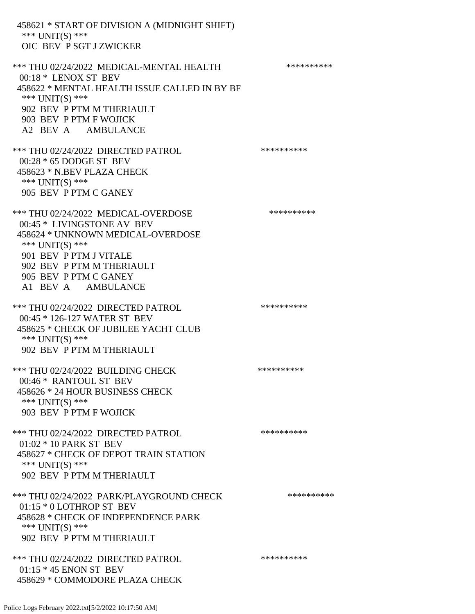458621 \* START OF DIVISION A (MIDNIGHT SHIFT) \*\*\* UNIT(S) \*\*\* OIC BEV P SGT J ZWICKER \*\*\* THU 02/24/2022 MEDICAL-MENTAL HEALTH \*\*\*\*\*\*\*\*\*\* 00:18 \* LENOX ST BEV 458622 \* MENTAL HEALTH ISSUE CALLED IN BY BF \*\*\* UNIT(S) \*\*\* 902 BEV P PTM M THERIAULT 903 BEV P PTM F WOJICK A2 BEV A AMBULANCE \*\*\* THU 02/24/2022 DIRECTED PATROL \*\*\*\*\*\*\*\*\*\* 00:28 \* 65 DODGE ST BEV 458623 \* N.BEV PLAZA CHECK \*\*\* UNIT(S) \*\*\* 905 BEV P PTM C GANEY \*\*\* THU 02/24/2022 MEDICAL-OVERDOSE \*\*\*\*\*\*\*\*\*\* 00:45 \* LIVINGSTONE AV BEV 458624 \* UNKNOWN MEDICAL-OVERDOSE \*\*\* UNIT(S) \*\*\* 901 BEV P PTM J VITALE 902 BEV P PTM M THERIAULT 905 BEV P PTM C GANEY A1 BEV A AMBULANCE \*\*\* THU 02/24/2022 DIRECTED PATROL \*\*\*\*\*\*\*\*\*\* 00:45 \* 126-127 WATER ST BEV 458625 \* CHECK OF JUBILEE YACHT CLUB \*\*\* UNIT(S) \*\*\* 902 BEV P PTM M THERIAULT \*\*\* THU 02/24/2022 BUILDING CHECK \*\*\*\*\*\*\*\*\*\*\*\*\*\* 00:46 \* RANTOUL ST BEV 458626 \* 24 HOUR BUSINESS CHECK \*\*\* UNIT(S) \*\*\* 903 BEV P PTM F WOJICK \*\*\* THU 02/24/2022 DIRECTED PATROL \*\*\*\*\*\*\*\*\*\* 01:02 \* 10 PARK ST BEV 458627 \* CHECK OF DEPOT TRAIN STATION \*\*\* UNIT(S) \*\*\* 902 BEV P PTM M THERIAULT \*\*\* THU 02/24/2022 PARK/PLAYGROUND CHECK \*\*\*\*\*\*\*\*\*\*\*\* 01:15 \* 0 LOTHROP ST BEV 458628 \* CHECK OF INDEPENDENCE PARK \*\*\* UNIT(S) \*\*\* 902 BEV P PTM M THERIAULT \*\*\* THU 02/24/2022 DIRECTED PATROL \*\*\*\*\*\*\*\*\*\* 01:15 \* 45 ENON ST BEV 458629 \* COMMODORE PLAZA CHECK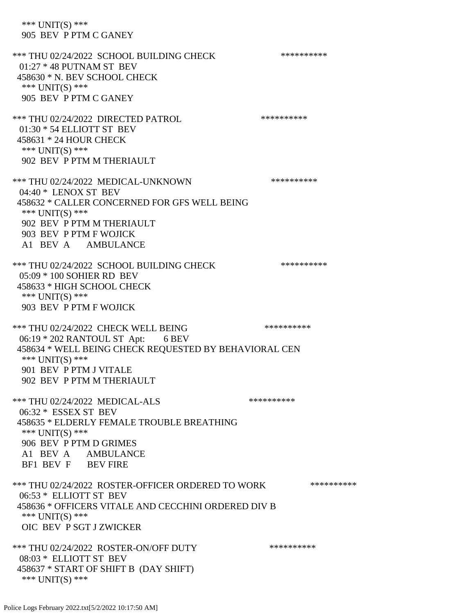\*\*\* UNIT(S) \*\*\* 905 BEV P PTM C GANEY \*\*\* THU 02/24/2022 SCHOOL BUILDING CHECK \*\*\*\*\*\*\*\*\*\*\* 01:27 \* 48 PUTNAM ST BEV 458630 \* N. BEV SCHOOL CHECK \*\*\* UNIT(S) \*\*\* 905 BEV P PTM C GANEY \*\*\* THU 02/24/2022 DIRECTED PATROL \*\*\*\*\*\*\*\*\*\* 01:30 \* 54 ELLIOTT ST BEV 458631 \* 24 HOUR CHECK \*\*\* UNIT(S) \*\*\* 902 BEV P PTM M THERIAULT \*\*\* THU 02/24/2022 MEDICAL-UNKNOWN \*\*\*\*\*\*\*\*\*\* 04:40 \* LENOX ST BEV 458632 \* CALLER CONCERNED FOR GFS WELL BEING \*\*\* UNIT(S) \*\*\* 902 BEV P PTM M THERIAULT 903 BEV P PTM F WOJICK A1 BEV A AMBULANCE \*\*\* THU 02/24/2022 SCHOOL BUILDING CHECK \*\*\*\*\*\*\*\*\*\*\* 05:09 \* 100 SOHIER RD BEV 458633 \* HIGH SCHOOL CHECK \*\*\* UNIT(S) \*\*\* 903 BEV P PTM F WOJICK \*\*\* THU 02/24/2022 CHECK WELL BEING \*\*\*\*\*\*\*\*\*\*\*\* 06:19 \* 202 RANTOUL ST Apt: 6 BEV 458634 \* WELL BEING CHECK REQUESTED BY BEHAVIORAL CEN \*\*\* UNIT(S) \*\*\* 901 BEV P PTM J VITALE 902 BEV P PTM M THERIAULT \*\*\* THU 02/24/2022 MEDICAL-ALS \*\*\*\*\*\*\*\*\*\*\*\* 06:32 \* ESSEX ST BEV 458635 \* ELDERLY FEMALE TROUBLE BREATHING \*\*\* UNIT(S) \*\*\* 906 BEV P PTM D GRIMES A1 BEV A AMBULANCE BF1 BEV F BEV FIRE

\*\*\* THU 02/24/2022 ROSTER-OFFICER ORDERED TO WORK \*\*\*\*\*\*\*\*\*\*\*\* 06:53 \* ELLIOTT ST BEV 458636 \* OFFICERS VITALE AND CECCHINI ORDERED DIV B \*\*\* UNIT(S) \*\*\* OIC BEV P SGT J ZWICKER

\*\*\* THU 02/24/2022 ROSTER-ON/OFF DUTY \*\*\*\*\*\*\*\*\*\* 08:03 \* ELLIOTT ST BEV 458637 \* START OF SHIFT B (DAY SHIFT) \*\*\* UNIT(S) \*\*\*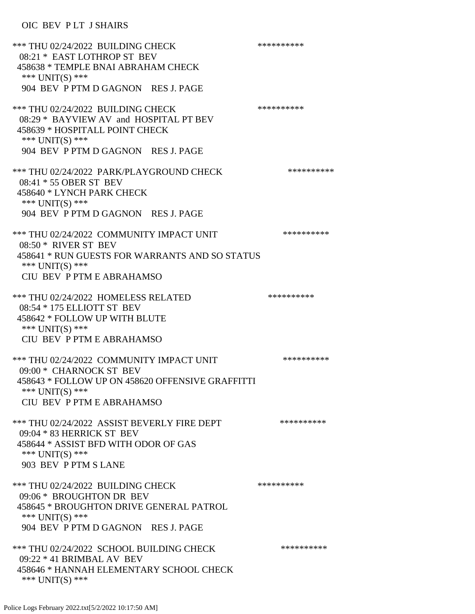## OIC BEV PLT J SHAIRS

| *** THU 02/24/2022 BUILDING CHECK<br>08:21 * EAST LOTHROP ST BEV<br>458638 * TEMPLE BNAI ABRAHAM CHECK<br>*** UNIT(S) ***<br>904 BEV P PTM D GAGNON RES J. PAGE         | ********** |
|-------------------------------------------------------------------------------------------------------------------------------------------------------------------------|------------|
| *** THU 02/24/2022 BUILDING CHECK<br>08:29 * BAYVIEW AV and HOSPITAL PT BEV<br>458639 * HOSPITALL POINT CHECK<br>*** $UNIT(S)$ ***                                      | ********** |
| 904 BEV P PTM D GAGNON RES J. PAGE                                                                                                                                      |            |
| *** THU 02/24/2022 PARK/PLAYGROUND CHECK<br>08:41 * 55 OBER ST BEV<br>458640 * LYNCH PARK CHECK<br>*** UNIT(S) ***                                                      | ********** |
| 904 BEV P PTM D GAGNON RES J. PAGE                                                                                                                                      |            |
| *** THU 02/24/2022 COMMUNITY IMPACT UNIT<br>08:50 * RIVER ST BEV<br>458641 * RUN GUESTS FOR WARRANTS AND SO STATUS<br>*** UNIT(S) ***<br>CIU BEV P PTM E ABRAHAMSO      | ********** |
| *** THU 02/24/2022 HOMELESS RELATED<br>08:54 * 175 ELLIOTT ST BEV<br>458642 * FOLLOW UP WITH BLUTE<br>*** UNIT(S) ***<br>CIU BEV P PTM E ABRAHAMSO                      | ********** |
| *** THU 02/24/2022 COMMUNITY IMPACT UNIT<br>09:00 * CHARNOCK ST BEV<br>458643 * FOLLOW UP ON 458620 OFFENSIVE GRAFFITTI<br>*** UNIT(S) ***<br>CIU BEV P PTM E ABRAHAMSO | ********** |
| *** THU 02/24/2022 ASSIST BEVERLY FIRE DEPT<br>09:04 * 83 HERRICK ST BEV<br>458644 * ASSIST BFD WITH ODOR OF GAS<br>*** UNIT(S) ***<br>903 BEV P PTM S LANE             | ********** |
| *** THU 02/24/2022 BUILDING CHECK<br>09:06 * BROUGHTON DR BEV<br>458645 * BROUGHTON DRIVE GENERAL PATROL<br>*** $UNIT(S)$ ***<br>904 BEV P PTM D GAGNON RES J. PAGE     | ********** |
| *** THU 02/24/2022 SCHOOL BUILDING CHECK<br>09:22 * 41 BRIMBAL AV BEV<br>458646 * HANNAH ELEMENTARY SCHOOL CHECK<br>*** UNIT(S) ***                                     | ********** |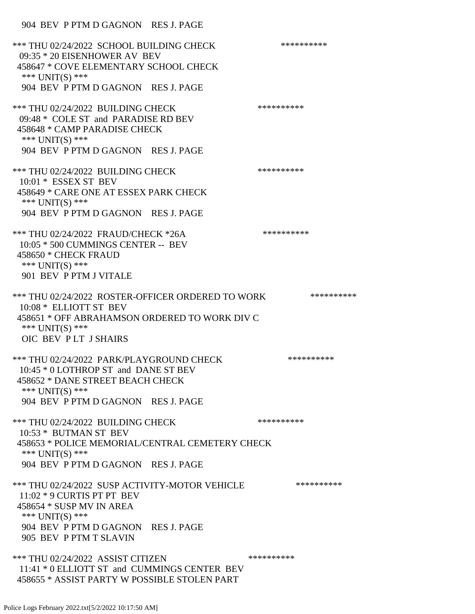#### 904 BEV P PTM D GAGNON RES J. PAGE

\*\*\* THU 02/24/2022 SCHOOL BUILDING CHECK \*\*\*\*\*\*\*\*\*\*\* 09:35 \* 20 EISENHOWER AV BEV 458647 \* COVE ELEMENTARY SCHOOL CHECK \*\*\* UNIT(S) \*\*\* 904 BEV P PTM D GAGNON RES J. PAGE \*\*\* THU 02/24/2022 BUILDING CHECK \*\*\*\*\*\*\*\*\*\*\*\*\*\* 09:48 \* COLE ST and PARADISE RD BEV 458648 \* CAMP PARADISE CHECK \*\*\* UNIT(S) \*\*\* 904 BEV P PTM D GAGNON RES J. PAGE \*\*\* THU 02/24/2022 BUILDING CHECK \*\*\*\*\*\*\*\*\*\*\*\* 10:01 \* ESSEX ST BEV 458649 \* CARE ONE AT ESSEX PARK CHECK \*\*\* UNIT(S) \*\*\* 904 BEV P PTM D GAGNON RES J. PAGE \*\*\* THU 02/24/2022 FRAUD/CHECK \*26A \*\*\*\*\*\*\*\*\*\* 10:05 \* 500 CUMMINGS CENTER -- BEV 458650 \* CHECK FRAUD \*\*\* UNIT(S) \*\*\* 901 BEV P PTM J VITALE \*\*\* THU 02/24/2022 ROSTER-OFFICER ORDERED TO WORK \*\*\*\*\*\*\*\*\*\*\*\* 10:08 \* ELLIOTT ST BEV 458651 \* OFF ABRAHAMSON ORDERED TO WORK DIV C \*\*\* UNIT(S) \*\*\* OIC BEV P LT J SHAIRS \*\*\* THU 02/24/2022 PARK/PLAYGROUND CHECK \*\*\*\*\*\*\*\*\*\*\*\* 10:45 \* 0 LOTHROP ST and DANE ST BEV 458652 \* DANE STREET BEACH CHECK \*\*\* UNIT(S) \*\*\* 904 BEV P PTM D GAGNON RES J. PAGE \*\*\* THU 02/24/2022 BUILDING CHECK \*\*\*\*\*\*\*\*\*\*\*\* 10:53 \* BUTMAN ST BEV 458653 \* POLICE MEMORIAL/CENTRAL CEMETERY CHECK \*\*\* UNIT(S) \*\*\* 904 BEV P PTM D GAGNON RES J. PAGE \*\*\* THU 02/24/2022 SUSP ACTIVITY-MOTOR VEHICLE \*\*\*\*\*\*\*\*\*\*\*\* 11:02 \* 9 CURTIS PT PT BEV 458654 \* SUSP MV IN AREA \*\*\* UNIT(S) \*\*\* 904 BEV P PTM D GAGNON RES J. PAGE 905 BEV P PTM T SLAVIN \*\*\* THU 02/24/2022 ASSIST CITIZEN \*\*\*\*\*\*\*\*\*\*\*\* 11:41 \* 0 ELLIOTT ST and CUMMINGS CENTER BEV 458655 \* ASSIST PARTY W POSSIBLE STOLEN PART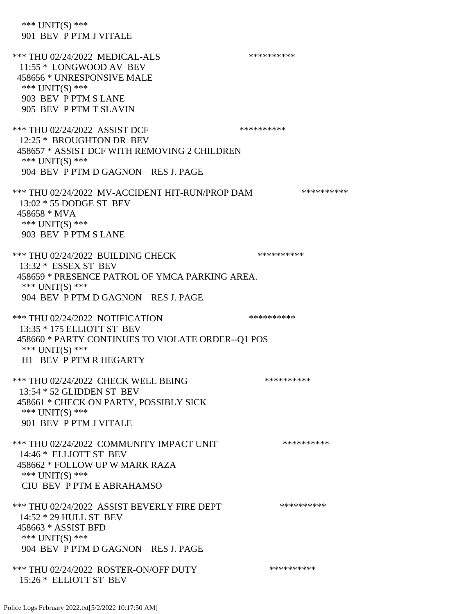| *** $UNIT(S)$ ***<br>901 BEV P PTM J VITALE                                                                                                                            |            |
|------------------------------------------------------------------------------------------------------------------------------------------------------------------------|------------|
| *** THU 02/24/2022 MEDICAL-ALS<br>11:55 * LONGWOOD AV BEV<br>458656 * UNRESPONSIVE MALE<br>*** $UNIT(S)$ ***<br>903 BEV P PTM S LANE<br>905 BEV P PTM T SLAVIN         | ********** |
| *** THU 02/24/2022 ASSIST DCF<br>12:25 * BROUGHTON DR BEV<br>458657 * ASSIST DCF WITH REMOVING 2 CHILDREN<br>*** $UNIT(S)$ ***<br>904 BEV P PTM D GAGNON RES J. PAGE   | ********** |
| *** THU 02/24/2022 MV-ACCIDENT HIT-RUN/PROP DAM<br>$13:02 * 55$ DODGE ST BEV<br>458658 * MVA<br>*** $UNIT(S)$ ***<br>903 BEV P PTM S LANE                              | ********** |
| *** THU 02/24/2022 BUILDING CHECK<br>$13:32 * ESSEX ST BEV$<br>458659 * PRESENCE PATROL OF YMCA PARKING AREA.<br>*** UNIT(S) ***<br>904 BEV P PTM D GAGNON RES J. PAGE | ********** |
| *** THU 02/24/2022 NOTIFICATION                                                                                                                                        | ********** |
| 13:35 * 175 ELLIOTT ST BEV<br>458660 * PARTY CONTINUES TO VIOLATE ORDER--Q1 POS<br>*** UNIT(S) ***<br>H1 BEV P PTM R HEGARTY                                           |            |
| *** THU 02/24/2022 CHECK WELL BEING<br>13:54 * 52 GLIDDEN ST BEV<br>458661 * CHECK ON PARTY, POSSIBLY SICK<br>*** $UNIT(S)$ ***<br>901 BEV P PTM J VITALE              | ********** |
| *** THU 02/24/2022 COMMUNITY IMPACT UNIT<br>14:46 * ELLIOTT ST BEV<br>458662 * FOLLOW UP W MARK RAZA<br>*** UNIT(S) ***<br>CIU BEV P PTM E ABRAHAMSO                   | ********** |
| *** THU 02/24/2022 ASSIST BEVERLY FIRE DEPT<br>14:52 * 29 HULL ST BEV<br>458663 * ASSIST BFD<br>*** $UNIT(S)$ ***<br>904 BEV P PTM D GAGNON RES J. PAGE                | ********** |
|                                                                                                                                                                        |            |
| *** THU 02/24/2022 ROSTER-ON/OFF DUTY<br>15:26 * ELLIOTT ST BEV                                                                                                        | ********** |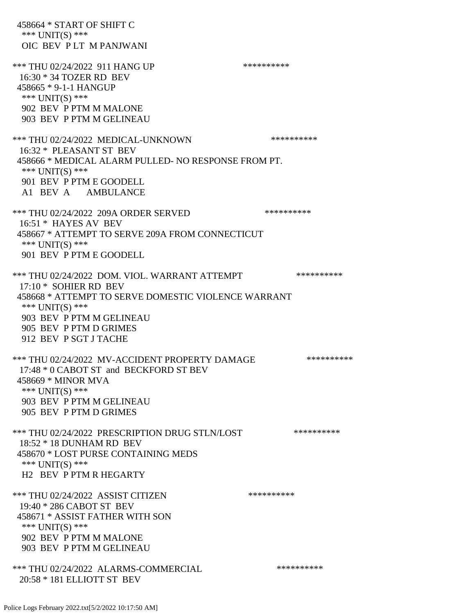458664 \* START OF SHIFT C \*\*\* UNIT(S) \*\*\* OIC BEV P LT M PANJWANI \*\*\* THU 02/24/2022 911 HANG UP \*\*\*\*\*\*\*\*\*\*\*\*\* 16:30 \* 34 TOZER RD BEV 458665 \* 9-1-1 HANGUP \*\*\* UNIT(S) \*\*\* 902 BEV P PTM M MALONE 903 BEV P PTM M GELINEAU \*\*\* THU 02/24/2022 MEDICAL-UNKNOWN \*\*\*\*\*\*\*\*\*\* 16:32 \* PLEASANT ST BEV 458666 \* MEDICAL ALARM PULLED- NO RESPONSE FROM PT. \*\*\* UNIT(S) \*\*\* 901 BEV P PTM E GOODELL A1 BEV A AMBULANCE \*\*\* THU 02/24/2022 209A ORDER SERVED \*\*\*\*\*\*\*\*\*\* 16:51 \* HAYES AV BEV 458667 \* ATTEMPT TO SERVE 209A FROM CONNECTICUT \*\*\* UNIT(S) \*\*\* 901 BEV P PTM E GOODELL \*\*\* THU 02/24/2022 DOM. VIOL. WARRANT ATTEMPT \*\*\*\*\*\*\*\*\*\*\*\* 17:10 \* SOHIER RD BEV 458668 \* ATTEMPT TO SERVE DOMESTIC VIOLENCE WARRANT \*\*\* UNIT(S) \*\*\* 903 BEV P PTM M GELINEAU 905 BEV P PTM D GRIMES 912 BEV P SGT J TACHE \*\*\* THU 02/24/2022 MV-ACCIDENT PROPERTY DAMAGE \*\*\*\*\*\*\*\*\*\*\* 17:48 \* 0 CABOT ST and BECKFORD ST BEV 458669 \* MINOR MVA \*\*\*  $UNIT(S)$  \*\*\* 903 BEV P PTM M GELINEAU 905 BEV P PTM D GRIMES \*\*\* THU 02/24/2022 PRESCRIPTION DRUG STLN/LOST \*\*\*\*\*\*\*\*\*\* 18:52 \* 18 DUNHAM RD BEV 458670 \* LOST PURSE CONTAINING MEDS \*\*\* UNIT(S) \*\*\* H2 BEV P PTM R HEGARTY \*\*\* THU 02/24/2022 ASSIST CITIZEN \*\*\*\*\*\*\*\*\*\* 19:40 \* 286 CABOT ST BEV 458671 \* ASSIST FATHER WITH SON \*\*\* UNIT(S) \*\*\* 902 BEV P PTM M MALONE 903 BEV P PTM M GELINEAU \*\*\* THU 02/24/2022 ALARMS-COMMERCIAL \*\*\*\*\*\*\*\*\*\* 20:58 \* 181 ELLIOTT ST BEV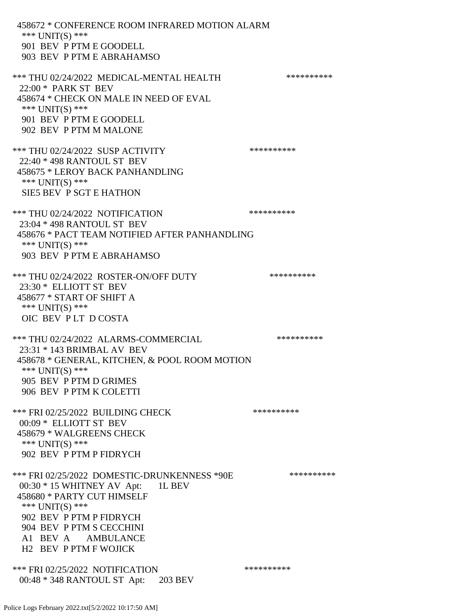458672 \* CONFERENCE ROOM INFRARED MOTION ALARM \*\*\* UNIT(S) \*\*\* 901 BEV P PTM E GOODELL 903 BEV P PTM E ABRAHAMSO \*\*\* THU 02/24/2022 MEDICAL-MENTAL HEALTH \*\*\*\*\*\*\*\*\*\* 22:00 \* PARK ST BEV 458674 \* CHECK ON MALE IN NEED OF EVAL \*\*\* UNIT(S) \*\*\* 901 BEV P PTM E GOODELL 902 BEV P PTM M MALONE \*\*\* THU 02/24/2022 SUSP ACTIVITY \*\*\*\*\*\*\*\*\*\*\*\* 22:40 \* 498 RANTOUL ST BEV 458675 \* LEROY BACK PANHANDLING \*\*\* UNIT(S) \*\*\* SIE5 BEV P SGT E HATHON \*\*\* THU 02/24/2022 NOTIFICATION \*\*\*\*\*\*\*\*\*\*\*\* 23:04 \* 498 RANTOUL ST BEV 458676 \* PACT TEAM NOTIFIED AFTER PANHANDLING \*\*\* UNIT(S) \*\*\* 903 BEV P PTM E ABRAHAMSO \*\*\* THU 02/24/2022 ROSTER-ON/OFF DUTY \*\*\*\*\*\*\*\*\*\* 23:30 \* ELLIOTT ST BEV 458677 \* START OF SHIFT A \*\*\* UNIT(S) \*\*\* OIC BEV P LT D COSTA \*\*\* THU 02/24/2022 ALARMS-COMMERCIAL \*\*\*\*\*\*\*\*\*\* 23:31 \* 143 BRIMBAL AV BEV 458678 \* GENERAL, KITCHEN, & POOL ROOM MOTION \*\*\* UNIT(S) \*\*\* 905 BEV P PTM D GRIMES 906 BEV P PTM K COLETTI \*\*\* FRI 02/25/2022 BUILDING CHECK \*\*\*\*\*\*\*\*\*\* 00:09 \* ELLIOTT ST BEV 458679 \* WALGREENS CHECK \*\*\* UNIT(S) \*\*\* 902 BEV P PTM P FIDRYCH \*\*\* FRI 02/25/2022 DOMESTIC-DRUNKENNESS \*90E \*\*\*\*\*\*\*\*\*\* 00:30 \* 15 WHITNEY AV Apt: 1L BEV 458680 \* PARTY CUT HIMSELF \*\*\* UNIT(S) \*\*\* 902 BEV P PTM P FIDRYCH 904 BEV P PTM S CECCHINI A1 BEV A AMBULANCE H2 BEV P PTM F WOJICK \*\*\* FRI 02/25/2022 NOTIFICATION \*\*\*\*\*\*\*\*\*\* 00:48 \* 348 RANTOUL ST Apt: 203 BEV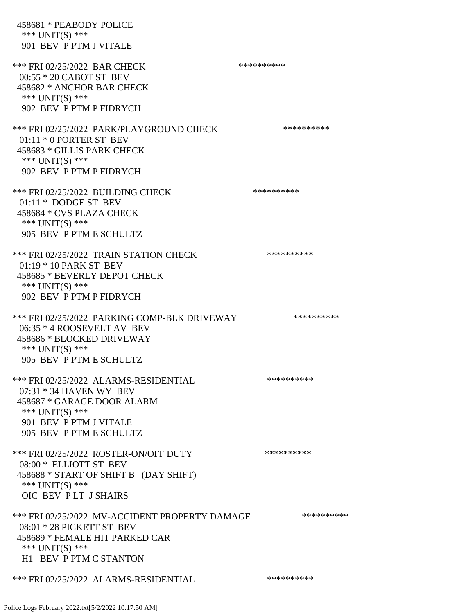| 458681 * PEABODY POLICE<br>*** UNIT(S) ***<br>901 BEV P PTM J VITALE                                                                                                     |            |
|--------------------------------------------------------------------------------------------------------------------------------------------------------------------------|------------|
| *** FRI 02/25/2022 BAR CHECK<br>$00:55 * 20$ CABOT ST BEV<br>458682 * ANCHOR BAR CHECK<br>*** $UNIT(S)$ ***<br>902 BEV P PTM P FIDRYCH                                   | ********** |
| *** FRI 02/25/2022 PARK/PLAYGROUND CHECK<br>$01:11 * 0$ PORTER ST BEV<br>458683 * GILLIS PARK CHECK<br>*** UNIT(S) ***<br>902 BEV P PTM P FIDRYCH                        | ********** |
| *** FRI 02/25/2022 BUILDING CHECK<br>01:11 * DODGE ST BEV<br>458684 * CVS PLAZA CHECK<br>*** UNIT(S) ***<br>905 BEV P PTM E SCHULTZ                                      | ********** |
| *** FRI 02/25/2022 TRAIN STATION CHECK<br>01:19 * 10 PARK ST BEV<br>458685 * BEVERLY DEPOT CHECK<br>*** UNIT(S) ***<br>902 BEV P PTM P FIDRYCH                           | ********** |
| *** FRI 02/25/2022 PARKING COMP-BLK DRIVEWAY<br>06:35 * 4 ROOSEVELT AV BEV<br>458686 * BLOCKED DRIVEWAY<br>*** UNIT(S) ***<br>905 BEV P PTM E SCHULTZ                    | ********** |
| *** FRI 02/25/2022 ALARMS-RESIDENTIAL<br>$07:31 * 34$ HAVEN WY BEV<br>458687 * GARAGE DOOR ALARM<br>*** UNIT(S) ***<br>901 BEV P PTM J VITALE<br>905 BEV P PTM E SCHULTZ | ********** |
| *** FRI 02/25/2022 ROSTER-ON/OFF DUTY<br>08:00 * ELLIOTT ST BEV<br>458688 * START OF SHIFT B (DAY SHIFT)<br>*** UNIT(S) ***<br>OIC BEV PLT J SHAIRS                      | ********** |
| *** FRI 02/25/2022 MV-ACCIDENT PROPERTY DAMAGE<br>08:01 * 28 PICKETT ST BEV<br>458689 * FEMALE HIT PARKED CAR<br>*** $UNIT(S)$ ***<br><b>H1 BEV P PTM C STANTON</b>      | ********** |
| *** FRI 02/25/2022 ALARMS-RESIDENTIAL                                                                                                                                    | ********** |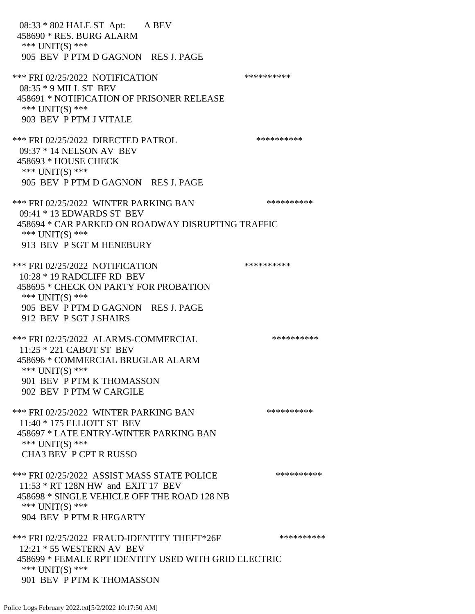08:33 \* 802 HALE ST Apt: A BEV 458690 \* RES. BURG ALARM \*\*\* UNIT(S) \*\*\* 905 BEV P PTM D GAGNON RES J. PAGE \*\*\* FRI 02/25/2022 NOTIFICATION \*\*\*\*\*\*\*\*\*\* 08:35 \* 9 MILL ST BEV 458691 \* NOTIFICATION OF PRISONER RELEASE \*\*\* UNIT(S) \*\*\* 903 BEV P PTM J VITALE \*\*\* FRI 02/25/2022 DIRECTED PATROL \*\*\*\*\*\*\*\*\*\*\*\* 09:37 \* 14 NELSON AV BEV 458693 \* HOUSE CHECK \*\*\* UNIT(S) \*\*\* 905 BEV P PTM D GAGNON RES J. PAGE \*\*\* FRI 02/25/2022 WINTER PARKING BAN \*\*\*\*\*\*\*\*\*\* 09:41 \* 13 EDWARDS ST BEV 458694 \* CAR PARKED ON ROADWAY DISRUPTING TRAFFIC \*\*\* UNIT(S) \*\*\* 913 BEV P SGT M HENEBURY \*\*\* FRI 02/25/2022 NOTIFICATION \*\*\*\*\*\*\*\*\*\* 10:28 \* 19 RADCLIFF RD BEV 458695 \* CHECK ON PARTY FOR PROBATION \*\*\* UNIT(S) \*\*\* 905 BEV P PTM D GAGNON RES J. PAGE 912 BEV P SGT J SHAIRS \*\*\* FRI 02/25/2022 ALARMS-COMMERCIAL \*\*\*\*\*\*\*\*\*\* 11:25 \* 221 CABOT ST BEV 458696 \* COMMERCIAL BRUGLAR ALARM \*\*\* UNIT(S) \*\*\* 901 BEV P PTM K THOMASSON 902 BEV P PTM W CARGILE \*\*\* FRI 02/25/2022 WINTER PARKING BAN \*\*\*\*\*\*\*\*\*\* 11:40 \* 175 ELLIOTT ST BEV 458697 \* LATE ENTRY-WINTER PARKING BAN \*\*\* UNIT(S) \*\*\* CHA3 BEV P CPT R RUSSO \*\*\* FRI 02/25/2022 ASSIST MASS STATE POLICE \*\*\*\*\*\*\*\*\*\* 11:53 \* RT 128N HW and EXIT 17 BEV 458698 \* SINGLE VEHICLE OFF THE ROAD 128 NB \*\*\* UNIT(S) \*\*\* 904 BEV P PTM R HEGARTY \*\*\* FRI 02/25/2022 FRAUD-IDENTITY THEFT\*26F \*\*\*\*\*\*\*\*\*\*\*\*\* 12:21 \* 55 WESTERN AV BEV 458699 \* FEMALE RPT IDENTITY USED WITH GRID ELECTRIC \*\*\* UNIT(S) \*\*\* 901 BEV P PTM K THOMASSON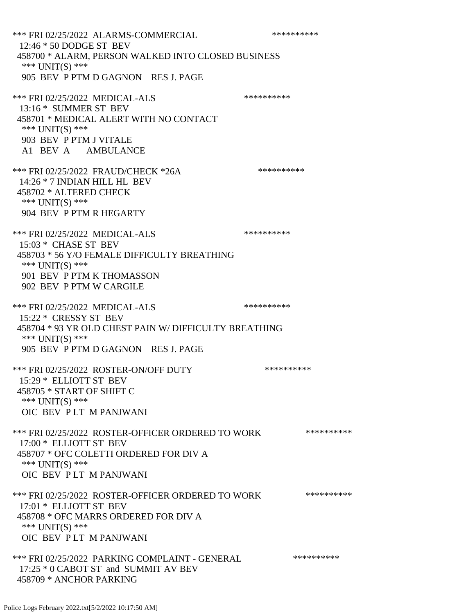\*\*\* FRI 02/25/2022 ALARMS-COMMERCIAL \*\*\*\*\*\*\*\*\*\* 12:46 \* 50 DODGE ST BEV 458700 \* ALARM, PERSON WALKED INTO CLOSED BUSINESS \*\*\* UNIT(S) \*\*\* 905 BEV P PTM D GAGNON RES J. PAGE \*\*\* FRI 02/25/2022 MEDICAL-ALS \*\*\*\*\*\*\*\*\*\*\*\*\* 13:16 \* SUMMER ST BEV 458701 \* MEDICAL ALERT WITH NO CONTACT \*\*\* UNIT(S) \*\*\* 903 BEV P PTM J VITALE A1 BEV A AMBULANCE \*\*\* FRI 02/25/2022 FRAUD/CHECK \*26A \*\*\*\*\*\*\*\*\*\* 14:26 \* 7 INDIAN HILL HL BEV 458702 \* ALTERED CHECK \*\*\* UNIT(S) \*\*\* 904 BEV P PTM R HEGARTY \*\*\* FRI 02/25/2022 MEDICAL-ALS \*\*\*\*\*\*\*\*\*\*\*\*\*\* 15:03 \* CHASE ST BEV 458703 \* 56 Y/O FEMALE DIFFICULTY BREATHING \*\*\* UNIT(S) \*\*\* 901 BEV P PTM K THOMASSON 902 BEV P PTM W CARGILE \*\*\* FRI 02/25/2022 MEDICAL-ALS \*\*\*\*\*\*\*\*\*\* 15:22 \* CRESSY ST BEV 458704 \* 93 YR OLD CHEST PAIN W/ DIFFICULTY BREATHING \*\*\* UNIT(S) \*\*\* 905 BEV P PTM D GAGNON RES J. PAGE \*\*\* FRI 02/25/2022 ROSTER-ON/OFF DUTY \*\*\*\*\*\*\*\*\*\* 15:29 \* ELLIOTT ST BEV 458705 \* START OF SHIFT C \*\*\* UNIT(S) \*\*\* OIC BEV P LT M PANJWANI \*\*\* FRI 02/25/2022 ROSTER-OFFICER ORDERED TO WORK \*\*\*\*\*\*\*\*\*\*\* 17:00 \* ELLIOTT ST BEV 458707 \* OFC COLETTI ORDERED FOR DIV A \*\*\* UNIT(S) \*\*\* OIC BEV P LT M PANJWANI \*\*\* FRI 02/25/2022 ROSTER-OFFICER ORDERED TO WORK \*\*\*\*\*\*\*\*\*\*\* 17:01 \* ELLIOTT ST BEV 458708 \* OFC MARRS ORDERED FOR DIV A \*\*\* UNIT(S) \*\*\* OIC BEV P LT M PANJWANI \*\*\* FRI 02/25/2022 PARKING COMPLAINT - GENERAL \*\*\*\*\*\*\*\*\*\* 17:25 \* 0 CABOT ST and SUMMIT AV BEV 458709 \* ANCHOR PARKING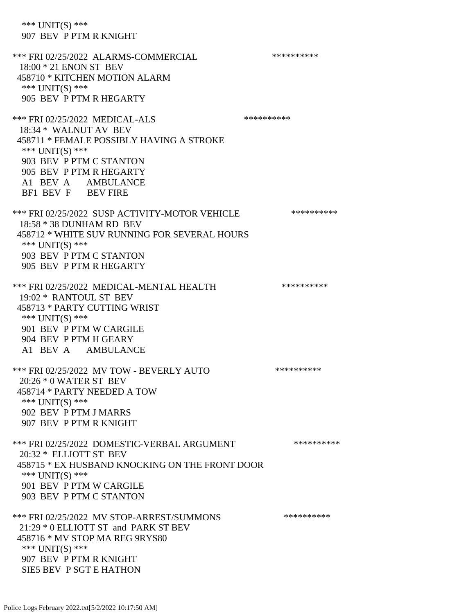\*\*\* UNIT(S) \*\*\* 907 BEV P PTM R KNIGHT \*\*\* FRI 02/25/2022 ALARMS-COMMERCIAL \*\*\*\*\*\*\*\*\*\* 18:00 \* 21 ENON ST BEV 458710 \* KITCHEN MOTION ALARM \*\*\*  $UNIT(S)$  \*\*\* 905 BEV P PTM R HEGARTY \*\*\* FRI 02/25/2022 MEDICAL-ALS \*\*\*\*\*\*\*\*\*\*\*\* 18:34 \* WALNUT AV BEV 458711 \* FEMALE POSSIBLY HAVING A STROKE \*\*\* UNIT(S) \*\*\* 903 BEV P PTM C STANTON 905 BEV P PTM R HEGARTY A1 BEV A AMBULANCE BF1 BEV F BEV FIRE \*\*\* FRI 02/25/2022 SUSP ACTIVITY-MOTOR VEHICLE \*\*\*\*\*\*\*\*\*\*\* 18:58 \* 38 DUNHAM RD BEV 458712 \* WHITE SUV RUNNING FOR SEVERAL HOURS \*\*\* UNIT(S) \*\*\* 903 BEV P PTM C STANTON 905 BEV P PTM R HEGARTY \*\*\* FRI 02/25/2022 MEDICAL-MENTAL HEALTH \*\*\*\*\*\*\*\*\*\* 19:02 \* RANTOUL ST BEV 458713 \* PARTY CUTTING WRIST \*\*\* UNIT(S) \*\*\* 901 BEV P PTM W CARGILE 904 BEV P PTM H GEARY A1 BEV A AMBULANCE \*\*\* FRI 02/25/2022 MV TOW - BEVERLY AUTO \*\*\*\*\*\*\*\*\*\* 20:26 \* 0 WATER ST BEV 458714 \* PARTY NEEDED A TOW \*\*\* UNIT(S) \*\*\* 902 BEV P PTM J MARRS 907 BEV P PTM R KNIGHT \*\*\* FRI 02/25/2022 DOMESTIC-VERBAL ARGUMENT \*\*\*\*\*\*\*\*\*\*\*\* 20:32 \* ELLIOTT ST BEV 458715 \* EX HUSBAND KNOCKING ON THE FRONT DOOR \*\*\* UNIT(S) \*\*\* 901 BEV P PTM W CARGILE 903 BEV P PTM C STANTON \*\*\* FRI 02/25/2022 MV STOP-ARREST/SUMMONS \*\*\*\*\*\*\*\*\*\* 21:29 \* 0 ELLIOTT ST and PARK ST BEV 458716 \* MV STOP MA REG 9RYS80 \*\*\* UNIT(S) \*\*\* 907 BEV P PTM R KNIGHT SIE5 BEV P SGT E HATHON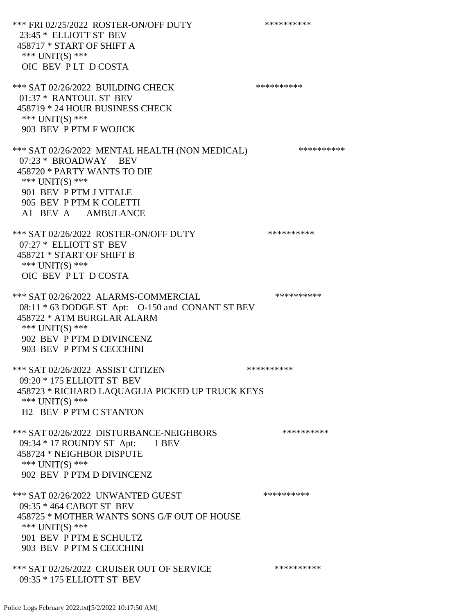\*\*\* FRI 02/25/2022 ROSTER-ON/OFF DUTY \*\*\*\*\*\*\*\*\*\* 23:45 \* ELLIOTT ST BEV 458717 \* START OF SHIFT A \*\*\* UNIT(S) \*\*\* OIC BEV P LT D COSTA \*\*\* SAT 02/26/2022 BUILDING CHECK \*\*\*\*\*\*\*\*\*\*\*\* 01:37 \* RANTOUL ST BEV 458719 \* 24 HOUR BUSINESS CHECK \*\*\* UNIT(S) \*\*\* 903 BEV P PTM F WOJICK \*\*\* SAT 02/26/2022 MENTAL HEALTH (NON MEDICAL) \*\*\*\*\*\*\*\*\*\*\*\* 07:23 \* BROADWAY BEV 458720 \* PARTY WANTS TO DIE \*\*\* UNIT(S) \*\*\* 901 BEV P PTM J VITALE 905 BEV P PTM K COLETTI A1 BEV A AMBULANCE \*\*\* SAT 02/26/2022 ROSTER-ON/OFF DUTY \*\*\*\*\*\*\*\*\*\* 07:27 \* ELLIOTT ST BEV 458721 \* START OF SHIFT B \*\*\* UNIT(S) \*\*\* OIC BEV P LT D COSTA \*\*\* SAT 02/26/2022 ALARMS-COMMERCIAL \*\*\*\*\*\*\*\*\*\* 08:11 \* 63 DODGE ST Apt: O-150 and CONANT ST BEV 458722 \* ATM BURGLAR ALARM \*\*\* UNIT(S) \*\*\* 902 BEV P PTM D DIVINCENZ 903 BEV P PTM S CECCHINI \*\*\* SAT 02/26/2022 ASSIST CITIZEN \*\*\*\*\*\*\*\*\*\*\* 09:20 \* 175 ELLIOTT ST BEV 458723 \* RICHARD LAQUAGLIA PICKED UP TRUCK KEYS \*\*\* UNIT(S) \*\*\* H2 BEV P PTM C STANTON \*\*\* SAT 02/26/2022 DISTURBANCE-NEIGHBORS \*\*\*\*\*\*\*\*\*\*\*\*\* 09:34 \* 17 ROUNDY ST Apt: 1 BEV 458724 \* NEIGHBOR DISPUTE \*\*\* UNIT(S) \*\*\* 902 BEV P PTM D DIVINCENZ \*\*\* SAT 02/26/2022 UNWANTED GUEST \*\*\*\*\*\*\*\*\*\*\*\*\*\* 09:35 \* 464 CABOT ST BEV 458725 \* MOTHER WANTS SONS G/F OUT OF HOUSE \*\*\* UNIT(S) \*\*\* 901 BEV P PTM E SCHULTZ 903 BEV P PTM S CECCHINI \*\*\* SAT 02/26/2022 CRUISER OUT OF SERVICE \*\*\*\*\*\*\*\*\*\*\*\*\* 09:35 \* 175 ELLIOTT ST BEV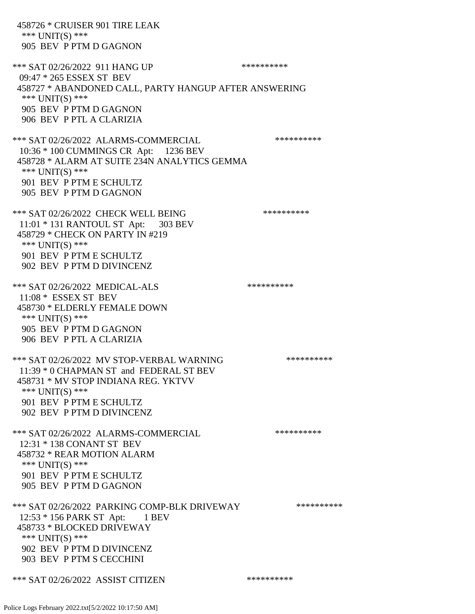458726 \* CRUISER 901 TIRE LEAK \*\*\* UNIT(S) \*\*\* 905 BEV P PTM D GAGNON \*\*\* SAT 02/26/2022 911 HANG UP \*\*\*\*\*\*\*\*\*\*\*\* 09:47 \* 265 ESSEX ST BEV 458727 \* ABANDONED CALL, PARTY HANGUP AFTER ANSWERING \*\*\* UNIT(S) \*\*\* 905 BEV P PTM D GAGNON 906 BEV P PTL A CLARIZIA \*\*\* SAT 02/26/2022 ALARMS-COMMERCIAL \*\*\*\*\*\*\*\*\*\* 10:36 \* 100 CUMMINGS CR Apt: 1236 BEV 458728 \* ALARM AT SUITE 234N ANALYTICS GEMMA \*\*\* UNIT(S) \*\*\* 901 BEV P PTM E SCHULTZ 905 BEV P PTM D GAGNON \*\*\* SAT 02/26/2022 CHECK WELL BEING \*\*\*\*\*\*\*\*\*\*\*\* 11:01 \* 131 RANTOUL ST Apt: 303 BEV 458729 \* CHECK ON PARTY IN #219 \*\*\* UNIT(S) \*\*\* 901 BEV P PTM E SCHULTZ 902 BEV P PTM D DIVINCENZ \*\*\* SAT 02/26/2022 MEDICAL-ALS \*\*\*\*\*\*\*\*\*\*\*\*\* 11:08 \* ESSEX ST BEV 458730 \* ELDERLY FEMALE DOWN \*\*\* UNIT(S) \*\*\* 905 BEV P PTM D GAGNON 906 BEV P PTL A CLARIZIA \*\*\* SAT 02/26/2022 MV STOP-VERBAL WARNING \*\*\*\*\*\*\*\*\*\*\*\*\* 11:39 \* 0 CHAPMAN ST and FEDERAL ST BEV 458731 \* MV STOP INDIANA REG. YKTVV \*\*\* UNIT(S) \*\*\* 901 BEV P PTM E SCHULTZ 902 BEV P PTM D DIVINCENZ \*\*\* SAT 02/26/2022 ALARMS-COMMERCIAL \*\*\*\*\*\*\*\*\*\* 12:31 \* 138 CONANT ST BEV 458732 \* REAR MOTION ALARM \*\*\* UNIT(S) \*\*\* 901 BEV P PTM E SCHULTZ 905 BEV P PTM D GAGNON \*\*\* SAT 02/26/2022 PARKING COMP-BLK DRIVEWAY \*\*\*\*\*\*\*\*\*\* 12:53 \* 156 PARK ST Apt: 1 BEV 458733 \* BLOCKED DRIVEWAY \*\*\* UNIT(S) \*\*\* 902 BEV P PTM D DIVINCENZ 903 BEV P PTM S CECCHINI \*\*\* SAT 02/26/2022 ASSIST CITIZEN \*\*\*\*\*\*\*\*\*\*\*\*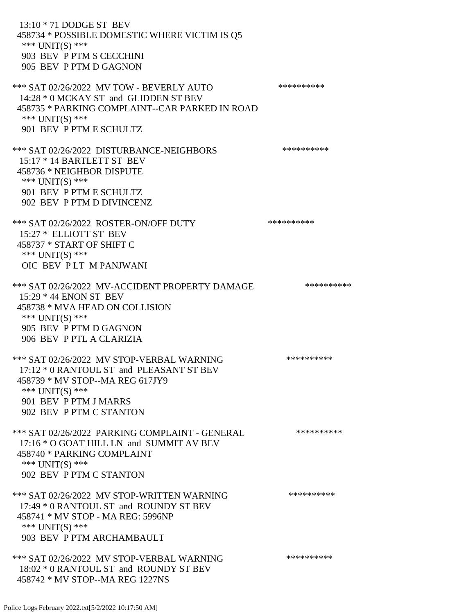13:10 \* 71 DODGE ST BEV 458734 \* POSSIBLE DOMESTIC WHERE VICTIM IS Q5 \*\*\* UNIT(S) \*\*\* 903 BEV P PTM S CECCHINI 905 BEV P PTM D GAGNON \*\*\* SAT 02/26/2022 MV TOW - BEVERLY AUTO \*\*\*\*\*\*\*\*\*\* 14:28 \* 0 MCKAY ST and GLIDDEN ST BEV 458735 \* PARKING COMPLAINT--CAR PARKED IN ROAD \*\*\* UNIT(S) \*\*\* 901 BEV P PTM E SCHULTZ \*\*\* SAT 02/26/2022 DISTURBANCE-NEIGHBORS \*\*\*\*\*\*\*\*\*\*\*\* 15:17 \* 14 BARTLETT ST BEV 458736 \* NEIGHBOR DISPUTE \*\*\* UNIT(S) \*\*\* 901 BEV P PTM E SCHULTZ 902 BEV P PTM D DIVINCENZ \*\*\* SAT 02/26/2022 ROSTER-ON/OFF DUTY \*\*\*\*\*\*\*\*\*\*\*\*\* 15:27 \* ELLIOTT ST BEV 458737 \* START OF SHIFT C \*\*\* UNIT(S) \*\*\* OIC BEV P LT M PANJWANI \*\*\* SAT 02/26/2022 MV-ACCIDENT PROPERTY DAMAGE \*\*\*\*\*\*\*\*\*\*\*\* 15:29 \* 44 ENON ST BEV 458738 \* MVA HEAD ON COLLISION \*\*\* UNIT(S) \*\*\* 905 BEV P PTM D GAGNON 906 BEV P PTL A CLARIZIA \*\*\* SAT 02/26/2022 MV STOP-VERBAL WARNING \*\*\*\*\*\*\*\*\*\*\*\*\* 17:12 \* 0 RANTOUL ST and PLEASANT ST BEV 458739 \* MV STOP--MA REG 617JY9 \*\*\* UNIT(S) \*\*\* 901 BEV P PTM J MARRS 902 BEV P PTM C STANTON \*\*\* SAT 02/26/2022 PARKING COMPLAINT - GENERAL \*\*\*\*\*\*\*\*\*\* 17:16 \* O GOAT HILL LN and SUMMIT AV BEV 458740 \* PARKING COMPLAINT \*\*\* UNIT(S) \*\*\* 902 BEV P PTM C STANTON \*\*\* SAT 02/26/2022 MV STOP-WRITTEN WARNING \*\*\*\*\*\*\*\*\*\*\*\*\* 17:49 \* 0 RANTOUL ST and ROUNDY ST BEV 458741 \* MV STOP - MA REG: 5996NP \*\*\* UNIT(S) \*\*\* 903 BEV P PTM ARCHAMBAULT \*\*\* SAT 02/26/2022 MV STOP-VERBAL WARNING \*\*\*\*\*\*\*\*\*\*\*\*\* 18:02 \* 0 RANTOUL ST and ROUNDY ST BEV 458742 \* MV STOP--MA REG 1227NS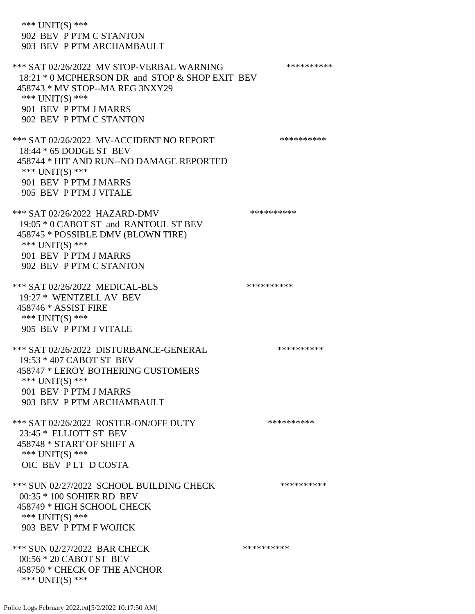\*\*\* UNIT(S) \*\*\* 902 BEV P PTM C STANTON 903 BEV P PTM ARCHAMBAULT \*\*\* SAT 02/26/2022 MV STOP-VERBAL WARNING \*\*\*\*\*\*\*\*\*\*\*\*\* 18:21 \* 0 MCPHERSON DR and STOP & SHOP EXIT BEV 458743 \* MV STOP--MA REG 3NXY29 \*\*\* UNIT(S) \*\*\* 901 BEV P PTM J MARRS 902 BEV P PTM C STANTON \*\*\* SAT 02/26/2022 MV-ACCIDENT NO REPORT \*\*\*\*\*\*\*\*\*\*\*\* 18:44 \* 65 DODGE ST BEV 458744 \* HIT AND RUN--NO DAMAGE REPORTED \*\*\* UNIT(S) \*\*\* 901 BEV P PTM J MARRS 905 BEV P PTM J VITALE \*\*\* SAT 02/26/2022 HAZARD-DMV \*\*\*\*\*\*\*\*\*\*\*\* 19:05 \* 0 CABOT ST and RANTOUL ST BEV 458745 \* POSSIBLE DMV (BLOWN TIRE) \*\*\* UNIT(S) \*\*\* 901 BEV P PTM J MARRS 902 BEV P PTM C STANTON \*\*\* SAT 02/26/2022 MEDICAL-BLS \*\*\*\*\*\*\*\*\*\* 19:27 \* WENTZELL AV BEV 458746 \* ASSIST FIRE \*\*\* UNIT(S) \*\*\* 905 BEV P PTM J VITALE \*\*\* SAT 02/26/2022 DISTURBANCE-GENERAL \*\*\*\*\*\*\*\*\*\* 19:53 \* 407 CABOT ST BEV 458747 \* LEROY BOTHERING CUSTOMERS \*\*\* UNIT(S) \*\*\* 901 BEV P PTM J MARRS 903 BEV P PTM ARCHAMBAULT \*\*\* SAT 02/26/2022 ROSTER-ON/OFF DUTY \*\*\*\*\*\*\*\*\*\* 23:45 \* ELLIOTT ST BEV 458748 \* START OF SHIFT A \*\*\* UNIT(S) \*\*\* OIC BEV P LT D COSTA \*\*\* SUN 02/27/2022 SCHOOL BUILDING CHECK \*\*\*\*\*\*\*\*\*\*\* 00:35 \* 100 SOHIER RD BEV 458749 \* HIGH SCHOOL CHECK \*\*\* UNIT(S) \*\*\* 903 BEV P PTM F WOJICK \*\*\* SUN 02/27/2022 BAR CHECK \*\*\*\*\*\*\*\*\*\*\*\* 00:56 \* 20 CABOT ST BEV 458750 \* CHECK OF THE ANCHOR \*\*\* UNIT(S) \*\*\*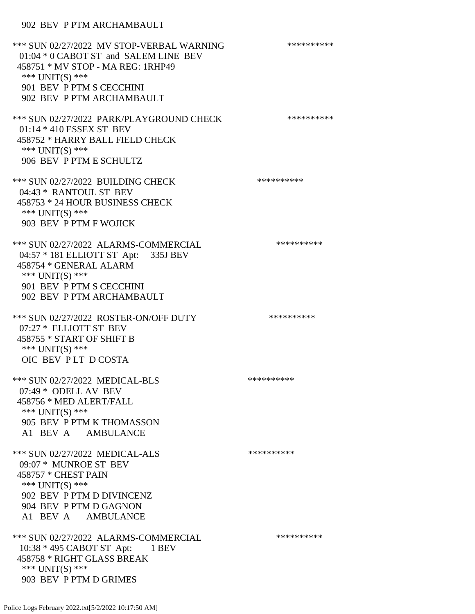### 902 BEV P PTM ARCHAMBAULT

\*\*\* SUN 02/27/2022 MV STOP-VERBAL WARNING \*\*\*\*\*\*\*\*\*\*\*\*\* 01:04 \* 0 CABOT ST and SALEM LINE BEV 458751 \* MV STOP - MA REG: 1RHP49 \*\*\* UNIT(S) \*\*\* 901 BEV P PTM S CECCHINI 902 BEV P PTM ARCHAMBAULT \*\*\* SUN 02/27/2022 PARK/PLAYGROUND CHECK \*\*\*\*\*\*\*\*\*\* 01:14 \* 410 ESSEX ST BEV 458752 \* HARRY BALL FIELD CHECK \*\*\* UNIT(S) \*\*\* 906 BEV P PTM E SCHULTZ \*\*\* SUN 02/27/2022 BUILDING CHECK \*\*\*\*\*\*\*\*\*\*\* 04:43 \* RANTOUL ST BEV 458753 \* 24 HOUR BUSINESS CHECK \*\*\* UNIT(S) \*\*\* 903 BEV P PTM F WOJICK \*\*\* SUN 02/27/2022 ALARMS-COMMERCIAL \*\*\*\*\*\*\*\*\*\* 04:57 \* 181 ELLIOTT ST Apt: 335J BEV 458754 \* GENERAL ALARM \*\*\* UNIT(S) \*\*\* 901 BEV P PTM S CECCHINI 902 BEV P PTM ARCHAMBAULT \*\*\* SUN 02/27/2022 ROSTER-ON/OFF DUTY \*\*\*\*\*\*\*\*\*\* 07:27 \* ELLIOTT ST BEV 458755 \* START OF SHIFT B \*\*\* UNIT(S) \*\*\* OIC BEV P LT D COSTA \*\*\* SUN 02/27/2022 MEDICAL-BLS \*\*\*\*\*\*\*\*\*\* 07:49 \* ODELL AV BEV 458756 \* MED ALERT/FALL \*\*\* UNIT(S) \*\*\* 905 BEV P PTM K THOMASSON A1 BEV A AMBULANCE \*\*\* SUN 02/27/2022 MEDICAL-ALS \*\*\*\*\*\*\*\*\*\* 09:07 \* MUNROE ST BEV 458757 \* CHEST PAIN \*\*\* UNIT(S) \*\*\* 902 BEV P PTM D DIVINCENZ 904 BEV P PTM D GAGNON A1 BEV A AMBULANCE \*\*\* SUN 02/27/2022 ALARMS-COMMERCIAL \*\*\*\*\*\*\*\*\*\* 10:38 \* 495 CABOT ST Apt: 1 BEV 458758 \* RIGHT GLASS BREAK \*\*\* UNIT(S) \*\*\* 903 BEV P PTM D GRIMES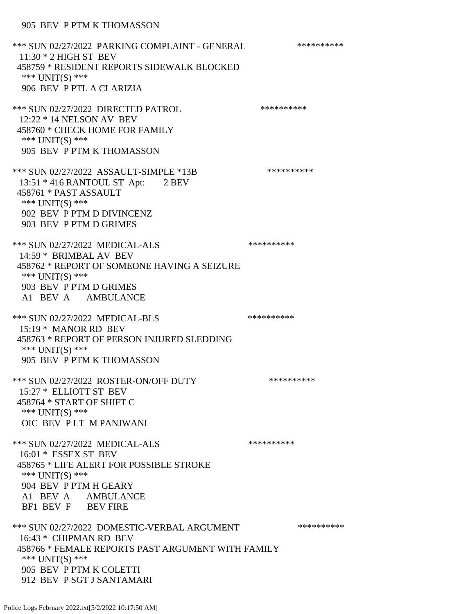\*\*\* SUN 02/27/2022 PARKING COMPLAINT - GENERAL \*\*\*\*\*\*\*\*\*\* 11:30 \* 2 HIGH ST BEV 458759 \* RESIDENT REPORTS SIDEWALK BLOCKED \*\*\* UNIT(S) \*\*\* 906 BEV P PTL A CLARIZIA \*\*\* SUN 02/27/2022 DIRECTED PATROL \*\*\*\*\*\*\*\*\*\* 12:22 \* 14 NELSON AV BEV 458760 \* CHECK HOME FOR FAMILY \*\*\* UNIT(S) \*\*\* 905 BEV P PTM K THOMASSON \*\*\* SUN 02/27/2022 ASSAULT-SIMPLE \*13B \*\*\*\*\*\*\*\*\*\*\*\* 13:51 \* 416 RANTOUL ST Apt: 2 BEV 458761 \* PAST ASSAULT \*\*\* UNIT(S) \*\*\* 902 BEV P PTM D DIVINCENZ 903 BEV P PTM D GRIMES \*\*\* SUN 02/27/2022 MEDICAL-ALS \*\*\*\*\*\*\*\*\*\*\*\*\* 14:59 \* BRIMBAL AV BEV 458762 \* REPORT OF SOMEONE HAVING A SEIZURE \*\*\* UNIT(S) \*\*\* 903 BEV P PTM D GRIMES A1 BEV A AMBULANCE \*\*\* SUN 02/27/2022 MEDICAL-BLS \*\*\*\*\*\*\*\*\*\*\*\*\* 15:19 \* MANOR RD BEV 458763 \* REPORT OF PERSON INJURED SLEDDING \*\*\* UNIT(S) \*\*\* 905 BEV P PTM K THOMASSON \*\*\* SUN 02/27/2022 ROSTER-ON/OFF DUTY \*\*\*\*\*\*\*\*\*\* 15:27 \* ELLIOTT ST BEV 458764 \* START OF SHIFT C \*\*\* UNIT(S) \*\*\* OIC BEV P LT M PANJWANI \*\*\* SUN 02/27/2022 MEDICAL-ALS \*\*\*\*\*\*\*\*\*\*\*\*\* 16:01 \* ESSEX ST BEV 458765 \* LIFE ALERT FOR POSSIBLE STROKE \*\*\*  $UNIT(S)$  \*\*\* 904 BEV P PTM H GEARY A1 BEV A AMBULANCE BF1 BEV F BEV FIRE \*\*\* SUN 02/27/2022 DOMESTIC-VERBAL ARGUMENT \*\*\*\*\*\*\*\*\*\*\*\*\* 16:43 \* CHIPMAN RD BEV 458766 \* FEMALE REPORTS PAST ARGUMENT WITH FAMILY \*\*\* UNIT(S) \*\*\* 905 BEV P PTM K COLETTI 912 BEV P SGT J SANTAMARI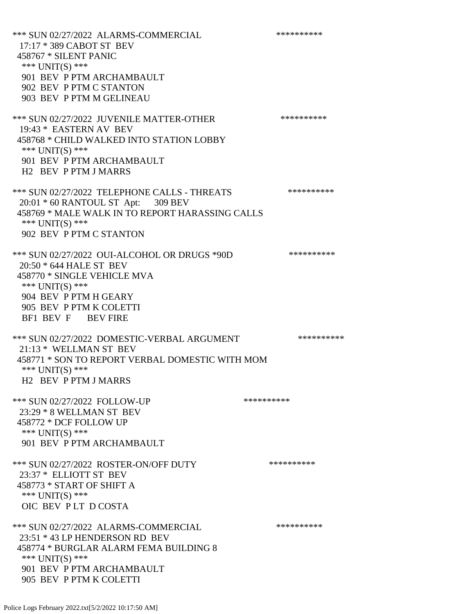\*\*\* SUN 02/27/2022 ALARMS-COMMERCIAL \*\*\*\*\*\*\*\*\*\* 17:17 \* 389 CABOT ST BEV 458767 \* SILENT PANIC \*\*\* UNIT(S) \*\*\* 901 BEV P PTM ARCHAMBAULT 902 BEV P PTM C STANTON 903 BEV P PTM M GELINEAU \*\*\* SUN 02/27/2022 JUVENILE MATTER-OTHER \*\*\*\*\*\*\*\*\*\*\*\* 19:43 \* EASTERN AV BEV 458768 \* CHILD WALKED INTO STATION LOBBY \*\*\* UNIT(S) \*\*\* 901 BEV P PTM ARCHAMBAULT H2 BEV P PTM J MARRS \*\*\* SUN 02/27/2022 TELEPHONE CALLS - THREATS \*\*\*\*\*\*\*\*\*\*\*\* 20:01 \* 60 RANTOUL ST Apt: 309 BEV 458769 \* MALE WALK IN TO REPORT HARASSING CALLS \*\*\* UNIT(S) \*\*\* 902 BEV P PTM C STANTON \*\*\* SUN 02/27/2022 OUI-ALCOHOL OR DRUGS \*90D \*\*\*\*\*\*\*\*\*\* 20:50 \* 644 HALE ST BEV 458770 \* SINGLE VEHICLE MVA \*\*\* UNIT(S) \*\*\* 904 BEV P PTM H GEARY 905 BEV P PTM K COLETTI BF1 BEV F BEV FIRE \*\*\* SUN 02/27/2022 DOMESTIC-VERBAL ARGUMENT \*\*\*\*\*\*\*\*\*\*\*\*\*\* 21:13 \* WELLMAN ST BEV 458771 \* SON TO REPORT VERBAL DOMESTIC WITH MOM \*\*\* UNIT(S) \*\*\* H2 BEV P PTM J MARRS \*\*\* SUN 02/27/2022 FOLLOW-UP \*\*\*\*\*\*\*\*\*\*\*\*\* 23:29 \* 8 WELLMAN ST BEV 458772 \* DCF FOLLOW UP \*\*\* UNIT(S) \*\*\* 901 BEV P PTM ARCHAMBAULT \*\*\* SUN 02/27/2022 ROSTER-ON/OFF DUTY \*\*\*\*\*\*\*\*\*\* 23:37 \* ELLIOTT ST BEV 458773 \* START OF SHIFT A \*\*\* UNIT(S) \*\*\* OIC BEV PLT D COSTA \*\*\* SUN 02/27/2022 ALARMS-COMMERCIAL \*\*\*\*\*\*\*\*\*\* 23:51 \* 43 LP HENDERSON RD BEV 458774 \* BURGLAR ALARM FEMA BUILDING 8 \*\*\* UNIT(S) \*\*\* 901 BEV P PTM ARCHAMBAULT 905 BEV P PTM K COLETTI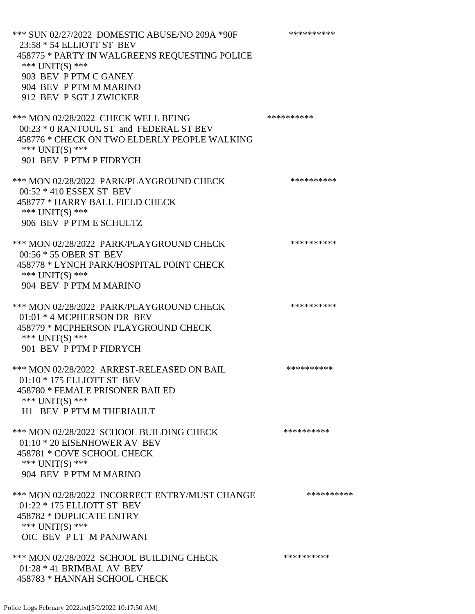| *** SUN 02/27/2022 DOMESTIC ABUSE/NO 209A *90F<br>23:58 * 54 ELLIOTT ST BEV<br>458775 * PARTY IN WALGREENS REQUESTING POLICE<br>*** UNIT(S) ***<br>903 BEV P PTM C GANEY<br>904 BEV P PTM M MARINO<br>912 BEV P SGT J ZWICKER | ********** |
|-------------------------------------------------------------------------------------------------------------------------------------------------------------------------------------------------------------------------------|------------|
| *** MON 02/28/2022 CHECK WELL BEING<br>00:23 * 0 RANTOUL ST and FEDERAL ST BEV<br>458776 * CHECK ON TWO ELDERLY PEOPLE WALKING<br>*** UNIT(S) ***<br>901 BEV P PTM P FIDRYCH                                                  | ********** |
| *** MON 02/28/2022 PARK/PLAYGROUND CHECK<br>00:52 * 410 ESSEX ST BEV<br>458777 * HARRY BALL FIELD CHECK<br>*** UNIT(S) ***<br>906 BEV P PTM E SCHULTZ                                                                         | ********** |
| *** MON 02/28/2022 PARK/PLAYGROUND CHECK<br>00:56 * 55 OBER ST BEV<br>458778 * LYNCH PARK/HOSPITAL POINT CHECK<br>*** UNIT(S) ***<br>904 BEV P PTM M MARINO                                                                   | ********** |
| *** MON 02/28/2022 PARK/PLAYGROUND CHECK<br>01:01 * 4 MCPHERSON DR BEV<br>458779 * MCPHERSON PLAYGROUND CHECK<br>*** UNIT(S) ***<br>901 BEV P PTM P FIDRYCH                                                                   | ********** |
| *** MON 02/28/2022 ARREST-RELEASED ON BAIL<br>01:10 * 175 ELLIOTT ST BEV<br>458780 * FEMALE PRISONER BAILED<br>*** $UNIT(S)$ ***<br>H1 BEV P PTM M THERIAULT                                                                  | ********** |
| *** MON 02/28/2022 SCHOOL BUILDING CHECK<br>01:10 * 20 EISENHOWER AV BEV<br>458781 * COVE SCHOOL CHECK<br>*** $UNIT(S)$ ***<br>904 BEV P PTM M MARINO                                                                         | ********** |
| *** MON 02/28/2022 INCORRECT ENTRY/MUST CHANGE<br>01:22 * 175 ELLIOTT ST BEV<br>458782 * DUPLICATE ENTRY<br>*** UNIT(S) ***<br>OIC BEV PLT M PANJWANI                                                                         | ********** |
| *** MON 02/28/2022 SCHOOL BUILDING CHECK<br>$01:28 * 41$ BRIMBAL AV BEV<br>458783 * HANNAH SCHOOL CHECK                                                                                                                       | ********** |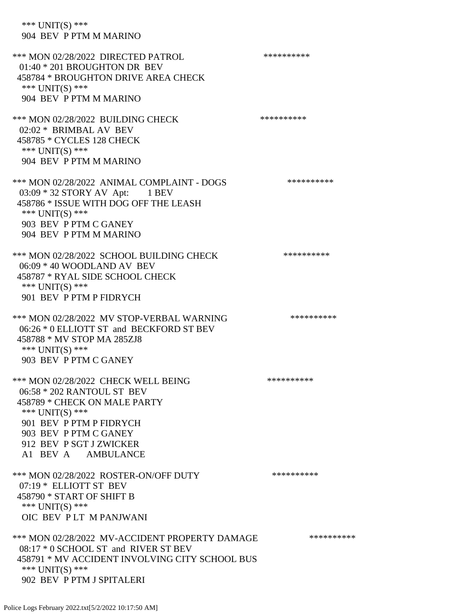\*\*\* UNIT(S) \*\*\* 904 BEV P PTM M MARINO

\*\*\* MON 02/28/2022 DIRECTED PATROL \*\*\*\*\*\*\*\*\*\* 01:40 \* 201 BROUGHTON DR BEV 458784 \* BROUGHTON DRIVE AREA CHECK \*\*\* UNIT(S) \*\*\* 904 BEV P PTM M MARINO \*\*\* MON 02/28/2022 BUILDING CHECK \*\*\*\*\*\*\*\*\*\*\* 02:02 \* BRIMBAL AV BEV 458785 \* CYCLES 128 CHECK \*\*\* UNIT(S) \*\*\* 904 BEV P PTM M MARINO \*\*\* MON 02/28/2022 ANIMAL COMPLAINT - DOGS \*\*\*\*\*\*\*\*\*\*\*\* 03:09 \* 32 STORY AV Apt: 1 BEV 458786 \* ISSUE WITH DOG OFF THE LEASH \*\*\* UNIT(S) \*\*\* 903 BEV P PTM C GANEY 904 BEV P PTM M MARINO \*\*\* MON 02/28/2022 SCHOOL BUILDING CHECK \*\*\*\*\*\*\*\*\*\*\* 06:09 \* 40 WOODLAND AV BEV 458787 \* RYAL SIDE SCHOOL CHECK \*\*\* UNIT(S) \*\*\* 901 BEV P PTM P FIDRYCH \*\*\* MON 02/28/2022 MV STOP-VERBAL WARNING \*\*\*\*\*\*\*\*\*\*\*\* 06:26 \* 0 ELLIOTT ST and BECKFORD ST BEV 458788 \* MV STOP MA 285ZJ8 \*\*\* UNIT(S) \*\*\* 903 BEV P PTM C GANEY \*\*\* MON 02/28/2022 CHECK WELL BEING \*\*\*\*\*\*\*\*\*\*\*\*\*\* 06:58 \* 202 RANTOUL ST BEV 458789 \* CHECK ON MALE PARTY \*\*\* UNIT(S) \*\*\* 901 BEV P PTM P FIDRYCH 903 BEV P PTM C GANEY 912 BEV P SGT J ZWICKER A1 BEV A AMBULANCE \*\*\* MON 02/28/2022 ROSTER-ON/OFF DUTY \*\*\*\*\*\*\*\*\*\* 07:19 \* ELLIOTT ST BEV 458790 \* START OF SHIFT B \*\*\* UNIT(S) \*\*\* OIC BEV P LT M PANJWANI \*\*\* MON 02/28/2022 MV-ACCIDENT PROPERTY DAMAGE \*\*\*\*\*\*\*\*\*\*\*\* 08:17 \* 0 SCHOOL ST and RIVER ST BEV 458791 \* MV ACCIDENT INVOLVING CITY SCHOOL BUS \*\*\* UNIT(S) \*\*\* 902 BEV P PTM J SPITALERI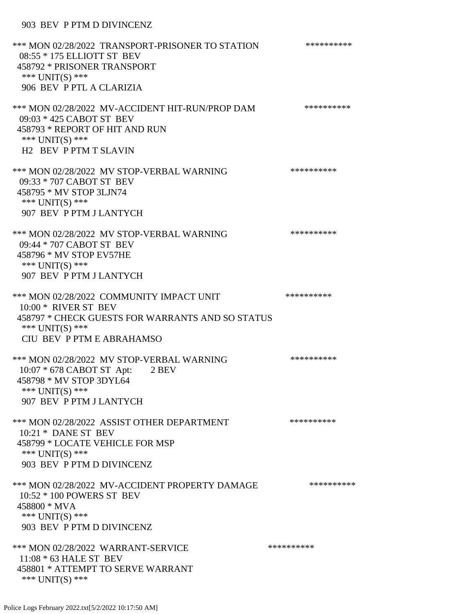#### 903 BEV P PTM D DIVINCENZ

\*\*\* MON 02/28/2022 TRANSPORT-PRISONER TO STATION \*\*\*\*\*\*\*\*\*\* 08:55 \* 175 ELLIOTT ST BEV 458792 \* PRISONER TRANSPORT \*\*\* UNIT(S) \*\*\* 906 BEV P PTL A CLARIZIA \*\*\* MON 02/28/2022 MV-ACCIDENT HIT-RUN/PROP DAM \*\*\*\*\*\*\*\*\*\* 09:03 \* 425 CABOT ST BEV 458793 \* REPORT OF HIT AND RUN \*\*\* UNIT(S) \*\*\* H2 BEV P PTM T SLAVIN \*\*\* MON 02/28/2022 MV STOP-VERBAL WARNING \*\*\*\*\*\*\*\*\*\*\*\* 09:33 \* 707 CABOT ST BEV 458795 \* MV STOP 3LJN74 \*\*\* UNIT(S) \*\*\* 907 BEV P PTM J LANTYCH \*\*\* MON 02/28/2022 MV STOP-VERBAL WARNING \*\*\*\*\*\*\*\*\*\*\*\* 09:44 \* 707 CABOT ST BEV 458796 \* MV STOP EV57HE \*\*\* UNIT(S) \*\*\* 907 BEV P PTM J LANTYCH \*\*\* MON 02/28/2022 COMMUNITY IMPACT UNIT \*\*\*\*\*\*\*\*\*\*\*\* 10:00 \* RIVER ST BEV 458797 \* CHECK GUESTS FOR WARRANTS AND SO STATUS \*\*\* UNIT(S) \*\*\* CIU BEV P PTM E ABRAHAMSO \*\*\* MON 02/28/2022 MV STOP-VERBAL WARNING \*\*\*\*\*\*\*\*\*\*\*\* 10:07 \* 678 CABOT ST Apt: 2 BEV 458798 \* MV STOP 3DYL64 \*\*\* UNIT(S) \*\*\* 907 BEV P PTM J LANTYCH \*\*\* MON 02/28/2022 ASSIST OTHER DEPARTMENT \*\*\*\*\*\*\*\*\*\*\*\* 10:21 \* DANE ST BEV 458799 \* LOCATE VEHICLE FOR MSP \*\*\* UNIT(S) \*\*\* 903 BEV P PTM D DIVINCENZ \*\*\* MON 02/28/2022 MV-ACCIDENT PROPERTY DAMAGE \*\*\*\*\*\*\*\*\*\*\*\* 10:52 \* 100 POWERS ST BEV 458800 \* MVA \*\*\* UNIT(S) \*\*\* 903 BEV P PTM D DIVINCENZ \*\*\* MON 02/28/2022 WARRANT-SERVICE \*\*\*\*\*\*\*\*\*\* 11:08 \* 63 HALE ST BEV 458801 \* ATTEMPT TO SERVE WARRANT \*\*\* UNIT(S) \*\*\*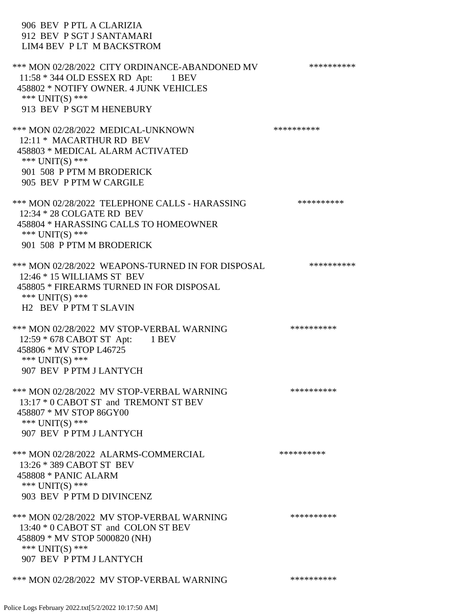| 906 BEV P PTL A CLARIZIA<br>912 BEV P SGT J SANTAMARI<br>LIM4 BEV PLT M BACKSTROM                                                                                                |            |
|----------------------------------------------------------------------------------------------------------------------------------------------------------------------------------|------------|
| *** MON 02/28/2022 CITY ORDINANCE-ABANDONED MV<br>11:58 * 344 OLD ESSEX RD Apt: 1 BEV<br>458802 * NOTIFY OWNER. 4 JUNK VEHICLES<br>*** $UNIT(S)$ ***<br>913 BEV P SGT M HENEBURY | ********** |
| *** MON 02/28/2022 MEDICAL-UNKNOWN<br>12:11 * MACARTHUR RD BEV<br>458803 * MEDICAL ALARM ACTIVATED<br>*** $UNIT(S)$ ***<br>901 508 P PTM M BRODERICK<br>905 BEV P PTM W CARGILE  | ********** |
| *** MON 02/28/2022 TELEPHONE CALLS - HARASSING<br>12:34 * 28 COLGATE RD BEV<br>458804 * HARASSING CALLS TO HOMEOWNER<br>*** UNIT(S) ***<br>901 508 P PTM M BRODERICK             | ********** |
| *** MON 02/28/2022 WEAPONS-TURNED IN FOR DISPOSAL<br>12:46 * 15 WILLIAMS ST BEV<br>458805 * FIREARMS TURNED IN FOR DISPOSAL<br>*** $UNIT(S)$ ***<br><b>H2 BEV P PTM T SLAVIN</b> | ********** |
| *** MON 02/28/2022 MV STOP-VERBAL WARNING<br>12:59 * 678 CABOT ST Apt: 1 BEV<br>458806 * MV STOP L46725<br>*** UNIT(S) ***<br>907 BEV P PTM J LANTYCH                            | ********** |
| *** MON 02/28/2022 MV STOP-VERBAL WARNING<br>13:17 * 0 CABOT ST and TREMONT ST BEV<br>458807 * MV STOP 86GY00<br>*** $UNIT(S)$ ***<br>907 BEV P PTM J LANTYCH                    | ********** |
| *** MON 02/28/2022 ALARMS-COMMERCIAL<br>13:26 * 389 CABOT ST BEV<br>458808 * PANIC ALARM<br>*** $UNIT(S)$ ***<br>903 BEV P PTM D DIVINCENZ                                       | ********** |
| *** MON 02/28/2022 MV STOP-VERBAL WARNING<br>13:40 * 0 CABOT ST and COLON ST BEV<br>458809 * MV STOP 5000820 (NH)<br>*** $UNIT(S)$ ***<br>907 BEV P PTM J LANTYCH                | ********** |
| *** MON 02/28/2022 MV STOP-VERBAL WARNING                                                                                                                                        | ********** |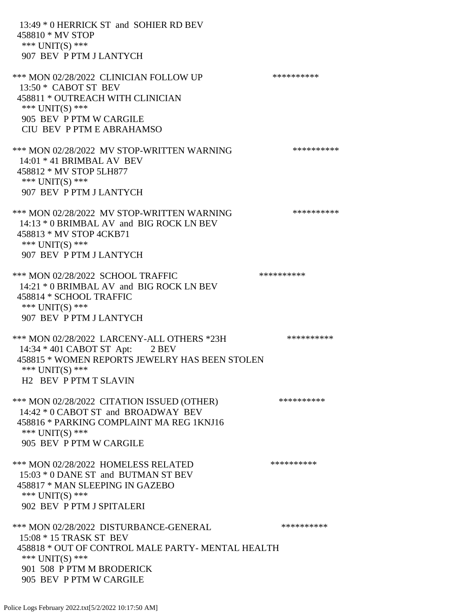13:49 \* 0 HERRICK ST and SOHIER RD BEV 458810 \* MV STOP \*\*\* UNIT(S) \*\*\* 907 BEV P PTM J LANTYCH \*\*\* MON 02/28/2022 CLINICIAN FOLLOW UP \*\*\*\*\*\*\*\*\*\* 13:50 \* CABOT ST BEV 458811 \* OUTREACH WITH CLINICIAN \*\*\* UNIT(S) \*\*\* 905 BEV P PTM W CARGILE CIU BEV P PTM E ABRAHAMSO \*\*\* MON 02/28/2022 MV STOP-WRITTEN WARNING \*\*\*\*\*\*\*\*\*\*\*\* 14:01 \* 41 BRIMBAL AV BEV 458812 \* MV STOP 5LH877 \*\*\* UNIT(S) \*\*\* 907 BEV P PTM J LANTYCH \*\*\* MON 02/28/2022 MV STOP-WRITTEN WARNING \*\*\*\*\*\*\*\*\*\*\*\* 14:13 \* 0 BRIMBAL AV and BIG ROCK LN BEV 458813 \* MV STOP 4CKB71 \*\*\* UNIT(S) \*\*\* 907 BEV P PTM J LANTYCH \*\*\* MON 02/28/2022 SCHOOL TRAFFIC \*\*\*\*\*\*\*\*\*\*\*\*\* 14:21 \* 0 BRIMBAL AV and BIG ROCK LN BEV 458814 \* SCHOOL TRAFFIC \*\*\* UNIT(S) \*\*\* 907 BEV P PTM J LANTYCH \*\*\* MON 02/28/2022 LARCENY-ALL OTHERS \*23H \*\*\*\*\*\*\*\*\*\*\*\* 14:34 \* 401 CABOT ST Apt: 2 BEV 458815 \* WOMEN REPORTS JEWELRY HAS BEEN STOLEN \*\*\* UNIT(S) \*\*\* H2 BEV P PTM T SLAVIN \*\*\* MON 02/28/2022 CITATION ISSUED (OTHER) \*\*\*\*\*\*\*\*\*\* 14:42 \* 0 CABOT ST and BROADWAY BEV 458816 \* PARKING COMPLAINT MA REG 1KNJ16 \*\*\* UNIT(S) \*\*\* 905 BEV P PTM W CARGILE \*\*\* MON 02/28/2022 HOMELESS RELATED \*\*\*\*\*\*\*\*\*\* 15:03 \* 0 DANE ST and BUTMAN ST BEV 458817 \* MAN SLEEPING IN GAZEBO \*\*\* UNIT(S) \*\*\* 902 BEV P PTM J SPITALERI \*\*\* MON 02/28/2022 DISTURBANCE-GENERAL \*\*\*\*\*\*\*\*\*\* 15:08 \* 15 TRASK ST BEV 458818 \* OUT OF CONTROL MALE PARTY- MENTAL HEALTH \*\*\* UNIT(S) \*\*\* 901 508 P PTM M BRODERICK 905 BEV P PTM W CARGILE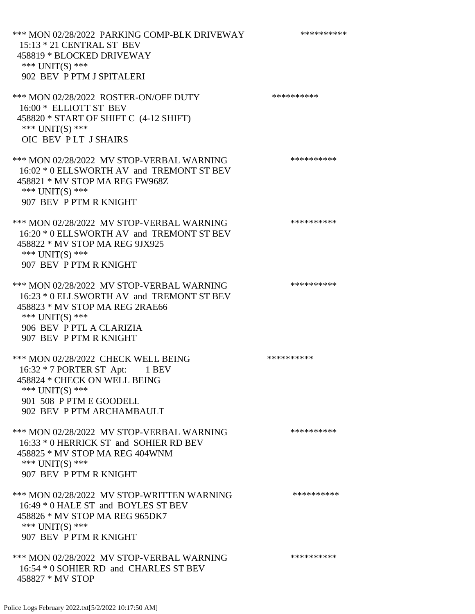\*\*\* MON 02/28/2022 PARKING COMP-BLK DRIVEWAY \*\*\*\*\*\*\*\*\*\* 15:13 \* 21 CENTRAL ST BEV 458819 \* BLOCKED DRIVEWAY \*\*\* UNIT(S) \*\*\* 902 BEV P PTM J SPITALERI \*\*\* MON 02/28/2022 ROSTER-ON/OFF DUTY \*\*\*\*\*\*\*\*\*\* 16:00 \* ELLIOTT ST BEV 458820 \* START OF SHIFT C (4-12 SHIFT) \*\*\* UNIT(S) \*\*\* OIC BEV P LT J SHAIRS \*\*\* MON 02/28/2022 MV STOP-VERBAL WARNING \*\*\*\*\*\*\*\*\*\*\*\* 16:02 \* 0 ELLSWORTH AV and TREMONT ST BEV 458821 \* MV STOP MA REG FW968Z \*\*\* UNIT(S) \*\*\* 907 BEV P PTM R KNIGHT \*\*\* MON 02/28/2022 MV STOP-VERBAL WARNING \*\*\*\*\*\*\*\*\*\*\*\* 16:20 \* 0 ELLSWORTH AV and TREMONT ST BEV 458822 \* MV STOP MA REG 9JX925 \*\*\* UNIT(S) \*\*\* 907 BEV P PTM R KNIGHT \*\*\* MON 02/28/2022 MV STOP-VERBAL WARNING \*\*\*\*\*\*\*\*\*\*\*\* 16:23 \* 0 ELLSWORTH AV and TREMONT ST BEV 458823 \* MV STOP MA REG 2RAE66 \*\*\* UNIT(S) \*\*\* 906 BEV P PTL A CLARIZIA 907 BEV P PTM R KNIGHT \*\*\* MON 02/28/2022 CHECK WELL BEING \*\*\*\*\*\*\*\*\*\*\*\*\* 16:32 \* 7 PORTER ST Apt: 1 BEV 458824 \* CHECK ON WELL BEING \*\*\* UNIT(S) \*\*\* 901 508 P PTM E GOODELL 902 BEV P PTM ARCHAMBAULT \*\*\* MON 02/28/2022 MV STOP-VERBAL WARNING \*\*\*\*\*\*\*\*\*\*\*\*\*\* 16:33 \* 0 HERRICK ST and SOHIER RD BEV 458825 \* MV STOP MA REG 404WNM \*\*\* UNIT(S) \*\*\* 907 BEV P PTM R KNIGHT \*\*\* MON 02/28/2022 MV STOP-WRITTEN WARNING \*\*\*\*\*\*\*\*\*\*\*\* 16:49 \* 0 HALE ST and BOYLES ST BEV 458826 \* MV STOP MA REG 965DK7 \*\*\* UNIT(S) \*\*\* 907 BEV P PTM R KNIGHT \*\*\* MON 02/28/2022 MV STOP-VERBAL WARNING \*\*\*\*\*\*\*\*\*\*\*\* 16:54 \* 0 SOHIER RD and CHARLES ST BEV 458827 \* MV STOP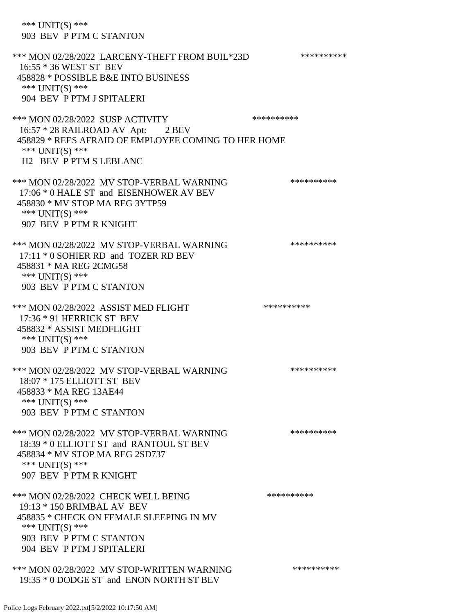\*\*\* UNIT(S) \*\*\* 903 BEV P PTM C STANTON \*\*\* MON 02/28/2022 LARCENY-THEFT FROM BUIL\*23D \*\*\*\*\*\*\*\*\*\* 16:55 \* 36 WEST ST BEV 458828 \* POSSIBLE B&E INTO BUSINESS \*\*\* UNIT(S) \*\*\* 904 BEV P PTM J SPITALERI \*\*\* MON 02/28/2022 SUSP ACTIVITY \*\*\*\*\*\*\*\*\*\*\*\* 16:57 \* 28 RAILROAD AV Apt: 2 BEV 458829 \* REES AFRAID OF EMPLOYEE COMING TO HER HOME \*\*\* UNIT(S) \*\*\* H2 BEV P PTM S LEBLANC \*\*\* MON 02/28/2022 MV STOP-VERBAL WARNING \*\*\*\*\*\*\*\*\*\*\*\*\*\* 17:06 \* 0 HALE ST and EISENHOWER AV BEV 458830 \* MV STOP MA REG 3YTP59 \*\*\* UNIT(S) \*\*\* 907 BEV P PTM R KNIGHT \*\*\* MON 02/28/2022 MV STOP-VERBAL WARNING \*\*\*\*\*\*\*\*\*\*\*\* 17:11 \* 0 SOHIER RD and TOZER RD BEV 458831 \* MA REG 2CMG58 \*\*\* UNIT(S) \*\*\* 903 BEV P PTM C STANTON \*\*\* MON 02/28/2022 ASSIST MED FLIGHT \*\*\*\*\*\*\*\*\*\*\*\*\*\* 17:36 \* 91 HERRICK ST BEV 458832 \* ASSIST MEDFLIGHT \*\*\* UNIT(S) \*\*\* 903 BEV P PTM C STANTON \*\*\* MON 02/28/2022 MV STOP-VERBAL WARNING \*\*\*\*\*\*\*\*\*\*\*\*\*\* 18:07 \* 175 ELLIOTT ST BEV 458833 \* MA REG 13AE44 \*\*\* UNIT(S) \*\*\* 903 BEV P PTM C STANTON \*\*\* MON 02/28/2022 MV STOP-VERBAL WARNING \*\*\*\*\*\*\*\*\*\*\*\* 18:39 \* 0 ELLIOTT ST and RANTOUL ST BEV 458834 \* MV STOP MA REG 2SD737 \*\*\* UNIT(S) \*\*\* 907 BEV P PTM R KNIGHT \*\*\* MON 02/28/2022 CHECK WELL BEING \*\*\*\*\*\*\*\*\*\*\*\*\* 19:13 \* 150 BRIMBAL AV BEV 458835 \* CHECK ON FEMALE SLEEPING IN MV \*\*\* UNIT(S) \*\*\* 903 BEV P PTM C STANTON 904 BEV P PTM J SPITALERI \*\*\* MON 02/28/2022 MV STOP-WRITTEN WARNING \*\*\*\*\*\*\*\*\*\*\*\*

19:35 \* 0 DODGE ST and ENON NORTH ST BEV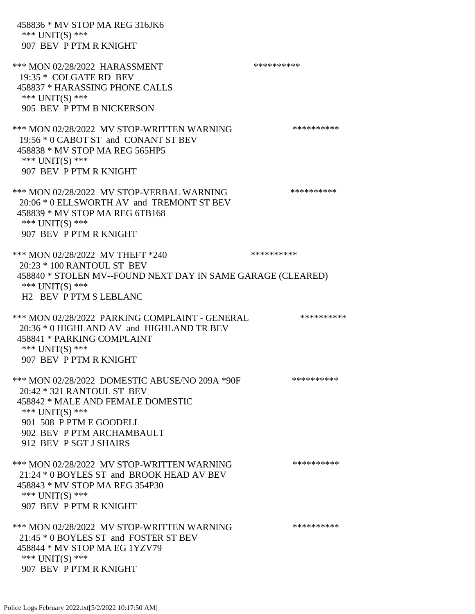| 458836 * MV STOP MA REG 316JK6<br>*** $UNIT(S)$ ***<br>907 BEV P PTM R KNIGHT                                                                                                                                            |            |  |
|--------------------------------------------------------------------------------------------------------------------------------------------------------------------------------------------------------------------------|------------|--|
| *** MON 02/28/2022 HARASSMENT<br>19:35 * COLGATE RD BEV<br>458837 * HARASSING PHONE CALLS<br>*** $UNIT(S)$ ***<br>905 BEV P PTM B NICKERSON                                                                              | ********** |  |
| *** MON 02/28/2022 MV STOP-WRITTEN WARNING<br>19:56 * 0 CABOT ST and CONANT ST BEV<br>458838 * MV STOP MA REG 565HP5<br>*** $UNIT(S)$ ***<br>907 BEV P PTM R KNIGHT                                                      | ********** |  |
| *** MON 02/28/2022 MV STOP-VERBAL WARNING<br>20:06 * 0 ELLSWORTH AV and TREMONT ST BEV<br>458839 * MV STOP MA REG 6TB168<br>*** UNIT(S) ***<br>907 BEV P PTM R KNIGHT                                                    | ********** |  |
| *** MON 02/28/2022 MV THEFT *240                                                                                                                                                                                         | ********** |  |
| 20:23 * 100 RANTOUL ST BEV<br>458840 * STOLEN MV--FOUND NEXT DAY IN SAME GARAGE (CLEARED)<br>*** $UNIT(S)$ ***<br><b>H2 BEV P PTM S LEBLANC</b>                                                                          |            |  |
| *** MON 02/28/2022 PARKING COMPLAINT - GENERAL<br>20:36 * 0 HIGHLAND AV and HIGHLAND TR BEV<br>458841 * PARKING COMPLAINT<br>*** $UNIT(S)$ ***<br>907 BEV P PTM R KNIGHT                                                 | ********** |  |
| *** MON 02/28/2022 DOMESTIC ABUSE/NO 209A *90F<br>20:42 * 321 RANTOUL ST BEV<br>458842 * MALE AND FEMALE DOMESTIC<br>*** $UNIT(S)$ ***<br>901 508 P PTM E GOODELL<br>902 BEV P PTM ARCHAMBAULT<br>912 BEV P SGT J SHAIRS | ********** |  |
| *** MON 02/28/2022 MV STOP-WRITTEN WARNING<br>21:24 * 0 BOYLES ST and BROOK HEAD AV BEV<br>458843 * MV STOP MA REG 354P30<br>*** $UNIT(S)$ ***<br>907 BEV P PTM R KNIGHT                                                 | ********** |  |
| *** MON 02/28/2022 MV STOP-WRITTEN WARNING<br>21:45 * 0 BOYLES ST and FOSTER ST BEV<br>458844 * MV STOP MA EG 1YZV79<br>*** $UNIT(S)$ ***<br>907 BEV P PTM R KNIGHT                                                      | ********** |  |